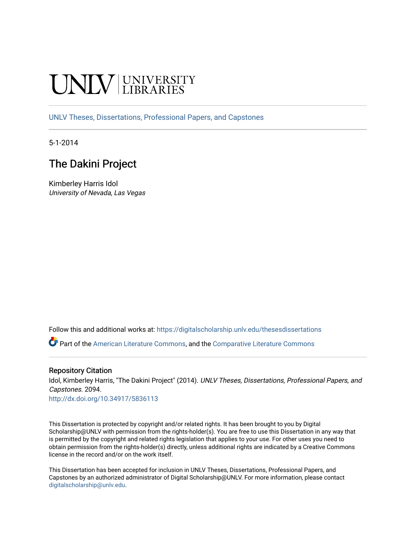# **INIVERSITY**

[UNLV Theses, Dissertations, Professional Papers, and Capstones](https://digitalscholarship.unlv.edu/thesesdissertations)

5-1-2014

## The Dakini Project

Kimberley Harris Idol University of Nevada, Las Vegas

Follow this and additional works at: [https://digitalscholarship.unlv.edu/thesesdissertations](https://digitalscholarship.unlv.edu/thesesdissertations?utm_source=digitalscholarship.unlv.edu%2Fthesesdissertations%2F2094&utm_medium=PDF&utm_campaign=PDFCoverPages)

Part of the [American Literature Commons](http://network.bepress.com/hgg/discipline/441?utm_source=digitalscholarship.unlv.edu%2Fthesesdissertations%2F2094&utm_medium=PDF&utm_campaign=PDFCoverPages), and the [Comparative Literature Commons](http://network.bepress.com/hgg/discipline/454?utm_source=digitalscholarship.unlv.edu%2Fthesesdissertations%2F2094&utm_medium=PDF&utm_campaign=PDFCoverPages)

#### Repository Citation

Idol, Kimberley Harris, "The Dakini Project" (2014). UNLV Theses, Dissertations, Professional Papers, and Capstones. 2094.

<http://dx.doi.org/10.34917/5836113>

This Dissertation is protected by copyright and/or related rights. It has been brought to you by Digital Scholarship@UNLV with permission from the rights-holder(s). You are free to use this Dissertation in any way that is permitted by the copyright and related rights legislation that applies to your use. For other uses you need to obtain permission from the rights-holder(s) directly, unless additional rights are indicated by a Creative Commons license in the record and/or on the work itself.

This Dissertation has been accepted for inclusion in UNLV Theses, Dissertations, Professional Papers, and Capstones by an authorized administrator of Digital Scholarship@UNLV. For more information, please contact [digitalscholarship@unlv.edu](mailto:digitalscholarship@unlv.edu).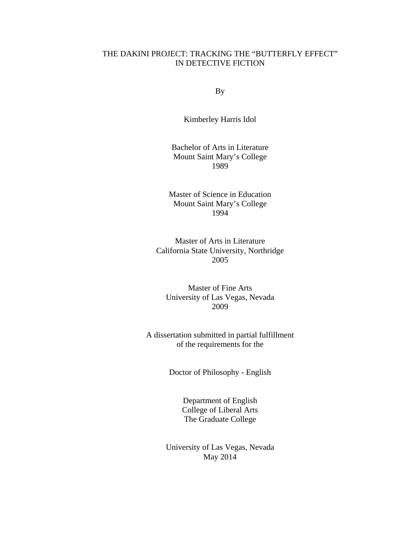## THE DAKINI PROJECT: TRACKING THE "BUTTERFLY EFFECT" IN DETECTIVE FICTION

By

Kimberley Harris Idol

Bachelor of Arts in Literature Mount Saint Mary's College 1989

Master of Science in Education Mount Saint Mary's College 1994

Master of Arts in Literature California State University, Northridge 2005

Master of Fine Arts University of Las Vegas, Nevada 2009

A dissertation submitted in partial fulfillment of the requirements for the

Doctor of Philosophy - English

Department of English College of Liberal Arts The Graduate College

University of Las Vegas, Nevada May 2014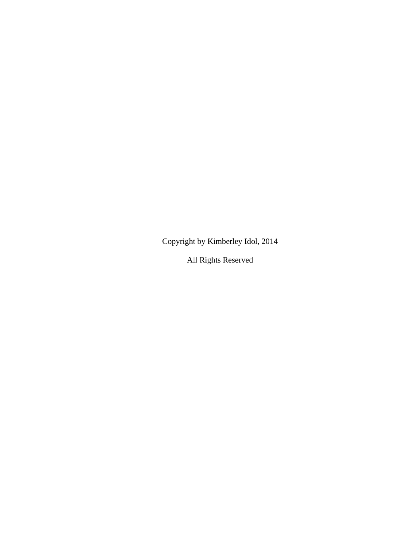Copyright by Kimberley Idol, 2014

All Rights Reserved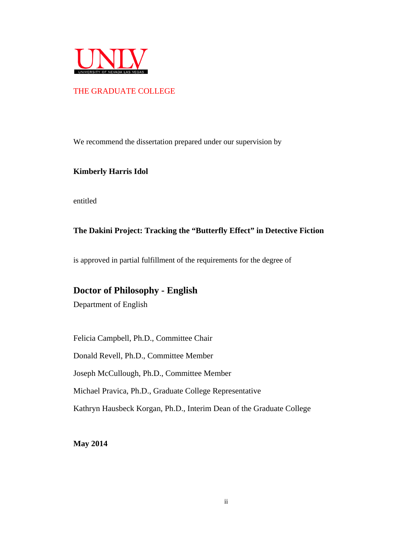

## THE GRADUATE COLLEGE

We recommend the dissertation prepared under our supervision by

#### **Kimberly Harris Idol**

entitled

## **The Dakini Project: Tracking the "Butterfly Effect" in Detective Fiction**

is approved in partial fulfillment of the requirements for the degree of

## **Doctor of Philosophy - English**

Department of English

Felicia Campbell, Ph.D., Committee Chair

Donald Revell, Ph.D., Committee Member

Joseph McCullough, Ph.D., Committee Member

Michael Pravica, Ph.D., Graduate College Representative

Kathryn Hausbeck Korgan, Ph.D., Interim Dean of the Graduate College

**May 2014**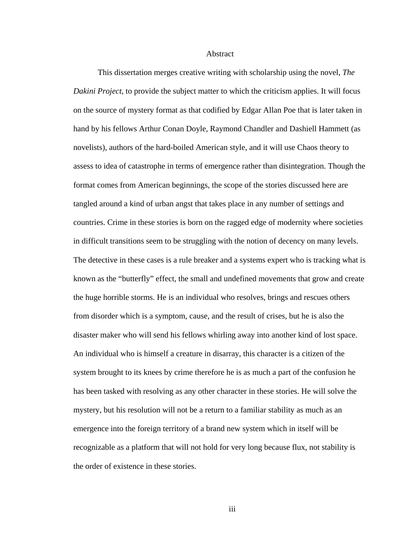Abstract

This dissertation merges creative writing with scholarship using the novel, *The Dakini Project*, to provide the subject matter to which the criticism applies. It will focus on the source of mystery format as that codified by Edgar Allan Poe that is later taken in hand by his fellows Arthur Conan Doyle, Raymond Chandler and Dashiell Hammett (as novelists), authors of the hard-boiled American style, and it will use Chaos theory to assess to idea of catastrophe in terms of emergence rather than disintegration. Though the format comes from American beginnings, the scope of the stories discussed here are tangled around a kind of urban angst that takes place in any number of settings and countries. Crime in these stories is born on the ragged edge of modernity where societies in difficult transitions seem to be struggling with the notion of decency on many levels. The detective in these cases is a rule breaker and a systems expert who is tracking what is known as the "butterfly" effect, the small and undefined movements that grow and create the huge horrible storms. He is an individual who resolves, brings and rescues others from disorder which is a symptom, cause, and the result of crises, but he is also the disaster maker who will send his fellows whirling away into another kind of lost space. An individual who is himself a creature in disarray, this character is a citizen of the system brought to its knees by crime therefore he is as much a part of the confusion he has been tasked with resolving as any other character in these stories. He will solve the mystery, but his resolution will not be a return to a familiar stability as much as an emergence into the foreign territory of a brand new system which in itself will be recognizable as a platform that will not hold for very long because flux, not stability is the order of existence in these stories.

iii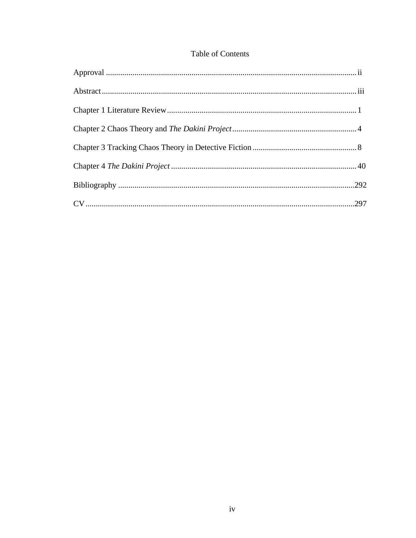## Table of Contents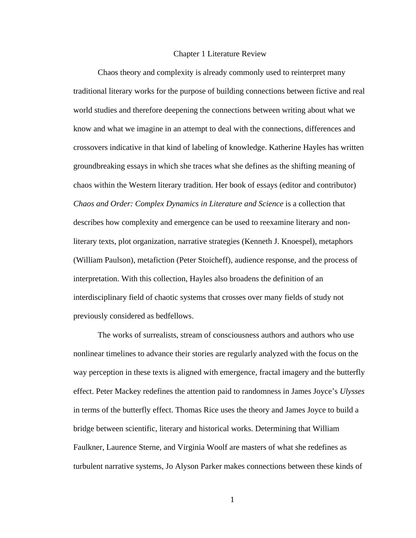#### Chapter 1 Literature Review

Chaos theory and complexity is already commonly used to reinterpret many traditional literary works for the purpose of building connections between fictive and real world studies and therefore deepening the connections between writing about what we know and what we imagine in an attempt to deal with the connections, differences and crossovers indicative in that kind of labeling of knowledge. Katherine Hayles has written groundbreaking essays in which she traces what she defines as the shifting meaning of chaos within the Western literary tradition. Her book of essays (editor and contributor) *Chaos and Order: Complex Dynamics in Literature and Science* is a collection that describes how complexity and emergence can be used to reexamine literary and nonliterary texts, plot organization, narrative strategies (Kenneth J. Knoespel), metaphors (William Paulson), metafiction (Peter Stoicheff), audience response, and the process of interpretation. With this collection, Hayles also broadens the definition of an interdisciplinary field of chaotic systems that crosses over many fields of study not previously considered as bedfellows.

The works of surrealists, stream of consciousness authors and authors who use nonlinear timelines to advance their stories are regularly analyzed with the focus on the way perception in these texts is aligned with emergence, fractal imagery and the butterfly effect. Peter Mackey redefines the attention paid to randomness in James Joyce's *Ulysses* in terms of the butterfly effect. Thomas Rice uses the theory and James Joyce to build a bridge between scientific, literary and historical works. Determining that William Faulkner, Laurence Sterne, and Virginia Woolf are masters of what she redefines as turbulent narrative systems, Jo Alyson Parker makes connections between these kinds of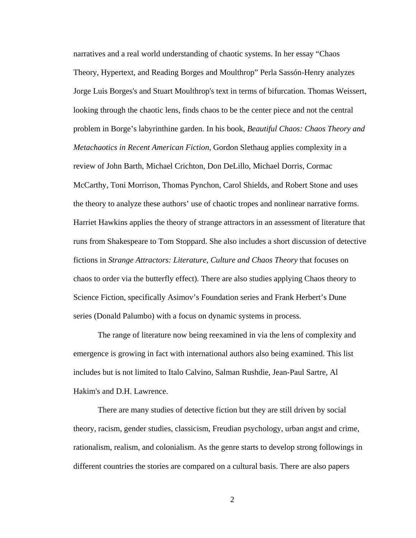narratives and a real world understanding of chaotic systems. In her essay "Chaos Theory, Hypertext, and Reading Borges and Moulthrop" Perla Sassón-Henry analyzes Jorge Luis Borges's and Stuart Moulthrop's text in terms of bifurcation. Thomas Weissert, looking through the chaotic lens, finds chaos to be the center piece and not the central problem in Borge's labyrinthine garden. In his book, *Beautiful Chaos: Chaos Theory and Metachaotics in Recent American Fiction*, Gordon Slethaug applies complexity in a review of John Barth, Michael Crichton, Don DeLillo, Michael Dorris, Cormac McCarthy, Toni Morrison, Thomas Pynchon, Carol Shields, and Robert Stone and uses the theory to analyze these authors' use of chaotic tropes and nonlinear narrative forms. Harriet Hawkins applies the theory of strange attractors in an assessment of literature that runs from Shakespeare to Tom Stoppard. She also includes a short discussion of detective fictions in *Strange Attractors: Literature, Culture and Chaos Theory* that focuses on chaos to order via the butterfly effect). There are also studies applying Chaos theory to Science Fiction, specifically Asimov's Foundation series and Frank Herbert's Dune series (Donald Palumbo) with a focus on dynamic systems in process.

The range of literature now being reexamined in via the lens of complexity and emergence is growing in fact with international authors also being examined. This list includes but is not limited to Italo Calvino, Salman Rushdie, Jean-Paul Sartre, Al Hakim's and D.H. Lawrence.

There are many studies of detective fiction but they are still driven by social theory, racism, gender studies, classicism, Freudian psychology, urban angst and crime, rationalism, realism, and colonialism. As the genre starts to develop strong followings in different countries the stories are compared on a cultural basis. There are also papers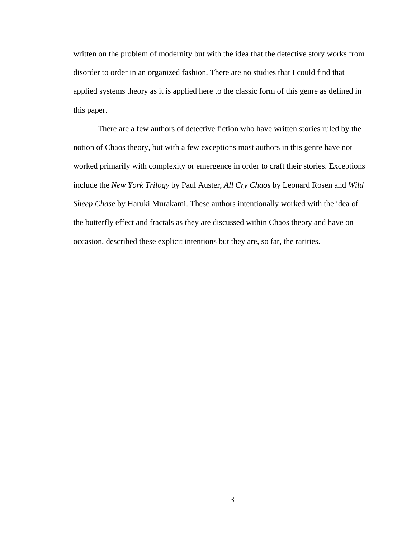written on the problem of modernity but with the idea that the detective story works from disorder to order in an organized fashion. There are no studies that I could find that applied systems theory as it is applied here to the classic form of this genre as defined in this paper.

There are a few authors of detective fiction who have written stories ruled by the notion of Chaos theory, but with a few exceptions most authors in this genre have not worked primarily with complexity or emergence in order to craft their stories. Exceptions include the *New York Trilogy* by Paul Auster, *All Cry Chaos* by Leonard Rosen and *Wild Sheep Chase* by Haruki Murakami. These authors intentionally worked with the idea of the butterfly effect and fractals as they are discussed within Chaos theory and have on occasion, described these explicit intentions but they are, so far, the rarities.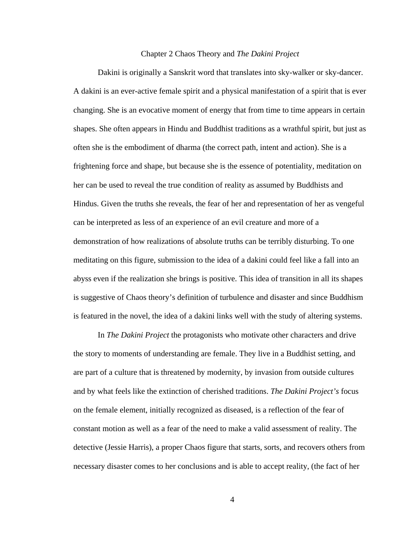#### Chapter 2 Chaos Theory and *The Dakini Project*

Dakini is originally a Sanskrit word that translates into sky-walker or sky-dancer. A dakini is an ever-active female spirit and a physical manifestation of a spirit that is ever changing. She is an evocative moment of energy that from time to time appears in certain shapes. She often appears in Hindu and Buddhist traditions as a wrathful spirit, but just as often she is the embodiment of dharma (the correct path, intent and action). She is a frightening force and shape, but because she is the essence of potentiality, meditation on her can be used to reveal the true condition of reality as assumed by Buddhists and Hindus. Given the truths she reveals, the fear of her and representation of her as vengeful can be interpreted as less of an experience of an evil creature and more of a demonstration of how realizations of absolute truths can be terribly disturbing. To one meditating on this figure, submission to the idea of a dakini could feel like a fall into an abyss even if the realization she brings is positive. This idea of transition in all its shapes is suggestive of Chaos theory's definition of turbulence and disaster and since Buddhism is featured in the novel, the idea of a dakini links well with the study of altering systems.

In *The Dakini Project* the protagonists who motivate other characters and drive the story to moments of understanding are female. They live in a Buddhist setting, and are part of a culture that is threatened by modernity, by invasion from outside cultures and by what feels like the extinction of cherished traditions. *The Dakini Project's* focus on the female element, initially recognized as diseased, is a reflection of the fear of constant motion as well as a fear of the need to make a valid assessment of reality. The detective (Jessie Harris), a proper Chaos figure that starts, sorts, and recovers others from necessary disaster comes to her conclusions and is able to accept reality, (the fact of her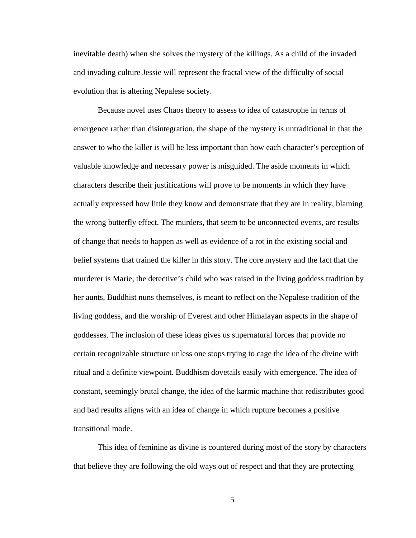inevitable death) when she solves the mystery of the killings. As a child of the invaded and invading culture Jessie will represent the fractal view of the difficulty of social evolution that is altering Nepalese society.

Because novel uses Chaos theory to assess to idea of catastrophe in terms of emergence rather than disintegration, the shape of the mystery is untraditional in that the answer to who the killer is will be less important than how each character's perception of valuable knowledge and necessary power is misguided. The aside moments in which characters describe their justifications will prove to be moments in which they have actually expressed how little they know and demonstrate that they are in reality, blaming the wrong butterfly effect. The murders, that seem to be unconnected events, are results of change that needs to happen as well as evidence of a rot in the existing social and belief systems that trained the killer in this story. The core mystery and the fact that the murderer is Marie, the detective's child who was raised in the living goddess tradition by her aunts, Buddhist nuns themselves, is meant to reflect on the Nepalese tradition of the living goddess, and the worship of Everest and other Himalayan aspects in the shape of goddesses. The inclusion of these ideas gives us supernatural forces that provide no certain recognizable structure unless one stops trying to cage the idea of the divine with ritual and a definite viewpoint. Buddhism dovetails easily with emergence. The idea of constant, seemingly brutal change, the idea of the karmic machine that redistributes good and bad results aligns with an idea of change in which rupture becomes a positive transitional mode.

This idea of feminine as divine is countered during most of the story by characters that believe they are following the old ways out of respect and that they are protecting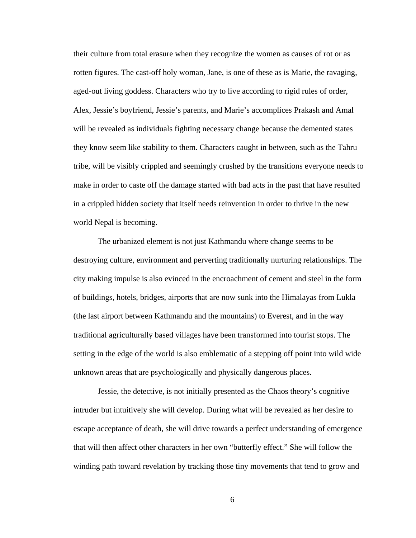their culture from total erasure when they recognize the women as causes of rot or as rotten figures. The cast-off holy woman, Jane, is one of these as is Marie, the ravaging, aged-out living goddess. Characters who try to live according to rigid rules of order, Alex, Jessie's boyfriend, Jessie's parents, and Marie's accomplices Prakash and Amal will be revealed as individuals fighting necessary change because the demented states they know seem like stability to them. Characters caught in between, such as the Tahru tribe, will be visibly crippled and seemingly crushed by the transitions everyone needs to make in order to caste off the damage started with bad acts in the past that have resulted in a crippled hidden society that itself needs reinvention in order to thrive in the new world Nepal is becoming.

The urbanized element is not just Kathmandu where change seems to be destroying culture, environment and perverting traditionally nurturing relationships. The city making impulse is also evinced in the encroachment of cement and steel in the form of buildings, hotels, bridges, airports that are now sunk into the Himalayas from Lukla (the last airport between Kathmandu and the mountains) to Everest, and in the way traditional agriculturally based villages have been transformed into tourist stops. The setting in the edge of the world is also emblematic of a stepping off point into wild wide unknown areas that are psychologically and physically dangerous places.

Jessie, the detective, is not initially presented as the Chaos theory's cognitive intruder but intuitively she will develop. During what will be revealed as her desire to escape acceptance of death, she will drive towards a perfect understanding of emergence that will then affect other characters in her own "butterfly effect." She will follow the winding path toward revelation by tracking those tiny movements that tend to grow and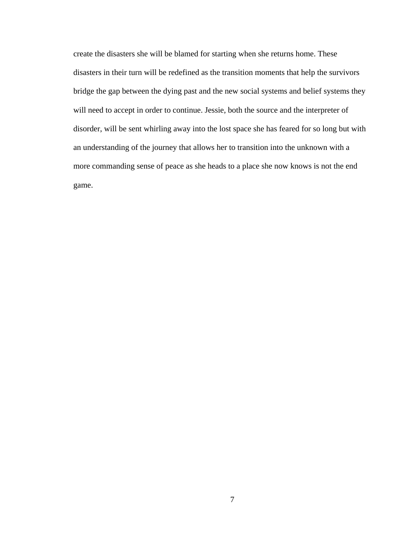create the disasters she will be blamed for starting when she returns home. These disasters in their turn will be redefined as the transition moments that help the survivors bridge the gap between the dying past and the new social systems and belief systems they will need to accept in order to continue. Jessie, both the source and the interpreter of disorder, will be sent whirling away into the lost space she has feared for so long but with an understanding of the journey that allows her to transition into the unknown with a more commanding sense of peace as she heads to a place she now knows is not the end game.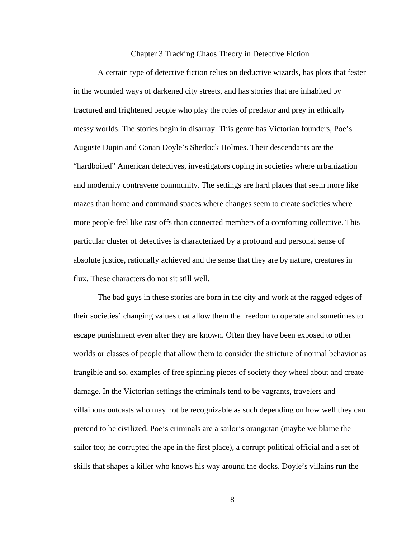#### Chapter 3 Tracking Chaos Theory in Detective Fiction

A certain type of detective fiction relies on deductive wizards, has plots that fester in the wounded ways of darkened city streets, and has stories that are inhabited by fractured and frightened people who play the roles of predator and prey in ethically messy worlds. The stories begin in disarray. This genre has Victorian founders, Poe's Auguste Dupin and Conan Doyle's Sherlock Holmes. Their descendants are the "hardboiled" American detectives, investigators coping in societies where urbanization and modernity contravene community. The settings are hard places that seem more like mazes than home and command spaces where changes seem to create societies where more people feel like cast offs than connected members of a comforting collective. This particular cluster of detectives is characterized by a profound and personal sense of absolute justice, rationally achieved and the sense that they are by nature, creatures in flux. These characters do not sit still well.

The bad guys in these stories are born in the city and work at the ragged edges of their societies' changing values that allow them the freedom to operate and sometimes to escape punishment even after they are known. Often they have been exposed to other worlds or classes of people that allow them to consider the stricture of normal behavior as frangible and so, examples of free spinning pieces of society they wheel about and create damage. In the Victorian settings the criminals tend to be vagrants, travelers and villainous outcasts who may not be recognizable as such depending on how well they can pretend to be civilized. Poe's criminals are a sailor's orangutan (maybe we blame the sailor too; he corrupted the ape in the first place), a corrupt political official and a set of skills that shapes a killer who knows his way around the docks. Doyle's villains run the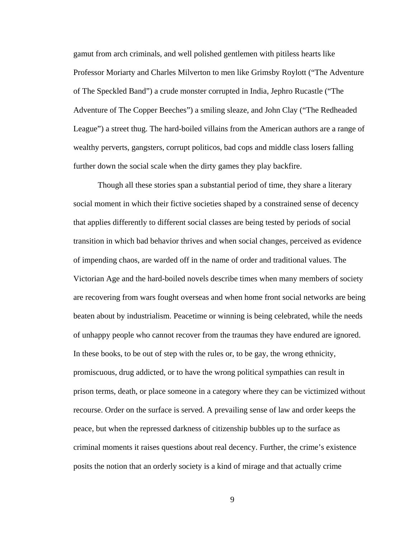gamut from arch criminals, and well polished gentlemen with pitiless hearts like Professor Moriarty and Charles Milverton to men like Grimsby Roylott ("The Adventure of The Speckled Band") a crude monster corrupted in India, Jephro Rucastle ("The Adventure of The Copper Beeches") a smiling sleaze, and John Clay ("The Redheaded League") a street thug. The hard-boiled villains from the American authors are a range of wealthy perverts, gangsters, corrupt politicos, bad cops and middle class losers falling further down the social scale when the dirty games they play backfire.

Though all these stories span a substantial period of time, they share a literary social moment in which their fictive societies shaped by a constrained sense of decency that applies differently to different social classes are being tested by periods of social transition in which bad behavior thrives and when social changes, perceived as evidence of impending chaos, are warded off in the name of order and traditional values. The Victorian Age and the hard-boiled novels describe times when many members of society are recovering from wars fought overseas and when home front social networks are being beaten about by industrialism. Peacetime or winning is being celebrated, while the needs of unhappy people who cannot recover from the traumas they have endured are ignored. In these books, to be out of step with the rules or, to be gay, the wrong ethnicity, promiscuous, drug addicted, or to have the wrong political sympathies can result in prison terms, death, or place someone in a category where they can be victimized without recourse. Order on the surface is served. A prevailing sense of law and order keeps the peace, but when the repressed darkness of citizenship bubbles up to the surface as criminal moments it raises questions about real decency. Further, the crime's existence posits the notion that an orderly society is a kind of mirage and that actually crime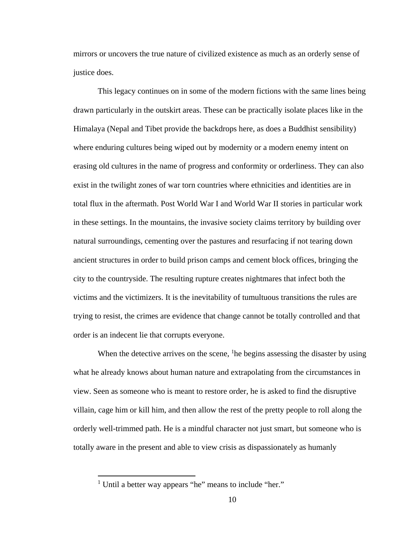mirrors or uncovers the true nature of civilized existence as much as an orderly sense of justice does.

This legacy continues on in some of the modern fictions with the same lines being drawn particularly in the outskirt areas. These can be practically isolate places like in the Himalaya (Nepal and Tibet provide the backdrops here, as does a Buddhist sensibility) where enduring cultures being wiped out by modernity or a modern enemy intent on erasing old cultures in the name of progress and conformity or orderliness. They can also exist in the twilight zones of war torn countries where ethnicities and identities are in total flux in the aftermath. Post World War I and World War II stories in particular work in these settings. In the mountains, the invasive society claims territory by building over natural surroundings, cementing over the pastures and resurfacing if not tearing down ancient structures in order to build prison camps and cement block offices, bringing the city to the countryside. The resulting rupture creates nightmares that infect both the victims and the victimizers. It is the inevitability of tumultuous transitions the rules are trying to resist, the crimes are evidence that change cannot be totally controlled and that order is an indecent lie that corrupts everyone.

When the detective arrives on the scene, <sup>1</sup>he begins assessing the disaster by using what he already knows about human nature and extrapolating from the circumstances in view. Seen as someone who is meant to restore order, he is asked to find the disruptive villain, cage him or kill him, and then allow the rest of the pretty people to roll along the orderly well-trimmed path. He is a mindful character not just smart, but someone who is totally aware in the present and able to view crisis as dispassionately as humanly

 $\overline{a}$ 

<sup>&</sup>lt;sup>1</sup> Until a better way appears "he" means to include "her."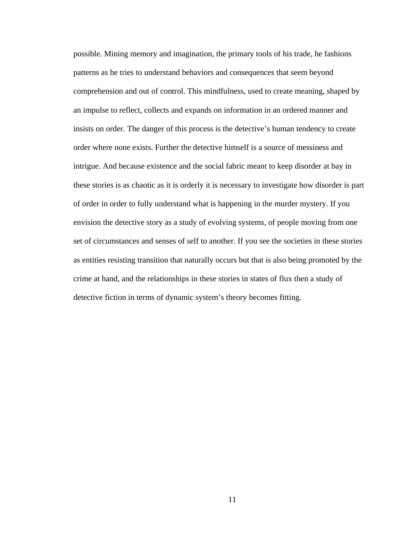possible. Mining memory and imagination, the primary tools of his trade, he fashions patterns as he tries to understand behaviors and consequences that seem beyond comprehension and out of control. This mindfulness, used to create meaning, shaped by an impulse to reflect, collects and expands on information in an ordered manner and insists on order. The danger of this process is the detective's human tendency to create order where none exists. Further the detective himself is a source of messiness and intrigue. And because existence and the social fabric meant to keep disorder at bay in these stories is as chaotic as it is orderly it is necessary to investigate how disorder is part of order in order to fully understand what is happening in the murder mystery. If you envision the detective story as a study of evolving systems, of people moving from one set of circumstances and senses of self to another. If you see the societies in these stories as entities resisting transition that naturally occurs but that is also being promoted by the crime at hand, and the relationships in these stories in states of flux then a study of detective fiction in terms of dynamic system's theory becomes fitting.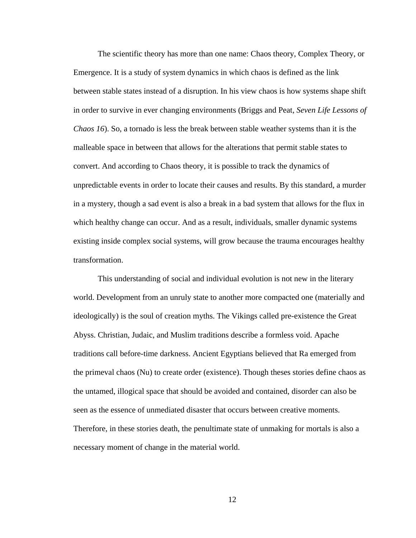The scientific theory has more than one name: Chaos theory, Complex Theory, or Emergence. It is a study of system dynamics in which chaos is defined as the link between stable states instead of a disruption. In his view chaos is how systems shape shift in order to survive in ever changing environments (Briggs and Peat, *Seven Life Lessons of Chaos 16*). So, a tornado is less the break between stable weather systems than it is the malleable space in between that allows for the alterations that permit stable states to convert. And according to Chaos theory, it is possible to track the dynamics of unpredictable events in order to locate their causes and results. By this standard, a murder in a mystery, though a sad event is also a break in a bad system that allows for the flux in which healthy change can occur. And as a result, individuals, smaller dynamic systems existing inside complex social systems, will grow because the trauma encourages healthy transformation.

This understanding of social and individual evolution is not new in the literary world. Development from an unruly state to another more compacted one (materially and ideologically) is the soul of creation myths. The Vikings called pre-existence the Great Abyss. Christian, Judaic, and Muslim traditions describe a formless void. Apache traditions call before-time darkness. Ancient Egyptians believed that Ra emerged from the primeval chaos (Nu) to create order (existence). Though theses stories define chaos as the untamed, illogical space that should be avoided and contained, disorder can also be seen as the essence of unmediated disaster that occurs between creative moments. Therefore, in these stories death, the penultimate state of unmaking for mortals is also a necessary moment of change in the material world.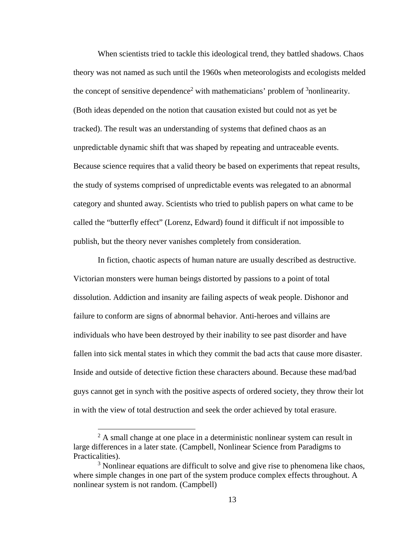When scientists tried to tackle this ideological trend, they battled shadows. Chaos theory was not named as such until the 1960s when meteorologists and ecologists melded the concept of sensitive dependence<sup>2</sup> with mathematicians' problem of  $\delta$  nonlinearity. (Both ideas depended on the notion that causation existed but could not as yet be tracked). The result was an understanding of systems that defined chaos as an unpredictable dynamic shift that was shaped by repeating and untraceable events. Because science requires that a valid theory be based on experiments that repeat results, the study of systems comprised of unpredictable events was relegated to an abnormal category and shunted away. Scientists who tried to publish papers on what came to be called the "butterfly effect" (Lorenz, Edward) found it difficult if not impossible to publish, but the theory never vanishes completely from consideration.

In fiction, chaotic aspects of human nature are usually described as destructive. Victorian monsters were human beings distorted by passions to a point of total dissolution. Addiction and insanity are failing aspects of weak people. Dishonor and failure to conform are signs of abnormal behavior. Anti-heroes and villains are individuals who have been destroyed by their inability to see past disorder and have fallen into sick mental states in which they commit the bad acts that cause more disaster. Inside and outside of detective fiction these characters abound. Because these mad/bad guys cannot get in synch with the positive aspects of ordered society, they throw their lot in with the view of total destruction and seek the order achieved by total erasure.

 $\overline{a}$ 

 $2^2$  A small change at one place in a deterministic nonlinear system can result in large differences in a later state. (Campbell, Nonlinear Science from Paradigms to Practicalities).

<sup>&</sup>lt;sup>3</sup> Nonlinear equations are difficult to solve and give rise to phenomena like chaos, where simple changes in one part of the system produce complex effects throughout. A nonlinear system is not random. (Campbell)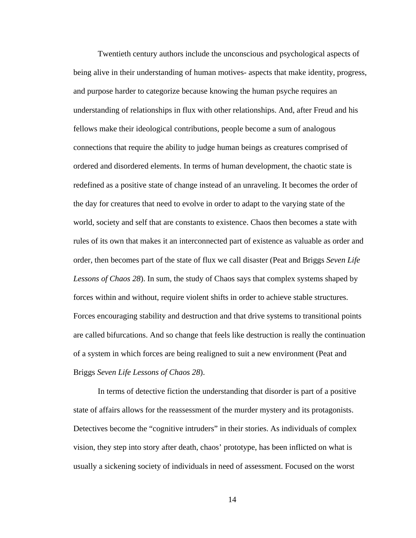Twentieth century authors include the unconscious and psychological aspects of being alive in their understanding of human motives- aspects that make identity, progress, and purpose harder to categorize because knowing the human psyche requires an understanding of relationships in flux with other relationships. And, after Freud and his fellows make their ideological contributions, people become a sum of analogous connections that require the ability to judge human beings as creatures comprised of ordered and disordered elements. In terms of human development, the chaotic state is redefined as a positive state of change instead of an unraveling. It becomes the order of the day for creatures that need to evolve in order to adapt to the varying state of the world, society and self that are constants to existence. Chaos then becomes a state with rules of its own that makes it an interconnected part of existence as valuable as order and order, then becomes part of the state of flux we call disaster (Peat and Briggs *Seven Life Lessons of Chaos 28*). In sum, the study of Chaos says that complex systems shaped by forces within and without, require violent shifts in order to achieve stable structures. Forces encouraging stability and destruction and that drive systems to transitional points are called bifurcations. And so change that feels like destruction is really the continuation of a system in which forces are being realigned to suit a new environment (Peat and Briggs *Seven Life Lessons of Chaos 28*).

In terms of detective fiction the understanding that disorder is part of a positive state of affairs allows for the reassessment of the murder mystery and its protagonists. Detectives become the "cognitive intruders" in their stories. As individuals of complex vision, they step into story after death, chaos' prototype, has been inflicted on what is usually a sickening society of individuals in need of assessment. Focused on the worst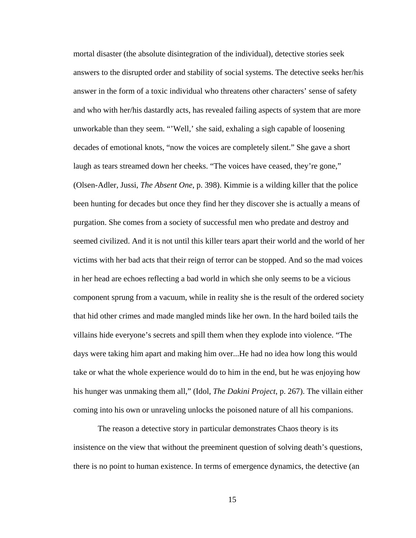mortal disaster (the absolute disintegration of the individual), detective stories seek answers to the disrupted order and stability of social systems. The detective seeks her/his answer in the form of a toxic individual who threatens other characters' sense of safety and who with her/his dastardly acts, has revealed failing aspects of system that are more unworkable than they seem. "'Well,' she said, exhaling a sigh capable of loosening decades of emotional knots, "now the voices are completely silent." She gave a short laugh as tears streamed down her cheeks. "The voices have ceased, they're gone," (Olsen-Adler, Jussi, *The Absent One*, p. 398). Kimmie is a wilding killer that the police been hunting for decades but once they find her they discover she is actually a means of purgation. She comes from a society of successful men who predate and destroy and seemed civilized. And it is not until this killer tears apart their world and the world of her victims with her bad acts that their reign of terror can be stopped. And so the mad voices in her head are echoes reflecting a bad world in which she only seems to be a vicious component sprung from a vacuum, while in reality she is the result of the ordered society that hid other crimes and made mangled minds like her own. In the hard boiled tails the villains hide everyone's secrets and spill them when they explode into violence. "The days were taking him apart and making him over...He had no idea how long this would take or what the whole experience would do to him in the end, but he was enjoying how his hunger was unmaking them all," (Idol, *The Dakini Project*, p. 267). The villain either coming into his own or unraveling unlocks the poisoned nature of all his companions.

The reason a detective story in particular demonstrates Chaos theory is its insistence on the view that without the preeminent question of solving death's questions, there is no point to human existence. In terms of emergence dynamics, the detective (an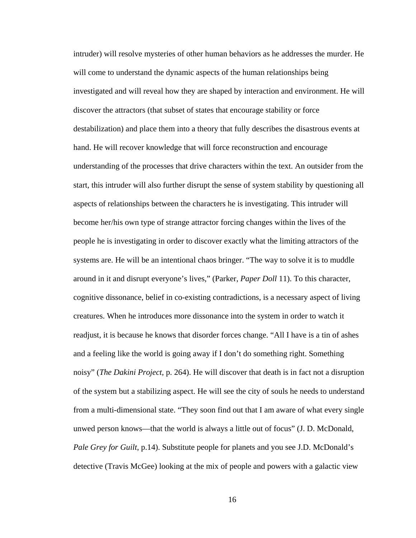intruder) will resolve mysteries of other human behaviors as he addresses the murder. He will come to understand the dynamic aspects of the human relationships being investigated and will reveal how they are shaped by interaction and environment. He will discover the attractors (that subset of states that encourage stability or force destabilization) and place them into a theory that fully describes the disastrous events at hand. He will recover knowledge that will force reconstruction and encourage understanding of the processes that drive characters within the text. An outsider from the start, this intruder will also further disrupt the sense of system stability by questioning all aspects of relationships between the characters he is investigating. This intruder will become her/his own type of strange attractor forcing changes within the lives of the people he is investigating in order to discover exactly what the limiting attractors of the systems are. He will be an intentional chaos bringer. "The way to solve it is to muddle around in it and disrupt everyone's lives," (Parker, *Paper Doll* 11). To this character, cognitive dissonance, belief in co-existing contradictions, is a necessary aspect of living creatures. When he introduces more dissonance into the system in order to watch it readjust, it is because he knows that disorder forces change. "All I have is a tin of ashes and a feeling like the world is going away if I don't do something right. Something noisy" (*The Dakini Project*, p. 264). He will discover that death is in fact not a disruption of the system but a stabilizing aspect. He will see the city of souls he needs to understand from a multi-dimensional state. "They soon find out that I am aware of what every single unwed person knows—that the world is always a little out of focus" (J. D. McDonald, *Pale Grey for Guilt*, p.14). Substitute people for planets and you see J.D. McDonald's detective (Travis McGee) looking at the mix of people and powers with a galactic view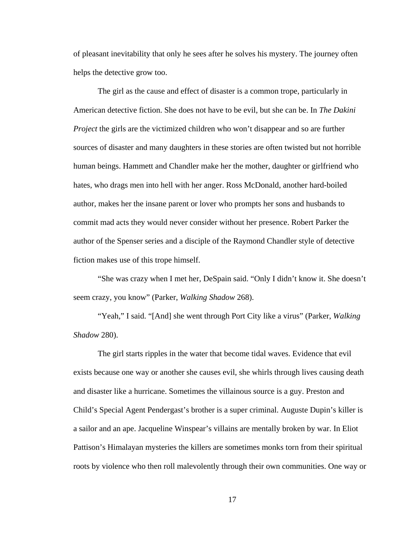of pleasant inevitability that only he sees after he solves his mystery. The journey often helps the detective grow too.

The girl as the cause and effect of disaster is a common trope, particularly in American detective fiction. She does not have to be evil, but she can be. In *The Dakini Project* the girls are the victimized children who won't disappear and so are further sources of disaster and many daughters in these stories are often twisted but not horrible human beings. Hammett and Chandler make her the mother, daughter or girlfriend who hates, who drags men into hell with her anger. Ross McDonald, another hard-boiled author, makes her the insane parent or lover who prompts her sons and husbands to commit mad acts they would never consider without her presence. Robert Parker the author of the Spenser series and a disciple of the Raymond Chandler style of detective fiction makes use of this trope himself.

"She was crazy when I met her, DeSpain said. "Only I didn't know it. She doesn't seem crazy, you know" (Parker, *Walking Shadow* 268).

"Yeah," I said. "[And] she went through Port City like a virus" (Parker, *Walking Shadow* 280).

The girl starts ripples in the water that become tidal waves. Evidence that evil exists because one way or another she causes evil, she whirls through lives causing death and disaster like a hurricane. Sometimes the villainous source is a guy. Preston and Child's Special Agent Pendergast's brother is a super criminal. Auguste Dupin's killer is a sailor and an ape. Jacqueline Winspear's villains are mentally broken by war. In Eliot Pattison's Himalayan mysteries the killers are sometimes monks torn from their spiritual roots by violence who then roll malevolently through their own communities. One way or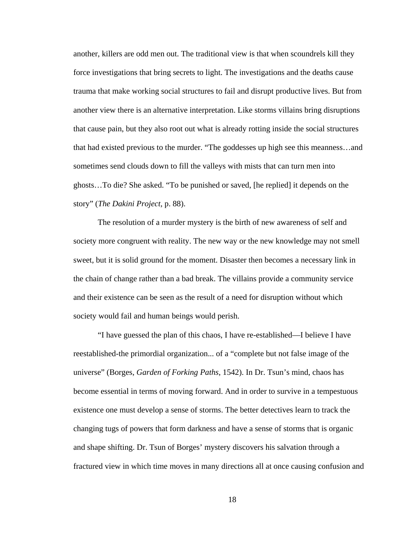another, killers are odd men out. The traditional view is that when scoundrels kill they force investigations that bring secrets to light. The investigations and the deaths cause trauma that make working social structures to fail and disrupt productive lives. But from another view there is an alternative interpretation. Like storms villains bring disruptions that cause pain, but they also root out what is already rotting inside the social structures that had existed previous to the murder. "The goddesses up high see this meanness…and sometimes send clouds down to fill the valleys with mists that can turn men into ghosts…To die? She asked. "To be punished or saved, [he replied] it depends on the story" (*The Dakini Project*, p. 88).

The resolution of a murder mystery is the birth of new awareness of self and society more congruent with reality. The new way or the new knowledge may not smell sweet, but it is solid ground for the moment. Disaster then becomes a necessary link in the chain of change rather than a bad break. The villains provide a community service and their existence can be seen as the result of a need for disruption without which society would fail and human beings would perish.

"I have guessed the plan of this chaos, I have re-established—I believe I have reestablished-the primordial organization... of a "complete but not false image of the universe" (Borges, *Garden of Forking Paths*, 1542). In Dr. Tsun's mind, chaos has become essential in terms of moving forward. And in order to survive in a tempestuous existence one must develop a sense of storms. The better detectives learn to track the changing tugs of powers that form darkness and have a sense of storms that is organic and shape shifting. Dr. Tsun of Borges' mystery discovers his salvation through a fractured view in which time moves in many directions all at once causing confusion and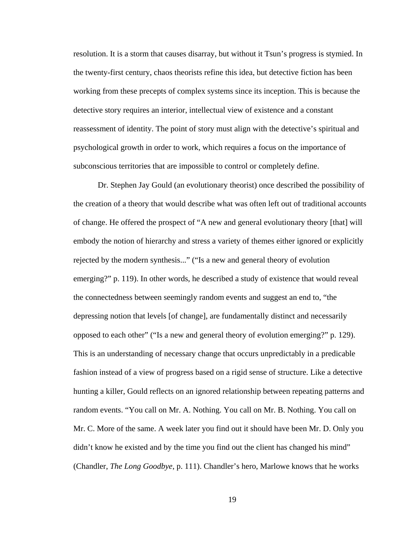resolution. It is a storm that causes disarray, but without it Tsun's progress is stymied. In the twenty-first century, chaos theorists refine this idea, but detective fiction has been working from these precepts of complex systems since its inception. This is because the detective story requires an interior, intellectual view of existence and a constant reassessment of identity. The point of story must align with the detective's spiritual and psychological growth in order to work, which requires a focus on the importance of subconscious territories that are impossible to control or completely define.

Dr. Stephen Jay Gould (an evolutionary theorist) once described the possibility of the creation of a theory that would describe what was often left out of traditional accounts of change. He offered the prospect of "A new and general evolutionary theory [that] will embody the notion of hierarchy and stress a variety of themes either ignored or explicitly rejected by the modern synthesis..." ("Is a new and general theory of evolution emerging?" p. 119). In other words, he described a study of existence that would reveal the connectedness between seemingly random events and suggest an end to, "the depressing notion that levels [of change], are fundamentally distinct and necessarily opposed to each other" ("Is a new and general theory of evolution emerging?" p. 129). This is an understanding of necessary change that occurs unpredictably in a predicable fashion instead of a view of progress based on a rigid sense of structure. Like a detective hunting a killer, Gould reflects on an ignored relationship between repeating patterns and random events. "You call on Mr. A. Nothing. You call on Mr. B. Nothing. You call on Mr. C. More of the same. A week later you find out it should have been Mr. D. Only you didn't know he existed and by the time you find out the client has changed his mind" (Chandler, *The Long Goodbye*, p. 111). Chandler's hero, Marlowe knows that he works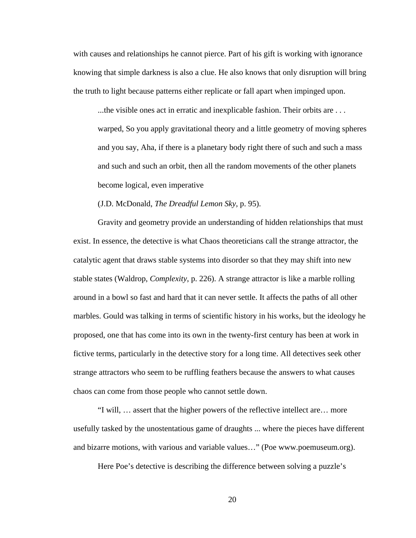with causes and relationships he cannot pierce. Part of his gift is working with ignorance knowing that simple darkness is also a clue. He also knows that only disruption will bring the truth to light because patterns either replicate or fall apart when impinged upon.

...the visible ones act in erratic and inexplicable fashion. Their orbits are . . . warped, So you apply gravitational theory and a little geometry of moving spheres and you say, Aha, if there is a planetary body right there of such and such a mass and such and such an orbit, then all the random movements of the other planets become logical, even imperative

(J.D. McDonald, *The Dreadful Lemon Sky,* p. 95).

Gravity and geometry provide an understanding of hidden relationships that must exist. In essence, the detective is what Chaos theoreticians call the strange attractor, the catalytic agent that draws stable systems into disorder so that they may shift into new stable states (Waldrop, *Complexity*, p. 226). A strange attractor is like a marble rolling around in a bowl so fast and hard that it can never settle. It affects the paths of all other marbles. Gould was talking in terms of scientific history in his works, but the ideology he proposed, one that has come into its own in the twenty-first century has been at work in fictive terms, particularly in the detective story for a long time. All detectives seek other strange attractors who seem to be ruffling feathers because the answers to what causes chaos can come from those people who cannot settle down.

"I will, … assert that the higher powers of the reflective intellect are… more usefully tasked by the unostentatious game of draughts ... where the pieces have different and bizarre motions, with various and variable values…" (Poe www.poemuseum.org).

Here Poe's detective is describing the difference between solving a puzzle's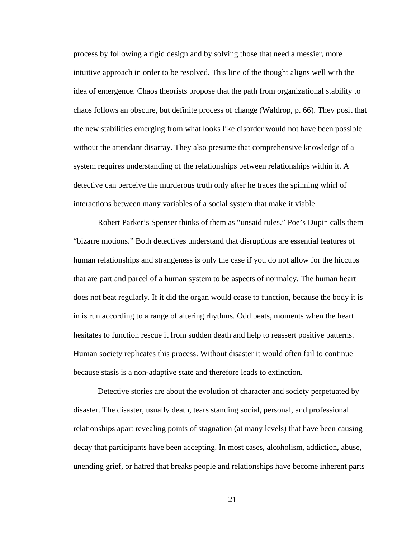process by following a rigid design and by solving those that need a messier, more intuitive approach in order to be resolved. This line of the thought aligns well with the idea of emergence. Chaos theorists propose that the path from organizational stability to chaos follows an obscure, but definite process of change (Waldrop, p. 66). They posit that the new stabilities emerging from what looks like disorder would not have been possible without the attendant disarray. They also presume that comprehensive knowledge of a system requires understanding of the relationships between relationships within it. A detective can perceive the murderous truth only after he traces the spinning whirl of interactions between many variables of a social system that make it viable.

Robert Parker's Spenser thinks of them as "unsaid rules." Poe's Dupin calls them "bizarre motions." Both detectives understand that disruptions are essential features of human relationships and strangeness is only the case if you do not allow for the hiccups that are part and parcel of a human system to be aspects of normalcy. The human heart does not beat regularly. If it did the organ would cease to function, because the body it is in is run according to a range of altering rhythms. Odd beats, moments when the heart hesitates to function rescue it from sudden death and help to reassert positive patterns. Human society replicates this process. Without disaster it would often fail to continue because stasis is a non-adaptive state and therefore leads to extinction.

Detective stories are about the evolution of character and society perpetuated by disaster. The disaster, usually death, tears standing social, personal, and professional relationships apart revealing points of stagnation (at many levels) that have been causing decay that participants have been accepting. In most cases, alcoholism, addiction, abuse, unending grief, or hatred that breaks people and relationships have become inherent parts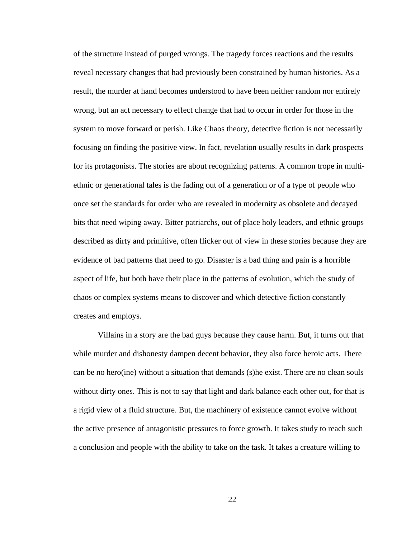of the structure instead of purged wrongs. The tragedy forces reactions and the results reveal necessary changes that had previously been constrained by human histories. As a result, the murder at hand becomes understood to have been neither random nor entirely wrong, but an act necessary to effect change that had to occur in order for those in the system to move forward or perish. Like Chaos theory, detective fiction is not necessarily focusing on finding the positive view. In fact, revelation usually results in dark prospects for its protagonists. The stories are about recognizing patterns. A common trope in multiethnic or generational tales is the fading out of a generation or of a type of people who once set the standards for order who are revealed in modernity as obsolete and decayed bits that need wiping away. Bitter patriarchs, out of place holy leaders, and ethnic groups described as dirty and primitive, often flicker out of view in these stories because they are evidence of bad patterns that need to go. Disaster is a bad thing and pain is a horrible aspect of life, but both have their place in the patterns of evolution, which the study of chaos or complex systems means to discover and which detective fiction constantly creates and employs.

Villains in a story are the bad guys because they cause harm. But, it turns out that while murder and dishonesty dampen decent behavior, they also force heroic acts. There can be no hero(ine) without a situation that demands (s)he exist. There are no clean souls without dirty ones. This is not to say that light and dark balance each other out, for that is a rigid view of a fluid structure. But, the machinery of existence cannot evolve without the active presence of antagonistic pressures to force growth. It takes study to reach such a conclusion and people with the ability to take on the task. It takes a creature willing to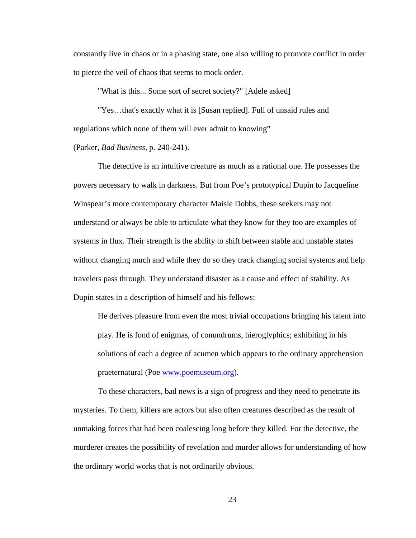constantly live in chaos or in a phasing state, one also willing to promote conflict in order to pierce the veil of chaos that seems to mock order.

"What is this... Some sort of secret society?" [Adele asked]

"Yes…that's exactly what it is [Susan replied]. Full of unsaid rules and regulations which none of them will ever admit to knowing"

#### (Parker, *Bad Business*, p. 240-241).

The detective is an intuitive creature as much as a rational one. He possesses the powers necessary to walk in darkness. But from Poe's prototypical Dupin to Jacqueline Winspear's more contemporary character Maisie Dobbs, these seekers may not understand or always be able to articulate what they know for they too are examples of systems in flux. Their strength is the ability to shift between stable and unstable states without changing much and while they do so they track changing social systems and help travelers pass through. They understand disaster as a cause and effect of stability. As Dupin states in a description of himself and his fellows:

He derives pleasure from even the most trivial occupations bringing his talent into play. He is fond of enigmas, of conundrums, hieroglyphics; exhibiting in his solutions of each a degree of acumen which appears to the ordinary apprehension praeternatural (Poe www.poemuseum.org).

To these characters, bad news is a sign of progress and they need to penetrate its mysteries. To them, killers are actors but also often creatures described as the result of unmaking forces that had been coalescing long before they killed. For the detective, the murderer creates the possibility of revelation and murder allows for understanding of how the ordinary world works that is not ordinarily obvious.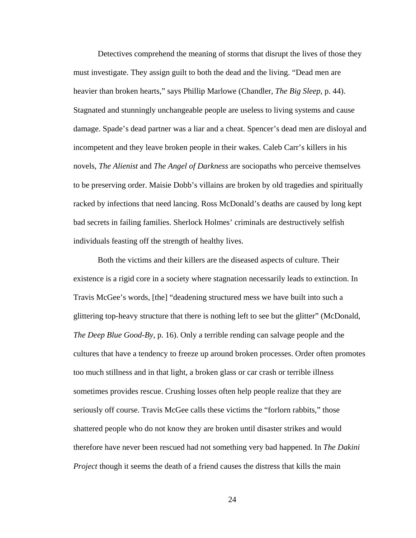Detectives comprehend the meaning of storms that disrupt the lives of those they must investigate. They assign guilt to both the dead and the living. "Dead men are heavier than broken hearts," says Phillip Marlowe (Chandler, *The Big Sleep*, p. 44). Stagnated and stunningly unchangeable people are useless to living systems and cause damage. Spade's dead partner was a liar and a cheat. Spencer's dead men are disloyal and incompetent and they leave broken people in their wakes. Caleb Carr's killers in his novels, *The Alienist* and *The Angel of Darkness* are sociopaths who perceive themselves to be preserving order. Maisie Dobb's villains are broken by old tragedies and spiritually racked by infections that need lancing. Ross McDonald's deaths are caused by long kept bad secrets in failing families. Sherlock Holmes' criminals are destructively selfish individuals feasting off the strength of healthy lives.

Both the victims and their killers are the diseased aspects of culture. Their existence is a rigid core in a society where stagnation necessarily leads to extinction. In Travis McGee's words, [the] "deadening structured mess we have built into such a glittering top-heavy structure that there is nothing left to see but the glitter" (McDonald, *The Deep Blue Good-By*, p. 16). Only a terrible rending can salvage people and the cultures that have a tendency to freeze up around broken processes. Order often promotes too much stillness and in that light, a broken glass or car crash or terrible illness sometimes provides rescue. Crushing losses often help people realize that they are seriously off course. Travis McGee calls these victims the "forlorn rabbits," those shattered people who do not know they are broken until disaster strikes and would therefore have never been rescued had not something very bad happened. In *The Dakini Project* though it seems the death of a friend causes the distress that kills the main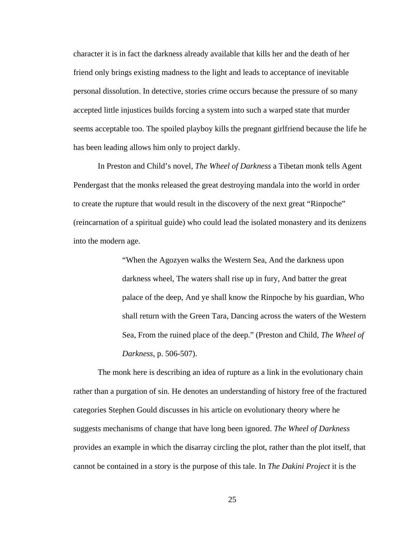character it is in fact the darkness already available that kills her and the death of her friend only brings existing madness to the light and leads to acceptance of inevitable personal dissolution. In detective, stories crime occurs because the pressure of so many accepted little injustices builds forcing a system into such a warped state that murder seems acceptable too. The spoiled playboy kills the pregnant girlfriend because the life he has been leading allows him only to project darkly.

In Preston and Child's novel, *The Wheel of Darkness* a Tibetan monk tells Agent Pendergast that the monks released the great destroying mandala into the world in order to create the rupture that would result in the discovery of the next great "Rinpoche" (reincarnation of a spiritual guide) who could lead the isolated monastery and its denizens into the modern age.

> "When the Agozyen walks the Western Sea, And the darkness upon darkness wheel, The waters shall rise up in fury, And batter the great palace of the deep, And ye shall know the Rinpoche by his guardian, Who shall return with the Green Tara, Dancing across the waters of the Western Sea, From the ruined place of the deep." (Preston and Child, *The Wheel of Darkness*, p. 506-507).

The monk here is describing an idea of rupture as a link in the evolutionary chain rather than a purgation of sin. He denotes an understanding of history free of the fractured categories Stephen Gould discusses in his article on evolutionary theory where he suggests mechanisms of change that have long been ignored. *The Wheel of Darkness* provides an example in which the disarray circling the plot, rather than the plot itself, that cannot be contained in a story is the purpose of this tale. In *The Dakini Project* it is the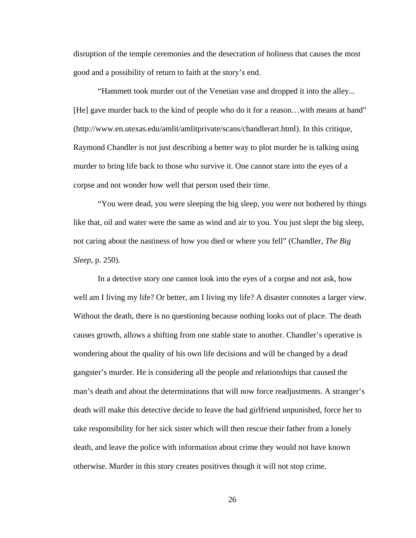disruption of the temple ceremonies and the desecration of holiness that causes the most good and a possibility of return to faith at the story's end.

"Hammett took murder out of the Venetian vase and dropped it into the alley... [He] gave murder back to the kind of people who do it for a reason...with means at hand" (http://www.en.utexas.edu/amlit/amlitprivate/scans/chandlerart.html). In this critique, Raymond Chandler is not just describing a better way to plot murder he is talking using murder to bring life back to those who survive it. One cannot stare into the eyes of a corpse and not wonder how well that person used their time.

"You were dead, you were sleeping the big sleep, you were not bothered by things like that, oil and water were the same as wind and air to you. You just slept the big sleep, not caring about the nastiness of how you died or where you fell" (Chandler, *The Big Sleep,* p. 250).

In a detective story one cannot look into the eyes of a corpse and not ask, how well am I living my life? Or better, am I living my life? A disaster connotes a larger view. Without the death, there is no questioning because nothing looks out of place. The death causes growth, allows a shifting from one stable state to another. Chandler's operative is wondering about the quality of his own life decisions and will be changed by a dead gangster's murder. He is considering all the people and relationships that caused the man's death and about the determinations that will now force readjustments. A stranger's death will make this detective decide to leave the bad girlfriend unpunished, force her to take responsibility for her sick sister which will then rescue their father from a lonely death, and leave the police with information about crime they would not have known otherwise. Murder in this story creates positives though it will not stop crime.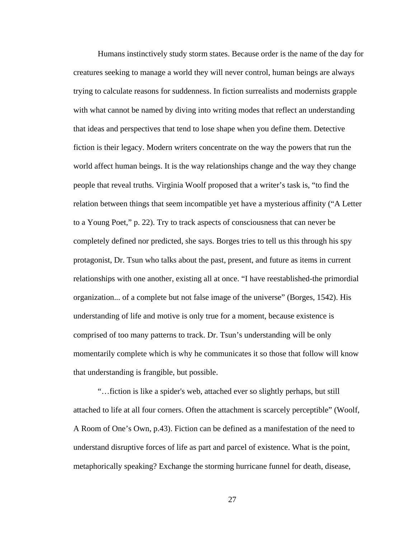Humans instinctively study storm states. Because order is the name of the day for creatures seeking to manage a world they will never control, human beings are always trying to calculate reasons for suddenness. In fiction surrealists and modernists grapple with what cannot be named by diving into writing modes that reflect an understanding that ideas and perspectives that tend to lose shape when you define them. Detective fiction is their legacy. Modern writers concentrate on the way the powers that run the world affect human beings. It is the way relationships change and the way they change people that reveal truths. Virginia Woolf proposed that a writer's task is, "to find the relation between things that seem incompatible yet have a mysterious affinity ("A Letter to a Young Poet," p. 22). Try to track aspects of consciousness that can never be completely defined nor predicted, she says. Borges tries to tell us this through his spy protagonist, Dr. Tsun who talks about the past, present, and future as items in current relationships with one another, existing all at once. "I have reestablished-the primordial organization... of a complete but not false image of the universe" (Borges, 1542). His understanding of life and motive is only true for a moment, because existence is comprised of too many patterns to track. Dr. Tsun's understanding will be only momentarily complete which is why he communicates it so those that follow will know that understanding is frangible, but possible.

"…fiction is like a spider's web, attached ever so slightly perhaps, but still attached to life at all four corners. Often the attachment is scarcely perceptible" (Woolf, A Room of One's Own, p.43). Fiction can be defined as a manifestation of the need to understand disruptive forces of life as part and parcel of existence. What is the point, metaphorically speaking? Exchange the storming hurricane funnel for death, disease,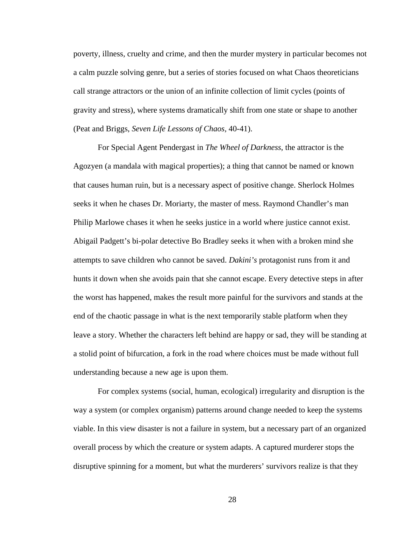poverty, illness, cruelty and crime, and then the murder mystery in particular becomes not a calm puzzle solving genre, but a series of stories focused on what Chaos theoreticians call strange attractors or the union of an infinite collection of limit cycles (points of gravity and stress), where systems dramatically shift from one state or shape to another (Peat and Briggs, *Seven Life Lessons of Chaos,* 40-41).

For Special Agent Pendergast in *The Wheel of Darkness*, the attractor is the Agozyen (a mandala with magical properties); a thing that cannot be named or known that causes human ruin, but is a necessary aspect of positive change. Sherlock Holmes seeks it when he chases Dr. Moriarty, the master of mess. Raymond Chandler's man Philip Marlowe chases it when he seeks justice in a world where justice cannot exist. Abigail Padgett's bi-polar detective Bo Bradley seeks it when with a broken mind she attempts to save children who cannot be saved. *Dakini's* protagonist runs from it and hunts it down when she avoids pain that she cannot escape. Every detective steps in after the worst has happened, makes the result more painful for the survivors and stands at the end of the chaotic passage in what is the next temporarily stable platform when they leave a story. Whether the characters left behind are happy or sad, they will be standing at a stolid point of bifurcation, a fork in the road where choices must be made without full understanding because a new age is upon them.

For complex systems (social, human, ecological) irregularity and disruption is the way a system (or complex organism) patterns around change needed to keep the systems viable. In this view disaster is not a failure in system, but a necessary part of an organized overall process by which the creature or system adapts. A captured murderer stops the disruptive spinning for a moment, but what the murderers' survivors realize is that they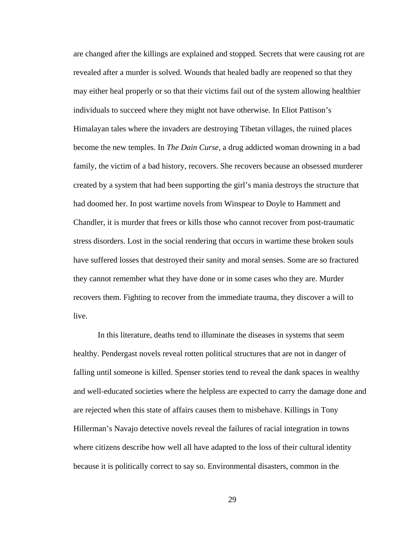are changed after the killings are explained and stopped. Secrets that were causing rot are revealed after a murder is solved. Wounds that healed badly are reopened so that they may either heal properly or so that their victims fail out of the system allowing healthier individuals to succeed where they might not have otherwise. In Eliot Pattison's Himalayan tales where the invaders are destroying Tibetan villages, the ruined places become the new temples. In *The Dain Curse*, a drug addicted woman drowning in a bad family, the victim of a bad history, recovers. She recovers because an obsessed murderer created by a system that had been supporting the girl's mania destroys the structure that had doomed her. In post wartime novels from Winspear to Doyle to Hammett and Chandler, it is murder that frees or kills those who cannot recover from post-traumatic stress disorders. Lost in the social rendering that occurs in wartime these broken souls have suffered losses that destroyed their sanity and moral senses. Some are so fractured they cannot remember what they have done or in some cases who they are. Murder recovers them. Fighting to recover from the immediate trauma, they discover a will to live.

In this literature, deaths tend to illuminate the diseases in systems that seem healthy. Pendergast novels reveal rotten political structures that are not in danger of falling until someone is killed. Spenser stories tend to reveal the dank spaces in wealthy and well-educated societies where the helpless are expected to carry the damage done and are rejected when this state of affairs causes them to misbehave. Killings in Tony Hillerman's Navajo detective novels reveal the failures of racial integration in towns where citizens describe how well all have adapted to the loss of their cultural identity because it is politically correct to say so. Environmental disasters, common in the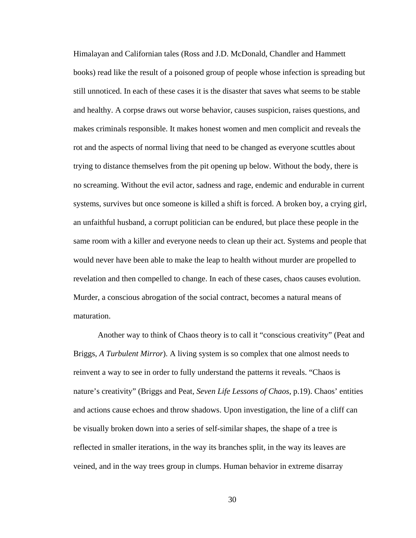Himalayan and Californian tales (Ross and J.D. McDonald, Chandler and Hammett books) read like the result of a poisoned group of people whose infection is spreading but still unnoticed. In each of these cases it is the disaster that saves what seems to be stable and healthy. A corpse draws out worse behavior, causes suspicion, raises questions, and makes criminals responsible. It makes honest women and men complicit and reveals the rot and the aspects of normal living that need to be changed as everyone scuttles about trying to distance themselves from the pit opening up below. Without the body, there is no screaming. Without the evil actor, sadness and rage, endemic and endurable in current systems, survives but once someone is killed a shift is forced. A broken boy, a crying girl, an unfaithful husband, a corrupt politician can be endured, but place these people in the same room with a killer and everyone needs to clean up their act. Systems and people that would never have been able to make the leap to health without murder are propelled to revelation and then compelled to change. In each of these cases, chaos causes evolution. Murder, a conscious abrogation of the social contract, becomes a natural means of maturation.

Another way to think of Chaos theory is to call it "conscious creativity" (Peat and Briggs, *A Turbulent Mirror*). A living system is so complex that one almost needs to reinvent a way to see in order to fully understand the patterns it reveals. "Chaos is nature's creativity" (Briggs and Peat, *Seven Life Lessons of Chaos*, p.19). Chaos' entities and actions cause echoes and throw shadows. Upon investigation, the line of a cliff can be visually broken down into a series of self-similar shapes, the shape of a tree is reflected in smaller iterations, in the way its branches split, in the way its leaves are veined, and in the way trees group in clumps. Human behavior in extreme disarray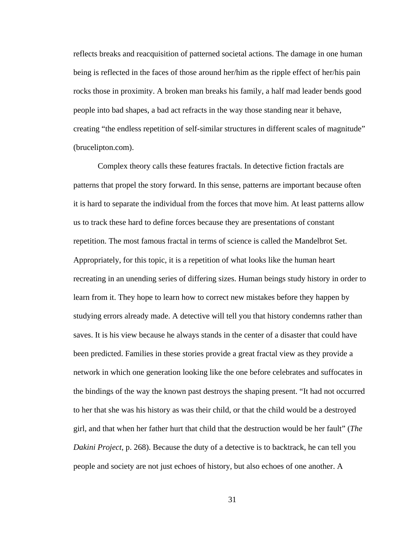reflects breaks and reacquisition of patterned societal actions. The damage in one human being is reflected in the faces of those around her/him as the ripple effect of her/his pain rocks those in proximity. A broken man breaks his family, a half mad leader bends good people into bad shapes, a bad act refracts in the way those standing near it behave, creating "the endless repetition of self-similar structures in different scales of magnitude" (brucelipton.com).

Complex theory calls these features fractals. In detective fiction fractals are patterns that propel the story forward. In this sense, patterns are important because often it is hard to separate the individual from the forces that move him. At least patterns allow us to track these hard to define forces because they are presentations of constant repetition. The most famous fractal in terms of science is called the Mandelbrot Set. Appropriately, for this topic, it is a repetition of what looks like the human heart recreating in an unending series of differing sizes. Human beings study history in order to learn from it. They hope to learn how to correct new mistakes before they happen by studying errors already made. A detective will tell you that history condemns rather than saves. It is his view because he always stands in the center of a disaster that could have been predicted. Families in these stories provide a great fractal view as they provide a network in which one generation looking like the one before celebrates and suffocates in the bindings of the way the known past destroys the shaping present. "It had not occurred to her that she was his history as was their child, or that the child would be a destroyed girl, and that when her father hurt that child that the destruction would be her fault" (*The Dakini Project*, p. 268). Because the duty of a detective is to backtrack, he can tell you people and society are not just echoes of history, but also echoes of one another. A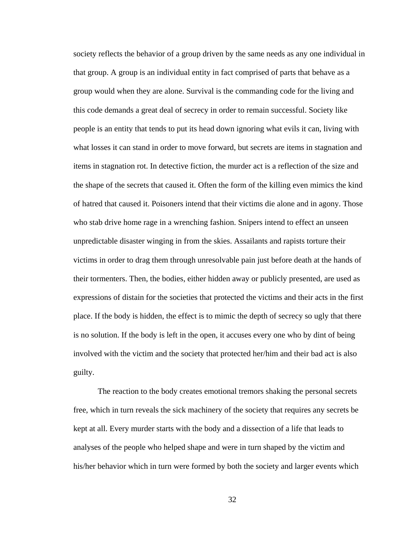society reflects the behavior of a group driven by the same needs as any one individual in that group. A group is an individual entity in fact comprised of parts that behave as a group would when they are alone. Survival is the commanding code for the living and this code demands a great deal of secrecy in order to remain successful. Society like people is an entity that tends to put its head down ignoring what evils it can, living with what losses it can stand in order to move forward, but secrets are items in stagnation and items in stagnation rot. In detective fiction, the murder act is a reflection of the size and the shape of the secrets that caused it. Often the form of the killing even mimics the kind of hatred that caused it. Poisoners intend that their victims die alone and in agony. Those who stab drive home rage in a wrenching fashion. Snipers intend to effect an unseen unpredictable disaster winging in from the skies. Assailants and rapists torture their victims in order to drag them through unresolvable pain just before death at the hands of their tormenters. Then, the bodies, either hidden away or publicly presented, are used as expressions of distain for the societies that protected the victims and their acts in the first place. If the body is hidden, the effect is to mimic the depth of secrecy so ugly that there is no solution. If the body is left in the open, it accuses every one who by dint of being involved with the victim and the society that protected her/him and their bad act is also guilty.

The reaction to the body creates emotional tremors shaking the personal secrets free, which in turn reveals the sick machinery of the society that requires any secrets be kept at all. Every murder starts with the body and a dissection of a life that leads to analyses of the people who helped shape and were in turn shaped by the victim and his/her behavior which in turn were formed by both the society and larger events which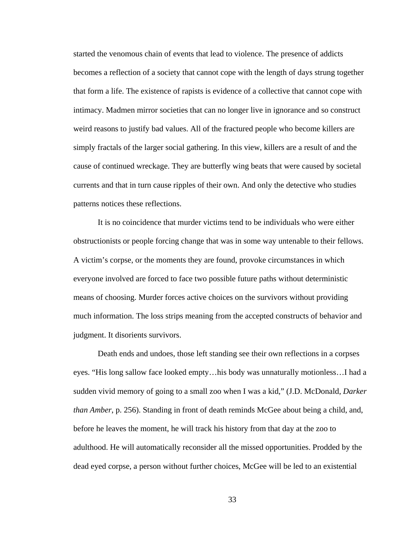started the venomous chain of events that lead to violence. The presence of addicts becomes a reflection of a society that cannot cope with the length of days strung together that form a life. The existence of rapists is evidence of a collective that cannot cope with intimacy. Madmen mirror societies that can no longer live in ignorance and so construct weird reasons to justify bad values. All of the fractured people who become killers are simply fractals of the larger social gathering. In this view, killers are a result of and the cause of continued wreckage. They are butterfly wing beats that were caused by societal currents and that in turn cause ripples of their own. And only the detective who studies patterns notices these reflections.

It is no coincidence that murder victims tend to be individuals who were either obstructionists or people forcing change that was in some way untenable to their fellows. A victim's corpse, or the moments they are found, provoke circumstances in which everyone involved are forced to face two possible future paths without deterministic means of choosing. Murder forces active choices on the survivors without providing much information. The loss strips meaning from the accepted constructs of behavior and judgment. It disorients survivors.

Death ends and undoes, those left standing see their own reflections in a corpses eyes. "His long sallow face looked empty…his body was unnaturally motionless…I had a sudden vivid memory of going to a small zoo when I was a kid," (J.D. McDonald, *Darker than Amber*, p. 256). Standing in front of death reminds McGee about being a child, and, before he leaves the moment, he will track his history from that day at the zoo to adulthood. He will automatically reconsider all the missed opportunities. Prodded by the dead eyed corpse, a person without further choices, McGee will be led to an existential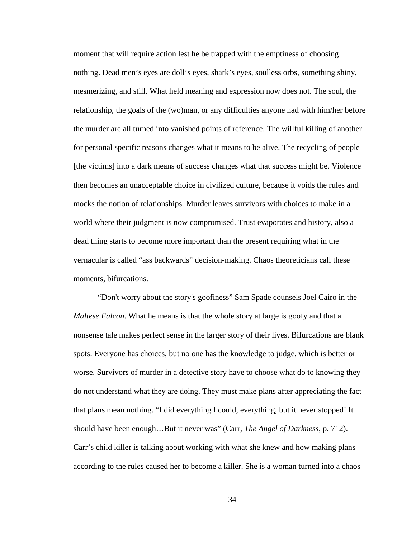moment that will require action lest he be trapped with the emptiness of choosing nothing. Dead men's eyes are doll's eyes, shark's eyes, soulless orbs, something shiny, mesmerizing, and still. What held meaning and expression now does not. The soul, the relationship, the goals of the (wo)man, or any difficulties anyone had with him/her before the murder are all turned into vanished points of reference. The willful killing of another for personal specific reasons changes what it means to be alive. The recycling of people [the victims] into a dark means of success changes what that success might be. Violence then becomes an unacceptable choice in civilized culture, because it voids the rules and mocks the notion of relationships. Murder leaves survivors with choices to make in a world where their judgment is now compromised. Trust evaporates and history, also a dead thing starts to become more important than the present requiring what in the vernacular is called "ass backwards" decision-making. Chaos theoreticians call these moments, bifurcations.

"Don't worry about the story's goofiness" Sam Spade counsels Joel Cairo in the *Maltese Falcon*. What he means is that the whole story at large is goofy and that a nonsense tale makes perfect sense in the larger story of their lives. Bifurcations are blank spots. Everyone has choices, but no one has the knowledge to judge, which is better or worse. Survivors of murder in a detective story have to choose what do to knowing they do not understand what they are doing. They must make plans after appreciating the fact that plans mean nothing. "I did everything I could, everything, but it never stopped! It should have been enough…But it never was" (Carr, *The Angel of Darkness*, p. 712). Carr's child killer is talking about working with what she knew and how making plans according to the rules caused her to become a killer. She is a woman turned into a chaos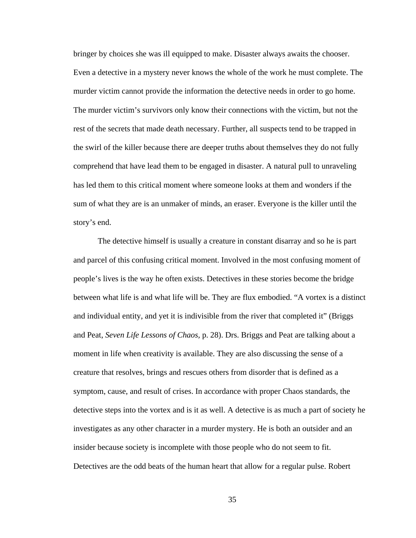bringer by choices she was ill equipped to make. Disaster always awaits the chooser. Even a detective in a mystery never knows the whole of the work he must complete. The murder victim cannot provide the information the detective needs in order to go home. The murder victim's survivors only know their connections with the victim, but not the rest of the secrets that made death necessary. Further, all suspects tend to be trapped in the swirl of the killer because there are deeper truths about themselves they do not fully comprehend that have lead them to be engaged in disaster. A natural pull to unraveling has led them to this critical moment where someone looks at them and wonders if the sum of what they are is an unmaker of minds, an eraser. Everyone is the killer until the story's end.

The detective himself is usually a creature in constant disarray and so he is part and parcel of this confusing critical moment. Involved in the most confusing moment of people's lives is the way he often exists. Detectives in these stories become the bridge between what life is and what life will be. They are flux embodied. "A vortex is a distinct and individual entity, and yet it is indivisible from the river that completed it" (Briggs and Peat, *Seven Life Lessons of Chaos,* p. 28). Drs. Briggs and Peat are talking about a moment in life when creativity is available. They are also discussing the sense of a creature that resolves, brings and rescues others from disorder that is defined as a symptom, cause, and result of crises. In accordance with proper Chaos standards, the detective steps into the vortex and is it as well. A detective is as much a part of society he investigates as any other character in a murder mystery. He is both an outsider and an insider because society is incomplete with those people who do not seem to fit. Detectives are the odd beats of the human heart that allow for a regular pulse. Robert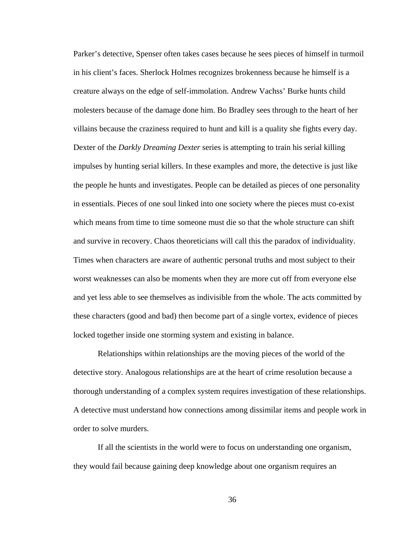Parker's detective, Spenser often takes cases because he sees pieces of himself in turmoil in his client's faces. Sherlock Holmes recognizes brokenness because he himself is a creature always on the edge of self-immolation. Andrew Vachss' Burke hunts child molesters because of the damage done him. Bo Bradley sees through to the heart of her villains because the craziness required to hunt and kill is a quality she fights every day. Dexter of the *Darkly Dreaming Dexter* series is attempting to train his serial killing impulses by hunting serial killers. In these examples and more, the detective is just like the people he hunts and investigates. People can be detailed as pieces of one personality in essentials. Pieces of one soul linked into one society where the pieces must co-exist which means from time to time someone must die so that the whole structure can shift and survive in recovery. Chaos theoreticians will call this the paradox of individuality. Times when characters are aware of authentic personal truths and most subject to their worst weaknesses can also be moments when they are more cut off from everyone else and yet less able to see themselves as indivisible from the whole. The acts committed by these characters (good and bad) then become part of a single vortex, evidence of pieces locked together inside one storming system and existing in balance.

Relationships within relationships are the moving pieces of the world of the detective story. Analogous relationships are at the heart of crime resolution because a thorough understanding of a complex system requires investigation of these relationships. A detective must understand how connections among dissimilar items and people work in order to solve murders.

If all the scientists in the world were to focus on understanding one organism, they would fail because gaining deep knowledge about one organism requires an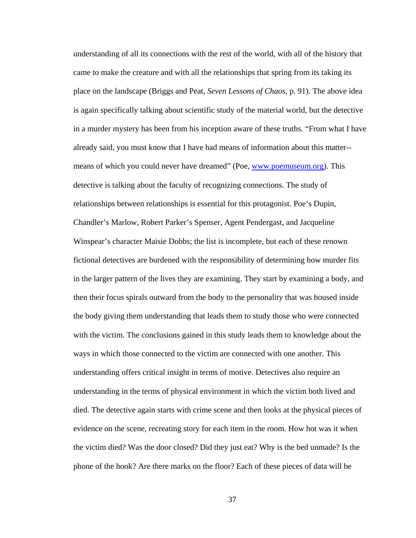understanding of all its connections with the rest of the world, with all of the history that came to make the creature and with all the relationships that spring from its taking its place on the landscape (Briggs and Peat, *Seven Lessons of Chaos*, p. 91). The above idea is again specifically talking about scientific study of the material world, but the detective in a murder mystery has been from his inception aware of these truths. "From what I have already said, you must know that I have had means of information about this matter- means of which you could never have dreamed" (Poe, www.poemuseum.org). This detective is talking about the faculty of recognizing connections. The study of relationships between relationships is essential for this protagonist. Poe's Dupin, Chandler's Marlow, Robert Parker's Spenser, Agent Pendergast, and Jacqueline Winspear's character Maisie Dobbs; the list is incomplete, but each of these renown fictional detectives are burdened with the responsibility of determining how murder fits in the larger pattern of the lives they are examining. They start by examining a body, and then their focus spirals outward from the body to the personality that was housed inside the body giving them understanding that leads them to study those who were connected with the victim. The conclusions gained in this study leads them to knowledge about the ways in which those connected to the victim are connected with one another. This understanding offers critical insight in terms of motive. Detectives also require an understanding in the terms of physical environment in which the victim both lived and died. The detective again starts with crime scene and then looks at the physical pieces of evidence on the scene, recreating story for each item in the room. How hot was it when the victim died? Was the door closed? Did they just eat? Why is the bed unmade? Is the phone of the hook? Are there marks on the floor? Each of these pieces of data will be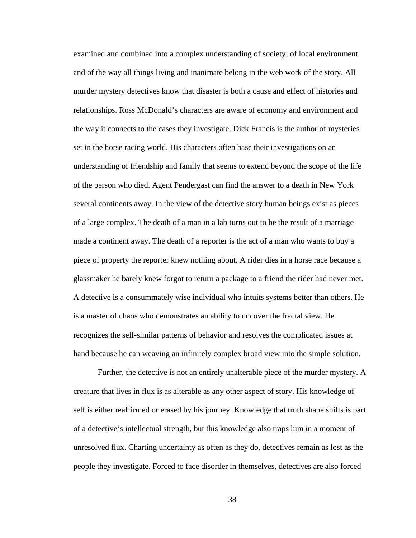examined and combined into a complex understanding of society; of local environment and of the way all things living and inanimate belong in the web work of the story. All murder mystery detectives know that disaster is both a cause and effect of histories and relationships. Ross McDonald's characters are aware of economy and environment and the way it connects to the cases they investigate. Dick Francis is the author of mysteries set in the horse racing world. His characters often base their investigations on an understanding of friendship and family that seems to extend beyond the scope of the life of the person who died. Agent Pendergast can find the answer to a death in New York several continents away. In the view of the detective story human beings exist as pieces of a large complex. The death of a man in a lab turns out to be the result of a marriage made a continent away. The death of a reporter is the act of a man who wants to buy a piece of property the reporter knew nothing about. A rider dies in a horse race because a glassmaker he barely knew forgot to return a package to a friend the rider had never met. A detective is a consummately wise individual who intuits systems better than others. He is a master of chaos who demonstrates an ability to uncover the fractal view. He recognizes the self-similar patterns of behavior and resolves the complicated issues at hand because he can weaving an infinitely complex broad view into the simple solution.

Further, the detective is not an entirely unalterable piece of the murder mystery. A creature that lives in flux is as alterable as any other aspect of story. His knowledge of self is either reaffirmed or erased by his journey. Knowledge that truth shape shifts is part of a detective's intellectual strength, but this knowledge also traps him in a moment of unresolved flux. Charting uncertainty as often as they do, detectives remain as lost as the people they investigate. Forced to face disorder in themselves, detectives are also forced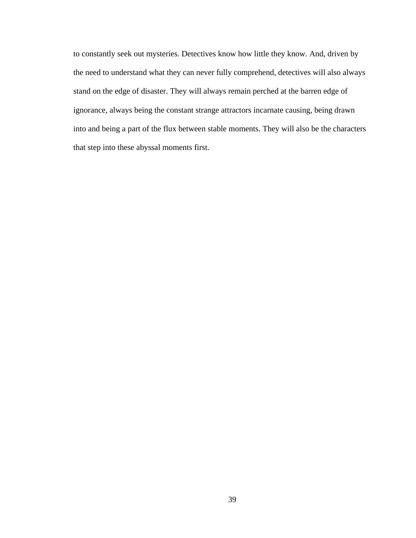to constantly seek out mysteries. Detectives know how little they know. And, driven by the need to understand what they can never fully comprehend, detectives will also always stand on the edge of disaster. They will always remain perched at the barren edge of ignorance, always being the constant strange attractors incarnate causing, being drawn into and being a part of the flux between stable moments. They will also be the characters that step into these abyssal moments first.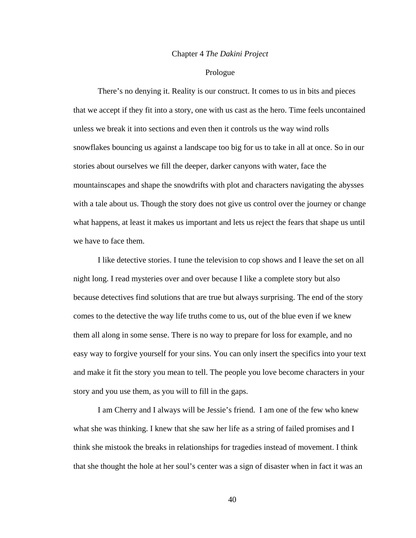## Chapter 4 *The Dakini Project*

## Prologue

There's no denying it. Reality is our construct. It comes to us in bits and pieces that we accept if they fit into a story, one with us cast as the hero. Time feels uncontained unless we break it into sections and even then it controls us the way wind rolls snowflakes bouncing us against a landscape too big for us to take in all at once. So in our stories about ourselves we fill the deeper, darker canyons with water, face the mountainscapes and shape the snowdrifts with plot and characters navigating the abysses with a tale about us. Though the story does not give us control over the journey or change what happens, at least it makes us important and lets us reject the fears that shape us until we have to face them.

I like detective stories. I tune the television to cop shows and I leave the set on all night long. I read mysteries over and over because I like a complete story but also because detectives find solutions that are true but always surprising. The end of the story comes to the detective the way life truths come to us, out of the blue even if we knew them all along in some sense. There is no way to prepare for loss for example, and no easy way to forgive yourself for your sins. You can only insert the specifics into your text and make it fit the story you mean to tell. The people you love become characters in your story and you use them, as you will to fill in the gaps.

I am Cherry and I always will be Jessie's friend. I am one of the few who knew what she was thinking. I knew that she saw her life as a string of failed promises and I think she mistook the breaks in relationships for tragedies instead of movement. I think that she thought the hole at her soul's center was a sign of disaster when in fact it was an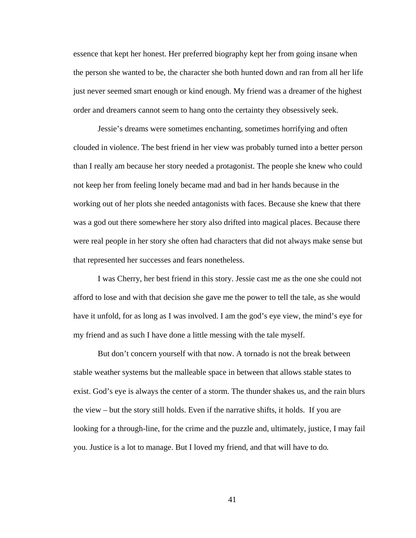essence that kept her honest. Her preferred biography kept her from going insane when the person she wanted to be, the character she both hunted down and ran from all her life just never seemed smart enough or kind enough. My friend was a dreamer of the highest order and dreamers cannot seem to hang onto the certainty they obsessively seek.

Jessie's dreams were sometimes enchanting, sometimes horrifying and often clouded in violence. The best friend in her view was probably turned into a better person than I really am because her story needed a protagonist. The people she knew who could not keep her from feeling lonely became mad and bad in her hands because in the working out of her plots she needed antagonists with faces. Because she knew that there was a god out there somewhere her story also drifted into magical places. Because there were real people in her story she often had characters that did not always make sense but that represented her successes and fears nonetheless.

I was Cherry, her best friend in this story. Jessie cast me as the one she could not afford to lose and with that decision she gave me the power to tell the tale, as she would have it unfold, for as long as I was involved. I am the god's eye view, the mind's eye for my friend and as such I have done a little messing with the tale myself.

But don't concern yourself with that now. A tornado is not the break between stable weather systems but the malleable space in between that allows stable states to exist. God's eye is always the center of a storm. The thunder shakes us, and the rain blurs the view – but the story still holds. Even if the narrative shifts, it holds. If you are looking for a through-line, for the crime and the puzzle and, ultimately, justice, I may fail you. Justice is a lot to manage. But I loved my friend, and that will have to do*.*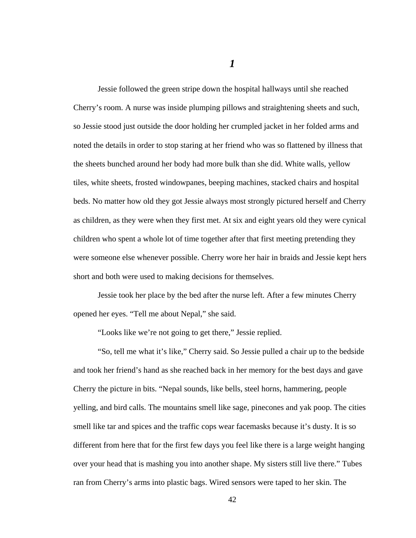Jessie followed the green stripe down the hospital hallways until she reached Cherry's room. A nurse was inside plumping pillows and straightening sheets and such, so Jessie stood just outside the door holding her crumpled jacket in her folded arms and noted the details in order to stop staring at her friend who was so flattened by illness that the sheets bunched around her body had more bulk than she did. White walls, yellow tiles, white sheets, frosted windowpanes, beeping machines, stacked chairs and hospital beds. No matter how old they got Jessie always most strongly pictured herself and Cherry as children, as they were when they first met. At six and eight years old they were cynical children who spent a whole lot of time together after that first meeting pretending they were someone else whenever possible. Cherry wore her hair in braids and Jessie kept hers short and both were used to making decisions for themselves.

Jessie took her place by the bed after the nurse left. After a few minutes Cherry opened her eyes. "Tell me about Nepal," she said.

"Looks like we're not going to get there," Jessie replied.

"So, tell me what it's like," Cherry said. So Jessie pulled a chair up to the bedside and took her friend's hand as she reached back in her memory for the best days and gave Cherry the picture in bits. "Nepal sounds, like bells, steel horns, hammering, people yelling, and bird calls. The mountains smell like sage, pinecones and yak poop. The cities smell like tar and spices and the traffic cops wear facemasks because it's dusty. It is so different from here that for the first few days you feel like there is a large weight hanging over your head that is mashing you into another shape. My sisters still live there." Tubes ran from Cherry's arms into plastic bags. Wired sensors were taped to her skin. The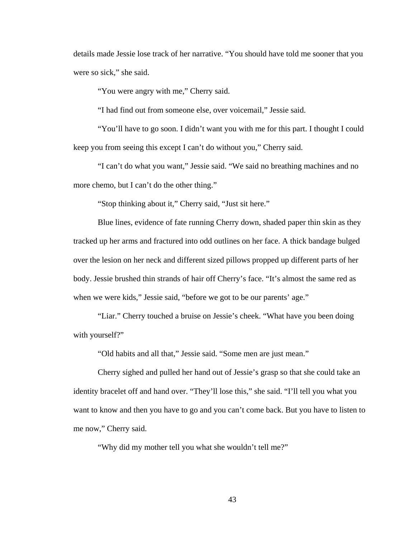details made Jessie lose track of her narrative. "You should have told me sooner that you were so sick," she said.

"You were angry with me," Cherry said.

"I had find out from someone else, over voicemail," Jessie said.

"You'll have to go soon. I didn't want you with me for this part. I thought I could keep you from seeing this except I can't do without you," Cherry said.

"I can't do what you want," Jessie said. "We said no breathing machines and no more chemo, but I can't do the other thing."

"Stop thinking about it," Cherry said, "Just sit here."

Blue lines, evidence of fate running Cherry down, shaded paper thin skin as they tracked up her arms and fractured into odd outlines on her face. A thick bandage bulged over the lesion on her neck and different sized pillows propped up different parts of her body. Jessie brushed thin strands of hair off Cherry's face. "It's almost the same red as when we were kids," Jessie said, "before we got to be our parents' age."

"Liar." Cherry touched a bruise on Jessie's cheek. "What have you been doing with yourself?"

"Old habits and all that," Jessie said. "Some men are just mean."

Cherry sighed and pulled her hand out of Jessie's grasp so that she could take an identity bracelet off and hand over. "They'll lose this," she said. "I'll tell you what you want to know and then you have to go and you can't come back. But you have to listen to me now," Cherry said.

"Why did my mother tell you what she wouldn't tell me?"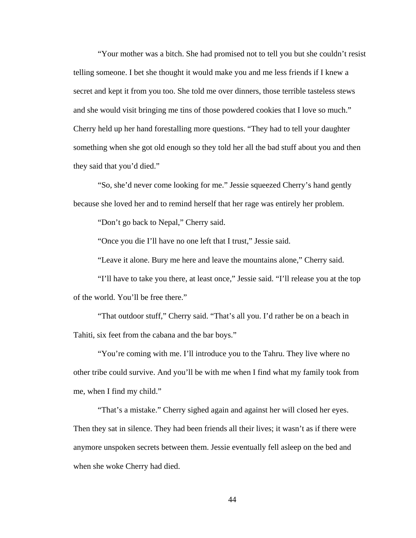"Your mother was a bitch. She had promised not to tell you but she couldn't resist telling someone. I bet she thought it would make you and me less friends if I knew a secret and kept it from you too. She told me over dinners, those terrible tasteless stews and she would visit bringing me tins of those powdered cookies that I love so much." Cherry held up her hand forestalling more questions. "They had to tell your daughter something when she got old enough so they told her all the bad stuff about you and then they said that you'd died."

"So, she'd never come looking for me." Jessie squeezed Cherry's hand gently because she loved her and to remind herself that her rage was entirely her problem.

"Don't go back to Nepal," Cherry said.

"Once you die I'll have no one left that I trust," Jessie said.

"Leave it alone. Bury me here and leave the mountains alone," Cherry said.

"I'll have to take you there, at least once," Jessie said. "I'll release you at the top of the world. You'll be free there."

"That outdoor stuff," Cherry said. "That's all you. I'd rather be on a beach in Tahiti, six feet from the cabana and the bar boys."

"You're coming with me. I'll introduce you to the Tahru. They live where no other tribe could survive. And you'll be with me when I find what my family took from me, when I find my child."

"That's a mistake." Cherry sighed again and against her will closed her eyes. Then they sat in silence. They had been friends all their lives; it wasn't as if there were anymore unspoken secrets between them. Jessie eventually fell asleep on the bed and when she woke Cherry had died.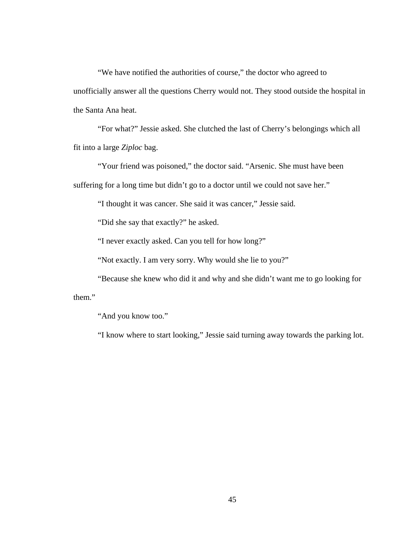"We have notified the authorities of course," the doctor who agreed to unofficially answer all the questions Cherry would not. They stood outside the hospital in the Santa Ana heat.

"For what?" Jessie asked. She clutched the last of Cherry's belongings which all fit into a large *Ziploc* bag.

"Your friend was poisoned," the doctor said. "Arsenic. She must have been suffering for a long time but didn't go to a doctor until we could not save her."

"I thought it was cancer. She said it was cancer," Jessie said.

"Did she say that exactly?" he asked.

"I never exactly asked. Can you tell for how long?"

"Not exactly. I am very sorry. Why would she lie to you?"

"Because she knew who did it and why and she didn't want me to go looking for them."

"And you know too."

"I know where to start looking," Jessie said turning away towards the parking lot.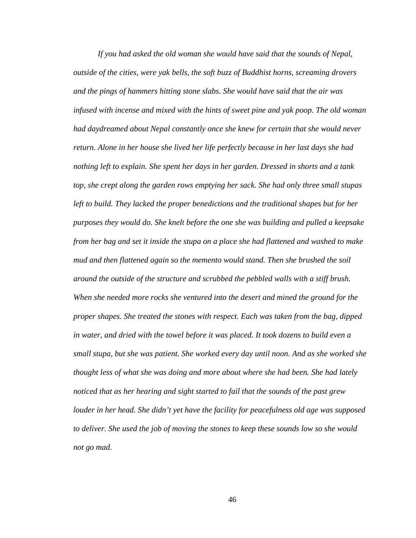*If you had asked the old woman she would have said that the sounds of Nepal, outside of the cities, were yak bells, the soft buzz of Buddhist horns, screaming drovers and the pings of hammers hitting stone slabs. She would have said that the air was infused with incense and mixed with the hints of sweet pine and yak poop. The old woman had daydreamed about Nepal constantly once she knew for certain that she would never return. Alone in her house she lived her life perfectly because in her last days she had nothing left to explain. She spent her days in her garden. Dressed in shorts and a tank top, she crept along the garden rows emptying her sack. She had only three small stupas left to build. They lacked the proper benedictions and the traditional shapes but for her purposes they would do. She knelt before the one she was building and pulled a keepsake from her bag and set it inside the stupa on a place she had flattened and washed to make mud and then flattened again so the memento would stand. Then she brushed the soil around the outside of the structure and scrubbed the pebbled walls with a stiff brush. When she needed more rocks she ventured into the desert and mined the ground for the proper shapes. She treated the stones with respect. Each was taken from the bag, dipped in water, and dried with the towel before it was placed. It took dozens to build even a small stupa, but she was patient. She worked every day until noon. And as she worked she thought less of what she was doing and more about where she had been. She had lately noticed that as her hearing and sight started to fail that the sounds of the past grew louder in her head. She didn't yet have the facility for peacefulness old age was supposed to deliver. She used the job of moving the stones to keep these sounds low so she would not go mad*.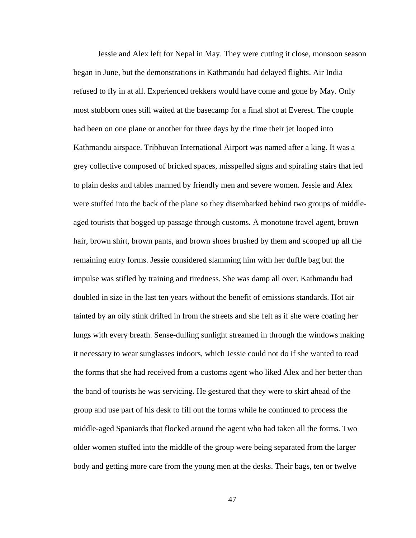Jessie and Alex left for Nepal in May. They were cutting it close, monsoon season began in June, but the demonstrations in Kathmandu had delayed flights. Air India refused to fly in at all. Experienced trekkers would have come and gone by May. Only most stubborn ones still waited at the basecamp for a final shot at Everest. The couple had been on one plane or another for three days by the time their jet looped into Kathmandu airspace. Tribhuvan International Airport was named after a king. It was a grey collective composed of bricked spaces, misspelled signs and spiraling stairs that led to plain desks and tables manned by friendly men and severe women. Jessie and Alex were stuffed into the back of the plane so they disembarked behind two groups of middleaged tourists that bogged up passage through customs. A monotone travel agent, brown hair, brown shirt, brown pants, and brown shoes brushed by them and scooped up all the remaining entry forms. Jessie considered slamming him with her duffle bag but the impulse was stifled by training and tiredness. She was damp all over. Kathmandu had doubled in size in the last ten years without the benefit of emissions standards. Hot air tainted by an oily stink drifted in from the streets and she felt as if she were coating her lungs with every breath. Sense-dulling sunlight streamed in through the windows making it necessary to wear sunglasses indoors, which Jessie could not do if she wanted to read the forms that she had received from a customs agent who liked Alex and her better than the band of tourists he was servicing. He gestured that they were to skirt ahead of the group and use part of his desk to fill out the forms while he continued to process the middle-aged Spaniards that flocked around the agent who had taken all the forms. Two older women stuffed into the middle of the group were being separated from the larger body and getting more care from the young men at the desks. Their bags, ten or twelve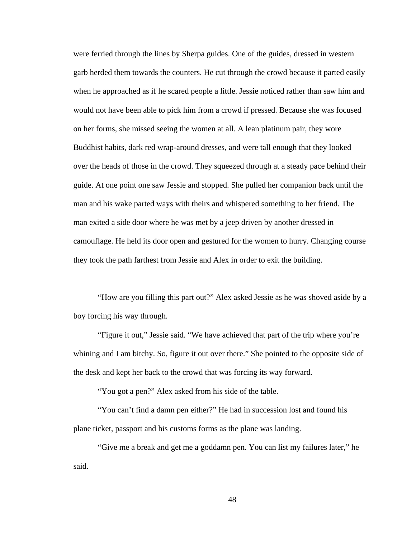were ferried through the lines by Sherpa guides. One of the guides, dressed in western garb herded them towards the counters. He cut through the crowd because it parted easily when he approached as if he scared people a little. Jessie noticed rather than saw him and would not have been able to pick him from a crowd if pressed. Because she was focused on her forms, she missed seeing the women at all. A lean platinum pair, they wore Buddhist habits, dark red wrap-around dresses, and were tall enough that they looked over the heads of those in the crowd. They squeezed through at a steady pace behind their guide. At one point one saw Jessie and stopped. She pulled her companion back until the man and his wake parted ways with theirs and whispered something to her friend. The man exited a side door where he was met by a jeep driven by another dressed in camouflage. He held its door open and gestured for the women to hurry. Changing course they took the path farthest from Jessie and Alex in order to exit the building.

"How are you filling this part out?" Alex asked Jessie as he was shoved aside by a boy forcing his way through.

"Figure it out," Jessie said. "We have achieved that part of the trip where you're whining and I am bitchy. So, figure it out over there." She pointed to the opposite side of the desk and kept her back to the crowd that was forcing its way forward.

"You got a pen?" Alex asked from his side of the table.

"You can't find a damn pen either?" He had in succession lost and found his plane ticket, passport and his customs forms as the plane was landing.

"Give me a break and get me a goddamn pen. You can list my failures later," he said.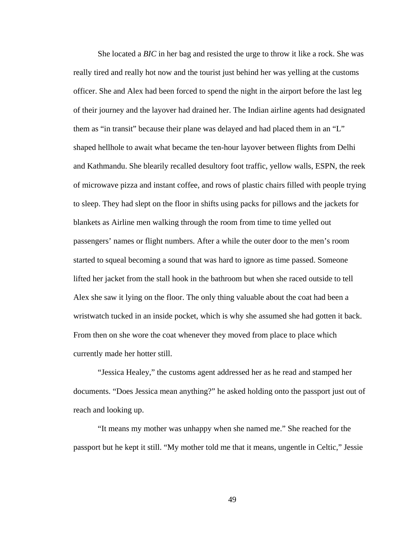She located a *BIC* in her bag and resisted the urge to throw it like a rock. She was really tired and really hot now and the tourist just behind her was yelling at the customs officer. She and Alex had been forced to spend the night in the airport before the last leg of their journey and the layover had drained her. The Indian airline agents had designated them as "in transit" because their plane was delayed and had placed them in an "L" shaped hellhole to await what became the ten-hour layover between flights from Delhi and Kathmandu. She blearily recalled desultory foot traffic, yellow walls, ESPN, the reek of microwave pizza and instant coffee, and rows of plastic chairs filled with people trying to sleep. They had slept on the floor in shifts using packs for pillows and the jackets for blankets as Airline men walking through the room from time to time yelled out passengers' names or flight numbers. After a while the outer door to the men's room started to squeal becoming a sound that was hard to ignore as time passed. Someone lifted her jacket from the stall hook in the bathroom but when she raced outside to tell Alex she saw it lying on the floor. The only thing valuable about the coat had been a wristwatch tucked in an inside pocket, which is why she assumed she had gotten it back. From then on she wore the coat whenever they moved from place to place which currently made her hotter still.

"Jessica Healey," the customs agent addressed her as he read and stamped her documents. "Does Jessica mean anything?" he asked holding onto the passport just out of reach and looking up.

"It means my mother was unhappy when she named me." She reached for the passport but he kept it still. "My mother told me that it means, ungentle in Celtic," Jessie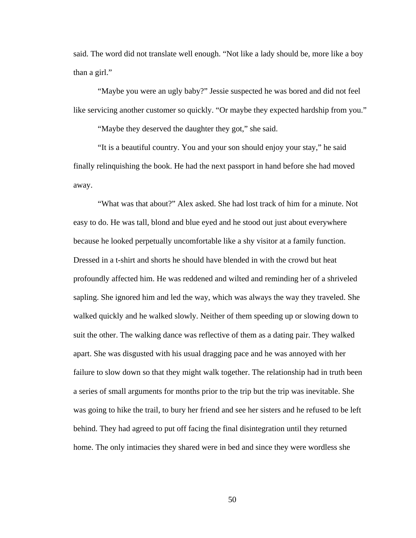said. The word did not translate well enough. "Not like a lady should be, more like a boy than a girl."

"Maybe you were an ugly baby?" Jessie suspected he was bored and did not feel like servicing another customer so quickly. "Or maybe they expected hardship from you."

"Maybe they deserved the daughter they got," she said.

"It is a beautiful country. You and your son should enjoy your stay," he said finally relinquishing the book. He had the next passport in hand before she had moved away.

"What was that about?" Alex asked. She had lost track of him for a minute. Not easy to do. He was tall, blond and blue eyed and he stood out just about everywhere because he looked perpetually uncomfortable like a shy visitor at a family function. Dressed in a t-shirt and shorts he should have blended in with the crowd but heat profoundly affected him. He was reddened and wilted and reminding her of a shriveled sapling. She ignored him and led the way, which was always the way they traveled. She walked quickly and he walked slowly. Neither of them speeding up or slowing down to suit the other. The walking dance was reflective of them as a dating pair. They walked apart. She was disgusted with his usual dragging pace and he was annoyed with her failure to slow down so that they might walk together. The relationship had in truth been a series of small arguments for months prior to the trip but the trip was inevitable. She was going to hike the trail, to bury her friend and see her sisters and he refused to be left behind. They had agreed to put off facing the final disintegration until they returned home. The only intimacies they shared were in bed and since they were wordless she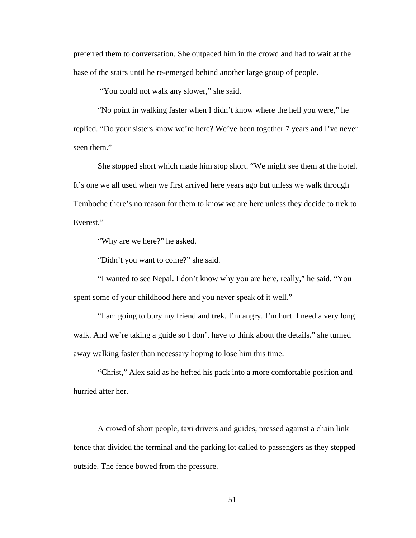preferred them to conversation. She outpaced him in the crowd and had to wait at the base of the stairs until he re-emerged behind another large group of people.

"You could not walk any slower," she said.

"No point in walking faster when I didn't know where the hell you were," he replied. "Do your sisters know we're here? We've been together 7 years and I've never seen them."

She stopped short which made him stop short. "We might see them at the hotel. It's one we all used when we first arrived here years ago but unless we walk through Temboche there's no reason for them to know we are here unless they decide to trek to Everest."

"Why are we here?" he asked.

"Didn't you want to come?" she said.

"I wanted to see Nepal. I don't know why you are here, really," he said. "You spent some of your childhood here and you never speak of it well."

"I am going to bury my friend and trek. I'm angry. I'm hurt. I need a very long walk. And we're taking a guide so I don't have to think about the details." she turned away walking faster than necessary hoping to lose him this time.

"Christ," Alex said as he hefted his pack into a more comfortable position and hurried after her.

A crowd of short people, taxi drivers and guides, pressed against a chain link fence that divided the terminal and the parking lot called to passengers as they stepped outside. The fence bowed from the pressure.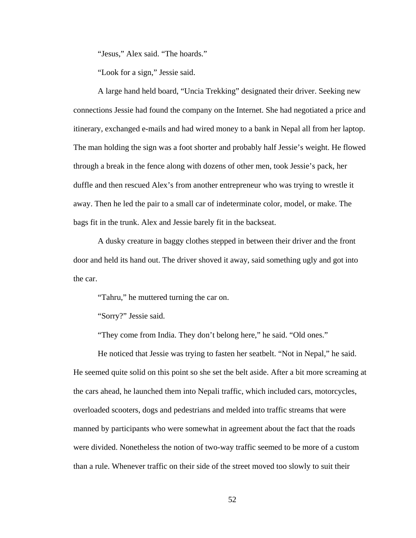"Jesus," Alex said. "The hoards."

"Look for a sign," Jessie said.

A large hand held board, "Uncia Trekking" designated their driver. Seeking new connections Jessie had found the company on the Internet. She had negotiated a price and itinerary, exchanged e-mails and had wired money to a bank in Nepal all from her laptop. The man holding the sign was a foot shorter and probably half Jessie's weight. He flowed through a break in the fence along with dozens of other men, took Jessie's pack, her duffle and then rescued Alex's from another entrepreneur who was trying to wrestle it away. Then he led the pair to a small car of indeterminate color, model, or make. The bags fit in the trunk. Alex and Jessie barely fit in the backseat.

A dusky creature in baggy clothes stepped in between their driver and the front door and held its hand out. The driver shoved it away, said something ugly and got into the car.

"Tahru," he muttered turning the car on.

"Sorry?" Jessie said.

"They come from India. They don't belong here," he said. "Old ones."

He noticed that Jessie was trying to fasten her seatbelt. "Not in Nepal," he said. He seemed quite solid on this point so she set the belt aside. After a bit more screaming at the cars ahead, he launched them into Nepali traffic, which included cars, motorcycles, overloaded scooters, dogs and pedestrians and melded into traffic streams that were manned by participants who were somewhat in agreement about the fact that the roads were divided. Nonetheless the notion of two-way traffic seemed to be more of a custom than a rule. Whenever traffic on their side of the street moved too slowly to suit their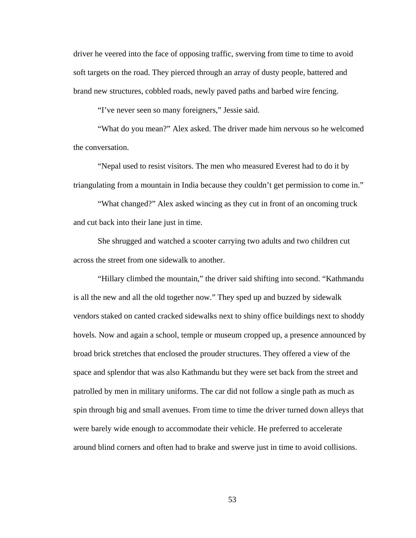driver he veered into the face of opposing traffic, swerving from time to time to avoid soft targets on the road. They pierced through an array of dusty people, battered and brand new structures, cobbled roads, newly paved paths and barbed wire fencing.

"I've never seen so many foreigners," Jessie said.

"What do you mean?" Alex asked. The driver made him nervous so he welcomed the conversation.

"Nepal used to resist visitors. The men who measured Everest had to do it by triangulating from a mountain in India because they couldn't get permission to come in."

"What changed?" Alex asked wincing as they cut in front of an oncoming truck and cut back into their lane just in time.

She shrugged and watched a scooter carrying two adults and two children cut across the street from one sidewalk to another.

"Hillary climbed the mountain," the driver said shifting into second. "Kathmandu is all the new and all the old together now." They sped up and buzzed by sidewalk vendors staked on canted cracked sidewalks next to shiny office buildings next to shoddy hovels. Now and again a school, temple or museum cropped up, a presence announced by broad brick stretches that enclosed the prouder structures. They offered a view of the space and splendor that was also Kathmandu but they were set back from the street and patrolled by men in military uniforms. The car did not follow a single path as much as spin through big and small avenues. From time to time the driver turned down alleys that were barely wide enough to accommodate their vehicle. He preferred to accelerate around blind corners and often had to brake and swerve just in time to avoid collisions.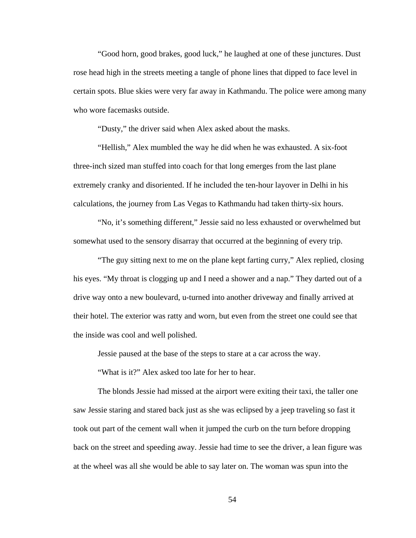"Good horn, good brakes, good luck," he laughed at one of these junctures. Dust rose head high in the streets meeting a tangle of phone lines that dipped to face level in certain spots. Blue skies were very far away in Kathmandu. The police were among many who wore facemasks outside.

"Dusty," the driver said when Alex asked about the masks.

"Hellish," Alex mumbled the way he did when he was exhausted. A six-foot three-inch sized man stuffed into coach for that long emerges from the last plane extremely cranky and disoriented. If he included the ten-hour layover in Delhi in his calculations, the journey from Las Vegas to Kathmandu had taken thirty-six hours.

"No, it's something different," Jessie said no less exhausted or overwhelmed but somewhat used to the sensory disarray that occurred at the beginning of every trip.

"The guy sitting next to me on the plane kept farting curry," Alex replied, closing his eyes. "My throat is clogging up and I need a shower and a nap." They darted out of a drive way onto a new boulevard, u-turned into another driveway and finally arrived at their hotel. The exterior was ratty and worn, but even from the street one could see that the inside was cool and well polished.

Jessie paused at the base of the steps to stare at a car across the way.

"What is it?" Alex asked too late for her to hear.

The blonds Jessie had missed at the airport were exiting their taxi, the taller one saw Jessie staring and stared back just as she was eclipsed by a jeep traveling so fast it took out part of the cement wall when it jumped the curb on the turn before dropping back on the street and speeding away. Jessie had time to see the driver, a lean figure was at the wheel was all she would be able to say later on. The woman was spun into the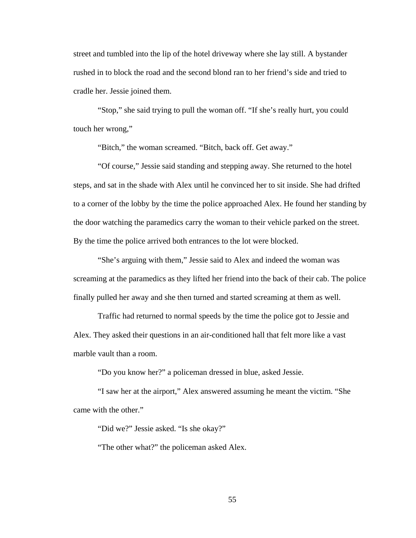street and tumbled into the lip of the hotel driveway where she lay still. A bystander rushed in to block the road and the second blond ran to her friend's side and tried to cradle her. Jessie joined them.

"Stop," she said trying to pull the woman off. "If she's really hurt, you could touch her wrong,"

"Bitch," the woman screamed. "Bitch, back off. Get away."

"Of course," Jessie said standing and stepping away. She returned to the hotel steps, and sat in the shade with Alex until he convinced her to sit inside. She had drifted to a corner of the lobby by the time the police approached Alex. He found her standing by the door watching the paramedics carry the woman to their vehicle parked on the street. By the time the police arrived both entrances to the lot were blocked.

"She's arguing with them," Jessie said to Alex and indeed the woman was screaming at the paramedics as they lifted her friend into the back of their cab. The police finally pulled her away and she then turned and started screaming at them as well.

Traffic had returned to normal speeds by the time the police got to Jessie and Alex. They asked their questions in an air-conditioned hall that felt more like a vast marble vault than a room.

"Do you know her?" a policeman dressed in blue, asked Jessie.

"I saw her at the airport," Alex answered assuming he meant the victim. "She came with the other."

"Did we?" Jessie asked. "Is she okay?"

"The other what?" the policeman asked Alex.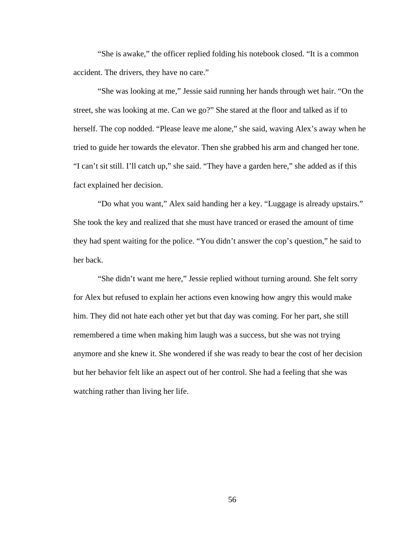"She is awake," the officer replied folding his notebook closed. "It is a common accident. The drivers, they have no care."

"She was looking at me," Jessie said running her hands through wet hair. "On the street, she was looking at me. Can we go?" She stared at the floor and talked as if to herself. The cop nodded. "Please leave me alone," she said, waving Alex's away when he tried to guide her towards the elevator. Then she grabbed his arm and changed her tone. "I can't sit still. I'll catch up," she said. "They have a garden here," she added as if this fact explained her decision.

"Do what you want," Alex said handing her a key. "Luggage is already upstairs." She took the key and realized that she must have tranced or erased the amount of time they had spent waiting for the police. "You didn't answer the cop's question," he said to her back.

"She didn't want me here," Jessie replied without turning around. She felt sorry for Alex but refused to explain her actions even knowing how angry this would make him. They did not hate each other yet but that day was coming. For her part, she still remembered a time when making him laugh was a success, but she was not trying anymore and she knew it. She wondered if she was ready to bear the cost of her decision but her behavior felt like an aspect out of her control. She had a feeling that she was watching rather than living her life.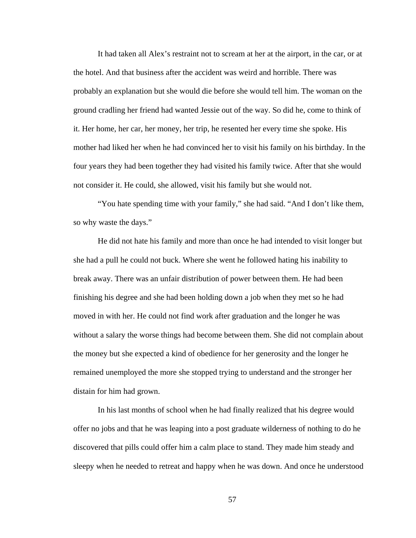It had taken all Alex's restraint not to scream at her at the airport, in the car, or at the hotel. And that business after the accident was weird and horrible. There was probably an explanation but she would die before she would tell him. The woman on the ground cradling her friend had wanted Jessie out of the way. So did he, come to think of it. Her home, her car, her money, her trip, he resented her every time she spoke. His mother had liked her when he had convinced her to visit his family on his birthday. In the four years they had been together they had visited his family twice. After that she would not consider it. He could, she allowed, visit his family but she would not.

"You hate spending time with your family," she had said. "And I don't like them, so why waste the days."

He did not hate his family and more than once he had intended to visit longer but she had a pull he could not buck. Where she went he followed hating his inability to break away. There was an unfair distribution of power between them. He had been finishing his degree and she had been holding down a job when they met so he had moved in with her. He could not find work after graduation and the longer he was without a salary the worse things had become between them. She did not complain about the money but she expected a kind of obedience for her generosity and the longer he remained unemployed the more she stopped trying to understand and the stronger her distain for him had grown.

In his last months of school when he had finally realized that his degree would offer no jobs and that he was leaping into a post graduate wilderness of nothing to do he discovered that pills could offer him a calm place to stand. They made him steady and sleepy when he needed to retreat and happy when he was down. And once he understood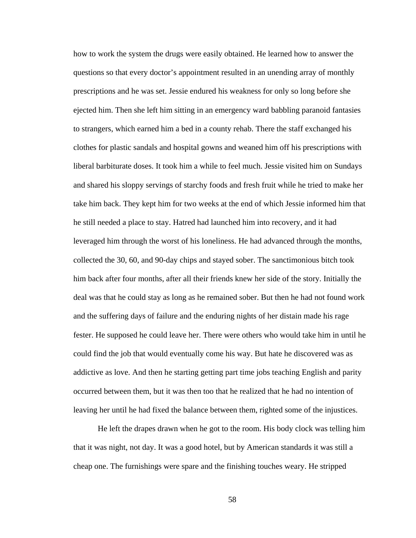how to work the system the drugs were easily obtained. He learned how to answer the questions so that every doctor's appointment resulted in an unending array of monthly prescriptions and he was set. Jessie endured his weakness for only so long before she ejected him. Then she left him sitting in an emergency ward babbling paranoid fantasies to strangers, which earned him a bed in a county rehab. There the staff exchanged his clothes for plastic sandals and hospital gowns and weaned him off his prescriptions with liberal barbiturate doses. It took him a while to feel much. Jessie visited him on Sundays and shared his sloppy servings of starchy foods and fresh fruit while he tried to make her take him back. They kept him for two weeks at the end of which Jessie informed him that he still needed a place to stay. Hatred had launched him into recovery, and it had leveraged him through the worst of his loneliness. He had advanced through the months, collected the 30, 60, and 90-day chips and stayed sober. The sanctimonious bitch took him back after four months, after all their friends knew her side of the story. Initially the deal was that he could stay as long as he remained sober. But then he had not found work and the suffering days of failure and the enduring nights of her distain made his rage fester. He supposed he could leave her. There were others who would take him in until he could find the job that would eventually come his way. But hate he discovered was as addictive as love. And then he starting getting part time jobs teaching English and parity occurred between them, but it was then too that he realized that he had no intention of leaving her until he had fixed the balance between them, righted some of the injustices.

He left the drapes drawn when he got to the room. His body clock was telling him that it was night, not day. It was a good hotel, but by American standards it was still a cheap one. The furnishings were spare and the finishing touches weary. He stripped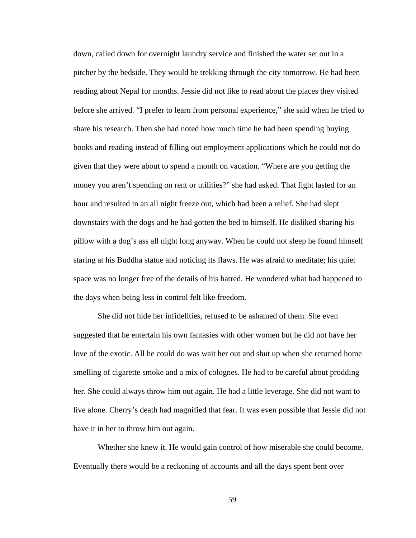down, called down for overnight laundry service and finished the water set out in a pitcher by the bedside. They would be trekking through the city tomorrow. He had been reading about Nepal for months. Jessie did not like to read about the places they visited before she arrived. "I prefer to learn from personal experience," she said when he tried to share his research. Then she had noted how much time he had been spending buying books and reading instead of filling out employment applications which he could not do given that they were about to spend a month on vacation. "Where are you getting the money you aren't spending on rent or utilities?" she had asked. That fight lasted for an hour and resulted in an all night freeze out, which had been a relief. She had slept downstairs with the dogs and he had gotten the bed to himself. He disliked sharing his pillow with a dog's ass all night long anyway. When he could not sleep he found himself staring at his Buddha statue and noticing its flaws. He was afraid to meditate; his quiet space was no longer free of the details of his hatred. He wondered what had happened to the days when being less in control felt like freedom.

She did not hide her infidelities, refused to be ashamed of them. She even suggested that he entertain his own fantasies with other women but he did not have her love of the exotic. All he could do was wait her out and shut up when she returned home smelling of cigarette smoke and a mix of colognes. He had to be careful about prodding her. She could always throw him out again. He had a little leverage. She did not want to live alone. Cherry's death had magnified that fear. It was even possible that Jessie did not have it in her to throw him out again.

Whether she knew it. He would gain control of how miserable she could become. Eventually there would be a reckoning of accounts and all the days spent bent over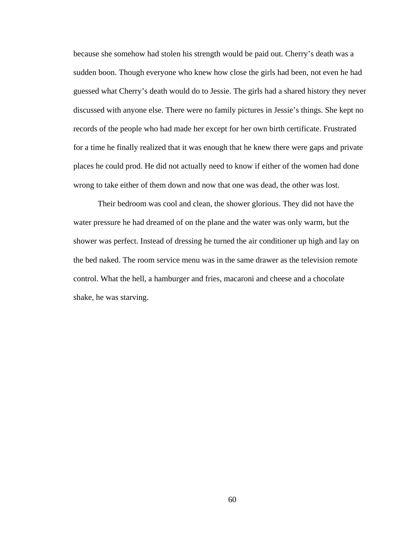because she somehow had stolen his strength would be paid out. Cherry's death was a sudden boon. Though everyone who knew how close the girls had been, not even he had guessed what Cherry's death would do to Jessie. The girls had a shared history they never discussed with anyone else. There were no family pictures in Jessie's things. She kept no records of the people who had made her except for her own birth certificate. Frustrated for a time he finally realized that it was enough that he knew there were gaps and private places he could prod. He did not actually need to know if either of the women had done wrong to take either of them down and now that one was dead, the other was lost.

Their bedroom was cool and clean, the shower glorious. They did not have the water pressure he had dreamed of on the plane and the water was only warm, but the shower was perfect. Instead of dressing he turned the air conditioner up high and lay on the bed naked. The room service menu was in the same drawer as the television remote control. What the hell, a hamburger and fries, macaroni and cheese and a chocolate shake, he was starving.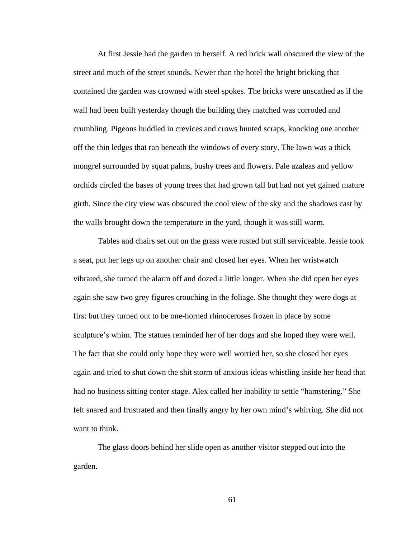At first Jessie had the garden to herself. A red brick wall obscured the view of the street and much of the street sounds. Newer than the hotel the bright bricking that contained the garden was crowned with steel spokes. The bricks were unscathed as if the wall had been built yesterday though the building they matched was corroded and crumbling. Pigeons huddled in crevices and crows hunted scraps, knocking one another off the thin ledges that ran beneath the windows of every story. The lawn was a thick mongrel surrounded by squat palms, bushy trees and flowers. Pale azaleas and yellow orchids circled the bases of young trees that had grown tall but had not yet gained mature girth. Since the city view was obscured the cool view of the sky and the shadows cast by the walls brought down the temperature in the yard, though it was still warm.

Tables and chairs set out on the grass were rusted but still serviceable. Jessie took a seat, put her legs up on another chair and closed her eyes. When her wristwatch vibrated, she turned the alarm off and dozed a little longer. When she did open her eyes again she saw two grey figures crouching in the foliage. She thought they were dogs at first but they turned out to be one-horned rhinoceroses frozen in place by some sculpture's whim. The statues reminded her of her dogs and she hoped they were well. The fact that she could only hope they were well worried her, so she closed her eyes again and tried to shut down the shit storm of anxious ideas whistling inside her head that had no business sitting center stage. Alex called her inability to settle "hamstering." She felt snared and frustrated and then finally angry by her own mind's whirring. She did not want to think.

The glass doors behind her slide open as another visitor stepped out into the garden.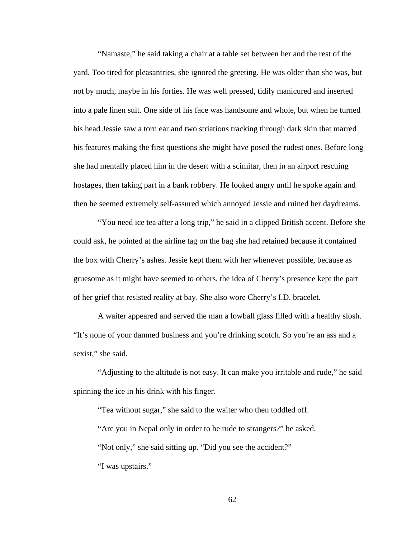"Namaste," he said taking a chair at a table set between her and the rest of the yard. Too tired for pleasantries, she ignored the greeting. He was older than she was, but not by much, maybe in his forties. He was well pressed, tidily manicured and inserted into a pale linen suit. One side of his face was handsome and whole, but when he turned his head Jessie saw a torn ear and two striations tracking through dark skin that marred his features making the first questions she might have posed the rudest ones. Before long she had mentally placed him in the desert with a scimitar, then in an airport rescuing hostages, then taking part in a bank robbery. He looked angry until he spoke again and then he seemed extremely self-assured which annoyed Jessie and ruined her daydreams.

"You need ice tea after a long trip," he said in a clipped British accent. Before she could ask, he pointed at the airline tag on the bag she had retained because it contained the box with Cherry's ashes. Jessie kept them with her whenever possible, because as gruesome as it might have seemed to others, the idea of Cherry's presence kept the part of her grief that resisted reality at bay. She also wore Cherry's I.D. bracelet.

A waiter appeared and served the man a lowball glass filled with a healthy slosh. "It's none of your damned business and you're drinking scotch. So you're an ass and a sexist," she said.

"Adjusting to the altitude is not easy. It can make you irritable and rude," he said spinning the ice in his drink with his finger.

"Tea without sugar," she said to the waiter who then toddled off. "Are you in Nepal only in order to be rude to strangers?" he asked. "Not only," she said sitting up. "Did you see the accident?" "I was upstairs."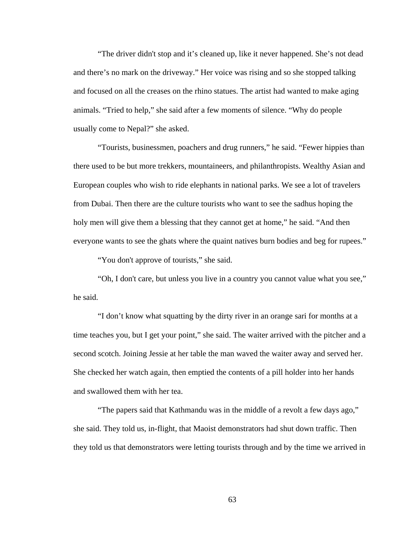"The driver didn't stop and it's cleaned up, like it never happened. She's not dead and there's no mark on the driveway." Her voice was rising and so she stopped talking and focused on all the creases on the rhino statues. The artist had wanted to make aging animals. "Tried to help," she said after a few moments of silence. "Why do people usually come to Nepal?" she asked.

"Tourists, businessmen, poachers and drug runners," he said. "Fewer hippies than there used to be but more trekkers, mountaineers, and philanthropists. Wealthy Asian and European couples who wish to ride elephants in national parks. We see a lot of travelers from Dubai. Then there are the culture tourists who want to see the sadhus hoping the holy men will give them a blessing that they cannot get at home," he said. "And then everyone wants to see the ghats where the quaint natives burn bodies and beg for rupees."

"You don't approve of tourists," she said.

"Oh, I don't care, but unless you live in a country you cannot value what you see," he said.

"I don't know what squatting by the dirty river in an orange sari for months at a time teaches you, but I get your point," she said. The waiter arrived with the pitcher and a second scotch. Joining Jessie at her table the man waved the waiter away and served her. She checked her watch again, then emptied the contents of a pill holder into her hands and swallowed them with her tea.

"The papers said that Kathmandu was in the middle of a revolt a few days ago," she said. They told us, in-flight, that Maoist demonstrators had shut down traffic. Then they told us that demonstrators were letting tourists through and by the time we arrived in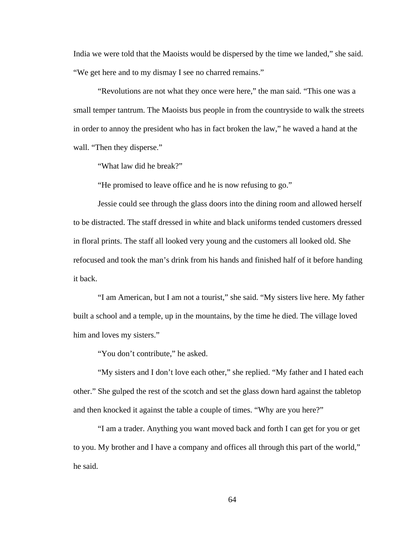India we were told that the Maoists would be dispersed by the time we landed," she said. "We get here and to my dismay I see no charred remains."

"Revolutions are not what they once were here," the man said. "This one was a small temper tantrum. The Maoists bus people in from the countryside to walk the streets in order to annoy the president who has in fact broken the law," he waved a hand at the wall. "Then they disperse."

"What law did he break?"

"He promised to leave office and he is now refusing to go."

Jessie could see through the glass doors into the dining room and allowed herself to be distracted. The staff dressed in white and black uniforms tended customers dressed in floral prints. The staff all looked very young and the customers all looked old. She refocused and took the man's drink from his hands and finished half of it before handing it back.

"I am American, but I am not a tourist," she said. "My sisters live here. My father built a school and a temple, up in the mountains, by the time he died. The village loved him and loves my sisters."

"You don't contribute," he asked.

"My sisters and I don't love each other," she replied. "My father and I hated each other." She gulped the rest of the scotch and set the glass down hard against the tabletop and then knocked it against the table a couple of times. "Why are you here?"

"I am a trader. Anything you want moved back and forth I can get for you or get to you. My brother and I have a company and offices all through this part of the world," he said.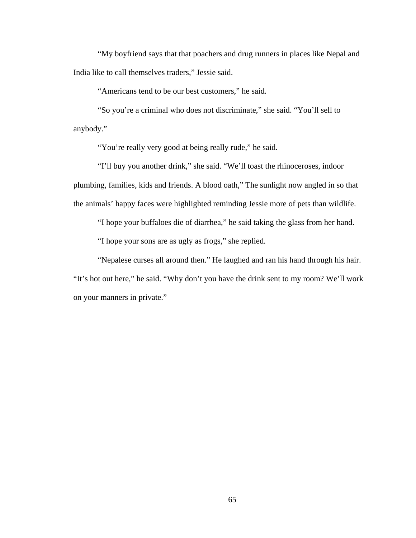"My boyfriend says that that poachers and drug runners in places like Nepal and India like to call themselves traders," Jessie said.

"Americans tend to be our best customers," he said.

"So you're a criminal who does not discriminate," she said. "You'll sell to anybody."

"You're really very good at being really rude," he said.

"I'll buy you another drink," she said. "We'll toast the rhinoceroses, indoor plumbing, families, kids and friends. A blood oath," The sunlight now angled in so that the animals' happy faces were highlighted reminding Jessie more of pets than wildlife.

"I hope your buffaloes die of diarrhea," he said taking the glass from her hand.

"I hope your sons are as ugly as frogs," she replied.

"Nepalese curses all around then." He laughed and ran his hand through his hair. "It's hot out here," he said. "Why don't you have the drink sent to my room? We'll work on your manners in private."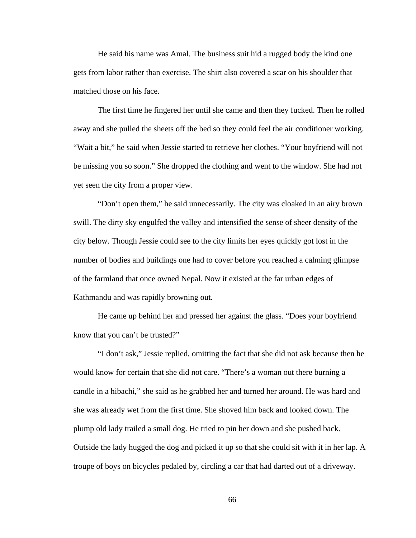He said his name was Amal. The business suit hid a rugged body the kind one gets from labor rather than exercise. The shirt also covered a scar on his shoulder that matched those on his face.

The first time he fingered her until she came and then they fucked. Then he rolled away and she pulled the sheets off the bed so they could feel the air conditioner working. "Wait a bit," he said when Jessie started to retrieve her clothes. "Your boyfriend will not be missing you so soon." She dropped the clothing and went to the window. She had not yet seen the city from a proper view.

"Don't open them," he said unnecessarily. The city was cloaked in an airy brown swill. The dirty sky engulfed the valley and intensified the sense of sheer density of the city below. Though Jessie could see to the city limits her eyes quickly got lost in the number of bodies and buildings one had to cover before you reached a calming glimpse of the farmland that once owned Nepal. Now it existed at the far urban edges of Kathmandu and was rapidly browning out.

He came up behind her and pressed her against the glass. "Does your boyfriend know that you can't be trusted?"

"I don't ask," Jessie replied, omitting the fact that she did not ask because then he would know for certain that she did not care. "There's a woman out there burning a candle in a hibachi," she said as he grabbed her and turned her around. He was hard and she was already wet from the first time. She shoved him back and looked down. The plump old lady trailed a small dog. He tried to pin her down and she pushed back. Outside the lady hugged the dog and picked it up so that she could sit with it in her lap. A troupe of boys on bicycles pedaled by, circling a car that had darted out of a driveway.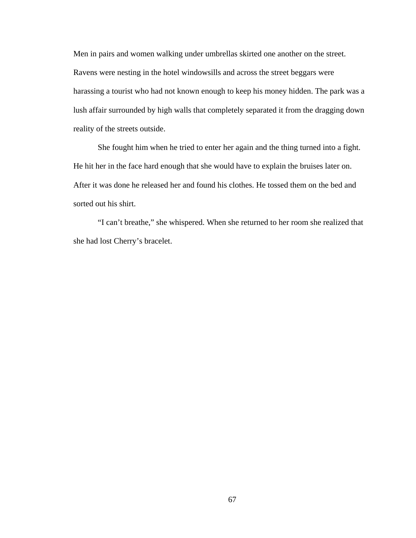Men in pairs and women walking under umbrellas skirted one another on the street. Ravens were nesting in the hotel windowsills and across the street beggars were harassing a tourist who had not known enough to keep his money hidden. The park was a lush affair surrounded by high walls that completely separated it from the dragging down reality of the streets outside.

She fought him when he tried to enter her again and the thing turned into a fight. He hit her in the face hard enough that she would have to explain the bruises later on. After it was done he released her and found his clothes. He tossed them on the bed and sorted out his shirt.

"I can't breathe," she whispered. When she returned to her room she realized that she had lost Cherry's bracelet.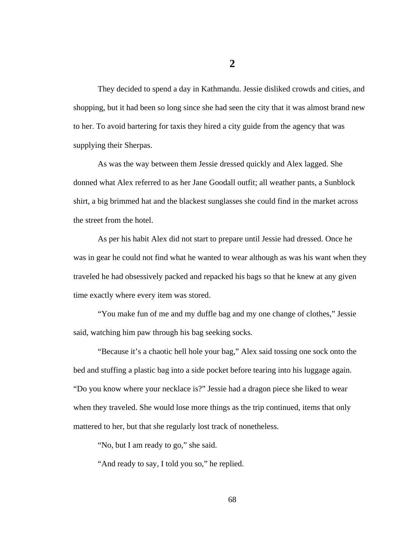They decided to spend a day in Kathmandu. Jessie disliked crowds and cities, and shopping, but it had been so long since she had seen the city that it was almost brand new to her. To avoid bartering for taxis they hired a city guide from the agency that was supplying their Sherpas.

As was the way between them Jessie dressed quickly and Alex lagged. She donned what Alex referred to as her Jane Goodall outfit; all weather pants, a Sunblock shirt, a big brimmed hat and the blackest sunglasses she could find in the market across the street from the hotel.

As per his habit Alex did not start to prepare until Jessie had dressed. Once he was in gear he could not find what he wanted to wear although as was his want when they traveled he had obsessively packed and repacked his bags so that he knew at any given time exactly where every item was stored.

"You make fun of me and my duffle bag and my one change of clothes," Jessie said, watching him paw through his bag seeking socks.

"Because it's a chaotic hell hole your bag," Alex said tossing one sock onto the bed and stuffing a plastic bag into a side pocket before tearing into his luggage again. "Do you know where your necklace is?" Jessie had a dragon piece she liked to wear when they traveled. She would lose more things as the trip continued, items that only mattered to her, but that she regularly lost track of nonetheless.

"No, but I am ready to go," she said.

"And ready to say, I told you so," he replied.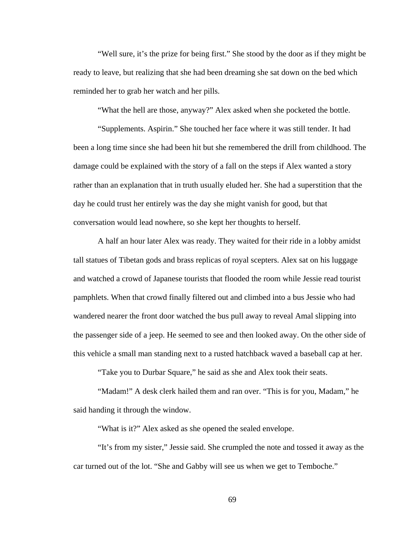"Well sure, it's the prize for being first." She stood by the door as if they might be ready to leave, but realizing that she had been dreaming she sat down on the bed which reminded her to grab her watch and her pills.

"What the hell are those, anyway?" Alex asked when she pocketed the bottle.

"Supplements. Aspirin." She touched her face where it was still tender. It had been a long time since she had been hit but she remembered the drill from childhood. The damage could be explained with the story of a fall on the steps if Alex wanted a story rather than an explanation that in truth usually eluded her. She had a superstition that the day he could trust her entirely was the day she might vanish for good, but that conversation would lead nowhere, so she kept her thoughts to herself.

A half an hour later Alex was ready. They waited for their ride in a lobby amidst tall statues of Tibetan gods and brass replicas of royal scepters. Alex sat on his luggage and watched a crowd of Japanese tourists that flooded the room while Jessie read tourist pamphlets. When that crowd finally filtered out and climbed into a bus Jessie who had wandered nearer the front door watched the bus pull away to reveal Amal slipping into the passenger side of a jeep. He seemed to see and then looked away. On the other side of this vehicle a small man standing next to a rusted hatchback waved a baseball cap at her.

"Take you to Durbar Square," he said as she and Alex took their seats.

"Madam!" A desk clerk hailed them and ran over. "This is for you, Madam," he said handing it through the window.

"What is it?" Alex asked as she opened the sealed envelope.

"It's from my sister," Jessie said. She crumpled the note and tossed it away as the car turned out of the lot. "She and Gabby will see us when we get to Temboche."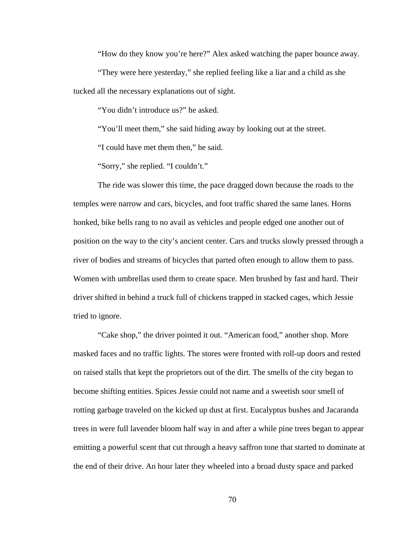"How do they know you're here?" Alex asked watching the paper bounce away.

"They were here yesterday," she replied feeling like a liar and a child as she tucked all the necessary explanations out of sight.

"You didn't introduce us?" he asked.

"You'll meet them," she said hiding away by looking out at the street.

"I could have met them then," he said.

"Sorry," she replied. "I couldn't."

The ride was slower this time, the pace dragged down because the roads to the temples were narrow and cars, bicycles, and foot traffic shared the same lanes. Horns honked, bike bells rang to no avail as vehicles and people edged one another out of position on the way to the city's ancient center. Cars and trucks slowly pressed through a river of bodies and streams of bicycles that parted often enough to allow them to pass. Women with umbrellas used them to create space. Men brushed by fast and hard. Their driver shifted in behind a truck full of chickens trapped in stacked cages, which Jessie tried to ignore.

"Cake shop," the driver pointed it out. "American food," another shop. More masked faces and no traffic lights. The stores were fronted with roll-up doors and rested on raised stalls that kept the proprietors out of the dirt. The smells of the city began to become shifting entities. Spices Jessie could not name and a sweetish sour smell of rotting garbage traveled on the kicked up dust at first. Eucalyptus bushes and Jacaranda trees in were full lavender bloom half way in and after a while pine trees began to appear emitting a powerful scent that cut through a heavy saffron tone that started to dominate at the end of their drive. An hour later they wheeled into a broad dusty space and parked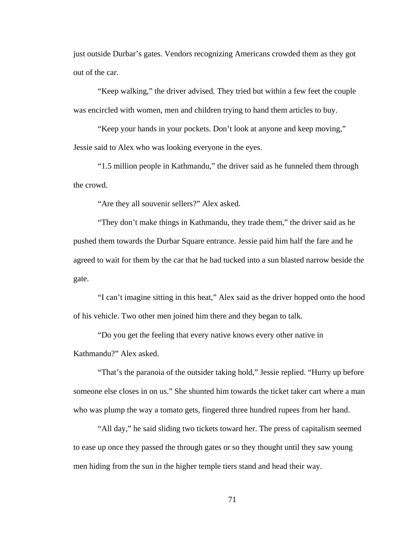just outside Durbar's gates. Vendors recognizing Americans crowded them as they got out of the car.

"Keep walking," the driver advised. They tried but within a few feet the couple was encircled with women, men and children trying to hand them articles to buy.

"Keep your hands in your pockets. Don't look at anyone and keep moving," Jessie said to Alex who was looking everyone in the eyes.

"1.5 million people in Kathmandu," the driver said as he funneled them through the crowd.

"Are they all souvenir sellers?" Alex asked.

"They don't make things in Kathmandu, they trade them," the driver said as he pushed them towards the Durbar Square entrance. Jessie paid him half the fare and he agreed to wait for them by the car that he had tucked into a sun blasted narrow beside the gate.

"I can't imagine sitting in this heat," Alex said as the driver hopped onto the hood of his vehicle. Two other men joined him there and they began to talk.

"Do you get the feeling that every native knows every other native in Kathmandu?" Alex asked.

"That's the paranoia of the outsider taking hold," Jessie replied. "Hurry up before someone else closes in on us." She shunted him towards the ticket taker cart where a man who was plump the way a tomato gets, fingered three hundred rupees from her hand.

"All day," he said sliding two tickets toward her. The press of capitalism seemed to ease up once they passed the through gates or so they thought until they saw young men hiding from the sun in the higher temple tiers stand and head their way.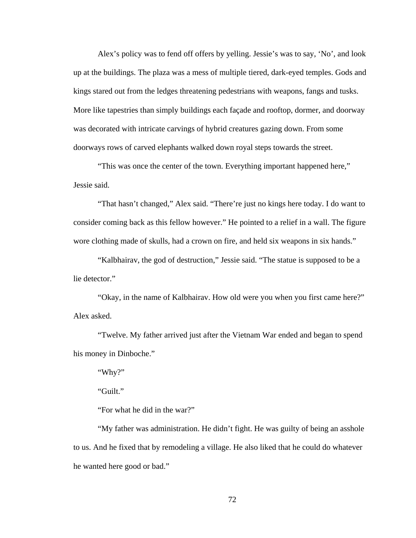Alex's policy was to fend off offers by yelling. Jessie's was to say, 'No', and look up at the buildings. The plaza was a mess of multiple tiered, dark-eyed temples. Gods and kings stared out from the ledges threatening pedestrians with weapons, fangs and tusks. More like tapestries than simply buildings each façade and rooftop, dormer, and doorway was decorated with intricate carvings of hybrid creatures gazing down. From some doorways rows of carved elephants walked down royal steps towards the street.

"This was once the center of the town. Everything important happened here," Jessie said.

"That hasn't changed," Alex said. "There're just no kings here today. I do want to consider coming back as this fellow however." He pointed to a relief in a wall. The figure wore clothing made of skulls, had a crown on fire, and held six weapons in six hands."

"Kalbhairav, the god of destruction," Jessie said. "The statue is supposed to be a lie detector."

"Okay, in the name of Kalbhairav. How old were you when you first came here?" Alex asked.

"Twelve. My father arrived just after the Vietnam War ended and began to spend his money in Dinboche."

"Why?"

"Guilt."

"For what he did in the war?"

"My father was administration. He didn't fight. He was guilty of being an asshole to us. And he fixed that by remodeling a village. He also liked that he could do whatever he wanted here good or bad."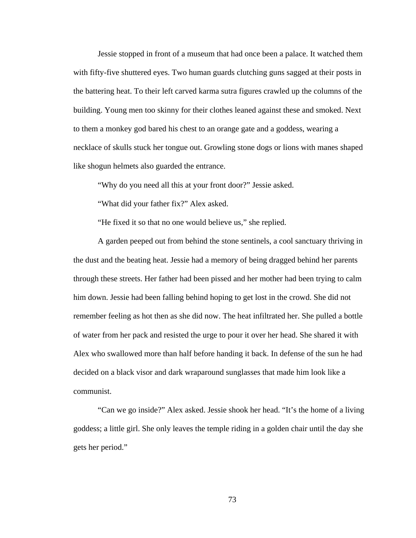Jessie stopped in front of a museum that had once been a palace. It watched them with fifty-five shuttered eyes. Two human guards clutching guns sagged at their posts in the battering heat. To their left carved karma sutra figures crawled up the columns of the building. Young men too skinny for their clothes leaned against these and smoked. Next to them a monkey god bared his chest to an orange gate and a goddess, wearing a necklace of skulls stuck her tongue out. Growling stone dogs or lions with manes shaped like shogun helmets also guarded the entrance.

"Why do you need all this at your front door?" Jessie asked.

"What did your father fix?" Alex asked.

"He fixed it so that no one would believe us," she replied.

A garden peeped out from behind the stone sentinels, a cool sanctuary thriving in the dust and the beating heat. Jessie had a memory of being dragged behind her parents through these streets. Her father had been pissed and her mother had been trying to calm him down. Jessie had been falling behind hoping to get lost in the crowd. She did not remember feeling as hot then as she did now. The heat infiltrated her. She pulled a bottle of water from her pack and resisted the urge to pour it over her head. She shared it with Alex who swallowed more than half before handing it back. In defense of the sun he had decided on a black visor and dark wraparound sunglasses that made him look like a communist.

"Can we go inside?" Alex asked. Jessie shook her head. "It's the home of a living goddess; a little girl. She only leaves the temple riding in a golden chair until the day she gets her period."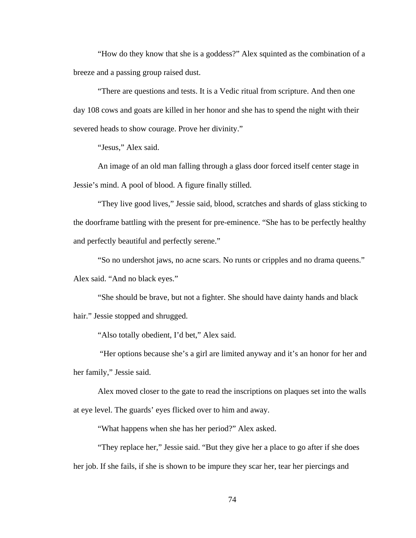"How do they know that she is a goddess?" Alex squinted as the combination of a breeze and a passing group raised dust.

"There are questions and tests. It is a Vedic ritual from scripture. And then one day 108 cows and goats are killed in her honor and she has to spend the night with their severed heads to show courage. Prove her divinity."

"Jesus," Alex said.

An image of an old man falling through a glass door forced itself center stage in Jessie's mind. A pool of blood. A figure finally stilled.

"They live good lives," Jessie said, blood, scratches and shards of glass sticking to the doorframe battling with the present for pre-eminence. "She has to be perfectly healthy and perfectly beautiful and perfectly serene."

"So no undershot jaws, no acne scars. No runts or cripples and no drama queens." Alex said. "And no black eyes."

"She should be brave, but not a fighter. She should have dainty hands and black hair." Jessie stopped and shrugged.

"Also totally obedient, I'd bet," Alex said.

 "Her options because she's a girl are limited anyway and it's an honor for her and her family," Jessie said.

Alex moved closer to the gate to read the inscriptions on plaques set into the walls at eye level. The guards' eyes flicked over to him and away.

"What happens when she has her period?" Alex asked.

"They replace her," Jessie said. "But they give her a place to go after if she does her job. If she fails, if she is shown to be impure they scar her, tear her piercings and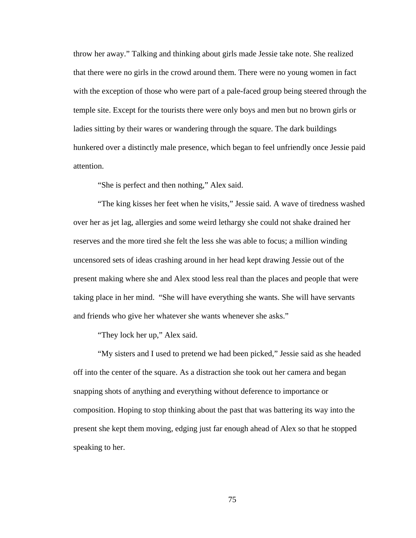throw her away." Talking and thinking about girls made Jessie take note. She realized that there were no girls in the crowd around them. There were no young women in fact with the exception of those who were part of a pale-faced group being steered through the temple site. Except for the tourists there were only boys and men but no brown girls or ladies sitting by their wares or wandering through the square. The dark buildings hunkered over a distinctly male presence, which began to feel unfriendly once Jessie paid attention.

"She is perfect and then nothing," Alex said.

"The king kisses her feet when he visits," Jessie said. A wave of tiredness washed over her as jet lag, allergies and some weird lethargy she could not shake drained her reserves and the more tired she felt the less she was able to focus; a million winding uncensored sets of ideas crashing around in her head kept drawing Jessie out of the present making where she and Alex stood less real than the places and people that were taking place in her mind. "She will have everything she wants. She will have servants and friends who give her whatever she wants whenever she asks."

"They lock her up," Alex said.

"My sisters and I used to pretend we had been picked," Jessie said as she headed off into the center of the square. As a distraction she took out her camera and began snapping shots of anything and everything without deference to importance or composition. Hoping to stop thinking about the past that was battering its way into the present she kept them moving, edging just far enough ahead of Alex so that he stopped speaking to her.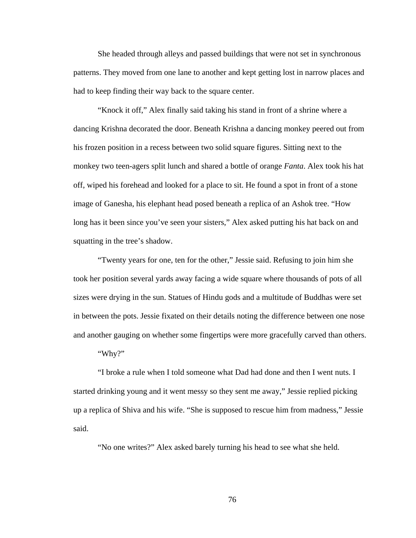She headed through alleys and passed buildings that were not set in synchronous patterns. They moved from one lane to another and kept getting lost in narrow places and had to keep finding their way back to the square center.

"Knock it off," Alex finally said taking his stand in front of a shrine where a dancing Krishna decorated the door. Beneath Krishna a dancing monkey peered out from his frozen position in a recess between two solid square figures. Sitting next to the monkey two teen-agers split lunch and shared a bottle of orange *Fanta*. Alex took his hat off, wiped his forehead and looked for a place to sit. He found a spot in front of a stone image of Ganesha, his elephant head posed beneath a replica of an Ashok tree. "How long has it been since you've seen your sisters," Alex asked putting his hat back on and squatting in the tree's shadow.

"Twenty years for one, ten for the other," Jessie said. Refusing to join him she took her position several yards away facing a wide square where thousands of pots of all sizes were drying in the sun. Statues of Hindu gods and a multitude of Buddhas were set in between the pots. Jessie fixated on their details noting the difference between one nose and another gauging on whether some fingertips were more gracefully carved than others.

"Why?"

"I broke a rule when I told someone what Dad had done and then I went nuts. I started drinking young and it went messy so they sent me away," Jessie replied picking up a replica of Shiva and his wife. "She is supposed to rescue him from madness," Jessie said.

"No one writes?" Alex asked barely turning his head to see what she held.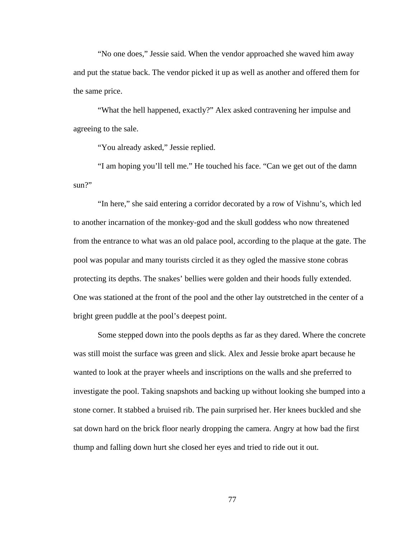"No one does," Jessie said. When the vendor approached she waved him away and put the statue back. The vendor picked it up as well as another and offered them for the same price.

"What the hell happened, exactly?" Alex asked contravening her impulse and agreeing to the sale.

"You already asked," Jessie replied.

"I am hoping you'll tell me." He touched his face. "Can we get out of the damn  $\sin 2$ "

"In here," she said entering a corridor decorated by a row of Vishnu's, which led to another incarnation of the monkey-god and the skull goddess who now threatened from the entrance to what was an old palace pool, according to the plaque at the gate. The pool was popular and many tourists circled it as they ogled the massive stone cobras protecting its depths. The snakes' bellies were golden and their hoods fully extended. One was stationed at the front of the pool and the other lay outstretched in the center of a bright green puddle at the pool's deepest point.

Some stepped down into the pools depths as far as they dared. Where the concrete was still moist the surface was green and slick. Alex and Jessie broke apart because he wanted to look at the prayer wheels and inscriptions on the walls and she preferred to investigate the pool. Taking snapshots and backing up without looking she bumped into a stone corner. It stabbed a bruised rib. The pain surprised her. Her knees buckled and she sat down hard on the brick floor nearly dropping the camera. Angry at how bad the first thump and falling down hurt she closed her eyes and tried to ride out it out.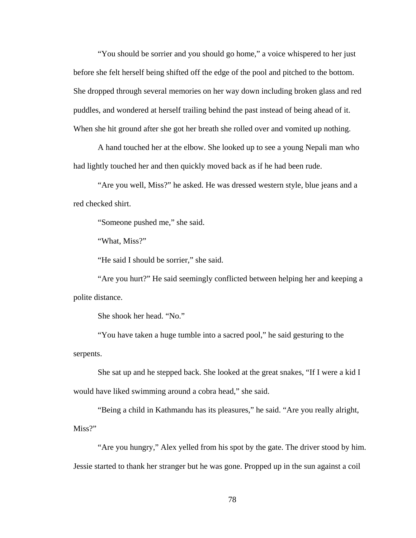"You should be sorrier and you should go home," a voice whispered to her just before she felt herself being shifted off the edge of the pool and pitched to the bottom. She dropped through several memories on her way down including broken glass and red puddles, and wondered at herself trailing behind the past instead of being ahead of it. When she hit ground after she got her breath she rolled over and vomited up nothing.

A hand touched her at the elbow. She looked up to see a young Nepali man who had lightly touched her and then quickly moved back as if he had been rude.

"Are you well, Miss?" he asked. He was dressed western style, blue jeans and a red checked shirt.

"Someone pushed me," she said.

"What, Miss?"

"He said I should be sorrier," she said.

"Are you hurt?" He said seemingly conflicted between helping her and keeping a polite distance.

She shook her head. "No."

"You have taken a huge tumble into a sacred pool," he said gesturing to the serpents.

She sat up and he stepped back. She looked at the great snakes, "If I were a kid I would have liked swimming around a cobra head," she said.

"Being a child in Kathmandu has its pleasures," he said. "Are you really alright, Miss?"

"Are you hungry," Alex yelled from his spot by the gate. The driver stood by him. Jessie started to thank her stranger but he was gone. Propped up in the sun against a coil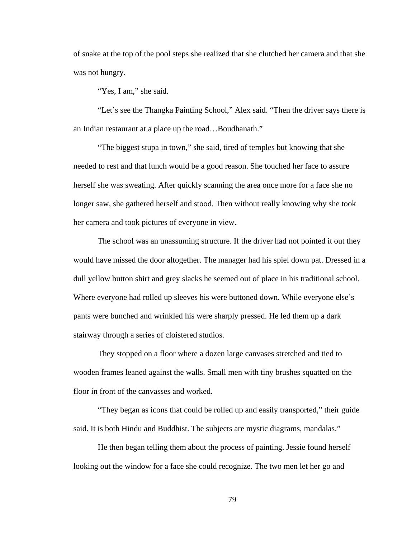of snake at the top of the pool steps she realized that she clutched her camera and that she was not hungry.

"Yes, I am," she said.

"Let's see the Thangka Painting School," Alex said. "Then the driver says there is an Indian restaurant at a place up the road…Boudhanath."

"The biggest stupa in town," she said, tired of temples but knowing that she needed to rest and that lunch would be a good reason. She touched her face to assure herself she was sweating. After quickly scanning the area once more for a face she no longer saw, she gathered herself and stood. Then without really knowing why she took her camera and took pictures of everyone in view.

The school was an unassuming structure. If the driver had not pointed it out they would have missed the door altogether. The manager had his spiel down pat. Dressed in a dull yellow button shirt and grey slacks he seemed out of place in his traditional school. Where everyone had rolled up sleeves his were buttoned down. While everyone else's pants were bunched and wrinkled his were sharply pressed. He led them up a dark stairway through a series of cloistered studios.

They stopped on a floor where a dozen large canvases stretched and tied to wooden frames leaned against the walls. Small men with tiny brushes squatted on the floor in front of the canvasses and worked.

"They began as icons that could be rolled up and easily transported," their guide said. It is both Hindu and Buddhist. The subjects are mystic diagrams, mandalas."

He then began telling them about the process of painting. Jessie found herself looking out the window for a face she could recognize. The two men let her go and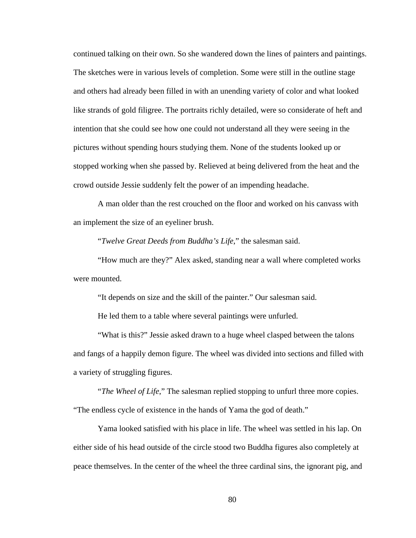continued talking on their own. So she wandered down the lines of painters and paintings. The sketches were in various levels of completion. Some were still in the outline stage and others had already been filled in with an unending variety of color and what looked like strands of gold filigree. The portraits richly detailed, were so considerate of heft and intention that she could see how one could not understand all they were seeing in the pictures without spending hours studying them. None of the students looked up or stopped working when she passed by. Relieved at being delivered from the heat and the crowd outside Jessie suddenly felt the power of an impending headache.

A man older than the rest crouched on the floor and worked on his canvass with an implement the size of an eyeliner brush.

"*Twelve Great Deeds from Buddha's Life*," the salesman said.

"How much are they?" Alex asked, standing near a wall where completed works were mounted.

"It depends on size and the skill of the painter." Our salesman said.

He led them to a table where several paintings were unfurled.

"What is this?" Jessie asked drawn to a huge wheel clasped between the talons and fangs of a happily demon figure. The wheel was divided into sections and filled with a variety of struggling figures.

"*The Wheel of Life*," The salesman replied stopping to unfurl three more copies. "The endless cycle of existence in the hands of Yama the god of death."

Yama looked satisfied with his place in life. The wheel was settled in his lap. On either side of his head outside of the circle stood two Buddha figures also completely at peace themselves. In the center of the wheel the three cardinal sins, the ignorant pig, and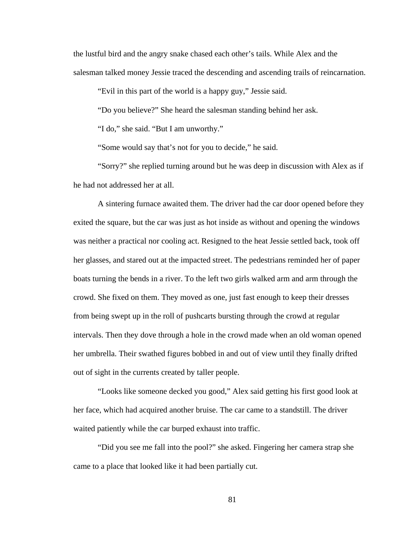the lustful bird and the angry snake chased each other's tails. While Alex and the salesman talked money Jessie traced the descending and ascending trails of reincarnation.

"Evil in this part of the world is a happy guy," Jessie said.

"Do you believe?" She heard the salesman standing behind her ask.

"I do," she said. "But I am unworthy."

"Some would say that's not for you to decide," he said.

"Sorry?" she replied turning around but he was deep in discussion with Alex as if he had not addressed her at all.

A sintering furnace awaited them. The driver had the car door opened before they exited the square, but the car was just as hot inside as without and opening the windows was neither a practical nor cooling act. Resigned to the heat Jessie settled back, took off her glasses, and stared out at the impacted street. The pedestrians reminded her of paper boats turning the bends in a river. To the left two girls walked arm and arm through the crowd. She fixed on them. They moved as one, just fast enough to keep their dresses from being swept up in the roll of pushcarts bursting through the crowd at regular intervals. Then they dove through a hole in the crowd made when an old woman opened her umbrella. Their swathed figures bobbed in and out of view until they finally drifted out of sight in the currents created by taller people.

"Looks like someone decked you good," Alex said getting his first good look at her face, which had acquired another bruise. The car came to a standstill. The driver waited patiently while the car burped exhaust into traffic.

"Did you see me fall into the pool?" she asked. Fingering her camera strap she came to a place that looked like it had been partially cut.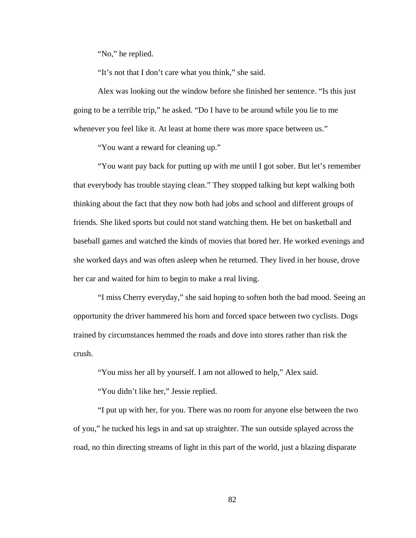"No," he replied.

"It's not that I don't care what you think," she said.

Alex was looking out the window before she finished her sentence. "Is this just going to be a terrible trip," he asked. "Do I have to be around while you lie to me whenever you feel like it. At least at home there was more space between us."

"You want a reward for cleaning up."

"You want pay back for putting up with me until I got sober. But let's remember that everybody has trouble staying clean." They stopped talking but kept walking both thinking about the fact that they now both had jobs and school and different groups of friends. She liked sports but could not stand watching them. He bet on basketball and baseball games and watched the kinds of movies that bored her. He worked evenings and she worked days and was often asleep when he returned. They lived in her house, drove her car and waited for him to begin to make a real living.

"I miss Cherry everyday," she said hoping to soften both the bad mood. Seeing an opportunity the driver hammered his horn and forced space between two cyclists. Dogs trained by circumstances hemmed the roads and dove into stores rather than risk the crush.

"You miss her all by yourself. I am not allowed to help," Alex said.

"You didn't like her," Jessie replied.

"I put up with her, for you. There was no room for anyone else between the two of you," he tucked his legs in and sat up straighter. The sun outside splayed across the road, no thin directing streams of light in this part of the world, just a blazing disparate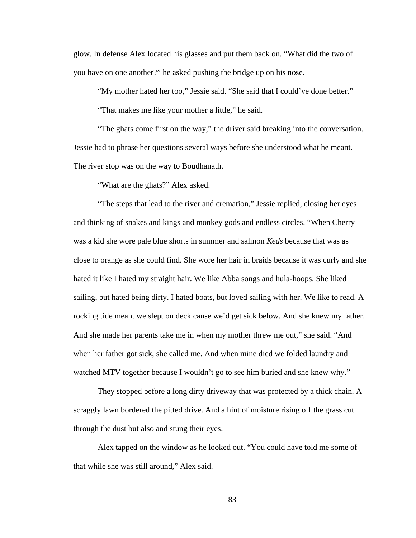glow. In defense Alex located his glasses and put them back on. "What did the two of you have on one another?" he asked pushing the bridge up on his nose.

"My mother hated her too," Jessie said. "She said that I could've done better."

"That makes me like your mother a little," he said.

"The ghats come first on the way," the driver said breaking into the conversation. Jessie had to phrase her questions several ways before she understood what he meant. The river stop was on the way to Boudhanath.

"What are the ghats?" Alex asked.

"The steps that lead to the river and cremation," Jessie replied, closing her eyes and thinking of snakes and kings and monkey gods and endless circles. "When Cherry was a kid she wore pale blue shorts in summer and salmon *Keds* because that was as close to orange as she could find. She wore her hair in braids because it was curly and she hated it like I hated my straight hair. We like Abba songs and hula-hoops. She liked sailing, but hated being dirty. I hated boats, but loved sailing with her. We like to read. A rocking tide meant we slept on deck cause we'd get sick below. And she knew my father. And she made her parents take me in when my mother threw me out," she said. "And when her father got sick, she called me. And when mine died we folded laundry and watched MTV together because I wouldn't go to see him buried and she knew why."

They stopped before a long dirty driveway that was protected by a thick chain. A scraggly lawn bordered the pitted drive. And a hint of moisture rising off the grass cut through the dust but also and stung their eyes.

Alex tapped on the window as he looked out. "You could have told me some of that while she was still around," Alex said.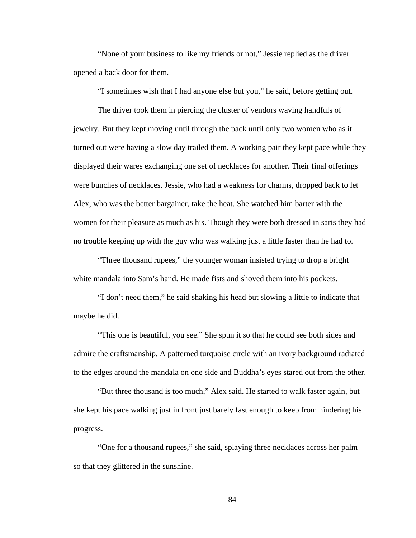"None of your business to like my friends or not," Jessie replied as the driver opened a back door for them.

"I sometimes wish that I had anyone else but you," he said, before getting out.

The driver took them in piercing the cluster of vendors waving handfuls of jewelry. But they kept moving until through the pack until only two women who as it turned out were having a slow day trailed them. A working pair they kept pace while they displayed their wares exchanging one set of necklaces for another. Their final offerings were bunches of necklaces. Jessie, who had a weakness for charms, dropped back to let Alex, who was the better bargainer, take the heat. She watched him barter with the women for their pleasure as much as his. Though they were both dressed in saris they had no trouble keeping up with the guy who was walking just a little faster than he had to.

"Three thousand rupees," the younger woman insisted trying to drop a bright white mandala into Sam's hand. He made fists and shoved them into his pockets.

"I don't need them," he said shaking his head but slowing a little to indicate that maybe he did.

"This one is beautiful, you see." She spun it so that he could see both sides and admire the craftsmanship. A patterned turquoise circle with an ivory background radiated to the edges around the mandala on one side and Buddha's eyes stared out from the other.

"But three thousand is too much," Alex said. He started to walk faster again, but she kept his pace walking just in front just barely fast enough to keep from hindering his progress.

"One for a thousand rupees," she said, splaying three necklaces across her palm so that they glittered in the sunshine.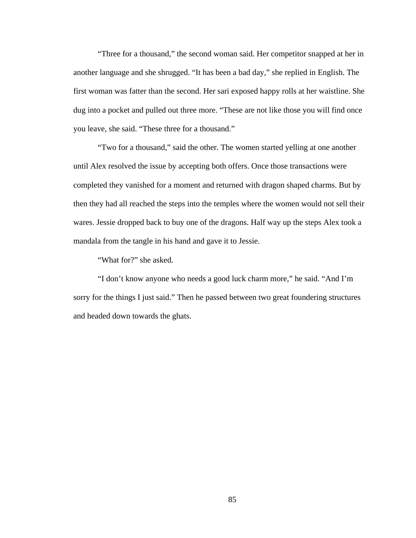"Three for a thousand," the second woman said. Her competitor snapped at her in another language and she shrugged. "It has been a bad day," she replied in English. The first woman was fatter than the second. Her sari exposed happy rolls at her waistline. She dug into a pocket and pulled out three more. "These are not like those you will find once you leave, she said. "These three for a thousand."

"Two for a thousand," said the other. The women started yelling at one another until Alex resolved the issue by accepting both offers. Once those transactions were completed they vanished for a moment and returned with dragon shaped charms. But by then they had all reached the steps into the temples where the women would not sell their wares. Jessie dropped back to buy one of the dragons. Half way up the steps Alex took a mandala from the tangle in his hand and gave it to Jessie.

"What for?" she asked.

"I don't know anyone who needs a good luck charm more," he said. "And I'm sorry for the things I just said." Then he passed between two great foundering structures and headed down towards the ghats.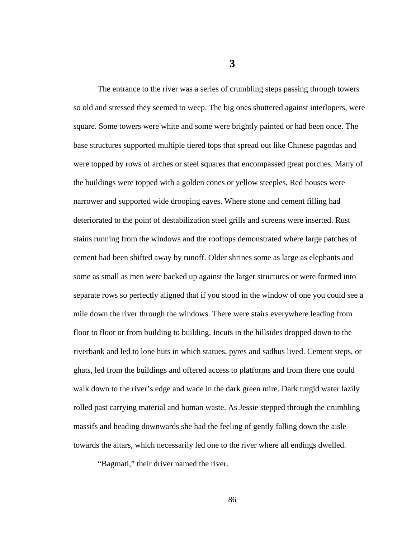**3** 

The entrance to the river was a series of crumbling steps passing through towers so old and stressed they seemed to weep. The big ones shuttered against interlopers, were square. Some towers were white and some were brightly painted or had been once. The base structures supported multiple tiered tops that spread out like Chinese pagodas and were topped by rows of arches or steel squares that encompassed great porches. Many of the buildings were topped with a golden cones or yellow steeples. Red houses were narrower and supported wide drooping eaves. Where stone and cement filling had deteriorated to the point of destabilization steel grills and screens were inserted. Rust stains running from the windows and the rooftops demonstrated where large patches of cement had been shifted away by runoff. Older shrines some as large as elephants and some as small as men were backed up against the larger structures or were formed into separate rows so perfectly aligned that if you stood in the window of one you could see a mile down the river through the windows. There were stairs everywhere leading from floor to floor or from building to building. Incuts in the hillsides dropped down to the riverbank and led to lone huts in which statues, pyres and sadhus lived. Cement steps, or ghats, led from the buildings and offered access to platforms and from there one could walk down to the river's edge and wade in the dark green mire. Dark turgid water lazily rolled past carrying material and human waste. As Jessie stepped through the crumbling massifs and heading downwards she had the feeling of gently falling down the aisle towards the altars, which necessarily led one to the river where all endings dwelled.

"Bagmati," their driver named the river.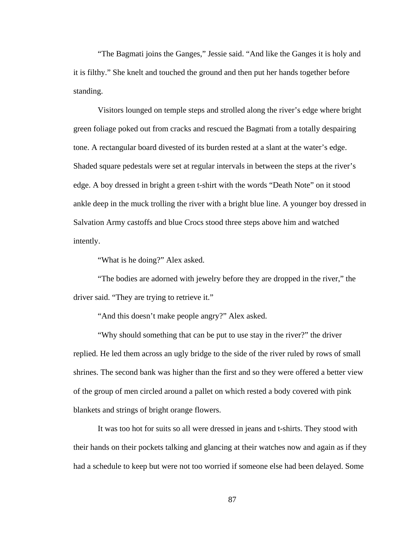"The Bagmati joins the Ganges," Jessie said. "And like the Ganges it is holy and it is filthy." She knelt and touched the ground and then put her hands together before standing.

Visitors lounged on temple steps and strolled along the river's edge where bright green foliage poked out from cracks and rescued the Bagmati from a totally despairing tone. A rectangular board divested of its burden rested at a slant at the water's edge. Shaded square pedestals were set at regular intervals in between the steps at the river's edge. A boy dressed in bright a green t-shirt with the words "Death Note" on it stood ankle deep in the muck trolling the river with a bright blue line. A younger boy dressed in Salvation Army castoffs and blue Crocs stood three steps above him and watched intently.

"What is he doing?" Alex asked.

"The bodies are adorned with jewelry before they are dropped in the river," the driver said. "They are trying to retrieve it."

"And this doesn't make people angry?" Alex asked.

"Why should something that can be put to use stay in the river?" the driver replied. He led them across an ugly bridge to the side of the river ruled by rows of small shrines. The second bank was higher than the first and so they were offered a better view of the group of men circled around a pallet on which rested a body covered with pink blankets and strings of bright orange flowers.

It was too hot for suits so all were dressed in jeans and t-shirts. They stood with their hands on their pockets talking and glancing at their watches now and again as if they had a schedule to keep but were not too worried if someone else had been delayed. Some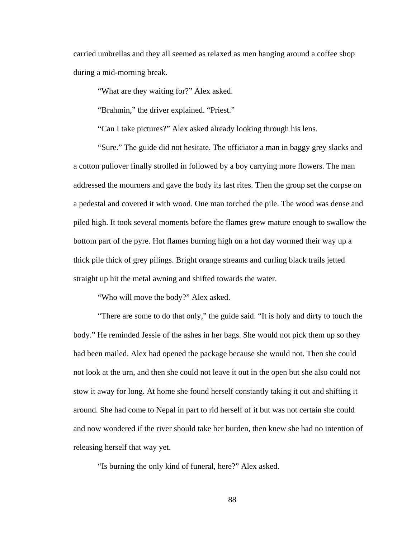carried umbrellas and they all seemed as relaxed as men hanging around a coffee shop during a mid-morning break.

"What are they waiting for?" Alex asked.

"Brahmin," the driver explained. "Priest."

"Can I take pictures?" Alex asked already looking through his lens.

"Sure." The guide did not hesitate. The officiator a man in baggy grey slacks and a cotton pullover finally strolled in followed by a boy carrying more flowers. The man addressed the mourners and gave the body its last rites. Then the group set the corpse on a pedestal and covered it with wood. One man torched the pile. The wood was dense and piled high. It took several moments before the flames grew mature enough to swallow the bottom part of the pyre. Hot flames burning high on a hot day wormed their way up a thick pile thick of grey pilings. Bright orange streams and curling black trails jetted straight up hit the metal awning and shifted towards the water.

"Who will move the body?" Alex asked.

"There are some to do that only," the guide said. "It is holy and dirty to touch the body." He reminded Jessie of the ashes in her bags. She would not pick them up so they had been mailed. Alex had opened the package because she would not. Then she could not look at the urn, and then she could not leave it out in the open but she also could not stow it away for long. At home she found herself constantly taking it out and shifting it around. She had come to Nepal in part to rid herself of it but was not certain she could and now wondered if the river should take her burden, then knew she had no intention of releasing herself that way yet.

"Is burning the only kind of funeral, here?" Alex asked.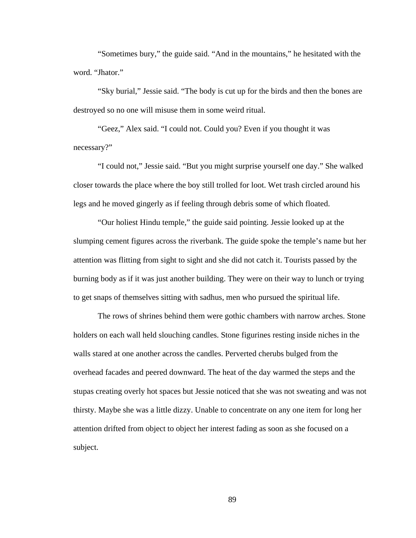"Sometimes bury," the guide said. "And in the mountains," he hesitated with the word. "Jhator."

"Sky burial," Jessie said. "The body is cut up for the birds and then the bones are destroyed so no one will misuse them in some weird ritual.

"Geez," Alex said. "I could not. Could you? Even if you thought it was necessary?"

"I could not," Jessie said. "But you might surprise yourself one day." She walked closer towards the place where the boy still trolled for loot. Wet trash circled around his legs and he moved gingerly as if feeling through debris some of which floated.

"Our holiest Hindu temple," the guide said pointing. Jessie looked up at the slumping cement figures across the riverbank. The guide spoke the temple's name but her attention was flitting from sight to sight and she did not catch it. Tourists passed by the burning body as if it was just another building. They were on their way to lunch or trying to get snaps of themselves sitting with sadhus, men who pursued the spiritual life.

The rows of shrines behind them were gothic chambers with narrow arches. Stone holders on each wall held slouching candles. Stone figurines resting inside niches in the walls stared at one another across the candles. Perverted cherubs bulged from the overhead facades and peered downward. The heat of the day warmed the steps and the stupas creating overly hot spaces but Jessie noticed that she was not sweating and was not thirsty. Maybe she was a little dizzy. Unable to concentrate on any one item for long her attention drifted from object to object her interest fading as soon as she focused on a subject.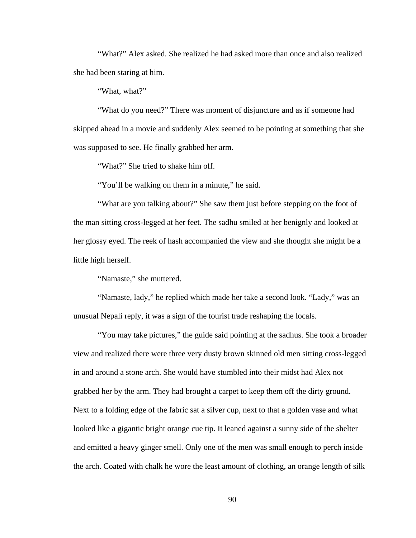"What?" Alex asked. She realized he had asked more than once and also realized she had been staring at him.

"What, what?"

"What do you need?" There was moment of disjuncture and as if someone had skipped ahead in a movie and suddenly Alex seemed to be pointing at something that she was supposed to see. He finally grabbed her arm.

"What?" She tried to shake him off.

"You'll be walking on them in a minute," he said.

"What are you talking about?" She saw them just before stepping on the foot of the man sitting cross-legged at her feet. The sadhu smiled at her benignly and looked at her glossy eyed. The reek of hash accompanied the view and she thought she might be a little high herself.

"Namaste," she muttered.

"Namaste, lady," he replied which made her take a second look. "Lady," was an unusual Nepali reply, it was a sign of the tourist trade reshaping the locals.

"You may take pictures," the guide said pointing at the sadhus. She took a broader view and realized there were three very dusty brown skinned old men sitting cross-legged in and around a stone arch. She would have stumbled into their midst had Alex not grabbed her by the arm. They had brought a carpet to keep them off the dirty ground. Next to a folding edge of the fabric sat a silver cup, next to that a golden vase and what looked like a gigantic bright orange cue tip. It leaned against a sunny side of the shelter and emitted a heavy ginger smell. Only one of the men was small enough to perch inside the arch. Coated with chalk he wore the least amount of clothing, an orange length of silk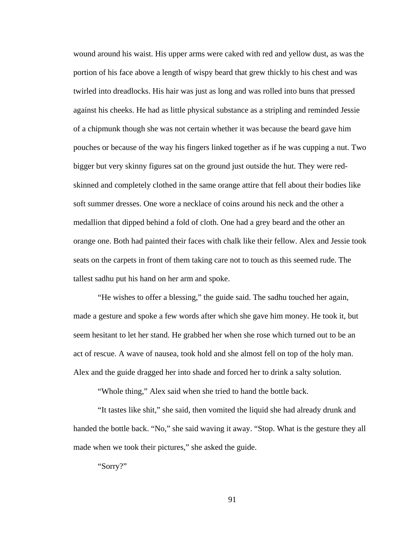wound around his waist. His upper arms were caked with red and yellow dust, as was the portion of his face above a length of wispy beard that grew thickly to his chest and was twirled into dreadlocks. His hair was just as long and was rolled into buns that pressed against his cheeks. He had as little physical substance as a stripling and reminded Jessie of a chipmunk though she was not certain whether it was because the beard gave him pouches or because of the way his fingers linked together as if he was cupping a nut. Two bigger but very skinny figures sat on the ground just outside the hut. They were redskinned and completely clothed in the same orange attire that fell about their bodies like soft summer dresses. One wore a necklace of coins around his neck and the other a medallion that dipped behind a fold of cloth. One had a grey beard and the other an orange one. Both had painted their faces with chalk like their fellow. Alex and Jessie took seats on the carpets in front of them taking care not to touch as this seemed rude. The tallest sadhu put his hand on her arm and spoke.

"He wishes to offer a blessing," the guide said. The sadhu touched her again, made a gesture and spoke a few words after which she gave him money. He took it, but seem hesitant to let her stand. He grabbed her when she rose which turned out to be an act of rescue. A wave of nausea, took hold and she almost fell on top of the holy man. Alex and the guide dragged her into shade and forced her to drink a salty solution.

"Whole thing," Alex said when she tried to hand the bottle back.

"It tastes like shit," she said, then vomited the liquid she had already drunk and handed the bottle back. "No," she said waving it away. "Stop. What is the gesture they all made when we took their pictures," she asked the guide.

"Sorry?"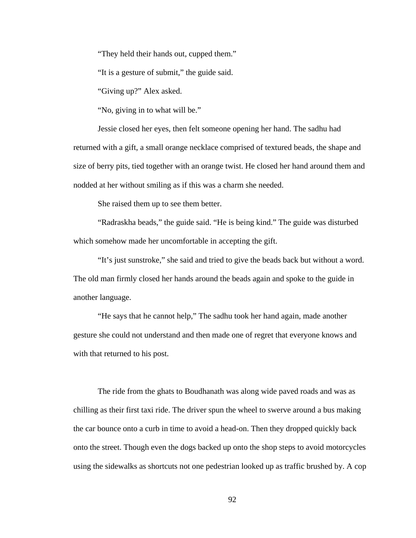"They held their hands out, cupped them."

"It is a gesture of submit," the guide said.

"Giving up?" Alex asked.

"No, giving in to what will be."

Jessie closed her eyes, then felt someone opening her hand. The sadhu had returned with a gift, a small orange necklace comprised of textured beads, the shape and size of berry pits, tied together with an orange twist. He closed her hand around them and nodded at her without smiling as if this was a charm she needed.

She raised them up to see them better.

"Radraskha beads," the guide said. "He is being kind." The guide was disturbed which somehow made her uncomfortable in accepting the gift.

"It's just sunstroke," she said and tried to give the beads back but without a word. The old man firmly closed her hands around the beads again and spoke to the guide in another language.

"He says that he cannot help," The sadhu took her hand again, made another gesture she could not understand and then made one of regret that everyone knows and with that returned to his post.

The ride from the ghats to Boudhanath was along wide paved roads and was as chilling as their first taxi ride. The driver spun the wheel to swerve around a bus making the car bounce onto a curb in time to avoid a head-on. Then they dropped quickly back onto the street. Though even the dogs backed up onto the shop steps to avoid motorcycles using the sidewalks as shortcuts not one pedestrian looked up as traffic brushed by. A cop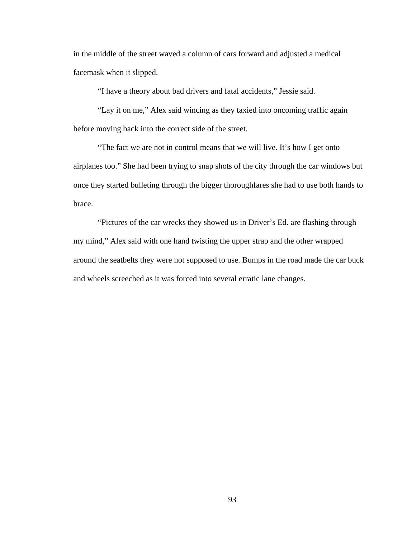in the middle of the street waved a column of cars forward and adjusted a medical facemask when it slipped.

"I have a theory about bad drivers and fatal accidents," Jessie said.

"Lay it on me," Alex said wincing as they taxied into oncoming traffic again before moving back into the correct side of the street.

"The fact we are not in control means that we will live. It's how I get onto airplanes too." She had been trying to snap shots of the city through the car windows but once they started bulleting through the bigger thoroughfares she had to use both hands to brace.

"Pictures of the car wrecks they showed us in Driver's Ed. are flashing through my mind," Alex said with one hand twisting the upper strap and the other wrapped around the seatbelts they were not supposed to use. Bumps in the road made the car buck and wheels screeched as it was forced into several erratic lane changes.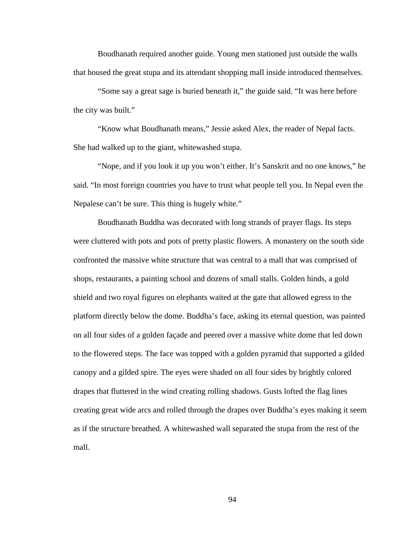Boudhanath required another guide. Young men stationed just outside the walls that housed the great stupa and its attendant shopping mall inside introduced themselves.

"Some say a great sage is buried beneath it," the guide said. "It was here before the city was built."

"Know what Boudhanath means," Jessie asked Alex, the reader of Nepal facts. She had walked up to the giant, whitewashed stupa.

"Nope, and if you look it up you won't either. It's Sanskrit and no one knows," he said. "In most foreign countries you have to trust what people tell you. In Nepal even the Nepalese can't be sure. This thing is hugely white."

Boudhanath Buddha was decorated with long strands of prayer flags. Its steps were cluttered with pots and pots of pretty plastic flowers. A monastery on the south side confronted the massive white structure that was central to a mall that was comprised of shops, restaurants, a painting school and dozens of small stalls. Golden hinds, a gold shield and two royal figures on elephants waited at the gate that allowed egress to the platform directly below the dome. Buddha's face, asking its eternal question, was painted on all four sides of a golden façade and peered over a massive white dome that led down to the flowered steps. The face was topped with a golden pyramid that supported a gilded canopy and a gilded spire. The eyes were shaded on all four sides by brightly colored drapes that fluttered in the wind creating rolling shadows. Gusts lofted the flag lines creating great wide arcs and rolled through the drapes over Buddha's eyes making it seem as if the structure breathed. A whitewashed wall separated the stupa from the rest of the mall.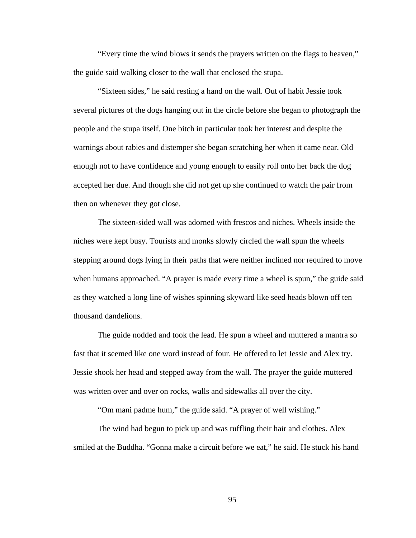"Every time the wind blows it sends the prayers written on the flags to heaven," the guide said walking closer to the wall that enclosed the stupa.

"Sixteen sides," he said resting a hand on the wall. Out of habit Jessie took several pictures of the dogs hanging out in the circle before she began to photograph the people and the stupa itself. One bitch in particular took her interest and despite the warnings about rabies and distemper she began scratching her when it came near. Old enough not to have confidence and young enough to easily roll onto her back the dog accepted her due. And though she did not get up she continued to watch the pair from then on whenever they got close.

The sixteen-sided wall was adorned with frescos and niches. Wheels inside the niches were kept busy. Tourists and monks slowly circled the wall spun the wheels stepping around dogs lying in their paths that were neither inclined nor required to move when humans approached. "A prayer is made every time a wheel is spun," the guide said as they watched a long line of wishes spinning skyward like seed heads blown off ten thousand dandelions.

The guide nodded and took the lead. He spun a wheel and muttered a mantra so fast that it seemed like one word instead of four. He offered to let Jessie and Alex try. Jessie shook her head and stepped away from the wall. The prayer the guide muttered was written over and over on rocks, walls and sidewalks all over the city.

"Om mani padme hum," the guide said. "A prayer of well wishing."

The wind had begun to pick up and was ruffling their hair and clothes. Alex smiled at the Buddha. "Gonna make a circuit before we eat," he said. He stuck his hand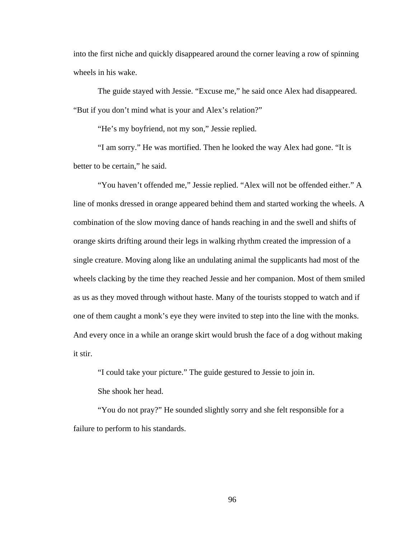into the first niche and quickly disappeared around the corner leaving a row of spinning wheels in his wake.

The guide stayed with Jessie. "Excuse me," he said once Alex had disappeared. "But if you don't mind what is your and Alex's relation?"

"He's my boyfriend, not my son," Jessie replied.

"I am sorry." He was mortified. Then he looked the way Alex had gone. "It is better to be certain," he said.

"You haven't offended me," Jessie replied. "Alex will not be offended either." A line of monks dressed in orange appeared behind them and started working the wheels. A combination of the slow moving dance of hands reaching in and the swell and shifts of orange skirts drifting around their legs in walking rhythm created the impression of a single creature. Moving along like an undulating animal the supplicants had most of the wheels clacking by the time they reached Jessie and her companion. Most of them smiled as us as they moved through without haste. Many of the tourists stopped to watch and if one of them caught a monk's eye they were invited to step into the line with the monks. And every once in a while an orange skirt would brush the face of a dog without making it stir.

"I could take your picture." The guide gestured to Jessie to join in. She shook her head.

"You do not pray?" He sounded slightly sorry and she felt responsible for a failure to perform to his standards.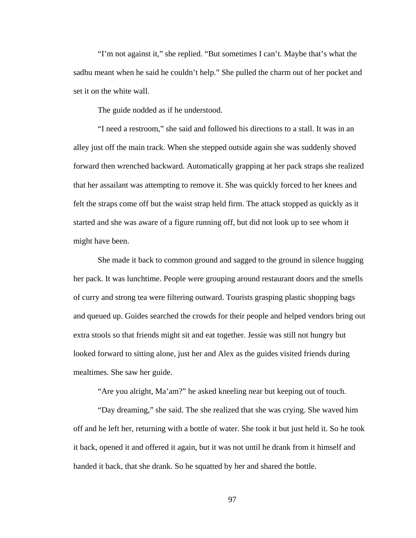"I'm not against it," she replied. "But sometimes I can't. Maybe that's what the sadhu meant when he said he couldn't help." She pulled the charm out of her pocket and set it on the white wall.

The guide nodded as if he understood.

"I need a restroom," she said and followed his directions to a stall. It was in an alley just off the main track. When she stepped outside again she was suddenly shoved forward then wrenched backward. Automatically grapping at her pack straps she realized that her assailant was attempting to remove it. She was quickly forced to her knees and felt the straps come off but the waist strap held firm. The attack stopped as quickly as it started and she was aware of a figure running off, but did not look up to see whom it might have been.

She made it back to common ground and sagged to the ground in silence hugging her pack. It was lunchtime. People were grouping around restaurant doors and the smells of curry and strong tea were filtering outward. Tourists grasping plastic shopping bags and queued up. Guides searched the crowds for their people and helped vendors bring out extra stools so that friends might sit and eat together. Jessie was still not hungry but looked forward to sitting alone, just her and Alex as the guides visited friends during mealtimes. She saw her guide.

"Are you alright, Ma'am?" he asked kneeling near but keeping out of touch.

"Day dreaming," she said. The she realized that she was crying. She waved him off and he left her, returning with a bottle of water. She took it but just held it. So he took it back, opened it and offered it again, but it was not until he drank from it himself and handed it back, that she drank. So he squatted by her and shared the bottle.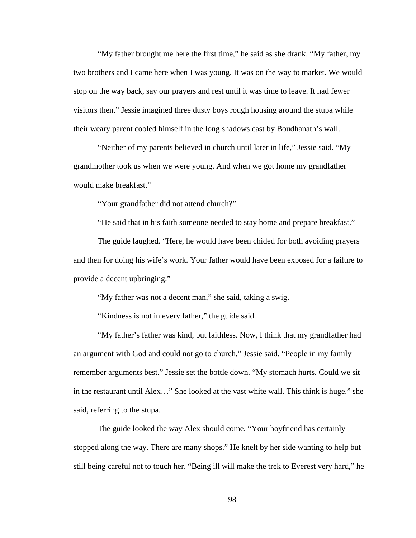"My father brought me here the first time," he said as she drank. "My father, my two brothers and I came here when I was young. It was on the way to market. We would stop on the way back, say our prayers and rest until it was time to leave. It had fewer visitors then." Jessie imagined three dusty boys rough housing around the stupa while their weary parent cooled himself in the long shadows cast by Boudhanath's wall.

"Neither of my parents believed in church until later in life," Jessie said. "My grandmother took us when we were young. And when we got home my grandfather would make breakfast."

"Your grandfather did not attend church?"

"He said that in his faith someone needed to stay home and prepare breakfast."

The guide laughed. "Here, he would have been chided for both avoiding prayers and then for doing his wife's work. Your father would have been exposed for a failure to provide a decent upbringing."

"My father was not a decent man," she said, taking a swig.

"Kindness is not in every father," the guide said.

"My father's father was kind, but faithless. Now, I think that my grandfather had an argument with God and could not go to church," Jessie said. "People in my family remember arguments best." Jessie set the bottle down. "My stomach hurts. Could we sit in the restaurant until Alex…" She looked at the vast white wall. This think is huge." she said, referring to the stupa.

The guide looked the way Alex should come. "Your boyfriend has certainly stopped along the way. There are many shops." He knelt by her side wanting to help but still being careful not to touch her. "Being ill will make the trek to Everest very hard," he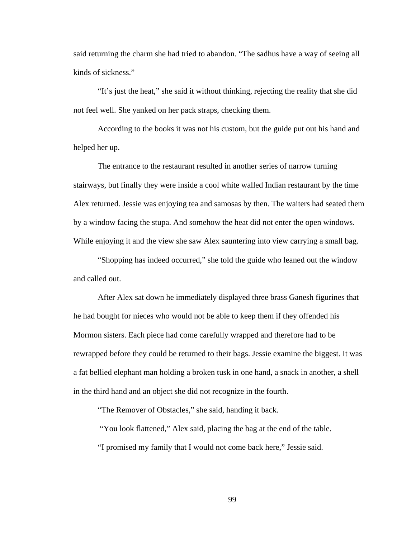said returning the charm she had tried to abandon. "The sadhus have a way of seeing all kinds of sickness."

"It's just the heat," she said it without thinking, rejecting the reality that she did not feel well. She yanked on her pack straps, checking them.

According to the books it was not his custom, but the guide put out his hand and helped her up.

The entrance to the restaurant resulted in another series of narrow turning stairways, but finally they were inside a cool white walled Indian restaurant by the time Alex returned. Jessie was enjoying tea and samosas by then. The waiters had seated them by a window facing the stupa. And somehow the heat did not enter the open windows. While enjoying it and the view she saw Alex sauntering into view carrying a small bag.

"Shopping has indeed occurred," she told the guide who leaned out the window and called out.

After Alex sat down he immediately displayed three brass Ganesh figurines that he had bought for nieces who would not be able to keep them if they offended his Mormon sisters. Each piece had come carefully wrapped and therefore had to be rewrapped before they could be returned to their bags. Jessie examine the biggest. It was a fat bellied elephant man holding a broken tusk in one hand, a snack in another, a shell in the third hand and an object she did not recognize in the fourth.

"The Remover of Obstacles," she said, handing it back.

"You look flattened," Alex said, placing the bag at the end of the table.

"I promised my family that I would not come back here," Jessie said.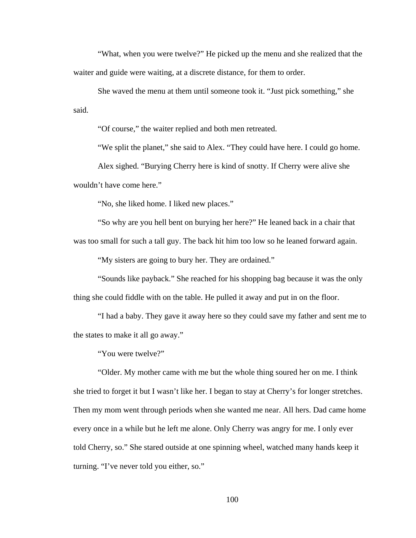"What, when you were twelve?" He picked up the menu and she realized that the waiter and guide were waiting, at a discrete distance, for them to order.

She waved the menu at them until someone took it. "Just pick something," she said.

"Of course," the waiter replied and both men retreated.

"We split the planet," she said to Alex. "They could have here. I could go home.

Alex sighed. "Burying Cherry here is kind of snotty. If Cherry were alive she wouldn't have come here."

"No, she liked home. I liked new places."

"So why are you hell bent on burying her here?" He leaned back in a chair that

was too small for such a tall guy. The back hit him too low so he leaned forward again.

"My sisters are going to bury her. They are ordained."

"Sounds like payback." She reached for his shopping bag because it was the only thing she could fiddle with on the table. He pulled it away and put in on the floor.

"I had a baby. They gave it away here so they could save my father and sent me to the states to make it all go away."

"You were twelve?"

"Older. My mother came with me but the whole thing soured her on me. I think she tried to forget it but I wasn't like her. I began to stay at Cherry's for longer stretches. Then my mom went through periods when she wanted me near. All hers. Dad came home every once in a while but he left me alone. Only Cherry was angry for me. I only ever told Cherry, so." She stared outside at one spinning wheel, watched many hands keep it turning. "I've never told you either, so."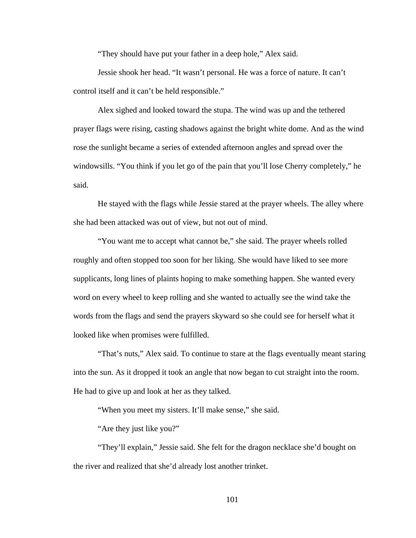"They should have put your father in a deep hole," Alex said.

Jessie shook her head. "It wasn't personal. He was a force of nature. It can't control itself and it can't be held responsible."

Alex sighed and looked toward the stupa. The wind was up and the tethered prayer flags were rising, casting shadows against the bright white dome. And as the wind rose the sunlight became a series of extended afternoon angles and spread over the windowsills. "You think if you let go of the pain that you'll lose Cherry completely," he said.

He stayed with the flags while Jessie stared at the prayer wheels. The alley where she had been attacked was out of view, but not out of mind.

"You want me to accept what cannot be," she said. The prayer wheels rolled roughly and often stopped too soon for her liking. She would have liked to see more supplicants, long lines of plaints hoping to make something happen. She wanted every word on every wheel to keep rolling and she wanted to actually see the wind take the words from the flags and send the prayers skyward so she could see for herself what it looked like when promises were fulfilled.

"That's nuts," Alex said. To continue to stare at the flags eventually meant staring into the sun. As it dropped it took an angle that now began to cut straight into the room. He had to give up and look at her as they talked.

"When you meet my sisters. It'll make sense," she said.

"Are they just like you?"

"They'll explain," Jessie said. She felt for the dragon necklace she'd bought on the river and realized that she'd already lost another trinket.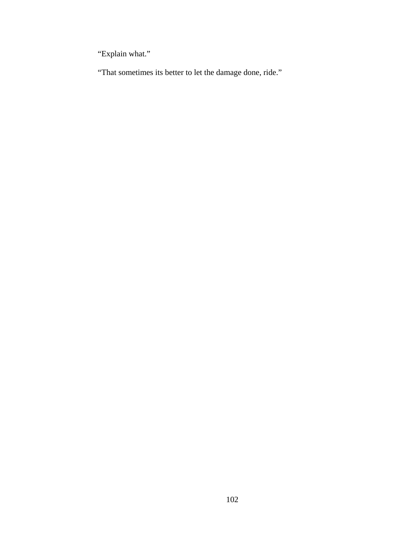"Explain what."

"That sometimes its better to let the damage done, ride."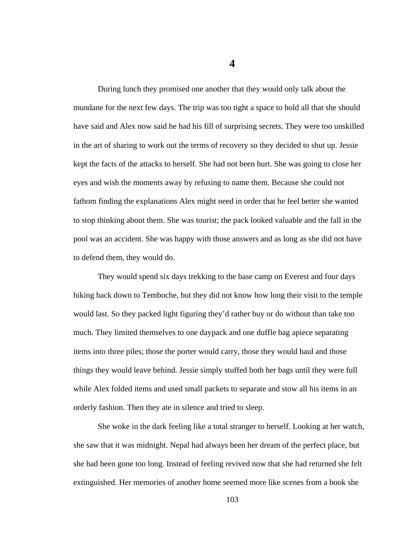During lunch they promised one another that they would only talk about the mundane for the next few days. The trip was too tight a space to hold all that she should have said and Alex now said he had his fill of surprising secrets. They were too unskilled in the art of sharing to work out the terms of recovery so they decided to shut up. Jessie kept the facts of the attacks to herself. She had not been hurt. She was going to close her eyes and wish the moments away by refusing to name them. Because she could not fathom finding the explanations Alex might need in order that he feel better she wanted to stop thinking about them. She was tourist; the pack looked valuable and the fall in the pool was an accident. She was happy with those answers and as long as she did not have to defend them, they would do.

They would spend six days trekking to the base camp on Everest and four days hiking back down to Temboche, but they did not know how long their visit to the temple would last. So they packed light figuring they'd rather buy or do without than take too much. They limited themselves to one daypack and one duffle bag apiece separating items into three piles; those the porter would carry, those they would haul and those things they would leave behind. Jessie simply stuffed both her bags until they were full while Alex folded items and used small packets to separate and stow all his items in an orderly fashion. Then they ate in silence and tried to sleep.

She woke in the dark feeling like a total stranger to herself. Looking at her watch, she saw that it was midnight. Nepal had always been her dream of the perfect place, but she had been gone too long. Instead of feeling revived now that she had returned she felt extinguished. Her memories of another home seemed more like scenes from a book she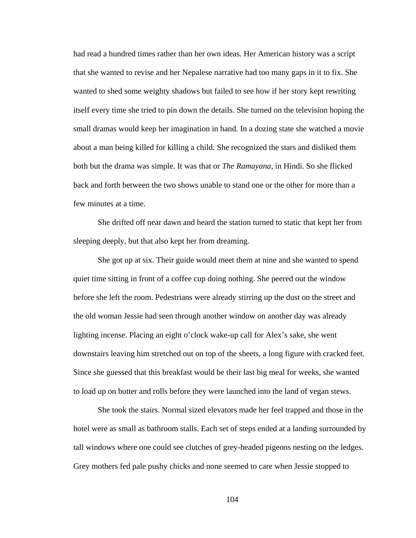had read a hundred times rather than her own ideas. Her American history was a script that she wanted to revise and her Nepalese narrative had too many gaps in it to fix. She wanted to shed some weighty shadows but failed to see how if her story kept rewriting itself every time she tried to pin down the details. She turned on the television hoping the small dramas would keep her imagination in hand. In a dozing state she watched a movie about a man being killed for killing a child. She recognized the stars and disliked them both but the drama was simple. It was that or *The Ramayana*, in Hindi. So she flicked back and forth between the two shows unable to stand one or the other for more than a few minutes at a time.

She drifted off near dawn and heard the station turned to static that kept her from sleeping deeply, but that also kept her from dreaming.

She got up at six. Their guide would meet them at nine and she wanted to spend quiet time sitting in front of a coffee cup doing nothing. She peered out the window before she left the room. Pedestrians were already stirring up the dust on the street and the old woman Jessie had seen through another window on another day was already lighting incense. Placing an eight o'clock wake-up call for Alex's sake, she went downstairs leaving him stretched out on top of the sheets, a long figure with cracked feet. Since she guessed that this breakfast would be their last big meal for weeks, she wanted to load up on butter and rolls before they were launched into the land of vegan stews.

She took the stairs. Normal sized elevators made her feel trapped and those in the hotel were as small as bathroom stalls. Each set of steps ended at a landing surrounded by tall windows where one could see clutches of grey-headed pigeons nesting on the ledges. Grey mothers fed pale pushy chicks and none seemed to care when Jessie stopped to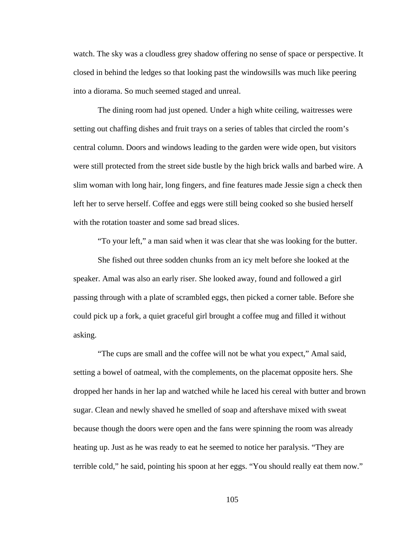watch. The sky was a cloudless grey shadow offering no sense of space or perspective. It closed in behind the ledges so that looking past the windowsills was much like peering into a diorama. So much seemed staged and unreal.

The dining room had just opened. Under a high white ceiling, waitresses were setting out chaffing dishes and fruit trays on a series of tables that circled the room's central column. Doors and windows leading to the garden were wide open, but visitors were still protected from the street side bustle by the high brick walls and barbed wire. A slim woman with long hair, long fingers, and fine features made Jessie sign a check then left her to serve herself. Coffee and eggs were still being cooked so she busied herself with the rotation toaster and some sad bread slices.

"To your left," a man said when it was clear that she was looking for the butter.

She fished out three sodden chunks from an icy melt before she looked at the speaker. Amal was also an early riser. She looked away, found and followed a girl passing through with a plate of scrambled eggs, then picked a corner table. Before she could pick up a fork, a quiet graceful girl brought a coffee mug and filled it without asking.

"The cups are small and the coffee will not be what you expect," Amal said, setting a bowel of oatmeal, with the complements, on the placemat opposite hers. She dropped her hands in her lap and watched while he laced his cereal with butter and brown sugar. Clean and newly shaved he smelled of soap and aftershave mixed with sweat because though the doors were open and the fans were spinning the room was already heating up. Just as he was ready to eat he seemed to notice her paralysis. "They are terrible cold," he said, pointing his spoon at her eggs. "You should really eat them now."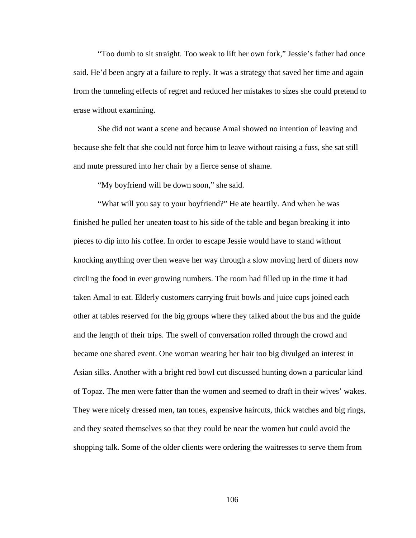"Too dumb to sit straight. Too weak to lift her own fork," Jessie's father had once said. He'd been angry at a failure to reply. It was a strategy that saved her time and again from the tunneling effects of regret and reduced her mistakes to sizes she could pretend to erase without examining.

She did not want a scene and because Amal showed no intention of leaving and because she felt that she could not force him to leave without raising a fuss, she sat still and mute pressured into her chair by a fierce sense of shame.

"My boyfriend will be down soon," she said.

"What will you say to your boyfriend?" He ate heartily. And when he was finished he pulled her uneaten toast to his side of the table and began breaking it into pieces to dip into his coffee. In order to escape Jessie would have to stand without knocking anything over then weave her way through a slow moving herd of diners now circling the food in ever growing numbers. The room had filled up in the time it had taken Amal to eat. Elderly customers carrying fruit bowls and juice cups joined each other at tables reserved for the big groups where they talked about the bus and the guide and the length of their trips. The swell of conversation rolled through the crowd and became one shared event. One woman wearing her hair too big divulged an interest in Asian silks. Another with a bright red bowl cut discussed hunting down a particular kind of Topaz. The men were fatter than the women and seemed to draft in their wives' wakes. They were nicely dressed men, tan tones, expensive haircuts, thick watches and big rings, and they seated themselves so that they could be near the women but could avoid the shopping talk. Some of the older clients were ordering the waitresses to serve them from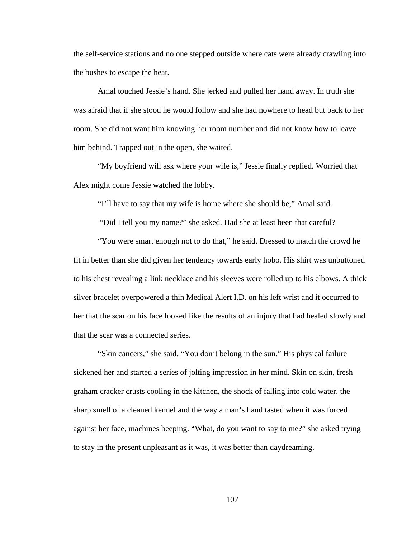the self-service stations and no one stepped outside where cats were already crawling into the bushes to escape the heat.

Amal touched Jessie's hand. She jerked and pulled her hand away. In truth she was afraid that if she stood he would follow and she had nowhere to head but back to her room. She did not want him knowing her room number and did not know how to leave him behind. Trapped out in the open, she waited.

"My boyfriend will ask where your wife is," Jessie finally replied. Worried that Alex might come Jessie watched the lobby.

"I'll have to say that my wife is home where she should be," Amal said.

"Did I tell you my name?" she asked. Had she at least been that careful?

"You were smart enough not to do that," he said. Dressed to match the crowd he fit in better than she did given her tendency towards early hobo. His shirt was unbuttoned to his chest revealing a link necklace and his sleeves were rolled up to his elbows. A thick silver bracelet overpowered a thin Medical Alert I.D. on his left wrist and it occurred to her that the scar on his face looked like the results of an injury that had healed slowly and that the scar was a connected series.

"Skin cancers," she said. "You don't belong in the sun." His physical failure sickened her and started a series of jolting impression in her mind. Skin on skin, fresh graham cracker crusts cooling in the kitchen, the shock of falling into cold water, the sharp smell of a cleaned kennel and the way a man's hand tasted when it was forced against her face, machines beeping. "What, do you want to say to me?" she asked trying to stay in the present unpleasant as it was, it was better than daydreaming.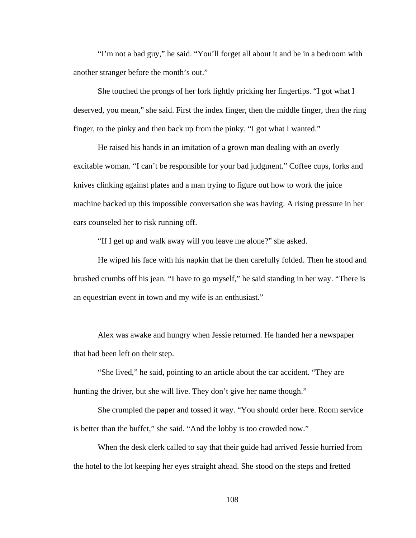"I'm not a bad guy," he said. "You'll forget all about it and be in a bedroom with another stranger before the month's out."

She touched the prongs of her fork lightly pricking her fingertips. "I got what I deserved, you mean," she said. First the index finger, then the middle finger, then the ring finger, to the pinky and then back up from the pinky. "I got what I wanted."

He raised his hands in an imitation of a grown man dealing with an overly excitable woman. "I can't be responsible for your bad judgment." Coffee cups, forks and knives clinking against plates and a man trying to figure out how to work the juice machine backed up this impossible conversation she was having. A rising pressure in her ears counseled her to risk running off.

"If I get up and walk away will you leave me alone?" she asked.

He wiped his face with his napkin that he then carefully folded. Then he stood and brushed crumbs off his jean. "I have to go myself," he said standing in her way. "There is an equestrian event in town and my wife is an enthusiast."

Alex was awake and hungry when Jessie returned. He handed her a newspaper that had been left on their step.

"She lived," he said, pointing to an article about the car accident. "They are hunting the driver, but she will live. They don't give her name though."

She crumpled the paper and tossed it way. "You should order here. Room service is better than the buffet," she said. "And the lobby is too crowded now."

When the desk clerk called to say that their guide had arrived Jessie hurried from the hotel to the lot keeping her eyes straight ahead. She stood on the steps and fretted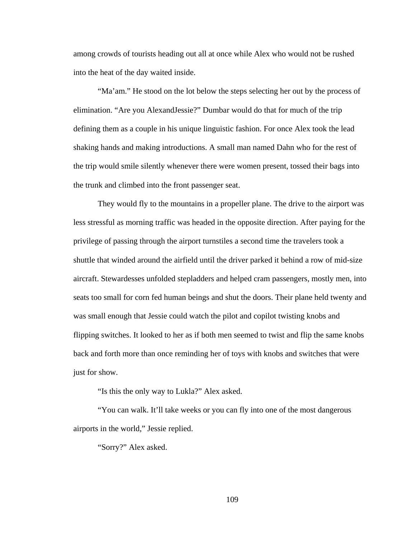among crowds of tourists heading out all at once while Alex who would not be rushed into the heat of the day waited inside.

"Ma'am." He stood on the lot below the steps selecting her out by the process of elimination. "Are you AlexandJessie?" Dumbar would do that for much of the trip defining them as a couple in his unique linguistic fashion. For once Alex took the lead shaking hands and making introductions. A small man named Dahn who for the rest of the trip would smile silently whenever there were women present, tossed their bags into the trunk and climbed into the front passenger seat.

They would fly to the mountains in a propeller plane. The drive to the airport was less stressful as morning traffic was headed in the opposite direction. After paying for the privilege of passing through the airport turnstiles a second time the travelers took a shuttle that winded around the airfield until the driver parked it behind a row of mid-size aircraft. Stewardesses unfolded stepladders and helped cram passengers, mostly men, into seats too small for corn fed human beings and shut the doors. Their plane held twenty and was small enough that Jessie could watch the pilot and copilot twisting knobs and flipping switches. It looked to her as if both men seemed to twist and flip the same knobs back and forth more than once reminding her of toys with knobs and switches that were just for show.

"Is this the only way to Lukla?" Alex asked.

"You can walk. It'll take weeks or you can fly into one of the most dangerous airports in the world," Jessie replied.

"Sorry?" Alex asked.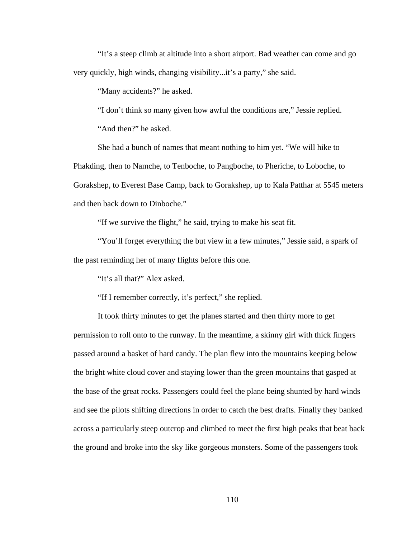"It's a steep climb at altitude into a short airport. Bad weather can come and go very quickly, high winds, changing visibility...it's a party," she said.

"Many accidents?" he asked.

"I don't think so many given how awful the conditions are," Jessie replied.

"And then?" he asked.

She had a bunch of names that meant nothing to him yet. "We will hike to Phakding, then to Namche, to Tenboche, to Pangboche, to Pheriche, to Loboche, to Gorakshep, to Everest Base Camp, back to Gorakshep, up to Kala Patthar at 5545 meters and then back down to Dinboche."

"If we survive the flight," he said, trying to make his seat fit.

"You'll forget everything the but view in a few minutes," Jessie said, a spark of the past reminding her of many flights before this one.

"It's all that?" Alex asked.

"If I remember correctly, it's perfect," she replied.

It took thirty minutes to get the planes started and then thirty more to get permission to roll onto to the runway. In the meantime, a skinny girl with thick fingers passed around a basket of hard candy. The plan flew into the mountains keeping below the bright white cloud cover and staying lower than the green mountains that gasped at the base of the great rocks. Passengers could feel the plane being shunted by hard winds and see the pilots shifting directions in order to catch the best drafts. Finally they banked across a particularly steep outcrop and climbed to meet the first high peaks that beat back the ground and broke into the sky like gorgeous monsters. Some of the passengers took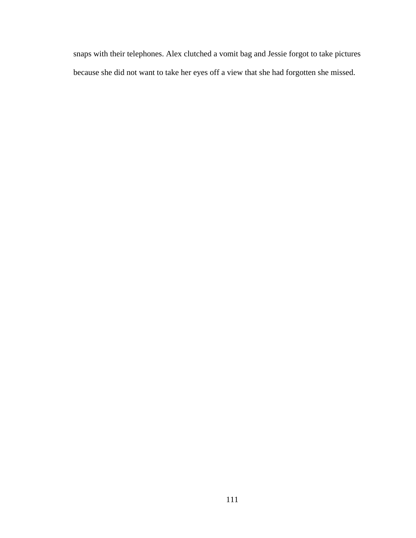snaps with their telephones. Alex clutched a vomit bag and Jessie forgot to take pictures because she did not want to take her eyes off a view that she had forgotten she missed.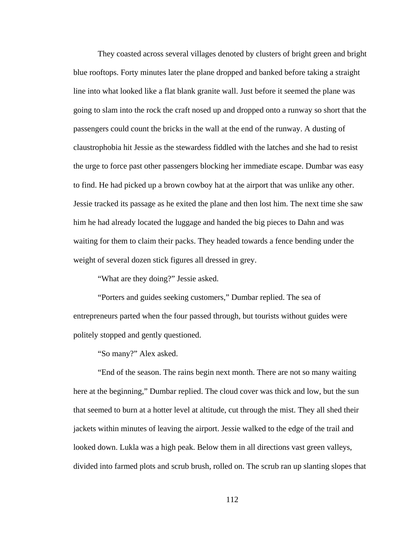They coasted across several villages denoted by clusters of bright green and bright blue rooftops. Forty minutes later the plane dropped and banked before taking a straight line into what looked like a flat blank granite wall. Just before it seemed the plane was going to slam into the rock the craft nosed up and dropped onto a runway so short that the passengers could count the bricks in the wall at the end of the runway. A dusting of claustrophobia hit Jessie as the stewardess fiddled with the latches and she had to resist the urge to force past other passengers blocking her immediate escape. Dumbar was easy to find. He had picked up a brown cowboy hat at the airport that was unlike any other. Jessie tracked its passage as he exited the plane and then lost him. The next time she saw him he had already located the luggage and handed the big pieces to Dahn and was waiting for them to claim their packs. They headed towards a fence bending under the weight of several dozen stick figures all dressed in grey.

"What are they doing?" Jessie asked.

"Porters and guides seeking customers," Dumbar replied. The sea of entrepreneurs parted when the four passed through, but tourists without guides were politely stopped and gently questioned.

"So many?" Alex asked.

"End of the season. The rains begin next month. There are not so many waiting here at the beginning," Dumbar replied. The cloud cover was thick and low, but the sun that seemed to burn at a hotter level at altitude, cut through the mist. They all shed their jackets within minutes of leaving the airport. Jessie walked to the edge of the trail and looked down. Lukla was a high peak. Below them in all directions vast green valleys, divided into farmed plots and scrub brush, rolled on. The scrub ran up slanting slopes that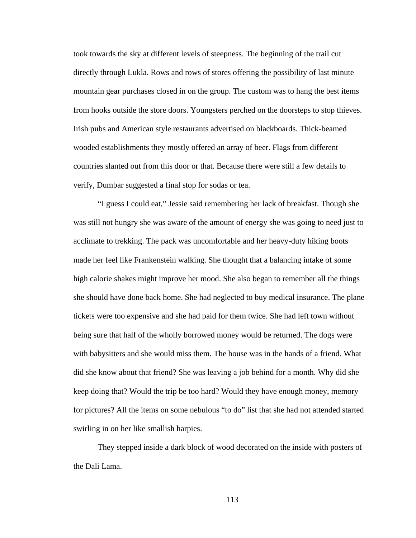took towards the sky at different levels of steepness. The beginning of the trail cut directly through Lukla. Rows and rows of stores offering the possibility of last minute mountain gear purchases closed in on the group. The custom was to hang the best items from hooks outside the store doors. Youngsters perched on the doorsteps to stop thieves. Irish pubs and American style restaurants advertised on blackboards. Thick-beamed wooded establishments they mostly offered an array of beer. Flags from different countries slanted out from this door or that. Because there were still a few details to verify, Dumbar suggested a final stop for sodas or tea.

"I guess I could eat," Jessie said remembering her lack of breakfast. Though she was still not hungry she was aware of the amount of energy she was going to need just to acclimate to trekking. The pack was uncomfortable and her heavy-duty hiking boots made her feel like Frankenstein walking. She thought that a balancing intake of some high calorie shakes might improve her mood. She also began to remember all the things she should have done back home. She had neglected to buy medical insurance. The plane tickets were too expensive and she had paid for them twice. She had left town without being sure that half of the wholly borrowed money would be returned. The dogs were with babysitters and she would miss them. The house was in the hands of a friend. What did she know about that friend? She was leaving a job behind for a month. Why did she keep doing that? Would the trip be too hard? Would they have enough money, memory for pictures? All the items on some nebulous "to do" list that she had not attended started swirling in on her like smallish harpies.

They stepped inside a dark block of wood decorated on the inside with posters of the Dali Lama.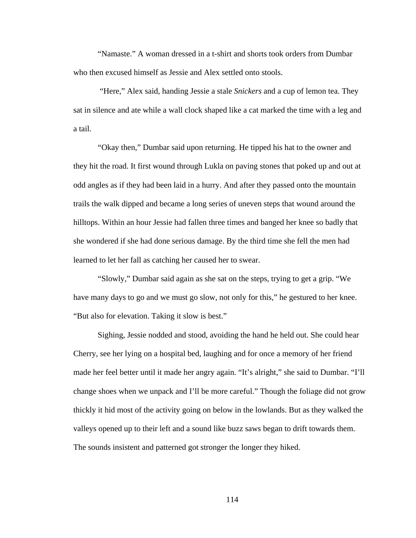"Namaste." A woman dressed in a t-shirt and shorts took orders from Dumbar who then excused himself as Jessie and Alex settled onto stools.

 "Here," Alex said, handing Jessie a stale *Snickers* and a cup of lemon tea. They sat in silence and ate while a wall clock shaped like a cat marked the time with a leg and a tail.

"Okay then," Dumbar said upon returning. He tipped his hat to the owner and they hit the road. It first wound through Lukla on paving stones that poked up and out at odd angles as if they had been laid in a hurry. And after they passed onto the mountain trails the walk dipped and became a long series of uneven steps that wound around the hilltops. Within an hour Jessie had fallen three times and banged her knee so badly that she wondered if she had done serious damage. By the third time she fell the men had learned to let her fall as catching her caused her to swear.

"Slowly," Dumbar said again as she sat on the steps, trying to get a grip. "We have many days to go and we must go slow, not only for this," he gestured to her knee. "But also for elevation. Taking it slow is best."

Sighing, Jessie nodded and stood, avoiding the hand he held out. She could hear Cherry, see her lying on a hospital bed, laughing and for once a memory of her friend made her feel better until it made her angry again. "It's alright," she said to Dumbar. "I'll change shoes when we unpack and I'll be more careful." Though the foliage did not grow thickly it hid most of the activity going on below in the lowlands. But as they walked the valleys opened up to their left and a sound like buzz saws began to drift towards them. The sounds insistent and patterned got stronger the longer they hiked.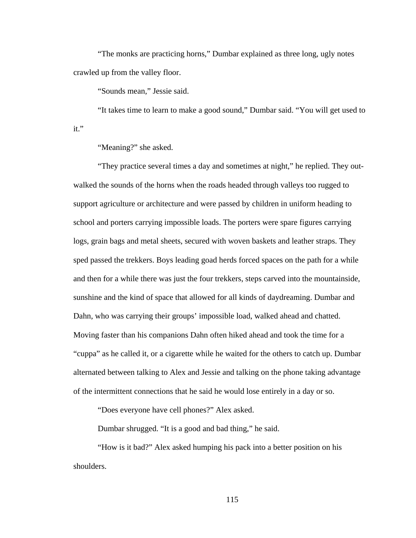"The monks are practicing horns," Dumbar explained as three long, ugly notes crawled up from the valley floor.

"Sounds mean," Jessie said.

"It takes time to learn to make a good sound," Dumbar said. "You will get used to it."

"Meaning?" she asked.

"They practice several times a day and sometimes at night," he replied. They outwalked the sounds of the horns when the roads headed through valleys too rugged to support agriculture or architecture and were passed by children in uniform heading to school and porters carrying impossible loads. The porters were spare figures carrying logs, grain bags and metal sheets, secured with woven baskets and leather straps. They sped passed the trekkers. Boys leading goad herds forced spaces on the path for a while and then for a while there was just the four trekkers, steps carved into the mountainside, sunshine and the kind of space that allowed for all kinds of daydreaming. Dumbar and Dahn, who was carrying their groups' impossible load, walked ahead and chatted. Moving faster than his companions Dahn often hiked ahead and took the time for a "cuppa" as he called it, or a cigarette while he waited for the others to catch up. Dumbar alternated between talking to Alex and Jessie and talking on the phone taking advantage of the intermittent connections that he said he would lose entirely in a day or so.

"Does everyone have cell phones?" Alex asked.

Dumbar shrugged. "It is a good and bad thing," he said.

"How is it bad?" Alex asked humping his pack into a better position on his shoulders.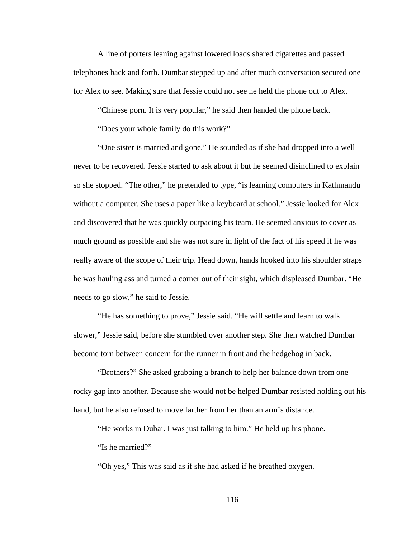A line of porters leaning against lowered loads shared cigarettes and passed telephones back and forth. Dumbar stepped up and after much conversation secured one for Alex to see. Making sure that Jessie could not see he held the phone out to Alex.

"Chinese porn. It is very popular," he said then handed the phone back.

"Does your whole family do this work?"

"One sister is married and gone." He sounded as if she had dropped into a well never to be recovered. Jessie started to ask about it but he seemed disinclined to explain so she stopped. "The other," he pretended to type, "is learning computers in Kathmandu without a computer. She uses a paper like a keyboard at school." Jessie looked for Alex and discovered that he was quickly outpacing his team. He seemed anxious to cover as much ground as possible and she was not sure in light of the fact of his speed if he was really aware of the scope of their trip. Head down, hands hooked into his shoulder straps he was hauling ass and turned a corner out of their sight, which displeased Dumbar. "He needs to go slow," he said to Jessie.

"He has something to prove," Jessie said. "He will settle and learn to walk slower," Jessie said, before she stumbled over another step. She then watched Dumbar become torn between concern for the runner in front and the hedgehog in back.

"Brothers?" She asked grabbing a branch to help her balance down from one rocky gap into another. Because she would not be helped Dumbar resisted holding out his hand, but he also refused to move farther from her than an arm's distance.

"He works in Dubai. I was just talking to him." He held up his phone.

"Is he married?"

"Oh yes," This was said as if she had asked if he breathed oxygen.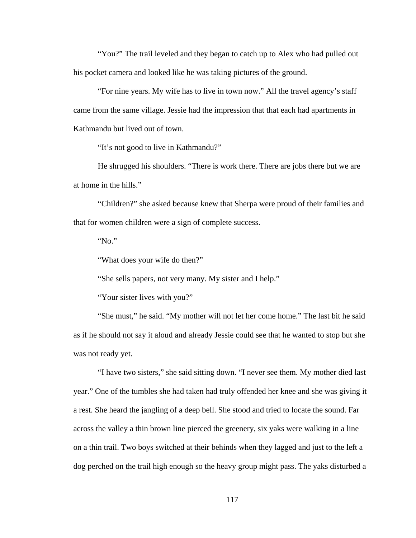"You?" The trail leveled and they began to catch up to Alex who had pulled out his pocket camera and looked like he was taking pictures of the ground.

"For nine years. My wife has to live in town now." All the travel agency's staff came from the same village. Jessie had the impression that that each had apartments in Kathmandu but lived out of town.

"It's not good to live in Kathmandu?"

He shrugged his shoulders. "There is work there. There are jobs there but we are at home in the hills."

"Children?" she asked because knew that Sherpa were proud of their families and that for women children were a sign of complete success.

"No."

"What does your wife do then?"

"She sells papers, not very many. My sister and I help."

"Your sister lives with you?"

"She must," he said. "My mother will not let her come home." The last bit he said as if he should not say it aloud and already Jessie could see that he wanted to stop but she was not ready yet.

"I have two sisters," she said sitting down. "I never see them. My mother died last year." One of the tumbles she had taken had truly offended her knee and she was giving it a rest. She heard the jangling of a deep bell. She stood and tried to locate the sound. Far across the valley a thin brown line pierced the greenery, six yaks were walking in a line on a thin trail. Two boys switched at their behinds when they lagged and just to the left a dog perched on the trail high enough so the heavy group might pass. The yaks disturbed a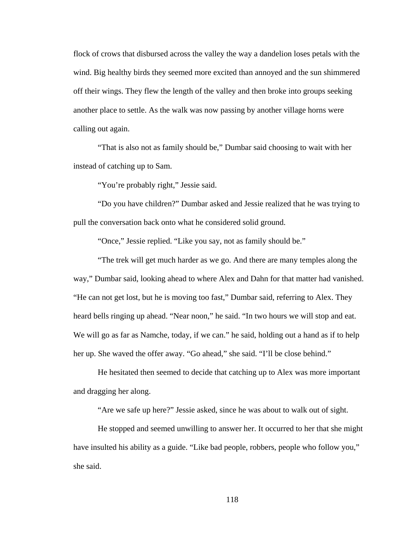flock of crows that disbursed across the valley the way a dandelion loses petals with the wind. Big healthy birds they seemed more excited than annoyed and the sun shimmered off their wings. They flew the length of the valley and then broke into groups seeking another place to settle. As the walk was now passing by another village horns were calling out again.

"That is also not as family should be," Dumbar said choosing to wait with her instead of catching up to Sam.

"You're probably right," Jessie said.

"Do you have children?" Dumbar asked and Jessie realized that he was trying to pull the conversation back onto what he considered solid ground.

"Once," Jessie replied. "Like you say, not as family should be."

"The trek will get much harder as we go. And there are many temples along the way," Dumbar said, looking ahead to where Alex and Dahn for that matter had vanished. "He can not get lost, but he is moving too fast," Dumbar said, referring to Alex. They heard bells ringing up ahead. "Near noon," he said. "In two hours we will stop and eat. We will go as far as Namche, today, if we can." he said, holding out a hand as if to help her up. She waved the offer away. "Go ahead," she said. "I'll be close behind."

He hesitated then seemed to decide that catching up to Alex was more important and dragging her along.

"Are we safe up here?" Jessie asked, since he was about to walk out of sight.

He stopped and seemed unwilling to answer her. It occurred to her that she might have insulted his ability as a guide. "Like bad people, robbers, people who follow you," she said.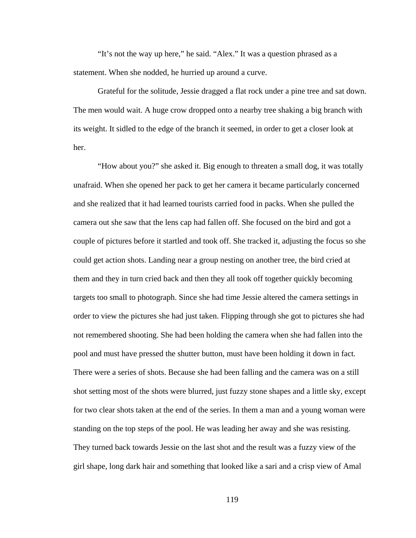"It's not the way up here," he said. "Alex." It was a question phrased as a statement. When she nodded, he hurried up around a curve.

Grateful for the solitude, Jessie dragged a flat rock under a pine tree and sat down. The men would wait. A huge crow dropped onto a nearby tree shaking a big branch with its weight. It sidled to the edge of the branch it seemed, in order to get a closer look at her.

"How about you?" she asked it. Big enough to threaten a small dog, it was totally unafraid. When she opened her pack to get her camera it became particularly concerned and she realized that it had learned tourists carried food in packs. When she pulled the camera out she saw that the lens cap had fallen off. She focused on the bird and got a couple of pictures before it startled and took off. She tracked it, adjusting the focus so she could get action shots. Landing near a group nesting on another tree, the bird cried at them and they in turn cried back and then they all took off together quickly becoming targets too small to photograph. Since she had time Jessie altered the camera settings in order to view the pictures she had just taken. Flipping through she got to pictures she had not remembered shooting. She had been holding the camera when she had fallen into the pool and must have pressed the shutter button, must have been holding it down in fact. There were a series of shots. Because she had been falling and the camera was on a still shot setting most of the shots were blurred, just fuzzy stone shapes and a little sky, except for two clear shots taken at the end of the series. In them a man and a young woman were standing on the top steps of the pool. He was leading her away and she was resisting. They turned back towards Jessie on the last shot and the result was a fuzzy view of the girl shape, long dark hair and something that looked like a sari and a crisp view of Amal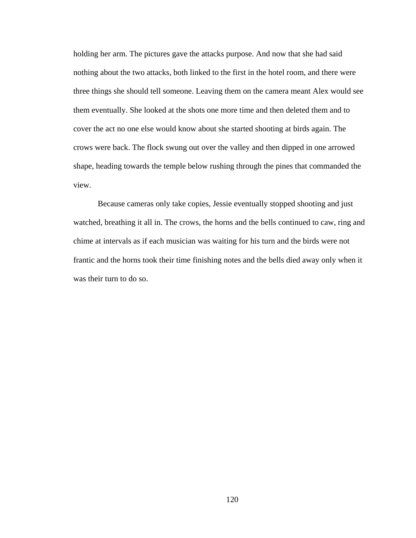holding her arm. The pictures gave the attacks purpose. And now that she had said nothing about the two attacks, both linked to the first in the hotel room, and there were three things she should tell someone. Leaving them on the camera meant Alex would see them eventually. She looked at the shots one more time and then deleted them and to cover the act no one else would know about she started shooting at birds again. The crows were back. The flock swung out over the valley and then dipped in one arrowed shape, heading towards the temple below rushing through the pines that commanded the view.

Because cameras only take copies, Jessie eventually stopped shooting and just watched, breathing it all in. The crows, the horns and the bells continued to caw, ring and chime at intervals as if each musician was waiting for his turn and the birds were not frantic and the horns took their time finishing notes and the bells died away only when it was their turn to do so.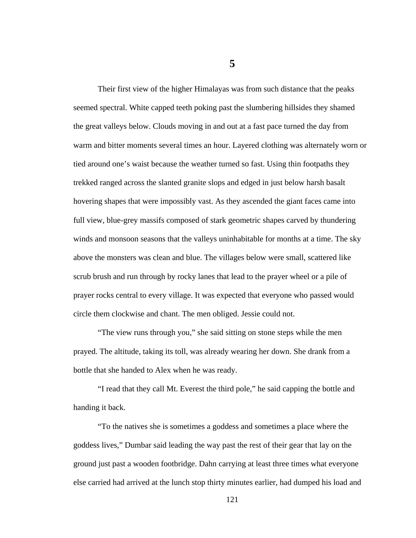Their first view of the higher Himalayas was from such distance that the peaks seemed spectral. White capped teeth poking past the slumbering hillsides they shamed the great valleys below. Clouds moving in and out at a fast pace turned the day from warm and bitter moments several times an hour. Layered clothing was alternately worn or tied around one's waist because the weather turned so fast. Using thin footpaths they trekked ranged across the slanted granite slops and edged in just below harsh basalt hovering shapes that were impossibly vast. As they ascended the giant faces came into full view, blue-grey massifs composed of stark geometric shapes carved by thundering winds and monsoon seasons that the valleys uninhabitable for months at a time. The sky above the monsters was clean and blue. The villages below were small, scattered like scrub brush and run through by rocky lanes that lead to the prayer wheel or a pile of prayer rocks central to every village. It was expected that everyone who passed would circle them clockwise and chant. The men obliged. Jessie could not.

"The view runs through you," she said sitting on stone steps while the men prayed. The altitude, taking its toll, was already wearing her down. She drank from a bottle that she handed to Alex when he was ready.

"I read that they call Mt. Everest the third pole," he said capping the bottle and handing it back.

"To the natives she is sometimes a goddess and sometimes a place where the goddess lives," Dumbar said leading the way past the rest of their gear that lay on the ground just past a wooden footbridge. Dahn carrying at least three times what everyone else carried had arrived at the lunch stop thirty minutes earlier, had dumped his load and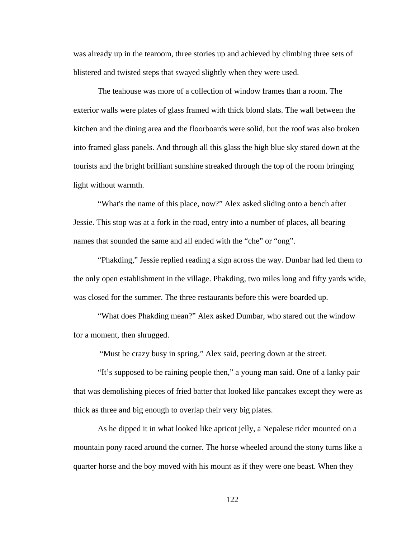was already up in the tearoom, three stories up and achieved by climbing three sets of blistered and twisted steps that swayed slightly when they were used.

The teahouse was more of a collection of window frames than a room. The exterior walls were plates of glass framed with thick blond slats. The wall between the kitchen and the dining area and the floorboards were solid, but the roof was also broken into framed glass panels. And through all this glass the high blue sky stared down at the tourists and the bright brilliant sunshine streaked through the top of the room bringing light without warmth.

"What's the name of this place, now?" Alex asked sliding onto a bench after Jessie. This stop was at a fork in the road, entry into a number of places, all bearing names that sounded the same and all ended with the "che" or "ong".

"Phakding," Jessie replied reading a sign across the way. Dunbar had led them to the only open establishment in the village. Phakding, two miles long and fifty yards wide, was closed for the summer. The three restaurants before this were boarded up.

"What does Phakding mean?" Alex asked Dumbar, who stared out the window for a moment, then shrugged.

"Must be crazy busy in spring," Alex said, peering down at the street.

"It's supposed to be raining people then," a young man said. One of a lanky pair that was demolishing pieces of fried batter that looked like pancakes except they were as thick as three and big enough to overlap their very big plates.

As he dipped it in what looked like apricot jelly, a Nepalese rider mounted on a mountain pony raced around the corner. The horse wheeled around the stony turns like a quarter horse and the boy moved with his mount as if they were one beast. When they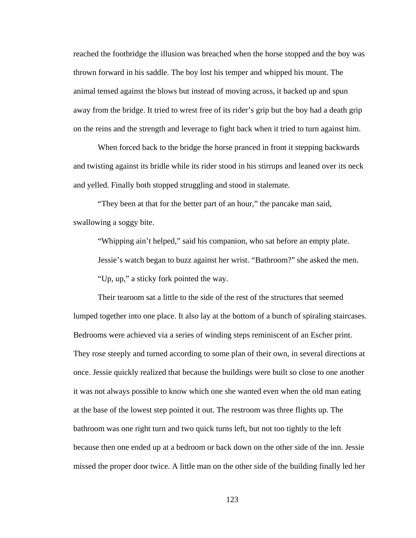reached the footbridge the illusion was breached when the horse stopped and the boy was thrown forward in his saddle. The boy lost his temper and whipped his mount. The animal tensed against the blows but instead of moving across, it backed up and spun away from the bridge. It tried to wrest free of its rider's grip but the boy had a death grip on the reins and the strength and leverage to fight back when it tried to turn against him.

When forced back to the bridge the horse pranced in front it stepping backwards and twisting against its bridle while its rider stood in his stirrups and leaned over its neck and yelled. Finally both stopped struggling and stood in stalemate.

"They been at that for the better part of an hour," the pancake man said, swallowing a soggy bite.

"Whipping ain't helped," said his companion, who sat before an empty plate.

Jessie's watch began to buzz against her wrist. "Bathroom?" she asked the men.

"Up, up," a sticky fork pointed the way.

Their tearoom sat a little to the side of the rest of the structures that seemed lumped together into one place. It also lay at the bottom of a bunch of spiraling staircases. Bedrooms were achieved via a series of winding steps reminiscent of an Escher print. They rose steeply and turned according to some plan of their own, in several directions at once. Jessie quickly realized that because the buildings were built so close to one another it was not always possible to know which one she wanted even when the old man eating at the base of the lowest step pointed it out. The restroom was three flights up. The bathroom was one right turn and two quick turns left, but not too tightly to the left because then one ended up at a bedroom or back down on the other side of the inn. Jessie missed the proper door twice. A little man on the other side of the building finally led her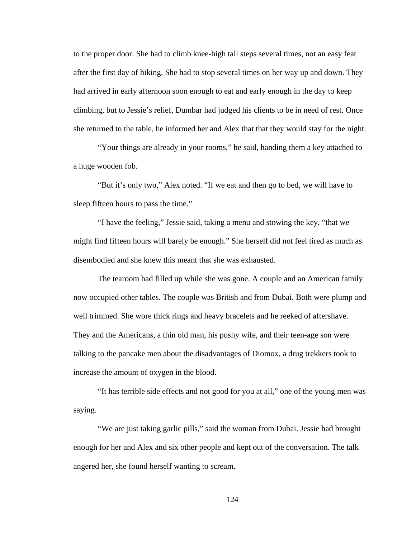to the proper door. She had to climb knee-high tall steps several times, not an easy feat after the first day of hiking. She had to stop several times on her way up and down. They had arrived in early afternoon soon enough to eat and early enough in the day to keep climbing, but to Jessie's relief, Dumbar had judged his clients to be in need of rest. Once she returned to the table, he informed her and Alex that that they would stay for the night.

"Your things are already in your rooms," he said, handing them a key attached to a huge wooden fob.

"But it's only two," Alex noted. "If we eat and then go to bed, we will have to sleep fifteen hours to pass the time."

"I have the feeling," Jessie said, taking a menu and stowing the key, "that we might find fifteen hours will barely be enough." She herself did not feel tired as much as disembodied and she knew this meant that she was exhausted.

The tearoom had filled up while she was gone. A couple and an American family now occupied other tables. The couple was British and from Dubai. Both were plump and well trimmed. She wore thick rings and heavy bracelets and he reeked of aftershave. They and the Americans, a thin old man, his pushy wife, and their teen-age son were talking to the pancake men about the disadvantages of Diomox, a drug trekkers took to increase the amount of oxygen in the blood.

"It has terrible side effects and not good for you at all," one of the young men was saying.

"We are just taking garlic pills," said the woman from Dubai. Jessie had brought enough for her and Alex and six other people and kept out of the conversation. The talk angered her, she found herself wanting to scream.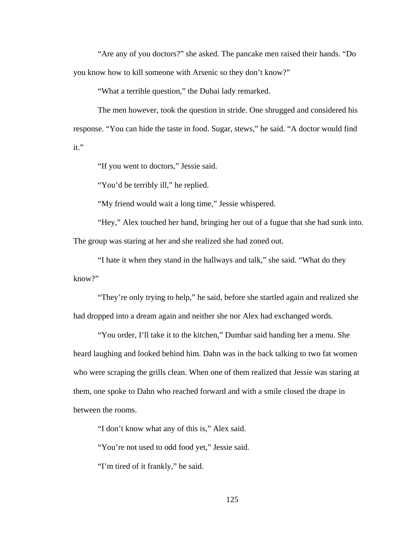"Are any of you doctors?" she asked. The pancake men raised their hands. "Do you know how to kill someone with Arsenic so they don't know?"

"What a terrible question," the Dubai lady remarked.

The men however, took the question in stride. One shrugged and considered his response. "You can hide the taste in food. Sugar, stews," he said. "A doctor would find it."

"If you went to doctors," Jessie said.

"You'd be terribly ill," he replied.

"My friend would wait a long time," Jessie whispered.

"Hey," Alex touched her hand, bringing her out of a fugue that she had sunk into. The group was staring at her and she realized she had zoned out.

"I hate it when they stand in the hallways and talk," she said. "What do they know?"

"They're only trying to help," he said, before she startled again and realized she had dropped into a dream again and neither she nor Alex had exchanged words.

"You order, I'll take it to the kitchen," Dumbar said handing her a menu. She heard laughing and looked behind him. Dahn was in the back talking to two fat women who were scraping the grills clean. When one of them realized that Jessie was staring at them, one spoke to Dahn who reached forward and with a smile closed the drape in between the rooms.

"I don't know what any of this is," Alex said.

"You're not used to odd food yet," Jessie said.

"I'm tired of it frankly," he said.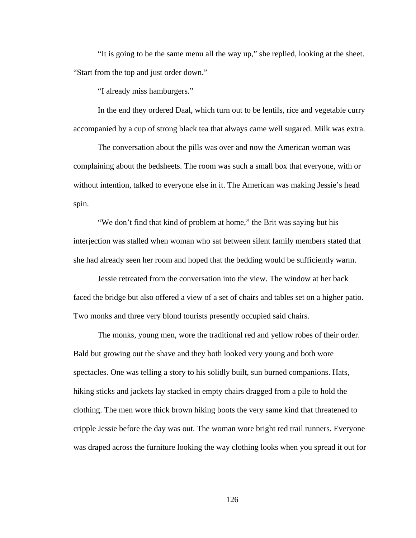"It is going to be the same menu all the way up," she replied, looking at the sheet. "Start from the top and just order down."

"I already miss hamburgers."

In the end they ordered Daal, which turn out to be lentils, rice and vegetable curry accompanied by a cup of strong black tea that always came well sugared. Milk was extra.

The conversation about the pills was over and now the American woman was complaining about the bedsheets. The room was such a small box that everyone, with or without intention, talked to everyone else in it. The American was making Jessie's head spin.

"We don't find that kind of problem at home," the Brit was saying but his interjection was stalled when woman who sat between silent family members stated that she had already seen her room and hoped that the bedding would be sufficiently warm.

Jessie retreated from the conversation into the view. The window at her back faced the bridge but also offered a view of a set of chairs and tables set on a higher patio. Two monks and three very blond tourists presently occupied said chairs.

The monks, young men, wore the traditional red and yellow robes of their order. Bald but growing out the shave and they both looked very young and both wore spectacles. One was telling a story to his solidly built, sun burned companions. Hats, hiking sticks and jackets lay stacked in empty chairs dragged from a pile to hold the clothing. The men wore thick brown hiking boots the very same kind that threatened to cripple Jessie before the day was out. The woman wore bright red trail runners. Everyone was draped across the furniture looking the way clothing looks when you spread it out for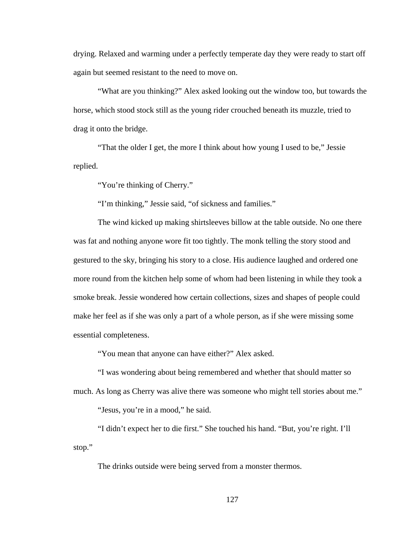drying. Relaxed and warming under a perfectly temperate day they were ready to start off again but seemed resistant to the need to move on.

"What are you thinking?" Alex asked looking out the window too, but towards the horse, which stood stock still as the young rider crouched beneath its muzzle, tried to drag it onto the bridge.

"That the older I get, the more I think about how young I used to be," Jessie replied.

"You're thinking of Cherry."

"I'm thinking," Jessie said, "of sickness and families."

The wind kicked up making shirtsleeves billow at the table outside. No one there was fat and nothing anyone wore fit too tightly. The monk telling the story stood and gestured to the sky, bringing his story to a close. His audience laughed and ordered one more round from the kitchen help some of whom had been listening in while they took a smoke break. Jessie wondered how certain collections, sizes and shapes of people could make her feel as if she was only a part of a whole person, as if she were missing some essential completeness.

"You mean that anyone can have either?" Alex asked.

"I was wondering about being remembered and whether that should matter so much. As long as Cherry was alive there was someone who might tell stories about me."

"Jesus, you're in a mood," he said.

"I didn't expect her to die first." She touched his hand. "But, you're right. I'll stop."

The drinks outside were being served from a monster thermos.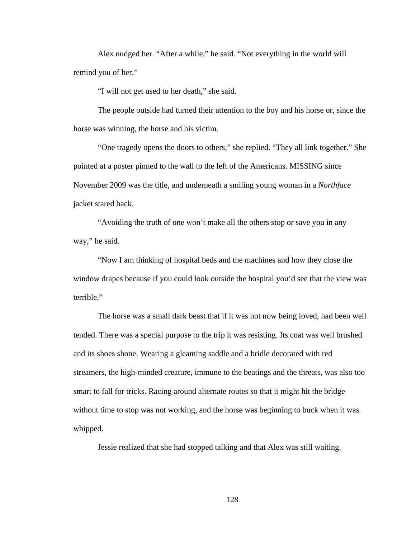Alex nudged her. "After a while," he said. "Not everything in the world will remind you of her."

"I will not get used to her death," she said.

The people outside had turned their attention to the boy and his horse or, since the horse was winning, the horse and his victim.

"One tragedy opens the doors to others," she replied. "They all link together." She pointed at a poster pinned to the wall to the left of the Americans. MISSING since November 2009 was the title, and underneath a smiling young woman in a *Northface* jacket stared back.

"Avoiding the truth of one won't make all the others stop or save you in any way," he said.

"Now I am thinking of hospital beds and the machines and how they close the window drapes because if you could look outside the hospital you'd see that the view was terrible."

The horse was a small dark beast that if it was not now being loved, had been well tended. There was a special purpose to the trip it was resisting. Its coat was well brushed and its shoes shone. Wearing a gleaming saddle and a bridle decorated with red streamers, the high-minded creature, immune to the beatings and the threats, was also too smart to fall for tricks. Racing around alternate routes so that it might hit the bridge without time to stop was not working, and the horse was beginning to buck when it was whipped.

Jessie realized that she had stopped talking and that Alex was still waiting.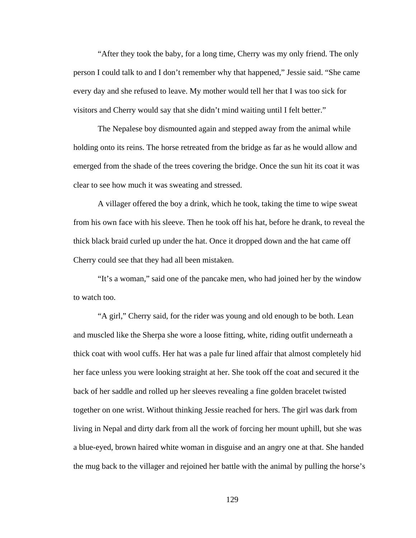"After they took the baby, for a long time, Cherry was my only friend. The only person I could talk to and I don't remember why that happened," Jessie said. "She came every day and she refused to leave. My mother would tell her that I was too sick for visitors and Cherry would say that she didn't mind waiting until I felt better."

The Nepalese boy dismounted again and stepped away from the animal while holding onto its reins. The horse retreated from the bridge as far as he would allow and emerged from the shade of the trees covering the bridge. Once the sun hit its coat it was clear to see how much it was sweating and stressed.

A villager offered the boy a drink, which he took, taking the time to wipe sweat from his own face with his sleeve. Then he took off his hat, before he drank, to reveal the thick black braid curled up under the hat. Once it dropped down and the hat came off Cherry could see that they had all been mistaken.

"It's a woman," said one of the pancake men, who had joined her by the window to watch too.

"A girl," Cherry said, for the rider was young and old enough to be both. Lean and muscled like the Sherpa she wore a loose fitting, white, riding outfit underneath a thick coat with wool cuffs. Her hat was a pale fur lined affair that almost completely hid her face unless you were looking straight at her. She took off the coat and secured it the back of her saddle and rolled up her sleeves revealing a fine golden bracelet twisted together on one wrist. Without thinking Jessie reached for hers. The girl was dark from living in Nepal and dirty dark from all the work of forcing her mount uphill, but she was a blue-eyed, brown haired white woman in disguise and an angry one at that. She handed the mug back to the villager and rejoined her battle with the animal by pulling the horse's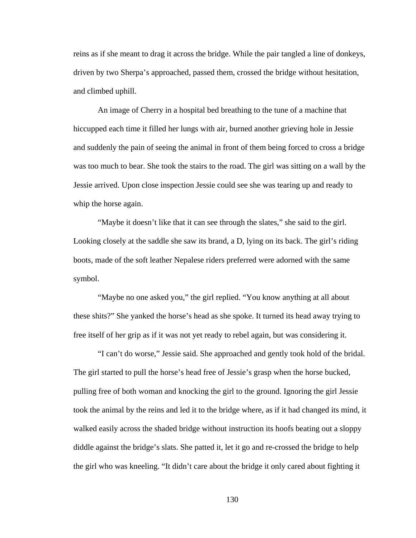reins as if she meant to drag it across the bridge. While the pair tangled a line of donkeys, driven by two Sherpa's approached, passed them, crossed the bridge without hesitation, and climbed uphill.

An image of Cherry in a hospital bed breathing to the tune of a machine that hiccupped each time it filled her lungs with air, burned another grieving hole in Jessie and suddenly the pain of seeing the animal in front of them being forced to cross a bridge was too much to bear. She took the stairs to the road. The girl was sitting on a wall by the Jessie arrived. Upon close inspection Jessie could see she was tearing up and ready to whip the horse again.

"Maybe it doesn't like that it can see through the slates," she said to the girl. Looking closely at the saddle she saw its brand, a D, lying on its back. The girl's riding boots, made of the soft leather Nepalese riders preferred were adorned with the same symbol.

"Maybe no one asked you," the girl replied. "You know anything at all about these shits?" She yanked the horse's head as she spoke. It turned its head away trying to free itself of her grip as if it was not yet ready to rebel again, but was considering it.

"I can't do worse," Jessie said. She approached and gently took hold of the bridal. The girl started to pull the horse's head free of Jessie's grasp when the horse bucked, pulling free of both woman and knocking the girl to the ground. Ignoring the girl Jessie took the animal by the reins and led it to the bridge where, as if it had changed its mind, it walked easily across the shaded bridge without instruction its hoofs beating out a sloppy diddle against the bridge's slats. She patted it, let it go and re-crossed the bridge to help the girl who was kneeling. "It didn't care about the bridge it only cared about fighting it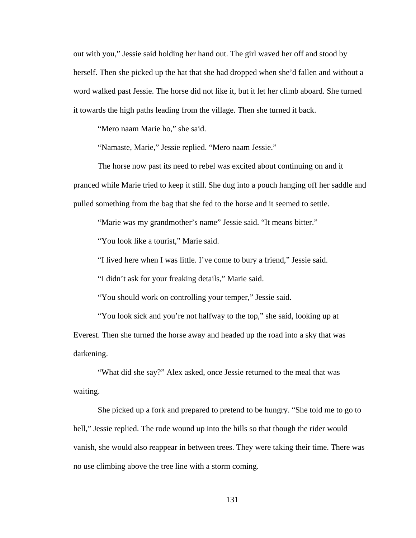out with you," Jessie said holding her hand out. The girl waved her off and stood by herself. Then she picked up the hat that she had dropped when she'd fallen and without a word walked past Jessie. The horse did not like it, but it let her climb aboard. She turned it towards the high paths leading from the village. Then she turned it back.

"Mero naam Marie ho," she said.

"Namaste, Marie," Jessie replied. "Mero naam Jessie."

The horse now past its need to rebel was excited about continuing on and it pranced while Marie tried to keep it still. She dug into a pouch hanging off her saddle and pulled something from the bag that she fed to the horse and it seemed to settle.

"Marie was my grandmother's name" Jessie said. "It means bitter."

"You look like a tourist," Marie said.

"I lived here when I was little. I've come to bury a friend," Jessie said.

"I didn't ask for your freaking details," Marie said.

"You should work on controlling your temper," Jessie said.

"You look sick and you're not halfway to the top," she said, looking up at Everest. Then she turned the horse away and headed up the road into a sky that was darkening.

"What did she say?" Alex asked, once Jessie returned to the meal that was waiting.

She picked up a fork and prepared to pretend to be hungry. "She told me to go to hell," Jessie replied. The rode wound up into the hills so that though the rider would vanish, she would also reappear in between trees. They were taking their time. There was no use climbing above the tree line with a storm coming.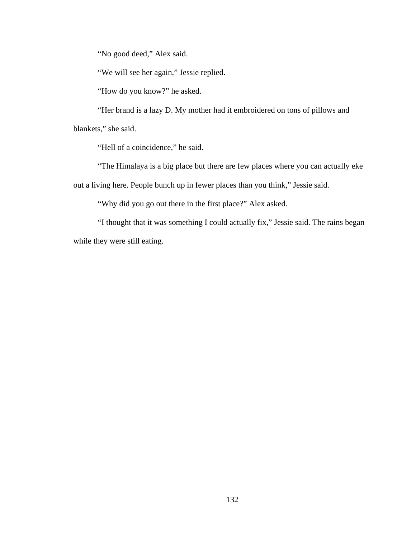"No good deed," Alex said.

"We will see her again," Jessie replied.

"How do you know?" he asked.

"Her brand is a lazy D. My mother had it embroidered on tons of pillows and

blankets," she said.

"Hell of a coincidence," he said.

"The Himalaya is a big place but there are few places where you can actually eke out a living here. People bunch up in fewer places than you think," Jessie said.

"Why did you go out there in the first place?" Alex asked.

"I thought that it was something I could actually fix," Jessie said. The rains began while they were still eating.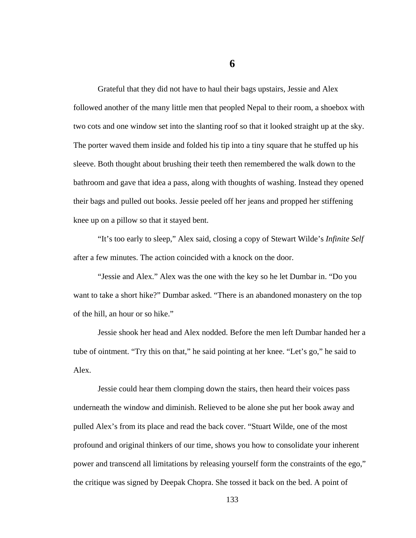**6** 

Grateful that they did not have to haul their bags upstairs, Jessie and Alex followed another of the many little men that peopled Nepal to their room, a shoebox with two cots and one window set into the slanting roof so that it looked straight up at the sky. The porter waved them inside and folded his tip into a tiny square that he stuffed up his sleeve. Both thought about brushing their teeth then remembered the walk down to the bathroom and gave that idea a pass, along with thoughts of washing. Instead they opened their bags and pulled out books. Jessie peeled off her jeans and propped her stiffening knee up on a pillow so that it stayed bent.

"It's too early to sleep," Alex said, closing a copy of Stewart Wilde's *Infinite Self*  after a few minutes. The action coincided with a knock on the door.

"Jessie and Alex." Alex was the one with the key so he let Dumbar in. "Do you want to take a short hike?" Dumbar asked. "There is an abandoned monastery on the top of the hill, an hour or so hike."

Jessie shook her head and Alex nodded. Before the men left Dumbar handed her a tube of ointment. "Try this on that," he said pointing at her knee. "Let's go," he said to Alex.

Jessie could hear them clomping down the stairs, then heard their voices pass underneath the window and diminish. Relieved to be alone she put her book away and pulled Alex's from its place and read the back cover. "Stuart Wilde, one of the most profound and original thinkers of our time, shows you how to consolidate your inherent power and transcend all limitations by releasing yourself form the constraints of the ego," the critique was signed by Deepak Chopra. She tossed it back on the bed. A point of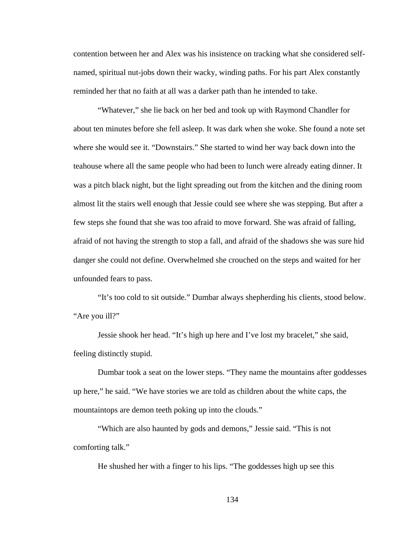contention between her and Alex was his insistence on tracking what she considered selfnamed, spiritual nut-jobs down their wacky, winding paths. For his part Alex constantly reminded her that no faith at all was a darker path than he intended to take.

"Whatever," she lie back on her bed and took up with Raymond Chandler for about ten minutes before she fell asleep. It was dark when she woke. She found a note set where she would see it. "Downstairs." She started to wind her way back down into the teahouse where all the same people who had been to lunch were already eating dinner. It was a pitch black night, but the light spreading out from the kitchen and the dining room almost lit the stairs well enough that Jessie could see where she was stepping. But after a few steps she found that she was too afraid to move forward. She was afraid of falling, afraid of not having the strength to stop a fall, and afraid of the shadows she was sure hid danger she could not define. Overwhelmed she crouched on the steps and waited for her unfounded fears to pass.

"It's too cold to sit outside." Dumbar always shepherding his clients, stood below. "Are you ill?"

Jessie shook her head. "It's high up here and I've lost my bracelet," she said, feeling distinctly stupid.

Dumbar took a seat on the lower steps. "They name the mountains after goddesses up here," he said. "We have stories we are told as children about the white caps, the mountaintops are demon teeth poking up into the clouds."

"Which are also haunted by gods and demons," Jessie said. "This is not comforting talk."

He shushed her with a finger to his lips. "The goddesses high up see this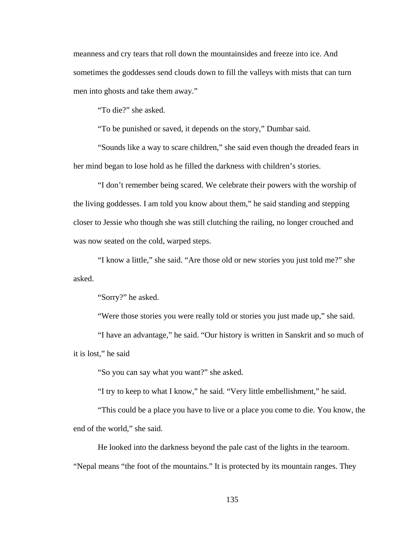meanness and cry tears that roll down the mountainsides and freeze into ice. And sometimes the goddesses send clouds down to fill the valleys with mists that can turn men into ghosts and take them away."

"To die?" she asked.

"To be punished or saved, it depends on the story," Dumbar said.

"Sounds like a way to scare children," she said even though the dreaded fears in her mind began to lose hold as he filled the darkness with children's stories.

"I don't remember being scared. We celebrate their powers with the worship of the living goddesses. I am told you know about them," he said standing and stepping closer to Jessie who though she was still clutching the railing, no longer crouched and was now seated on the cold, warped steps.

"I know a little," she said. "Are those old or new stories you just told me?" she asked.

"Sorry?" he asked.

"Were those stories you were really told or stories you just made up," she said.

"I have an advantage," he said. "Our history is written in Sanskrit and so much of it is lost," he said

"So you can say what you want?" she asked.

"I try to keep to what I know," he said. "Very little embellishment," he said.

"This could be a place you have to live or a place you come to die. You know, the end of the world," she said.

He looked into the darkness beyond the pale cast of the lights in the tearoom. "Nepal means "the foot of the mountains." It is protected by its mountain ranges. They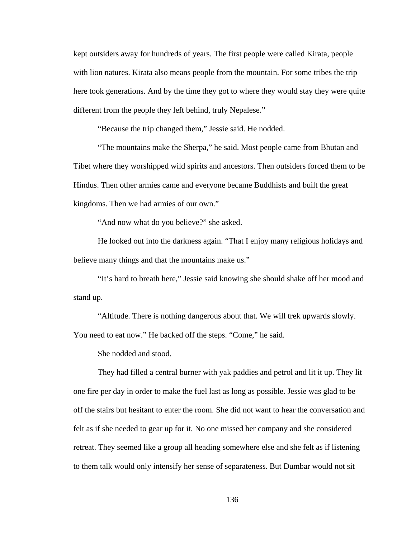kept outsiders away for hundreds of years. The first people were called Kirata, people with lion natures. Kirata also means people from the mountain. For some tribes the trip here took generations. And by the time they got to where they would stay they were quite different from the people they left behind, truly Nepalese."

"Because the trip changed them," Jessie said. He nodded.

"The mountains make the Sherpa," he said. Most people came from Bhutan and Tibet where they worshipped wild spirits and ancestors. Then outsiders forced them to be Hindus. Then other armies came and everyone became Buddhists and built the great kingdoms. Then we had armies of our own."

"And now what do you believe?" she asked.

He looked out into the darkness again. "That I enjoy many religious holidays and believe many things and that the mountains make us."

"It's hard to breath here," Jessie said knowing she should shake off her mood and stand up.

"Altitude. There is nothing dangerous about that. We will trek upwards slowly. You need to eat now." He backed off the steps. "Come," he said.

She nodded and stood.

They had filled a central burner with yak paddies and petrol and lit it up. They lit one fire per day in order to make the fuel last as long as possible. Jessie was glad to be off the stairs but hesitant to enter the room. She did not want to hear the conversation and felt as if she needed to gear up for it. No one missed her company and she considered retreat. They seemed like a group all heading somewhere else and she felt as if listening to them talk would only intensify her sense of separateness. But Dumbar would not sit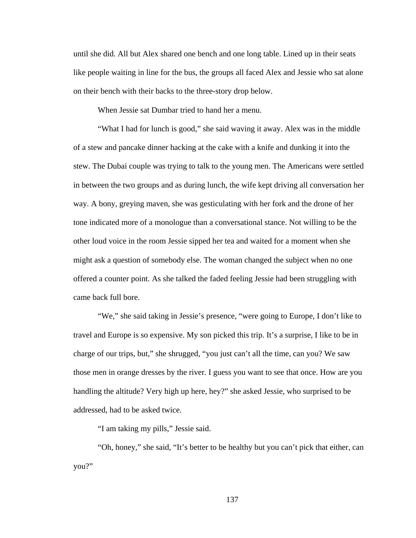until she did. All but Alex shared one bench and one long table. Lined up in their seats like people waiting in line for the bus, the groups all faced Alex and Jessie who sat alone on their bench with their backs to the three-story drop below.

When Jessie sat Dumbar tried to hand her a menu.

"What I had for lunch is good," she said waving it away. Alex was in the middle of a stew and pancake dinner hacking at the cake with a knife and dunking it into the stew. The Dubai couple was trying to talk to the young men. The Americans were settled in between the two groups and as during lunch, the wife kept driving all conversation her way. A bony, greying maven, she was gesticulating with her fork and the drone of her tone indicated more of a monologue than a conversational stance. Not willing to be the other loud voice in the room Jessie sipped her tea and waited for a moment when she might ask a question of somebody else. The woman changed the subject when no one offered a counter point. As she talked the faded feeling Jessie had been struggling with came back full bore.

"We," she said taking in Jessie's presence, "were going to Europe, I don't like to travel and Europe is so expensive. My son picked this trip. It's a surprise, I like to be in charge of our trips, but," she shrugged, "you just can't all the time, can you? We saw those men in orange dresses by the river. I guess you want to see that once. How are you handling the altitude? Very high up here, hey?" she asked Jessie, who surprised to be addressed, had to be asked twice.

"I am taking my pills," Jessie said.

"Oh, honey," she said, "It's better to be healthy but you can't pick that either, can you?"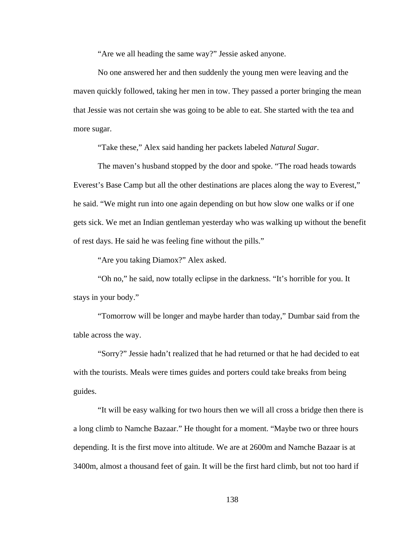"Are we all heading the same way?" Jessie asked anyone.

No one answered her and then suddenly the young men were leaving and the maven quickly followed, taking her men in tow. They passed a porter bringing the mean that Jessie was not certain she was going to be able to eat. She started with the tea and more sugar.

"Take these," Alex said handing her packets labeled *Natural Sugar*.

The maven's husband stopped by the door and spoke. "The road heads towards Everest's Base Camp but all the other destinations are places along the way to Everest," he said. "We might run into one again depending on but how slow one walks or if one gets sick. We met an Indian gentleman yesterday who was walking up without the benefit of rest days. He said he was feeling fine without the pills."

"Are you taking Diamox?" Alex asked.

"Oh no," he said, now totally eclipse in the darkness. "It's horrible for you. It stays in your body."

"Tomorrow will be longer and maybe harder than today," Dumbar said from the table across the way.

"Sorry?" Jessie hadn't realized that he had returned or that he had decided to eat with the tourists. Meals were times guides and porters could take breaks from being guides.

"It will be easy walking for two hours then we will all cross a bridge then there is a long climb to Namche Bazaar." He thought for a moment. "Maybe two or three hours depending. It is the first move into altitude. We are at 2600m and Namche Bazaar is at 3400m, almost a thousand feet of gain. It will be the first hard climb, but not too hard if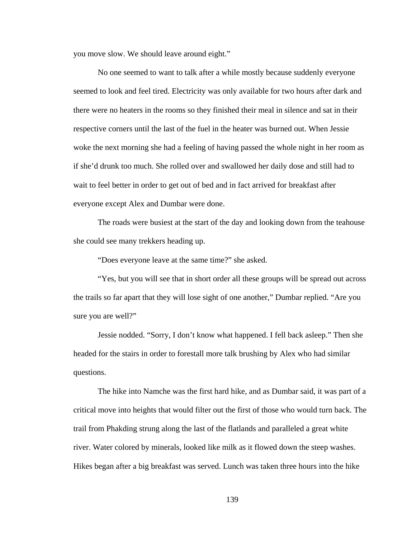you move slow. We should leave around eight."

No one seemed to want to talk after a while mostly because suddenly everyone seemed to look and feel tired. Electricity was only available for two hours after dark and there were no heaters in the rooms so they finished their meal in silence and sat in their respective corners until the last of the fuel in the heater was burned out. When Jessie woke the next morning she had a feeling of having passed the whole night in her room as if she'd drunk too much. She rolled over and swallowed her daily dose and still had to wait to feel better in order to get out of bed and in fact arrived for breakfast after everyone except Alex and Dumbar were done.

The roads were busiest at the start of the day and looking down from the teahouse she could see many trekkers heading up.

"Does everyone leave at the same time?" she asked.

"Yes, but you will see that in short order all these groups will be spread out across the trails so far apart that they will lose sight of one another," Dumbar replied. "Are you sure you are well?"

Jessie nodded. "Sorry, I don't know what happened. I fell back asleep." Then she headed for the stairs in order to forestall more talk brushing by Alex who had similar questions.

The hike into Namche was the first hard hike, and as Dumbar said, it was part of a critical move into heights that would filter out the first of those who would turn back. The trail from Phakding strung along the last of the flatlands and paralleled a great white river. Water colored by minerals, looked like milk as it flowed down the steep washes. Hikes began after a big breakfast was served. Lunch was taken three hours into the hike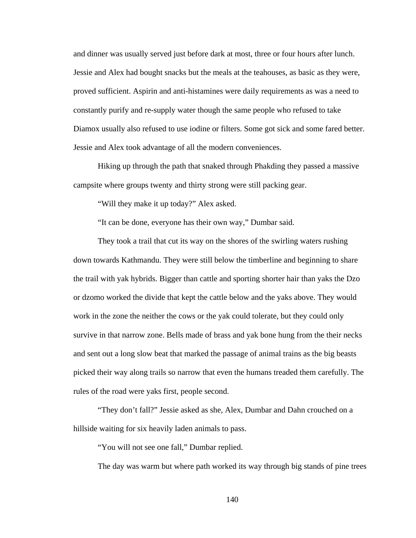and dinner was usually served just before dark at most, three or four hours after lunch. Jessie and Alex had bought snacks but the meals at the teahouses, as basic as they were, proved sufficient. Aspirin and anti-histamines were daily requirements as was a need to constantly purify and re-supply water though the same people who refused to take Diamox usually also refused to use iodine or filters. Some got sick and some fared better. Jessie and Alex took advantage of all the modern conveniences.

Hiking up through the path that snaked through Phakding they passed a massive campsite where groups twenty and thirty strong were still packing gear.

"Will they make it up today?" Alex asked.

"It can be done, everyone has their own way," Dumbar said.

They took a trail that cut its way on the shores of the swirling waters rushing down towards Kathmandu. They were still below the timberline and beginning to share the trail with yak hybrids. Bigger than cattle and sporting shorter hair than yaks the Dzo or dzomo worked the divide that kept the cattle below and the yaks above. They would work in the zone the neither the cows or the yak could tolerate, but they could only survive in that narrow zone. Bells made of brass and yak bone hung from the their necks and sent out a long slow beat that marked the passage of animal trains as the big beasts picked their way along trails so narrow that even the humans treaded them carefully. The rules of the road were yaks first, people second.

"They don't fall?" Jessie asked as she, Alex, Dumbar and Dahn crouched on a hillside waiting for six heavily laden animals to pass.

"You will not see one fall," Dumbar replied.

The day was warm but where path worked its way through big stands of pine trees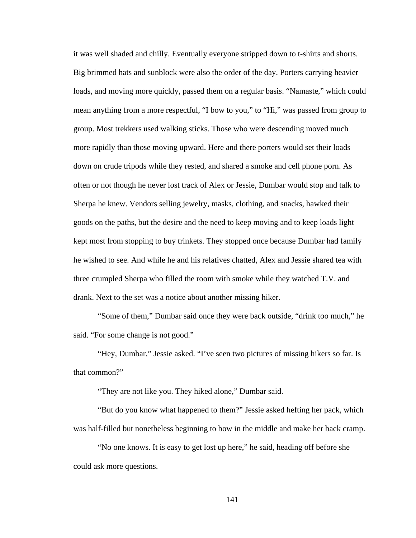it was well shaded and chilly. Eventually everyone stripped down to t-shirts and shorts. Big brimmed hats and sunblock were also the order of the day. Porters carrying heavier loads, and moving more quickly, passed them on a regular basis. "Namaste," which could mean anything from a more respectful, "I bow to you," to "Hi," was passed from group to group. Most trekkers used walking sticks. Those who were descending moved much more rapidly than those moving upward. Here and there porters would set their loads down on crude tripods while they rested, and shared a smoke and cell phone porn. As often or not though he never lost track of Alex or Jessie, Dumbar would stop and talk to Sherpa he knew. Vendors selling jewelry, masks, clothing, and snacks, hawked their goods on the paths, but the desire and the need to keep moving and to keep loads light kept most from stopping to buy trinkets. They stopped once because Dumbar had family he wished to see. And while he and his relatives chatted, Alex and Jessie shared tea with three crumpled Sherpa who filled the room with smoke while they watched T.V. and drank. Next to the set was a notice about another missing hiker.

"Some of them," Dumbar said once they were back outside, "drink too much," he said. "For some change is not good."

"Hey, Dumbar," Jessie asked. "I've seen two pictures of missing hikers so far. Is that common?"

"They are not like you. They hiked alone," Dumbar said.

"But do you know what happened to them?" Jessie asked hefting her pack, which was half-filled but nonetheless beginning to bow in the middle and make her back cramp.

"No one knows. It is easy to get lost up here," he said, heading off before she could ask more questions.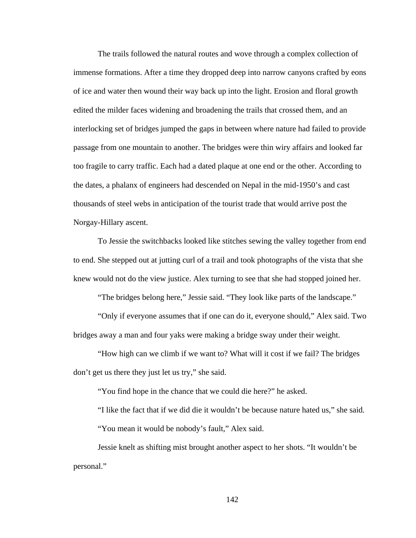The trails followed the natural routes and wove through a complex collection of immense formations. After a time they dropped deep into narrow canyons crafted by eons of ice and water then wound their way back up into the light. Erosion and floral growth edited the milder faces widening and broadening the trails that crossed them, and an interlocking set of bridges jumped the gaps in between where nature had failed to provide passage from one mountain to another. The bridges were thin wiry affairs and looked far too fragile to carry traffic. Each had a dated plaque at one end or the other. According to the dates, a phalanx of engineers had descended on Nepal in the mid-1950's and cast thousands of steel webs in anticipation of the tourist trade that would arrive post the Norgay-Hillary ascent.

To Jessie the switchbacks looked like stitches sewing the valley together from end to end. She stepped out at jutting curl of a trail and took photographs of the vista that she knew would not do the view justice. Alex turning to see that she had stopped joined her.

"The bridges belong here," Jessie said. "They look like parts of the landscape."

"Only if everyone assumes that if one can do it, everyone should," Alex said. Two bridges away a man and four yaks were making a bridge sway under their weight.

"How high can we climb if we want to? What will it cost if we fail? The bridges don't get us there they just let us try," she said.

"You find hope in the chance that we could die here?" he asked.

"I like the fact that if we did die it wouldn't be because nature hated us," she said. "You mean it would be nobody's fault," Alex said.

Jessie knelt as shifting mist brought another aspect to her shots. "It wouldn't be personal."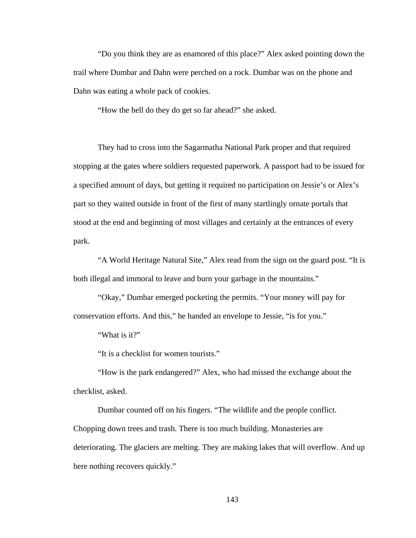"Do you think they are as enamored of this place?" Alex asked pointing down the trail where Dumbar and Dahn were perched on a rock. Dumbar was on the phone and Dahn was eating a whole pack of cookies.

"How the hell do they do get so far ahead?" she asked.

They had to cross into the Sagarmatha National Park proper and that required stopping at the gates where soldiers requested paperwork. A passport had to be issued for a specified amount of days, but getting it required no participation on Jessie's or Alex's part so they waited outside in front of the first of many startlingly ornate portals that stood at the end and beginning of most villages and certainly at the entrances of every park.

"A World Heritage Natural Site," Alex read from the sign on the guard post. "It is both illegal and immoral to leave and burn your garbage in the mountains."

"Okay," Dumbar emerged pocketing the permits. "Your money will pay for conservation efforts. And this," he handed an envelope to Jessie, "is for you."

"What is it?"

"It is a checklist for women tourists."

"How is the park endangered?" Alex, who had missed the exchange about the checklist, asked.

Dumbar counted off on his fingers. "The wildlife and the people conflict. Chopping down trees and trash. There is too much building. Monasteries are deteriorating. The glaciers are melting. They are making lakes that will overflow. And up here nothing recovers quickly."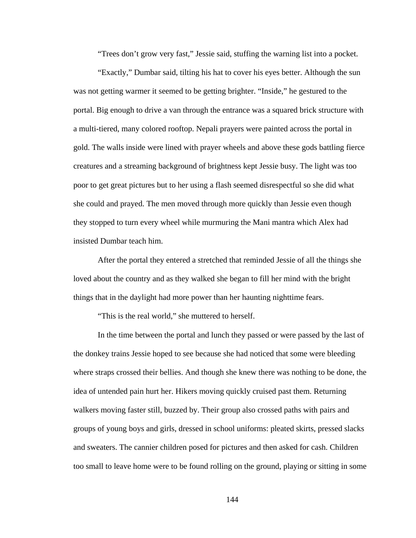"Trees don't grow very fast," Jessie said, stuffing the warning list into a pocket.

"Exactly," Dumbar said, tilting his hat to cover his eyes better. Although the sun was not getting warmer it seemed to be getting brighter. "Inside," he gestured to the portal. Big enough to drive a van through the entrance was a squared brick structure with a multi-tiered, many colored rooftop. Nepali prayers were painted across the portal in gold. The walls inside were lined with prayer wheels and above these gods battling fierce creatures and a streaming background of brightness kept Jessie busy. The light was too poor to get great pictures but to her using a flash seemed disrespectful so she did what she could and prayed. The men moved through more quickly than Jessie even though they stopped to turn every wheel while murmuring the Mani mantra which Alex had insisted Dumbar teach him.

After the portal they entered a stretched that reminded Jessie of all the things she loved about the country and as they walked she began to fill her mind with the bright things that in the daylight had more power than her haunting nighttime fears.

"This is the real world," she muttered to herself.

In the time between the portal and lunch they passed or were passed by the last of the donkey trains Jessie hoped to see because she had noticed that some were bleeding where straps crossed their bellies. And though she knew there was nothing to be done, the idea of untended pain hurt her. Hikers moving quickly cruised past them. Returning walkers moving faster still, buzzed by. Their group also crossed paths with pairs and groups of young boys and girls, dressed in school uniforms: pleated skirts, pressed slacks and sweaters. The cannier children posed for pictures and then asked for cash. Children too small to leave home were to be found rolling on the ground, playing or sitting in some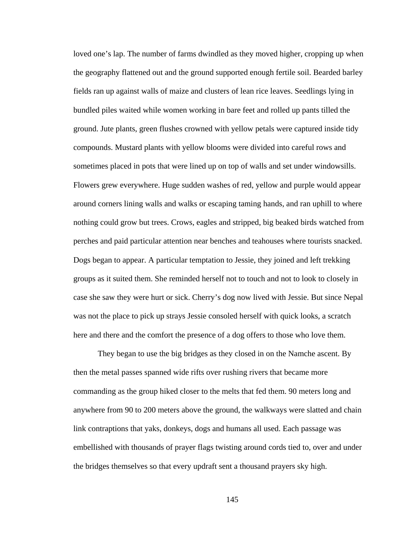loved one's lap. The number of farms dwindled as they moved higher, cropping up when the geography flattened out and the ground supported enough fertile soil. Bearded barley fields ran up against walls of maize and clusters of lean rice leaves. Seedlings lying in bundled piles waited while women working in bare feet and rolled up pants tilled the ground. Jute plants, green flushes crowned with yellow petals were captured inside tidy compounds. Mustard plants with yellow blooms were divided into careful rows and sometimes placed in pots that were lined up on top of walls and set under windowsills. Flowers grew everywhere. Huge sudden washes of red, yellow and purple would appear around corners lining walls and walks or escaping taming hands, and ran uphill to where nothing could grow but trees. Crows, eagles and stripped, big beaked birds watched from perches and paid particular attention near benches and teahouses where tourists snacked. Dogs began to appear. A particular temptation to Jessie, they joined and left trekking groups as it suited them. She reminded herself not to touch and not to look to closely in case she saw they were hurt or sick. Cherry's dog now lived with Jessie. But since Nepal was not the place to pick up strays Jessie consoled herself with quick looks, a scratch here and there and the comfort the presence of a dog offers to those who love them.

They began to use the big bridges as they closed in on the Namche ascent. By then the metal passes spanned wide rifts over rushing rivers that became more commanding as the group hiked closer to the melts that fed them. 90 meters long and anywhere from 90 to 200 meters above the ground, the walkways were slatted and chain link contraptions that yaks, donkeys, dogs and humans all used. Each passage was embellished with thousands of prayer flags twisting around cords tied to, over and under the bridges themselves so that every updraft sent a thousand prayers sky high.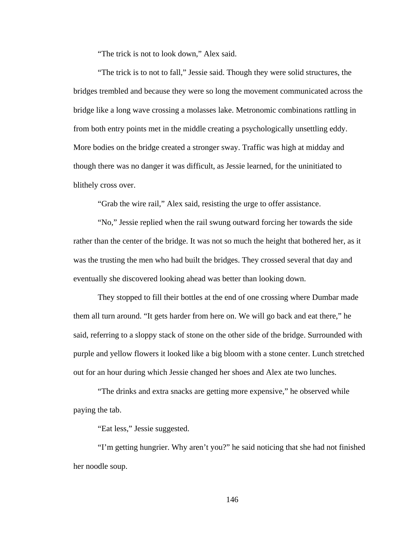"The trick is not to look down," Alex said.

"The trick is to not to fall," Jessie said. Though they were solid structures, the bridges trembled and because they were so long the movement communicated across the bridge like a long wave crossing a molasses lake. Metronomic combinations rattling in from both entry points met in the middle creating a psychologically unsettling eddy. More bodies on the bridge created a stronger sway. Traffic was high at midday and though there was no danger it was difficult, as Jessie learned, for the uninitiated to blithely cross over.

"Grab the wire rail," Alex said, resisting the urge to offer assistance.

"No," Jessie replied when the rail swung outward forcing her towards the side rather than the center of the bridge. It was not so much the height that bothered her, as it was the trusting the men who had built the bridges. They crossed several that day and eventually she discovered looking ahead was better than looking down.

They stopped to fill their bottles at the end of one crossing where Dumbar made them all turn around. "It gets harder from here on. We will go back and eat there," he said, referring to a sloppy stack of stone on the other side of the bridge. Surrounded with purple and yellow flowers it looked like a big bloom with a stone center. Lunch stretched out for an hour during which Jessie changed her shoes and Alex ate two lunches.

"The drinks and extra snacks are getting more expensive," he observed while paying the tab.

"Eat less," Jessie suggested.

"I'm getting hungrier. Why aren't you?" he said noticing that she had not finished her noodle soup.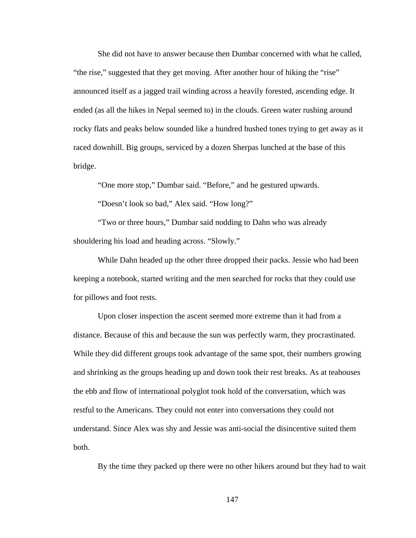She did not have to answer because then Dumbar concerned with what he called, "the rise," suggested that they get moving. After another hour of hiking the "rise" announced itself as a jagged trail winding across a heavily forested, ascending edge. It ended (as all the hikes in Nepal seemed to) in the clouds. Green water rushing around rocky flats and peaks below sounded like a hundred hushed tones trying to get away as it raced downhill. Big groups, serviced by a dozen Sherpas lunched at the base of this bridge.

"One more stop," Dumbar said. "Before," and he gestured upwards.

"Doesn't look so bad," Alex said. "How long?"

"Two or three hours," Dumbar said nodding to Dahn who was already shouldering his load and heading across. "Slowly."

While Dahn headed up the other three dropped their packs. Jessie who had been keeping a notebook, started writing and the men searched for rocks that they could use for pillows and foot rests.

Upon closer inspection the ascent seemed more extreme than it had from a distance. Because of this and because the sun was perfectly warm, they procrastinated. While they did different groups took advantage of the same spot, their numbers growing and shrinking as the groups heading up and down took their rest breaks. As at teahouses the ebb and flow of international polyglot took hold of the conversation, which was restful to the Americans. They could not enter into conversations they could not understand. Since Alex was shy and Jessie was anti-social the disincentive suited them both.

By the time they packed up there were no other hikers around but they had to wait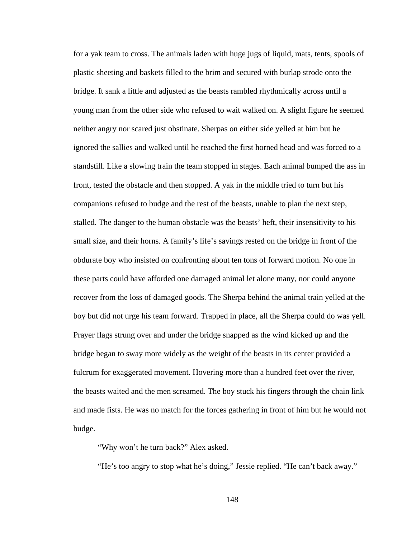for a yak team to cross. The animals laden with huge jugs of liquid, mats, tents, spools of plastic sheeting and baskets filled to the brim and secured with burlap strode onto the bridge. It sank a little and adjusted as the beasts rambled rhythmically across until a young man from the other side who refused to wait walked on. A slight figure he seemed neither angry nor scared just obstinate. Sherpas on either side yelled at him but he ignored the sallies and walked until he reached the first horned head and was forced to a standstill. Like a slowing train the team stopped in stages. Each animal bumped the ass in front, tested the obstacle and then stopped. A yak in the middle tried to turn but his companions refused to budge and the rest of the beasts, unable to plan the next step, stalled. The danger to the human obstacle was the beasts' heft, their insensitivity to his small size, and their horns. A family's life's savings rested on the bridge in front of the obdurate boy who insisted on confronting about ten tons of forward motion. No one in these parts could have afforded one damaged animal let alone many, nor could anyone recover from the loss of damaged goods. The Sherpa behind the animal train yelled at the boy but did not urge his team forward. Trapped in place, all the Sherpa could do was yell. Prayer flags strung over and under the bridge snapped as the wind kicked up and the bridge began to sway more widely as the weight of the beasts in its center provided a fulcrum for exaggerated movement. Hovering more than a hundred feet over the river, the beasts waited and the men screamed. The boy stuck his fingers through the chain link and made fists. He was no match for the forces gathering in front of him but he would not budge.

"Why won't he turn back?" Alex asked.

"He's too angry to stop what he's doing," Jessie replied. "He can't back away."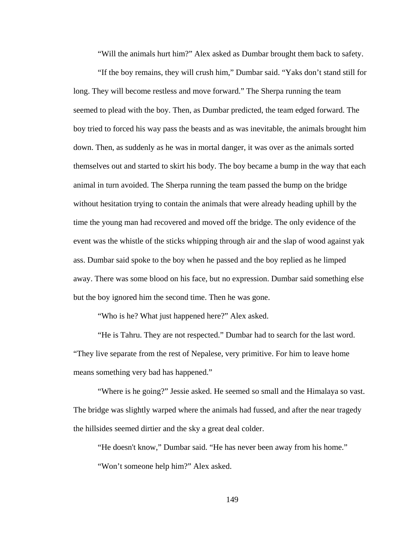"Will the animals hurt him?" Alex asked as Dumbar brought them back to safety.

"If the boy remains, they will crush him," Dumbar said. "Yaks don't stand still for long. They will become restless and move forward." The Sherpa running the team seemed to plead with the boy. Then, as Dumbar predicted, the team edged forward. The boy tried to forced his way pass the beasts and as was inevitable, the animals brought him down. Then, as suddenly as he was in mortal danger, it was over as the animals sorted themselves out and started to skirt his body. The boy became a bump in the way that each animal in turn avoided. The Sherpa running the team passed the bump on the bridge without hesitation trying to contain the animals that were already heading uphill by the time the young man had recovered and moved off the bridge. The only evidence of the event was the whistle of the sticks whipping through air and the slap of wood against yak ass. Dumbar said spoke to the boy when he passed and the boy replied as he limped away. There was some blood on his face, but no expression. Dumbar said something else but the boy ignored him the second time. Then he was gone.

"Who is he? What just happened here?" Alex asked.

"He is Tahru. They are not respected." Dumbar had to search for the last word. "They live separate from the rest of Nepalese, very primitive. For him to leave home means something very bad has happened."

"Where is he going?" Jessie asked. He seemed so small and the Himalaya so vast. The bridge was slightly warped where the animals had fussed, and after the near tragedy the hillsides seemed dirtier and the sky a great deal colder.

"He doesn't know," Dumbar said. "He has never been away from his home."

"Won't someone help him?" Alex asked.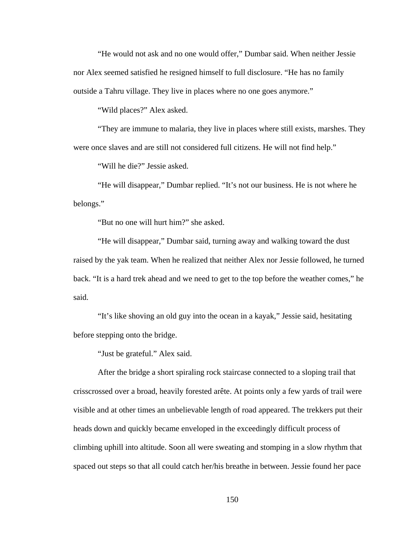"He would not ask and no one would offer," Dumbar said. When neither Jessie nor Alex seemed satisfied he resigned himself to full disclosure. "He has no family outside a Tahru village. They live in places where no one goes anymore."

"Wild places?" Alex asked.

"They are immune to malaria, they live in places where still exists, marshes. They were once slaves and are still not considered full citizens. He will not find help."

"Will he die?" Jessie asked.

"He will disappear," Dumbar replied. "It's not our business. He is not where he belongs."

"But no one will hurt him?" she asked.

"He will disappear," Dumbar said, turning away and walking toward the dust raised by the yak team. When he realized that neither Alex nor Jessie followed, he turned back. "It is a hard trek ahead and we need to get to the top before the weather comes," he said.

"It's like shoving an old guy into the ocean in a kayak," Jessie said, hesitating before stepping onto the bridge.

"Just be grateful." Alex said.

After the bridge a short spiraling rock staircase connected to a sloping trail that crisscrossed over a broad, heavily forested arête. At points only a few yards of trail were visible and at other times an unbelievable length of road appeared. The trekkers put their heads down and quickly became enveloped in the exceedingly difficult process of climbing uphill into altitude. Soon all were sweating and stomping in a slow rhythm that spaced out steps so that all could catch her/his breathe in between. Jessie found her pace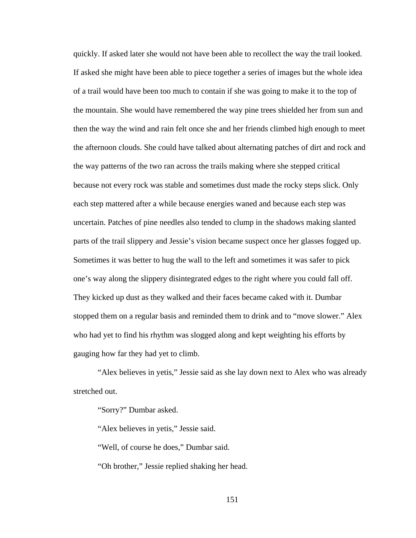quickly. If asked later she would not have been able to recollect the way the trail looked. If asked she might have been able to piece together a series of images but the whole idea of a trail would have been too much to contain if she was going to make it to the top of the mountain. She would have remembered the way pine trees shielded her from sun and then the way the wind and rain felt once she and her friends climbed high enough to meet the afternoon clouds. She could have talked about alternating patches of dirt and rock and the way patterns of the two ran across the trails making where she stepped critical because not every rock was stable and sometimes dust made the rocky steps slick. Only each step mattered after a while because energies waned and because each step was uncertain. Patches of pine needles also tended to clump in the shadows making slanted parts of the trail slippery and Jessie's vision became suspect once her glasses fogged up. Sometimes it was better to hug the wall to the left and sometimes it was safer to pick one's way along the slippery disintegrated edges to the right where you could fall off. They kicked up dust as they walked and their faces became caked with it. Dumbar stopped them on a regular basis and reminded them to drink and to "move slower." Alex who had yet to find his rhythm was slogged along and kept weighting his efforts by gauging how far they had yet to climb.

"Alex believes in yetis," Jessie said as she lay down next to Alex who was already stretched out.

"Sorry?" Dumbar asked.

"Alex believes in yetis," Jessie said.

"Well, of course he does," Dumbar said.

"Oh brother," Jessie replied shaking her head.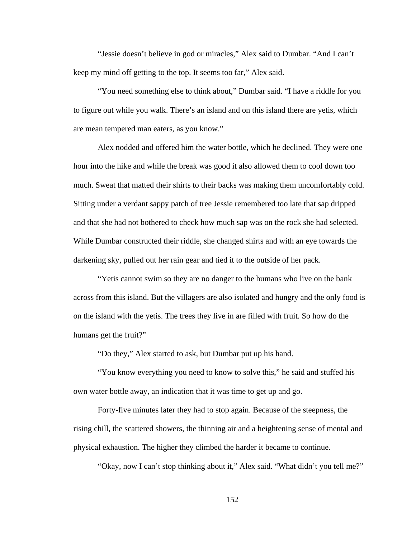"Jessie doesn't believe in god or miracles," Alex said to Dumbar. "And I can't keep my mind off getting to the top. It seems too far," Alex said.

"You need something else to think about," Dumbar said. "I have a riddle for you to figure out while you walk. There's an island and on this island there are yetis, which are mean tempered man eaters, as you know."

Alex nodded and offered him the water bottle, which he declined. They were one hour into the hike and while the break was good it also allowed them to cool down too much. Sweat that matted their shirts to their backs was making them uncomfortably cold. Sitting under a verdant sappy patch of tree Jessie remembered too late that sap dripped and that she had not bothered to check how much sap was on the rock she had selected. While Dumbar constructed their riddle, she changed shirts and with an eye towards the darkening sky, pulled out her rain gear and tied it to the outside of her pack.

"Yetis cannot swim so they are no danger to the humans who live on the bank across from this island. But the villagers are also isolated and hungry and the only food is on the island with the yetis. The trees they live in are filled with fruit. So how do the humans get the fruit?"

"Do they," Alex started to ask, but Dumbar put up his hand.

"You know everything you need to know to solve this," he said and stuffed his own water bottle away, an indication that it was time to get up and go.

Forty-five minutes later they had to stop again. Because of the steepness, the rising chill, the scattered showers, the thinning air and a heightening sense of mental and physical exhaustion. The higher they climbed the harder it became to continue.

"Okay, now I can't stop thinking about it," Alex said. "What didn't you tell me?"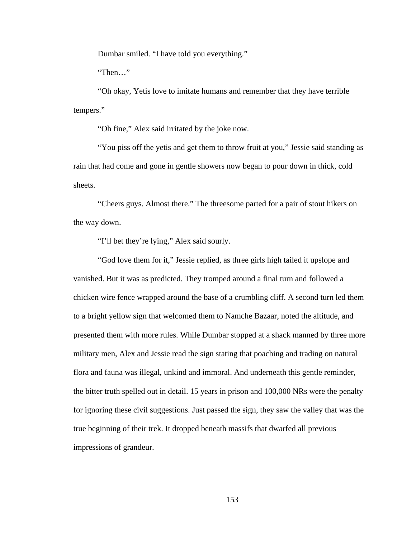Dumbar smiled. "I have told you everything."

"Then…"

"Oh okay, Yetis love to imitate humans and remember that they have terrible tempers."

"Oh fine," Alex said irritated by the joke now.

"You piss off the yetis and get them to throw fruit at you," Jessie said standing as rain that had come and gone in gentle showers now began to pour down in thick, cold sheets.

"Cheers guys. Almost there." The threesome parted for a pair of stout hikers on the way down.

"I'll bet they're lying," Alex said sourly.

"God love them for it," Jessie replied, as three girls high tailed it upslope and vanished. But it was as predicted. They tromped around a final turn and followed a chicken wire fence wrapped around the base of a crumbling cliff. A second turn led them to a bright yellow sign that welcomed them to Namche Bazaar, noted the altitude, and presented them with more rules. While Dumbar stopped at a shack manned by three more military men, Alex and Jessie read the sign stating that poaching and trading on natural flora and fauna was illegal, unkind and immoral. And underneath this gentle reminder, the bitter truth spelled out in detail. 15 years in prison and 100,000 NRs were the penalty for ignoring these civil suggestions. Just passed the sign, they saw the valley that was the true beginning of their trek. It dropped beneath massifs that dwarfed all previous impressions of grandeur.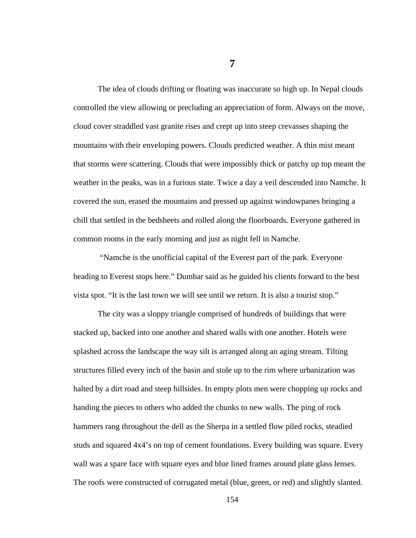**7** 

The idea of clouds drifting or floating was inaccurate so high up. In Nepal clouds controlled the view allowing or precluding an appreciation of form. Always on the move, cloud cover straddled vast granite rises and crept up into steep crevasses shaping the mountains with their enveloping powers. Clouds predicted weather. A thin mist meant that storms were scattering. Clouds that were impossibly thick or patchy up top meant the weather in the peaks, was in a furious state. Twice a day a veil descended into Namche. It covered the sun, erased the mountains and pressed up against windowpanes bringing a chill that settled in the bedsheets and rolled along the floorboards. Everyone gathered in common rooms in the early morning and just as night fell in Namche.

 "Namche is the unofficial capital of the Everest part of the park. Everyone heading to Everest stops here." Dumbar said as he guided his clients forward to the best vista spot. "It is the last town we will see until we return. It is also a tourist stop."

The city was a sloppy triangle comprised of hundreds of buildings that were stacked up, backed into one another and shared walls with one another. Hotels were splashed across the landscape the way silt is arranged along an aging stream. Tilting structures filled every inch of the basin and stole up to the rim where urbanization was halted by a dirt road and steep hillsides. In empty plots men were chopping up rocks and handing the pieces to others who added the chunks to new walls. The ping of rock hammers rang throughout the dell as the Sherpa in a settled flow piled rocks, steadied studs and squared 4x4's on top of cement foundations. Every building was square. Every wall was a spare face with square eyes and blue lined frames around plate glass lenses. The roofs were constructed of corrugated metal (blue, green, or red) and slightly slanted.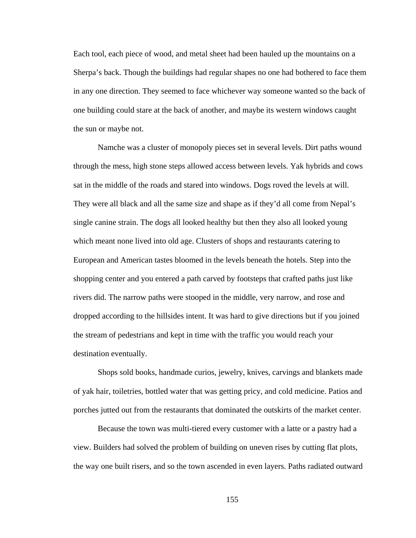Each tool, each piece of wood, and metal sheet had been hauled up the mountains on a Sherpa's back. Though the buildings had regular shapes no one had bothered to face them in any one direction. They seemed to face whichever way someone wanted so the back of one building could stare at the back of another, and maybe its western windows caught the sun or maybe not.

Namche was a cluster of monopoly pieces set in several levels. Dirt paths wound through the mess, high stone steps allowed access between levels. Yak hybrids and cows sat in the middle of the roads and stared into windows. Dogs roved the levels at will. They were all black and all the same size and shape as if they'd all come from Nepal's single canine strain. The dogs all looked healthy but then they also all looked young which meant none lived into old age. Clusters of shops and restaurants catering to European and American tastes bloomed in the levels beneath the hotels. Step into the shopping center and you entered a path carved by footsteps that crafted paths just like rivers did. The narrow paths were stooped in the middle, very narrow, and rose and dropped according to the hillsides intent. It was hard to give directions but if you joined the stream of pedestrians and kept in time with the traffic you would reach your destination eventually.

Shops sold books, handmade curios, jewelry, knives, carvings and blankets made of yak hair, toiletries, bottled water that was getting pricy, and cold medicine. Patios and porches jutted out from the restaurants that dominated the outskirts of the market center.

Because the town was multi-tiered every customer with a latte or a pastry had a view. Builders had solved the problem of building on uneven rises by cutting flat plots, the way one built risers, and so the town ascended in even layers. Paths radiated outward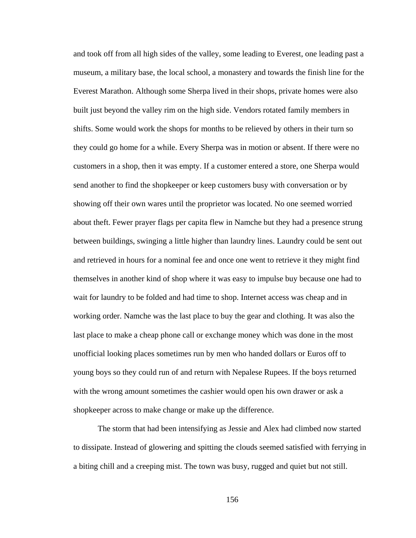and took off from all high sides of the valley, some leading to Everest, one leading past a museum, a military base, the local school, a monastery and towards the finish line for the Everest Marathon. Although some Sherpa lived in their shops, private homes were also built just beyond the valley rim on the high side. Vendors rotated family members in shifts. Some would work the shops for months to be relieved by others in their turn so they could go home for a while. Every Sherpa was in motion or absent. If there were no customers in a shop, then it was empty. If a customer entered a store, one Sherpa would send another to find the shopkeeper or keep customers busy with conversation or by showing off their own wares until the proprietor was located. No one seemed worried about theft. Fewer prayer flags per capita flew in Namche but they had a presence strung between buildings, swinging a little higher than laundry lines. Laundry could be sent out and retrieved in hours for a nominal fee and once one went to retrieve it they might find themselves in another kind of shop where it was easy to impulse buy because one had to wait for laundry to be folded and had time to shop. Internet access was cheap and in working order. Namche was the last place to buy the gear and clothing. It was also the last place to make a cheap phone call or exchange money which was done in the most unofficial looking places sometimes run by men who handed dollars or Euros off to young boys so they could run of and return with Nepalese Rupees. If the boys returned with the wrong amount sometimes the cashier would open his own drawer or ask a shopkeeper across to make change or make up the difference.

The storm that had been intensifying as Jessie and Alex had climbed now started to dissipate. Instead of glowering and spitting the clouds seemed satisfied with ferrying in a biting chill and a creeping mist. The town was busy, rugged and quiet but not still.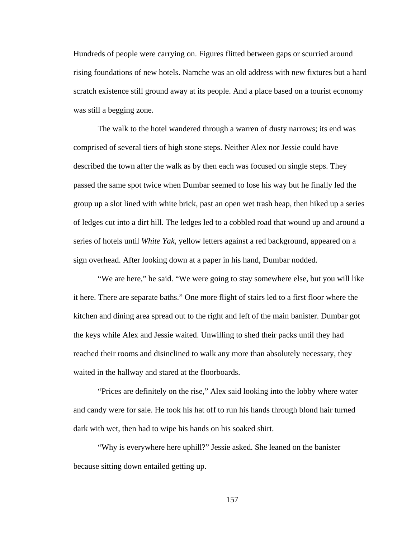Hundreds of people were carrying on. Figures flitted between gaps or scurried around rising foundations of new hotels. Namche was an old address with new fixtures but a hard scratch existence still ground away at its people. And a place based on a tourist economy was still a begging zone.

The walk to the hotel wandered through a warren of dusty narrows; its end was comprised of several tiers of high stone steps. Neither Alex nor Jessie could have described the town after the walk as by then each was focused on single steps. They passed the same spot twice when Dumbar seemed to lose his way but he finally led the group up a slot lined with white brick, past an open wet trash heap, then hiked up a series of ledges cut into a dirt hill. The ledges led to a cobbled road that wound up and around a series of hotels until *White Yak,* yellow letters against a red background, appeared on a sign overhead. After looking down at a paper in his hand, Dumbar nodded.

"We are here," he said. "We were going to stay somewhere else, but you will like it here. There are separate baths." One more flight of stairs led to a first floor where the kitchen and dining area spread out to the right and left of the main banister. Dumbar got the keys while Alex and Jessie waited. Unwilling to shed their packs until they had reached their rooms and disinclined to walk any more than absolutely necessary, they waited in the hallway and stared at the floorboards.

"Prices are definitely on the rise," Alex said looking into the lobby where water and candy were for sale. He took his hat off to run his hands through blond hair turned dark with wet, then had to wipe his hands on his soaked shirt.

"Why is everywhere here uphill?" Jessie asked. She leaned on the banister because sitting down entailed getting up.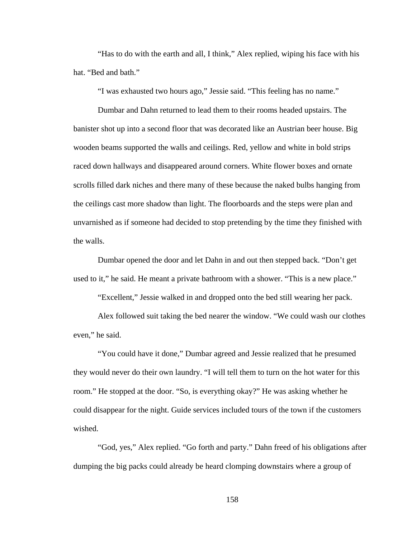"Has to do with the earth and all, I think," Alex replied, wiping his face with his hat. "Bed and bath."

"I was exhausted two hours ago," Jessie said. "This feeling has no name."

Dumbar and Dahn returned to lead them to their rooms headed upstairs. The banister shot up into a second floor that was decorated like an Austrian beer house. Big wooden beams supported the walls and ceilings. Red, yellow and white in bold strips raced down hallways and disappeared around corners. White flower boxes and ornate scrolls filled dark niches and there many of these because the naked bulbs hanging from the ceilings cast more shadow than light. The floorboards and the steps were plan and unvarnished as if someone had decided to stop pretending by the time they finished with the walls.

Dumbar opened the door and let Dahn in and out then stepped back. "Don't get used to it," he said. He meant a private bathroom with a shower. "This is a new place."

"Excellent," Jessie walked in and dropped onto the bed still wearing her pack.

Alex followed suit taking the bed nearer the window. "We could wash our clothes even," he said.

"You could have it done," Dumbar agreed and Jessie realized that he presumed they would never do their own laundry. "I will tell them to turn on the hot water for this room." He stopped at the door. "So, is everything okay?" He was asking whether he could disappear for the night. Guide services included tours of the town if the customers wished.

"God, yes," Alex replied. "Go forth and party." Dahn freed of his obligations after dumping the big packs could already be heard clomping downstairs where a group of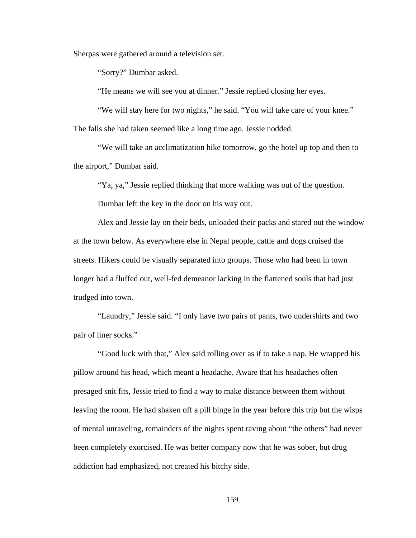Sherpas were gathered around a television set.

"Sorry?" Dumbar asked.

"He means we will see you at dinner." Jessie replied closing her eyes.

"We will stay here for two nights," he said. "You will take care of your knee." The falls she had taken seemed like a long time ago. Jessie nodded.

"We will take an acclimatization hike tomorrow, go the hotel up top and then to the airport," Dumbar said.

"Ya, ya," Jessie replied thinking that more walking was out of the question.

Dumbar left the key in the door on his way out.

Alex and Jessie lay on their beds, unloaded their packs and stared out the window at the town below. As everywhere else in Nepal people, cattle and dogs cruised the streets. Hikers could be visually separated into groups. Those who had been in town longer had a fluffed out, well-fed demeanor lacking in the flattened souls that had just trudged into town.

"Laundry," Jessie said. "I only have two pairs of pants, two undershirts and two pair of liner socks."

"Good luck with that," Alex said rolling over as if to take a nap. He wrapped his pillow around his head, which meant a headache. Aware that his headaches often presaged snit fits, Jessie tried to find a way to make distance between them without leaving the room. He had shaken off a pill binge in the year before this trip but the wisps of mental unraveling, remainders of the nights spent raving about "the others" had never been completely exorcised. He was better company now that he was sober, but drug addiction had emphasized, not created his bitchy side.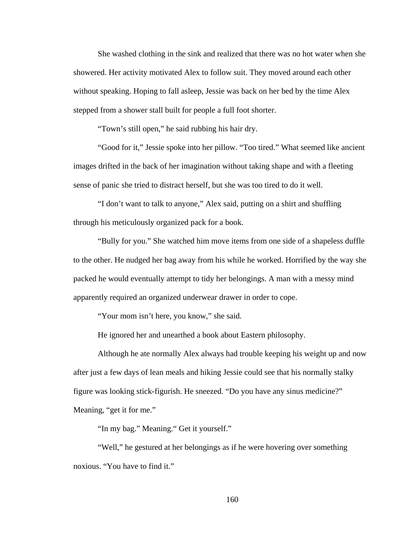She washed clothing in the sink and realized that there was no hot water when she showered. Her activity motivated Alex to follow suit. They moved around each other without speaking. Hoping to fall asleep, Jessie was back on her bed by the time Alex stepped from a shower stall built for people a full foot shorter.

"Town's still open," he said rubbing his hair dry.

"Good for it," Jessie spoke into her pillow. "Too tired." What seemed like ancient images drifted in the back of her imagination without taking shape and with a fleeting sense of panic she tried to distract herself, but she was too tired to do it well.

"I don't want to talk to anyone," Alex said, putting on a shirt and shuffling through his meticulously organized pack for a book.

"Bully for you." She watched him move items from one side of a shapeless duffle to the other. He nudged her bag away from his while he worked. Horrified by the way she packed he would eventually attempt to tidy her belongings. A man with a messy mind apparently required an organized underwear drawer in order to cope.

"Your mom isn't here, you know," she said.

He ignored her and unearthed a book about Eastern philosophy.

Although he ate normally Alex always had trouble keeping his weight up and now after just a few days of lean meals and hiking Jessie could see that his normally stalky figure was looking stick-figurish. He sneezed. "Do you have any sinus medicine?" Meaning, "get it for me."

"In my bag." Meaning." Get it yourself."

"Well," he gestured at her belongings as if he were hovering over something noxious. "You have to find it."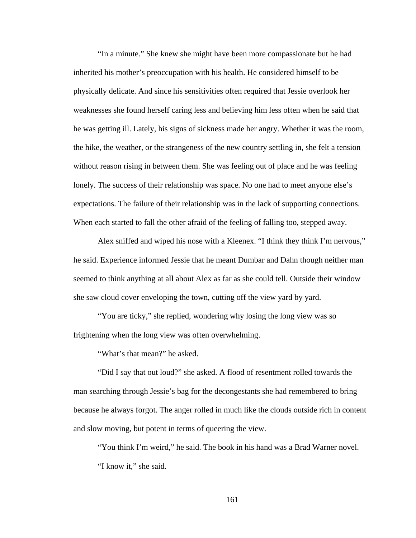"In a minute." She knew she might have been more compassionate but he had inherited his mother's preoccupation with his health. He considered himself to be physically delicate. And since his sensitivities often required that Jessie overlook her weaknesses she found herself caring less and believing him less often when he said that he was getting ill. Lately, his signs of sickness made her angry. Whether it was the room, the hike, the weather, or the strangeness of the new country settling in, she felt a tension without reason rising in between them. She was feeling out of place and he was feeling lonely. The success of their relationship was space. No one had to meet anyone else's expectations. The failure of their relationship was in the lack of supporting connections. When each started to fall the other afraid of the feeling of falling too, stepped away.

Alex sniffed and wiped his nose with a Kleenex. "I think they think I'm nervous," he said. Experience informed Jessie that he meant Dumbar and Dahn though neither man seemed to think anything at all about Alex as far as she could tell. Outside their window she saw cloud cover enveloping the town, cutting off the view yard by yard.

"You are ticky," she replied, wondering why losing the long view was so frightening when the long view was often overwhelming.

"What's that mean?" he asked.

"Did I say that out loud?" she asked. A flood of resentment rolled towards the man searching through Jessie's bag for the decongestants she had remembered to bring because he always forgot. The anger rolled in much like the clouds outside rich in content and slow moving, but potent in terms of queering the view.

"You think I'm weird," he said. The book in his hand was a Brad Warner novel. "I know it," she said.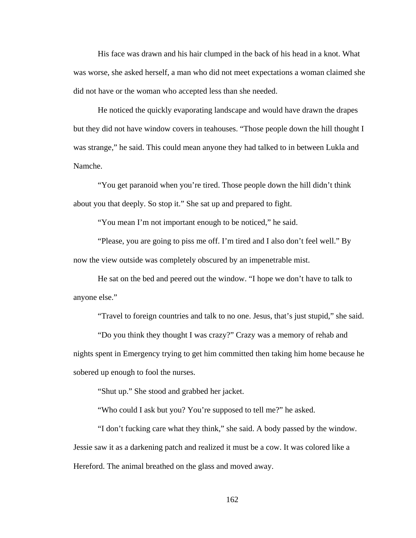His face was drawn and his hair clumped in the back of his head in a knot. What was worse, she asked herself, a man who did not meet expectations a woman claimed she did not have or the woman who accepted less than she needed.

He noticed the quickly evaporating landscape and would have drawn the drapes but they did not have window covers in teahouses. "Those people down the hill thought I was strange," he said. This could mean anyone they had talked to in between Lukla and Namche.

"You get paranoid when you're tired. Those people down the hill didn't think about you that deeply. So stop it." She sat up and prepared to fight.

"You mean I'm not important enough to be noticed," he said.

"Please, you are going to piss me off. I'm tired and I also don't feel well." By now the view outside was completely obscured by an impenetrable mist.

He sat on the bed and peered out the window. "I hope we don't have to talk to anyone else."

"Travel to foreign countries and talk to no one. Jesus, that's just stupid," she said.

"Do you think they thought I was crazy?" Crazy was a memory of rehab and nights spent in Emergency trying to get him committed then taking him home because he sobered up enough to fool the nurses.

"Shut up." She stood and grabbed her jacket.

"Who could I ask but you? You're supposed to tell me?" he asked.

"I don't fucking care what they think," she said. A body passed by the window. Jessie saw it as a darkening patch and realized it must be a cow. It was colored like a Hereford. The animal breathed on the glass and moved away.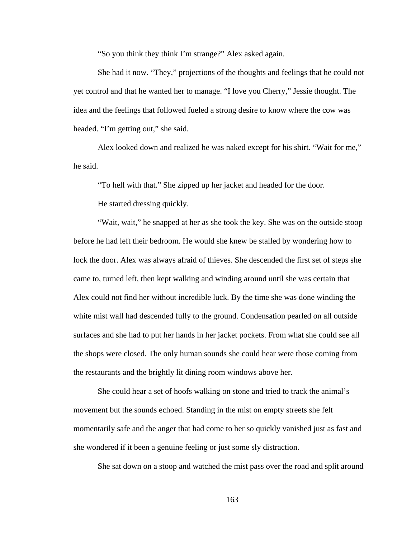"So you think they think I'm strange?" Alex asked again.

She had it now. "They," projections of the thoughts and feelings that he could not yet control and that he wanted her to manage. "I love you Cherry," Jessie thought. The idea and the feelings that followed fueled a strong desire to know where the cow was headed. "I'm getting out," she said.

Alex looked down and realized he was naked except for his shirt. "Wait for me," he said.

"To hell with that." She zipped up her jacket and headed for the door.

He started dressing quickly.

"Wait, wait," he snapped at her as she took the key. She was on the outside stoop before he had left their bedroom. He would she knew be stalled by wondering how to lock the door. Alex was always afraid of thieves. She descended the first set of steps she came to, turned left, then kept walking and winding around until she was certain that Alex could not find her without incredible luck. By the time she was done winding the white mist wall had descended fully to the ground. Condensation pearled on all outside surfaces and she had to put her hands in her jacket pockets. From what she could see all the shops were closed. The only human sounds she could hear were those coming from the restaurants and the brightly lit dining room windows above her.

She could hear a set of hoofs walking on stone and tried to track the animal's movement but the sounds echoed. Standing in the mist on empty streets she felt momentarily safe and the anger that had come to her so quickly vanished just as fast and she wondered if it been a genuine feeling or just some sly distraction.

She sat down on a stoop and watched the mist pass over the road and split around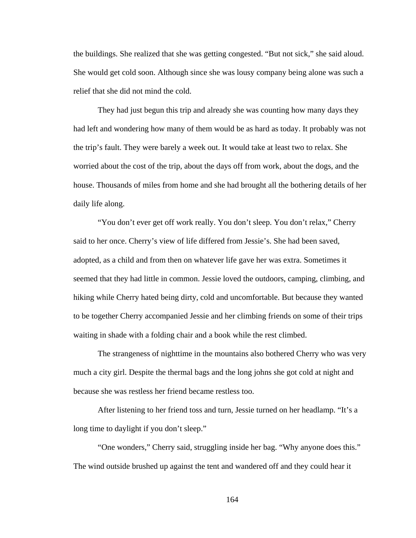the buildings. She realized that she was getting congested. "But not sick," she said aloud. She would get cold soon. Although since she was lousy company being alone was such a relief that she did not mind the cold.

They had just begun this trip and already she was counting how many days they had left and wondering how many of them would be as hard as today. It probably was not the trip's fault. They were barely a week out. It would take at least two to relax. She worried about the cost of the trip, about the days off from work, about the dogs, and the house. Thousands of miles from home and she had brought all the bothering details of her daily life along.

"You don't ever get off work really. You don't sleep. You don't relax," Cherry said to her once. Cherry's view of life differed from Jessie's. She had been saved, adopted, as a child and from then on whatever life gave her was extra. Sometimes it seemed that they had little in common. Jessie loved the outdoors, camping, climbing, and hiking while Cherry hated being dirty, cold and uncomfortable. But because they wanted to be together Cherry accompanied Jessie and her climbing friends on some of their trips waiting in shade with a folding chair and a book while the rest climbed.

The strangeness of nighttime in the mountains also bothered Cherry who was very much a city girl. Despite the thermal bags and the long johns she got cold at night and because she was restless her friend became restless too.

After listening to her friend toss and turn, Jessie turned on her headlamp. "It's a long time to daylight if you don't sleep."

"One wonders," Cherry said, struggling inside her bag. "Why anyone does this." The wind outside brushed up against the tent and wandered off and they could hear it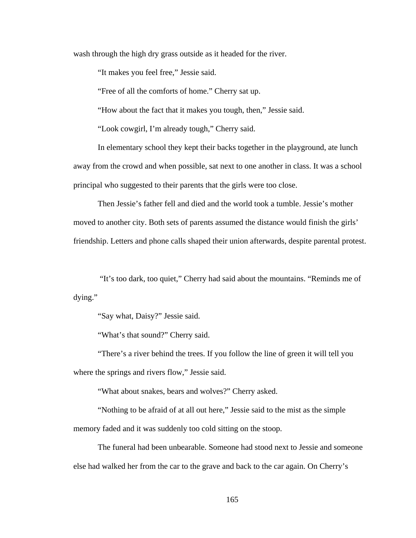wash through the high dry grass outside as it headed for the river.

"It makes you feel free," Jessie said.

"Free of all the comforts of home." Cherry sat up.

"How about the fact that it makes you tough, then," Jessie said.

"Look cowgirl, I'm already tough," Cherry said.

In elementary school they kept their backs together in the playground, ate lunch away from the crowd and when possible, sat next to one another in class. It was a school principal who suggested to their parents that the girls were too close.

Then Jessie's father fell and died and the world took a tumble. Jessie's mother moved to another city. Both sets of parents assumed the distance would finish the girls' friendship. Letters and phone calls shaped their union afterwards, despite parental protest.

 "It's too dark, too quiet," Cherry had said about the mountains. "Reminds me of dying."

"Say what, Daisy?" Jessie said.

"What's that sound?" Cherry said.

"There's a river behind the trees. If you follow the line of green it will tell you where the springs and rivers flow," Jessie said.

"What about snakes, bears and wolves?" Cherry asked.

"Nothing to be afraid of at all out here," Jessie said to the mist as the simple memory faded and it was suddenly too cold sitting on the stoop.

The funeral had been unbearable. Someone had stood next to Jessie and someone else had walked her from the car to the grave and back to the car again. On Cherry's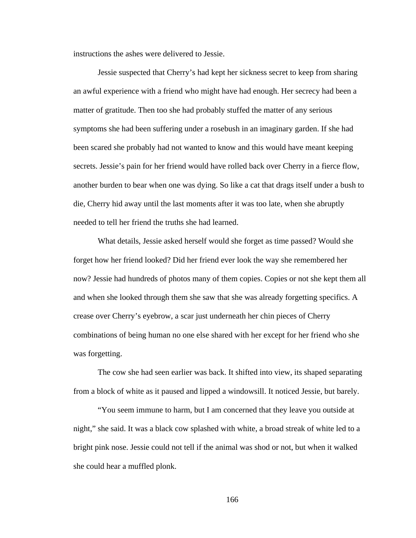instructions the ashes were delivered to Jessie.

Jessie suspected that Cherry's had kept her sickness secret to keep from sharing an awful experience with a friend who might have had enough. Her secrecy had been a matter of gratitude. Then too she had probably stuffed the matter of any serious symptoms she had been suffering under a rosebush in an imaginary garden. If she had been scared she probably had not wanted to know and this would have meant keeping secrets. Jessie's pain for her friend would have rolled back over Cherry in a fierce flow, another burden to bear when one was dying. So like a cat that drags itself under a bush to die, Cherry hid away until the last moments after it was too late, when she abruptly needed to tell her friend the truths she had learned.

What details, Jessie asked herself would she forget as time passed? Would she forget how her friend looked? Did her friend ever look the way she remembered her now? Jessie had hundreds of photos many of them copies. Copies or not she kept them all and when she looked through them she saw that she was already forgetting specifics. A crease over Cherry's eyebrow, a scar just underneath her chin pieces of Cherry combinations of being human no one else shared with her except for her friend who she was forgetting.

The cow she had seen earlier was back. It shifted into view, its shaped separating from a block of white as it paused and lipped a windowsill. It noticed Jessie, but barely.

"You seem immune to harm, but I am concerned that they leave you outside at night," she said. It was a black cow splashed with white, a broad streak of white led to a bright pink nose. Jessie could not tell if the animal was shod or not, but when it walked she could hear a muffled plonk.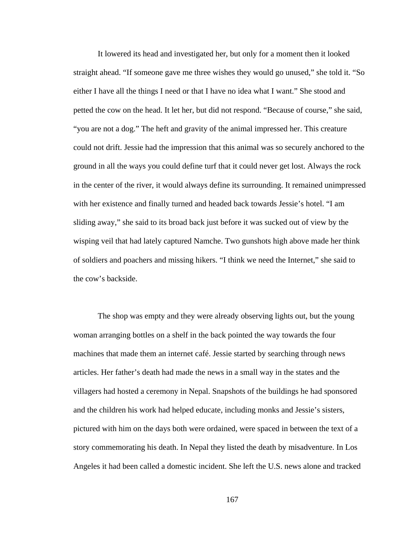It lowered its head and investigated her, but only for a moment then it looked straight ahead. "If someone gave me three wishes they would go unused," she told it. "So either I have all the things I need or that I have no idea what I want." She stood and petted the cow on the head. It let her, but did not respond. "Because of course," she said, "you are not a dog." The heft and gravity of the animal impressed her. This creature could not drift. Jessie had the impression that this animal was so securely anchored to the ground in all the ways you could define turf that it could never get lost. Always the rock in the center of the river, it would always define its surrounding. It remained unimpressed with her existence and finally turned and headed back towards Jessie's hotel. "I am sliding away," she said to its broad back just before it was sucked out of view by the wisping veil that had lately captured Namche. Two gunshots high above made her think of soldiers and poachers and missing hikers. "I think we need the Internet," she said to the cow's backside.

The shop was empty and they were already observing lights out, but the young woman arranging bottles on a shelf in the back pointed the way towards the four machines that made them an internet café. Jessie started by searching through news articles. Her father's death had made the news in a small way in the states and the villagers had hosted a ceremony in Nepal. Snapshots of the buildings he had sponsored and the children his work had helped educate, including monks and Jessie's sisters, pictured with him on the days both were ordained, were spaced in between the text of a story commemorating his death. In Nepal they listed the death by misadventure. In Los Angeles it had been called a domestic incident. She left the U.S. news alone and tracked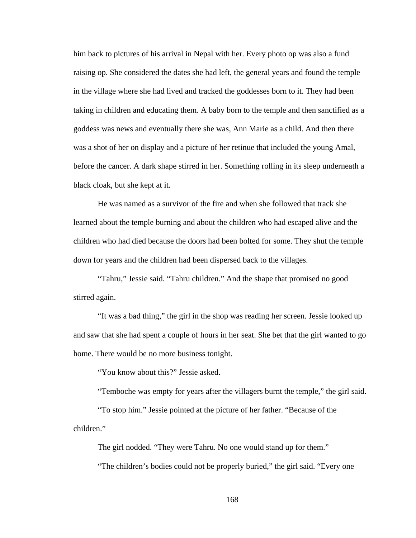him back to pictures of his arrival in Nepal with her. Every photo op was also a fund raising op. She considered the dates she had left, the general years and found the temple in the village where she had lived and tracked the goddesses born to it. They had been taking in children and educating them. A baby born to the temple and then sanctified as a goddess was news and eventually there she was, Ann Marie as a child. And then there was a shot of her on display and a picture of her retinue that included the young Amal, before the cancer. A dark shape stirred in her. Something rolling in its sleep underneath a black cloak, but she kept at it.

He was named as a survivor of the fire and when she followed that track she learned about the temple burning and about the children who had escaped alive and the children who had died because the doors had been bolted for some. They shut the temple down for years and the children had been dispersed back to the villages.

"Tahru," Jessie said. "Tahru children." And the shape that promised no good stirred again.

"It was a bad thing," the girl in the shop was reading her screen. Jessie looked up and saw that she had spent a couple of hours in her seat. She bet that the girl wanted to go home. There would be no more business tonight.

"You know about this?" Jessie asked.

"Temboche was empty for years after the villagers burnt the temple," the girl said.

"To stop him." Jessie pointed at the picture of her father. "Because of the children."

The girl nodded. "They were Tahru. No one would stand up for them."

"The children's bodies could not be properly buried," the girl said. "Every one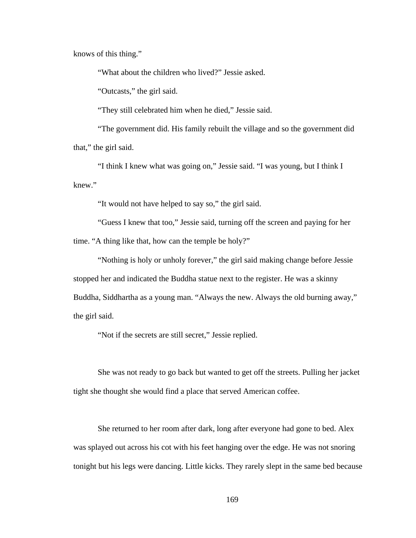knows of this thing."

"What about the children who lived?" Jessie asked.

"Outcasts," the girl said.

"They still celebrated him when he died," Jessie said.

"The government did. His family rebuilt the village and so the government did that," the girl said.

"I think I knew what was going on," Jessie said. "I was young, but I think I knew."

"It would not have helped to say so," the girl said.

"Guess I knew that too," Jessie said, turning off the screen and paying for her time. "A thing like that, how can the temple be holy?"

"Nothing is holy or unholy forever," the girl said making change before Jessie stopped her and indicated the Buddha statue next to the register. He was a skinny Buddha, Siddhartha as a young man. "Always the new. Always the old burning away," the girl said.

"Not if the secrets are still secret," Jessie replied.

She was not ready to go back but wanted to get off the streets. Pulling her jacket tight she thought she would find a place that served American coffee.

She returned to her room after dark, long after everyone had gone to bed. Alex was splayed out across his cot with his feet hanging over the edge. He was not snoring tonight but his legs were dancing. Little kicks. They rarely slept in the same bed because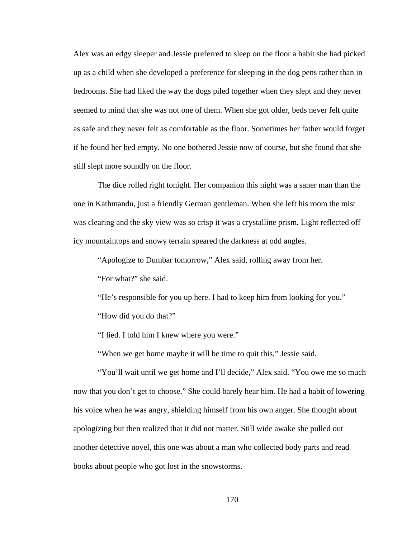Alex was an edgy sleeper and Jessie preferred to sleep on the floor a habit she had picked up as a child when she developed a preference for sleeping in the dog pens rather than in bedrooms. She had liked the way the dogs piled together when they slept and they never seemed to mind that she was not one of them. When she got older, beds never felt quite as safe and they never felt as comfortable as the floor. Sometimes her father would forget if he found her bed empty. No one bothered Jessie now of course, but she found that she still slept more soundly on the floor.

The dice rolled right tonight. Her companion this night was a saner man than the one in Kathmandu, just a friendly German gentleman. When she left his room the mist was clearing and the sky view was so crisp it was a crystalline prism. Light reflected off icy mountaintops and snowy terrain speared the darkness at odd angles.

"Apologize to Dumbar tomorrow," Alex said, rolling away from her.

"For what?" she said.

"He's responsible for you up here. I had to keep him from looking for you." "How did you do that?"

"I lied. I told him I knew where you were."

"When we get home maybe it will be time to quit this," Jessie said.

"You'll wait until we get home and I'll decide," Alex said. "You owe me so much now that you don't get to choose." She could barely hear him. He had a habit of lowering his voice when he was angry, shielding himself from his own anger. She thought about apologizing but then realized that it did not matter. Still wide awake she pulled out another detective novel, this one was about a man who collected body parts and read books about people who got lost in the snowstorms.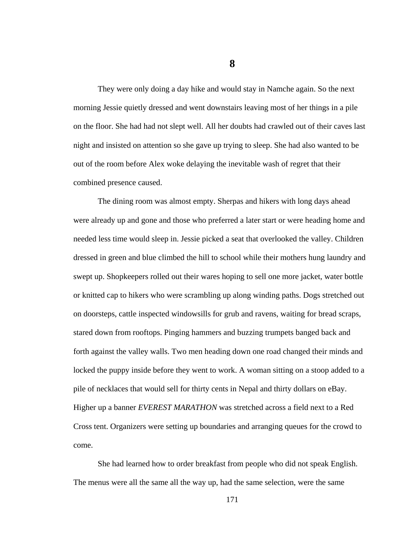**8** 

They were only doing a day hike and would stay in Namche again. So the next morning Jessie quietly dressed and went downstairs leaving most of her things in a pile on the floor. She had had not slept well. All her doubts had crawled out of their caves last night and insisted on attention so she gave up trying to sleep. She had also wanted to be out of the room before Alex woke delaying the inevitable wash of regret that their combined presence caused.

The dining room was almost empty. Sherpas and hikers with long days ahead were already up and gone and those who preferred a later start or were heading home and needed less time would sleep in. Jessie picked a seat that overlooked the valley. Children dressed in green and blue climbed the hill to school while their mothers hung laundry and swept up. Shopkeepers rolled out their wares hoping to sell one more jacket, water bottle or knitted cap to hikers who were scrambling up along winding paths. Dogs stretched out on doorsteps, cattle inspected windowsills for grub and ravens, waiting for bread scraps, stared down from rooftops. Pinging hammers and buzzing trumpets banged back and forth against the valley walls. Two men heading down one road changed their minds and locked the puppy inside before they went to work. A woman sitting on a stoop added to a pile of necklaces that would sell for thirty cents in Nepal and thirty dollars on eBay. Higher up a banner *EVEREST MARATHON* was stretched across a field next to a Red Cross tent. Organizers were setting up boundaries and arranging queues for the crowd to come.

She had learned how to order breakfast from people who did not speak English. The menus were all the same all the way up, had the same selection, were the same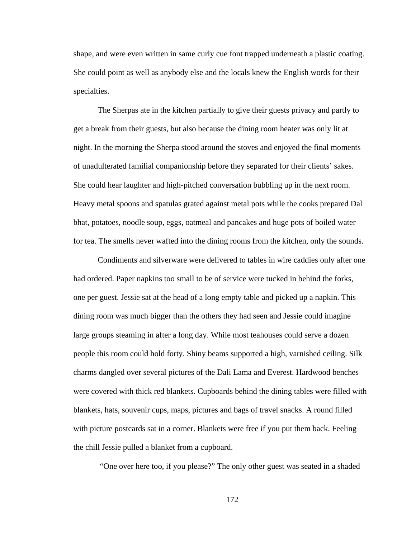shape, and were even written in same curly cue font trapped underneath a plastic coating. She could point as well as anybody else and the locals knew the English words for their specialties.

The Sherpas ate in the kitchen partially to give their guests privacy and partly to get a break from their guests, but also because the dining room heater was only lit at night. In the morning the Sherpa stood around the stoves and enjoyed the final moments of unadulterated familial companionship before they separated for their clients' sakes. She could hear laughter and high-pitched conversation bubbling up in the next room. Heavy metal spoons and spatulas grated against metal pots while the cooks prepared Dal bhat, potatoes, noodle soup, eggs, oatmeal and pancakes and huge pots of boiled water for tea. The smells never wafted into the dining rooms from the kitchen, only the sounds.

Condiments and silverware were delivered to tables in wire caddies only after one had ordered. Paper napkins too small to be of service were tucked in behind the forks, one per guest. Jessie sat at the head of a long empty table and picked up a napkin. This dining room was much bigger than the others they had seen and Jessie could imagine large groups steaming in after a long day. While most teahouses could serve a dozen people this room could hold forty. Shiny beams supported a high, varnished ceiling. Silk charms dangled over several pictures of the Dali Lama and Everest. Hardwood benches were covered with thick red blankets. Cupboards behind the dining tables were filled with blankets, hats, souvenir cups, maps, pictures and bags of travel snacks. A round filled with picture postcards sat in a corner. Blankets were free if you put them back. Feeling the chill Jessie pulled a blanket from a cupboard.

"One over here too, if you please?" The only other guest was seated in a shaded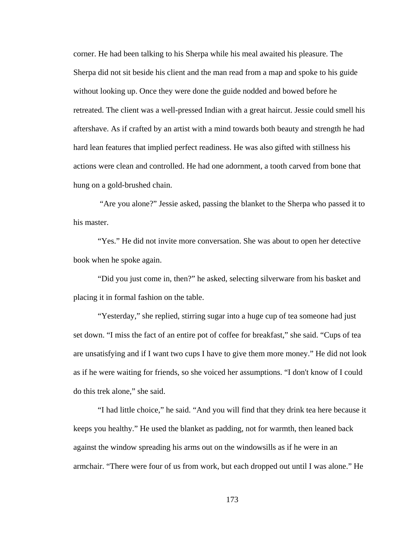corner. He had been talking to his Sherpa while his meal awaited his pleasure. The Sherpa did not sit beside his client and the man read from a map and spoke to his guide without looking up. Once they were done the guide nodded and bowed before he retreated. The client was a well-pressed Indian with a great haircut. Jessie could smell his aftershave. As if crafted by an artist with a mind towards both beauty and strength he had hard lean features that implied perfect readiness. He was also gifted with stillness his actions were clean and controlled. He had one adornment, a tooth carved from bone that hung on a gold-brushed chain.

 "Are you alone?" Jessie asked, passing the blanket to the Sherpa who passed it to his master.

"Yes." He did not invite more conversation. She was about to open her detective book when he spoke again.

"Did you just come in, then?" he asked, selecting silverware from his basket and placing it in formal fashion on the table.

"Yesterday," she replied, stirring sugar into a huge cup of tea someone had just set down. "I miss the fact of an entire pot of coffee for breakfast," she said. "Cups of tea are unsatisfying and if I want two cups I have to give them more money." He did not look as if he were waiting for friends, so she voiced her assumptions. "I don't know of I could do this trek alone," she said.

"I had little choice," he said. "And you will find that they drink tea here because it keeps you healthy." He used the blanket as padding, not for warmth, then leaned back against the window spreading his arms out on the windowsills as if he were in an armchair. "There were four of us from work, but each dropped out until I was alone." He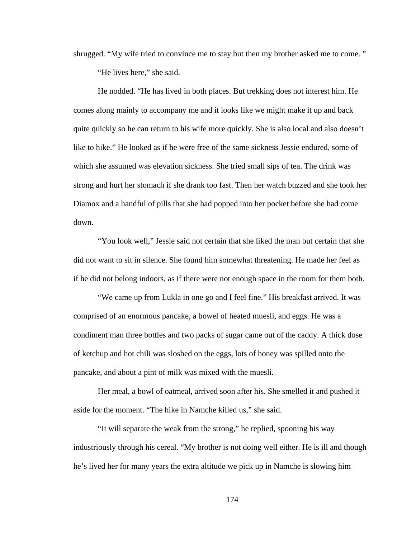shrugged. "My wife tried to convince me to stay but then my brother asked me to come. "

"He lives here," she said.

He nodded. "He has lived in both places. But trekking does not interest him. He comes along mainly to accompany me and it looks like we might make it up and back quite quickly so he can return to his wife more quickly. She is also local and also doesn't like to hike." He looked as if he were free of the same sickness Jessie endured, some of which she assumed was elevation sickness. She tried small sips of tea. The drink was strong and hurt her stomach if she drank too fast. Then her watch buzzed and she took her Diamox and a handful of pills that she had popped into her pocket before she had come down.

"You look well," Jessie said not certain that she liked the man but certain that she did not want to sit in silence. She found him somewhat threatening. He made her feel as if he did not belong indoors, as if there were not enough space in the room for them both.

"We came up from Lukla in one go and I feel fine." His breakfast arrived. It was comprised of an enormous pancake, a bowel of heated muesli, and eggs. He was a condiment man three bottles and two packs of sugar came out of the caddy. A thick dose of ketchup and hot chili was sloshed on the eggs, lots of honey was spilled onto the pancake, and about a pint of milk was mixed with the muesli.

Her meal, a bowl of oatmeal, arrived soon after his. She smelled it and pushed it aside for the moment. "The hike in Namche killed us," she said.

"It will separate the weak from the strong," he replied, spooning his way industriously through his cereal. "My brother is not doing well either. He is ill and though he's lived her for many years the extra altitude we pick up in Namche is slowing him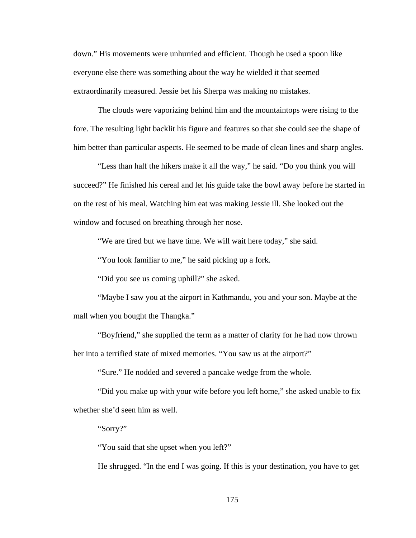down." His movements were unhurried and efficient. Though he used a spoon like everyone else there was something about the way he wielded it that seemed extraordinarily measured. Jessie bet his Sherpa was making no mistakes.

The clouds were vaporizing behind him and the mountaintops were rising to the fore. The resulting light backlit his figure and features so that she could see the shape of him better than particular aspects. He seemed to be made of clean lines and sharp angles.

"Less than half the hikers make it all the way," he said. "Do you think you will succeed?" He finished his cereal and let his guide take the bowl away before he started in on the rest of his meal. Watching him eat was making Jessie ill. She looked out the window and focused on breathing through her nose.

"We are tired but we have time. We will wait here today," she said.

"You look familiar to me," he said picking up a fork.

"Did you see us coming uphill?" she asked.

"Maybe I saw you at the airport in Kathmandu, you and your son. Maybe at the mall when you bought the Thangka."

"Boyfriend," she supplied the term as a matter of clarity for he had now thrown her into a terrified state of mixed memories. "You saw us at the airport?"

"Sure." He nodded and severed a pancake wedge from the whole.

"Did you make up with your wife before you left home," she asked unable to fix whether she'd seen him as well.

"Sorry?"

"You said that she upset when you left?"

He shrugged. "In the end I was going. If this is your destination, you have to get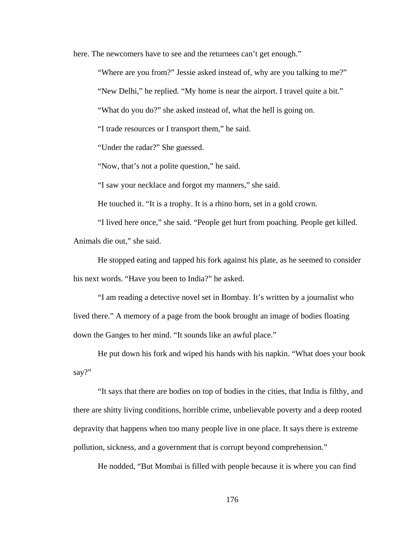here. The new comers have to see and the returnees can't get enough."

"Where are you from?" Jessie asked instead of, why are you talking to me?"

"New Delhi," he replied. "My home is near the airport. I travel quite a bit."

"What do you do?" she asked instead of, what the hell is going on.

"I trade resources or I transport them," he said.

"Under the radar?" She guessed.

"Now, that's not a polite question," he said.

"I saw your necklace and forgot my manners," she said.

He touched it. "It is a trophy. It is a rhino horn, set in a gold crown.

"I lived here once," she said. "People get hurt from poaching. People get killed. Animals die out," she said.

He stopped eating and tapped his fork against his plate, as he seemed to consider his next words. "Have you been to India?" he asked.

"I am reading a detective novel set in Bombay. It's written by a journalist who lived there." A memory of a page from the book brought an image of bodies floating down the Ganges to her mind. "It sounds like an awful place."

He put down his fork and wiped his hands with his napkin. "What does your book say?"

"It says that there are bodies on top of bodies in the cities, that India is filthy, and there are shitty living conditions, horrible crime, unbelievable poverty and a deep rooted depravity that happens when too many people live in one place. It says there is extreme pollution, sickness, and a government that is corrupt beyond comprehension."

He nodded, "But Mombai is filled with people because it is where you can find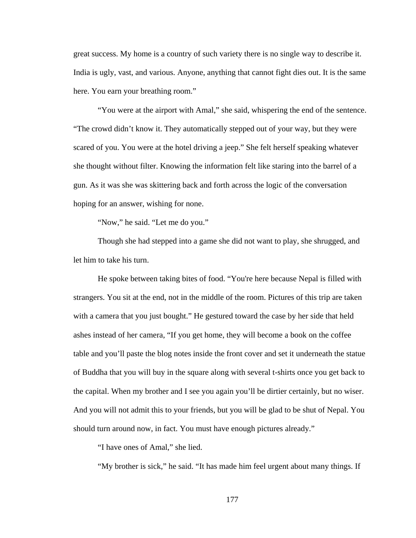great success. My home is a country of such variety there is no single way to describe it. India is ugly, vast, and various. Anyone, anything that cannot fight dies out. It is the same here. You earn your breathing room."

"You were at the airport with Amal," she said, whispering the end of the sentence. "The crowd didn't know it. They automatically stepped out of your way, but they were scared of you. You were at the hotel driving a jeep." She felt herself speaking whatever she thought without filter. Knowing the information felt like staring into the barrel of a gun. As it was she was skittering back and forth across the logic of the conversation hoping for an answer, wishing for none.

"Now," he said. "Let me do you."

Though she had stepped into a game she did not want to play, she shrugged, and let him to take his turn.

He spoke between taking bites of food. "You're here because Nepal is filled with strangers. You sit at the end, not in the middle of the room. Pictures of this trip are taken with a camera that you just bought." He gestured toward the case by her side that held ashes instead of her camera, "If you get home, they will become a book on the coffee table and you'll paste the blog notes inside the front cover and set it underneath the statue of Buddha that you will buy in the square along with several t-shirts once you get back to the capital. When my brother and I see you again you'll be dirtier certainly, but no wiser. And you will not admit this to your friends, but you will be glad to be shut of Nepal. You should turn around now, in fact. You must have enough pictures already."

"I have ones of Amal," she lied.

"My brother is sick," he said. "It has made him feel urgent about many things. If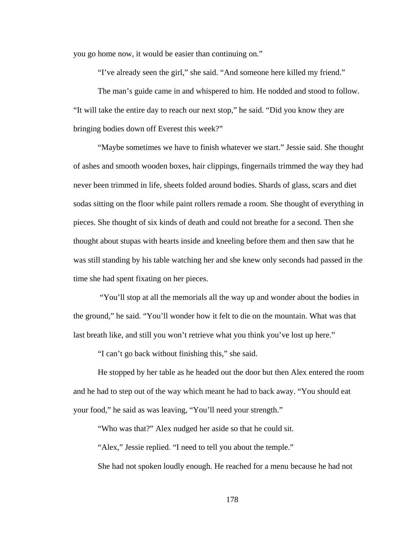you go home now, it would be easier than continuing on."

"I've already seen the girl," she said. "And someone here killed my friend."

The man's guide came in and whispered to him. He nodded and stood to follow. "It will take the entire day to reach our next stop," he said. "Did you know they are bringing bodies down off Everest this week?"

"Maybe sometimes we have to finish whatever we start." Jessie said. She thought of ashes and smooth wooden boxes, hair clippings, fingernails trimmed the way they had never been trimmed in life, sheets folded around bodies. Shards of glass, scars and diet sodas sitting on the floor while paint rollers remade a room. She thought of everything in pieces. She thought of six kinds of death and could not breathe for a second. Then she thought about stupas with hearts inside and kneeling before them and then saw that he was still standing by his table watching her and she knew only seconds had passed in the time she had spent fixating on her pieces.

 "You'll stop at all the memorials all the way up and wonder about the bodies in the ground," he said. "You'll wonder how it felt to die on the mountain. What was that last breath like, and still you won't retrieve what you think you've lost up here."

"I can't go back without finishing this," she said.

He stopped by her table as he headed out the door but then Alex entered the room and he had to step out of the way which meant he had to back away. "You should eat your food," he said as was leaving, "You'll need your strength."

"Who was that?" Alex nudged her aside so that he could sit.

"Alex," Jessie replied. "I need to tell you about the temple."

She had not spoken loudly enough. He reached for a menu because he had not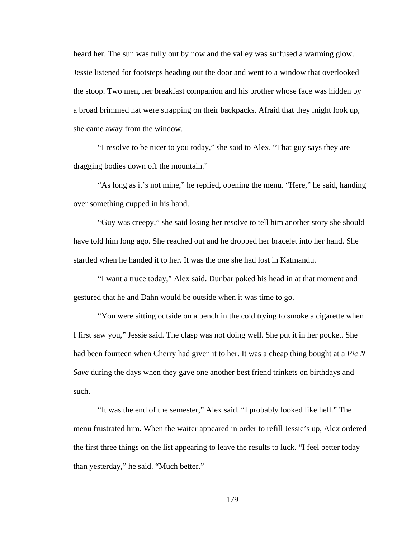heard her. The sun was fully out by now and the valley was suffused a warming glow. Jessie listened for footsteps heading out the door and went to a window that overlooked the stoop. Two men, her breakfast companion and his brother whose face was hidden by a broad brimmed hat were strapping on their backpacks. Afraid that they might look up, she came away from the window.

"I resolve to be nicer to you today," she said to Alex. "That guy says they are dragging bodies down off the mountain."

"As long as it's not mine," he replied, opening the menu. "Here," he said, handing over something cupped in his hand.

"Guy was creepy," she said losing her resolve to tell him another story she should have told him long ago. She reached out and he dropped her bracelet into her hand. She startled when he handed it to her. It was the one she had lost in Katmandu.

"I want a truce today," Alex said. Dunbar poked his head in at that moment and gestured that he and Dahn would be outside when it was time to go.

"You were sitting outside on a bench in the cold trying to smoke a cigarette when I first saw you," Jessie said. The clasp was not doing well. She put it in her pocket. She had been fourteen when Cherry had given it to her. It was a cheap thing bought at a *Pic N Save* during the days when they gave one another best friend trinkets on birthdays and such.

"It was the end of the semester," Alex said. "I probably looked like hell." The menu frustrated him. When the waiter appeared in order to refill Jessie's up, Alex ordered the first three things on the list appearing to leave the results to luck. "I feel better today than yesterday," he said. "Much better."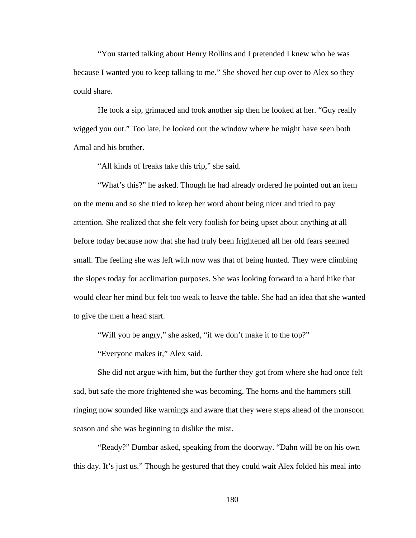"You started talking about Henry Rollins and I pretended I knew who he was because I wanted you to keep talking to me." She shoved her cup over to Alex so they could share.

He took a sip, grimaced and took another sip then he looked at her. "Guy really wigged you out." Too late, he looked out the window where he might have seen both Amal and his brother.

"All kinds of freaks take this trip," she said.

"What's this?" he asked. Though he had already ordered he pointed out an item on the menu and so she tried to keep her word about being nicer and tried to pay attention. She realized that she felt very foolish for being upset about anything at all before today because now that she had truly been frightened all her old fears seemed small. The feeling she was left with now was that of being hunted. They were climbing the slopes today for acclimation purposes. She was looking forward to a hard hike that would clear her mind but felt too weak to leave the table. She had an idea that she wanted to give the men a head start.

"Will you be angry," she asked, "if we don't make it to the top?"

"Everyone makes it," Alex said.

She did not argue with him, but the further they got from where she had once felt sad, but safe the more frightened she was becoming. The horns and the hammers still ringing now sounded like warnings and aware that they were steps ahead of the monsoon season and she was beginning to dislike the mist.

"Ready?" Dumbar asked, speaking from the doorway. "Dahn will be on his own this day. It's just us." Though he gestured that they could wait Alex folded his meal into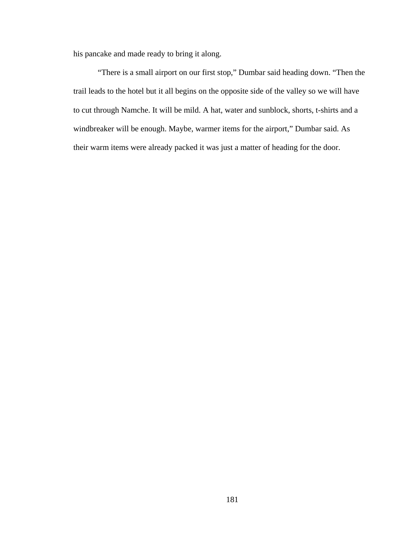his pancake and made ready to bring it along.

"There is a small airport on our first stop," Dumbar said heading down. "Then the trail leads to the hotel but it all begins on the opposite side of the valley so we will have to cut through Namche. It will be mild. A hat, water and sunblock, shorts, t-shirts and a windbreaker will be enough. Maybe, warmer items for the airport," Dumbar said. As their warm items were already packed it was just a matter of heading for the door.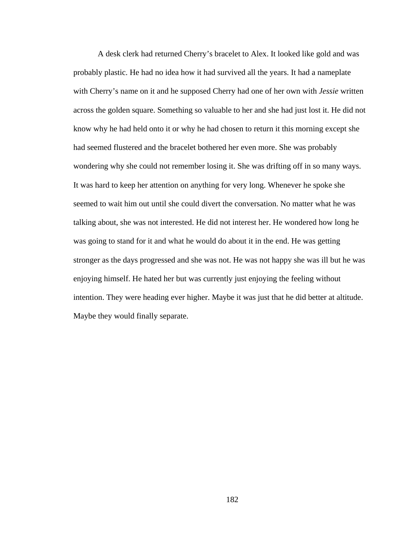A desk clerk had returned Cherry's bracelet to Alex. It looked like gold and was probably plastic. He had no idea how it had survived all the years. It had a nameplate with Cherry's name on it and he supposed Cherry had one of her own with *Jessie* written across the golden square. Something so valuable to her and she had just lost it. He did not know why he had held onto it or why he had chosen to return it this morning except she had seemed flustered and the bracelet bothered her even more. She was probably wondering why she could not remember losing it. She was drifting off in so many ways. It was hard to keep her attention on anything for very long. Whenever he spoke she seemed to wait him out until she could divert the conversation. No matter what he was talking about, she was not interested. He did not interest her. He wondered how long he was going to stand for it and what he would do about it in the end. He was getting stronger as the days progressed and she was not. He was not happy she was ill but he was enjoying himself. He hated her but was currently just enjoying the feeling without intention. They were heading ever higher. Maybe it was just that he did better at altitude. Maybe they would finally separate.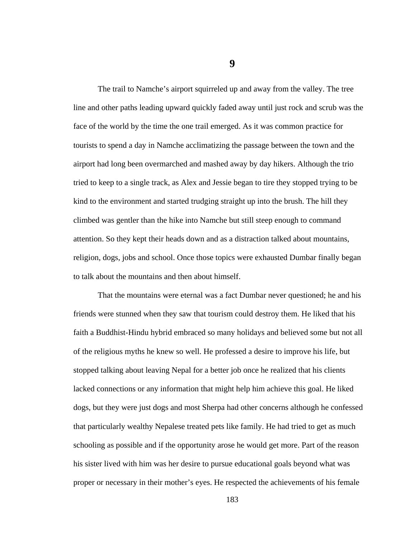**9** 

The trail to Namche's airport squirreled up and away from the valley. The tree line and other paths leading upward quickly faded away until just rock and scrub was the face of the world by the time the one trail emerged. As it was common practice for tourists to spend a day in Namche acclimatizing the passage between the town and the airport had long been overmarched and mashed away by day hikers. Although the trio tried to keep to a single track, as Alex and Jessie began to tire they stopped trying to be kind to the environment and started trudging straight up into the brush. The hill they climbed was gentler than the hike into Namche but still steep enough to command attention. So they kept their heads down and as a distraction talked about mountains, religion, dogs, jobs and school. Once those topics were exhausted Dumbar finally began to talk about the mountains and then about himself.

That the mountains were eternal was a fact Dumbar never questioned; he and his friends were stunned when they saw that tourism could destroy them. He liked that his faith a Buddhist-Hindu hybrid embraced so many holidays and believed some but not all of the religious myths he knew so well. He professed a desire to improve his life, but stopped talking about leaving Nepal for a better job once he realized that his clients lacked connections or any information that might help him achieve this goal. He liked dogs, but they were just dogs and most Sherpa had other concerns although he confessed that particularly wealthy Nepalese treated pets like family. He had tried to get as much schooling as possible and if the opportunity arose he would get more. Part of the reason his sister lived with him was her desire to pursue educational goals beyond what was proper or necessary in their mother's eyes. He respected the achievements of his female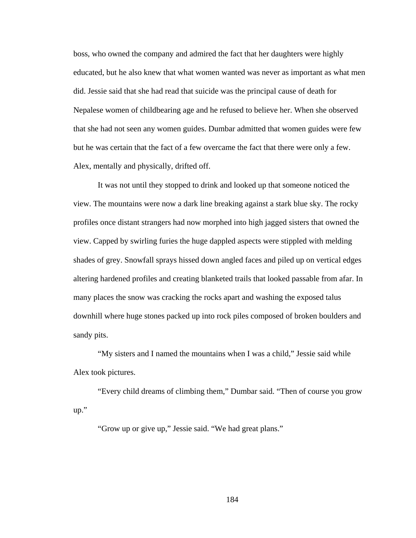boss, who owned the company and admired the fact that her daughters were highly educated, but he also knew that what women wanted was never as important as what men did. Jessie said that she had read that suicide was the principal cause of death for Nepalese women of childbearing age and he refused to believe her. When she observed that she had not seen any women guides. Dumbar admitted that women guides were few but he was certain that the fact of a few overcame the fact that there were only a few. Alex, mentally and physically, drifted off.

It was not until they stopped to drink and looked up that someone noticed the view. The mountains were now a dark line breaking against a stark blue sky. The rocky profiles once distant strangers had now morphed into high jagged sisters that owned the view. Capped by swirling furies the huge dappled aspects were stippled with melding shades of grey. Snowfall sprays hissed down angled faces and piled up on vertical edges altering hardened profiles and creating blanketed trails that looked passable from afar. In many places the snow was cracking the rocks apart and washing the exposed talus downhill where huge stones packed up into rock piles composed of broken boulders and sandy pits.

"My sisters and I named the mountains when I was a child," Jessie said while Alex took pictures.

"Every child dreams of climbing them," Dumbar said. "Then of course you grow up."

"Grow up or give up," Jessie said. "We had great plans."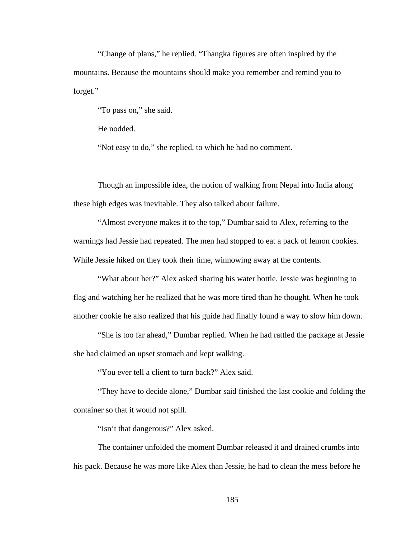"Change of plans," he replied. "Thangka figures are often inspired by the mountains. Because the mountains should make you remember and remind you to forget."

"To pass on," she said.

He nodded.

"Not easy to do," she replied, to which he had no comment.

Though an impossible idea, the notion of walking from Nepal into India along these high edges was inevitable. They also talked about failure.

"Almost everyone makes it to the top," Dumbar said to Alex, referring to the warnings had Jessie had repeated. The men had stopped to eat a pack of lemon cookies. While Jessie hiked on they took their time, winnowing away at the contents.

"What about her?" Alex asked sharing his water bottle. Jessie was beginning to flag and watching her he realized that he was more tired than he thought. When he took another cookie he also realized that his guide had finally found a way to slow him down.

"She is too far ahead," Dumbar replied. When he had rattled the package at Jessie she had claimed an upset stomach and kept walking.

"You ever tell a client to turn back?" Alex said.

"They have to decide alone," Dumbar said finished the last cookie and folding the container so that it would not spill.

"Isn't that dangerous?" Alex asked.

The container unfolded the moment Dumbar released it and drained crumbs into his pack. Because he was more like Alex than Jessie, he had to clean the mess before he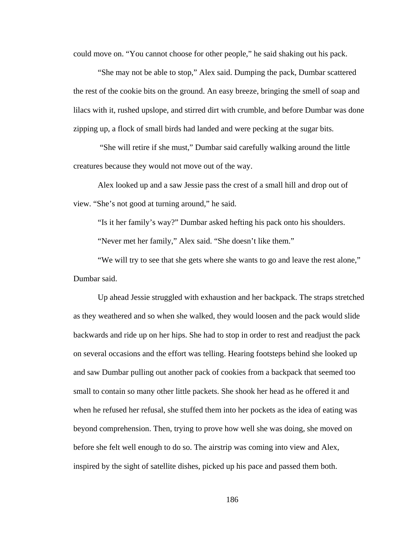could move on. "You cannot choose for other people," he said shaking out his pack.

"She may not be able to stop," Alex said. Dumping the pack, Dumbar scattered the rest of the cookie bits on the ground. An easy breeze, bringing the smell of soap and lilacs with it, rushed upslope, and stirred dirt with crumble, and before Dumbar was done zipping up, a flock of small birds had landed and were pecking at the sugar bits.

 "She will retire if she must," Dumbar said carefully walking around the little creatures because they would not move out of the way.

Alex looked up and a saw Jessie pass the crest of a small hill and drop out of view. "She's not good at turning around," he said.

"Is it her family's way?" Dumbar asked hefting his pack onto his shoulders.

"Never met her family," Alex said. "She doesn't like them."

"We will try to see that she gets where she wants to go and leave the rest alone," Dumbar said.

Up ahead Jessie struggled with exhaustion and her backpack. The straps stretched as they weathered and so when she walked, they would loosen and the pack would slide backwards and ride up on her hips. She had to stop in order to rest and readjust the pack on several occasions and the effort was telling. Hearing footsteps behind she looked up and saw Dumbar pulling out another pack of cookies from a backpack that seemed too small to contain so many other little packets. She shook her head as he offered it and when he refused her refusal, she stuffed them into her pockets as the idea of eating was beyond comprehension. Then, trying to prove how well she was doing, she moved on before she felt well enough to do so. The airstrip was coming into view and Alex, inspired by the sight of satellite dishes, picked up his pace and passed them both.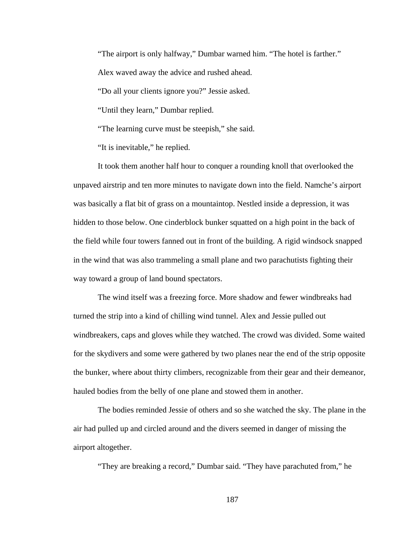"The airport is only halfway," Dumbar warned him. "The hotel is farther."

Alex waved away the advice and rushed ahead.

"Do all your clients ignore you?" Jessie asked.

"Until they learn," Dumbar replied.

"The learning curve must be steepish," she said.

"It is inevitable," he replied.

It took them another half hour to conquer a rounding knoll that overlooked the unpaved airstrip and ten more minutes to navigate down into the field. Namche's airport was basically a flat bit of grass on a mountaintop. Nestled inside a depression, it was hidden to those below. One cinderblock bunker squatted on a high point in the back of the field while four towers fanned out in front of the building. A rigid windsock snapped in the wind that was also trammeling a small plane and two parachutists fighting their way toward a group of land bound spectators.

The wind itself was a freezing force. More shadow and fewer windbreaks had turned the strip into a kind of chilling wind tunnel. Alex and Jessie pulled out windbreakers, caps and gloves while they watched. The crowd was divided. Some waited for the skydivers and some were gathered by two planes near the end of the strip opposite the bunker, where about thirty climbers, recognizable from their gear and their demeanor, hauled bodies from the belly of one plane and stowed them in another.

The bodies reminded Jessie of others and so she watched the sky. The plane in the air had pulled up and circled around and the divers seemed in danger of missing the airport altogether.

"They are breaking a record," Dumbar said. "They have parachuted from," he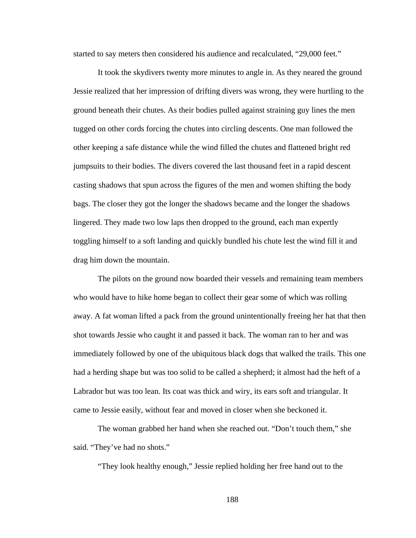started to say meters then considered his audience and recalculated, "29,000 feet."

It took the skydivers twenty more minutes to angle in. As they neared the ground Jessie realized that her impression of drifting divers was wrong, they were hurtling to the ground beneath their chutes. As their bodies pulled against straining guy lines the men tugged on other cords forcing the chutes into circling descents. One man followed the other keeping a safe distance while the wind filled the chutes and flattened bright red jumpsuits to their bodies. The divers covered the last thousand feet in a rapid descent casting shadows that spun across the figures of the men and women shifting the body bags. The closer they got the longer the shadows became and the longer the shadows lingered. They made two low laps then dropped to the ground, each man expertly toggling himself to a soft landing and quickly bundled his chute lest the wind fill it and drag him down the mountain.

The pilots on the ground now boarded their vessels and remaining team members who would have to hike home began to collect their gear some of which was rolling away. A fat woman lifted a pack from the ground unintentionally freeing her hat that then shot towards Jessie who caught it and passed it back. The woman ran to her and was immediately followed by one of the ubiquitous black dogs that walked the trails. This one had a herding shape but was too solid to be called a shepherd; it almost had the heft of a Labrador but was too lean. Its coat was thick and wiry, its ears soft and triangular. It came to Jessie easily, without fear and moved in closer when she beckoned it.

The woman grabbed her hand when she reached out. "Don't touch them," she said. "They've had no shots."

"They look healthy enough," Jessie replied holding her free hand out to the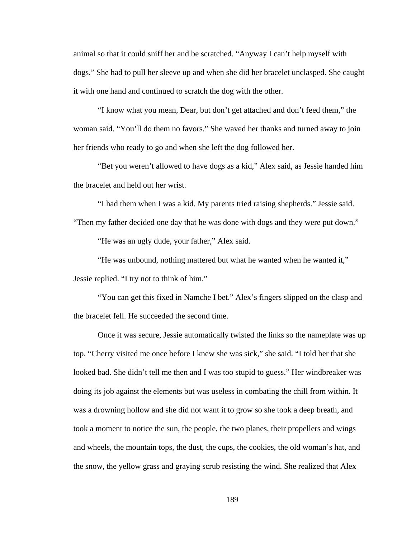animal so that it could sniff her and be scratched. "Anyway I can't help myself with dogs." She had to pull her sleeve up and when she did her bracelet unclasped. She caught it with one hand and continued to scratch the dog with the other.

"I know what you mean, Dear, but don't get attached and don't feed them," the woman said. "You'll do them no favors." She waved her thanks and turned away to join her friends who ready to go and when she left the dog followed her.

"Bet you weren't allowed to have dogs as a kid," Alex said, as Jessie handed him the bracelet and held out her wrist.

"I had them when I was a kid. My parents tried raising shepherds." Jessie said.

"Then my father decided one day that he was done with dogs and they were put down."

"He was an ugly dude, your father," Alex said.

"He was unbound, nothing mattered but what he wanted when he wanted it," Jessie replied. "I try not to think of him."

"You can get this fixed in Namche I bet." Alex's fingers slipped on the clasp and the bracelet fell. He succeeded the second time.

Once it was secure, Jessie automatically twisted the links so the nameplate was up top. "Cherry visited me once before I knew she was sick," she said. "I told her that she looked bad. She didn't tell me then and I was too stupid to guess." Her windbreaker was doing its job against the elements but was useless in combating the chill from within. It was a drowning hollow and she did not want it to grow so she took a deep breath, and took a moment to notice the sun, the people, the two planes, their propellers and wings and wheels, the mountain tops, the dust, the cups, the cookies, the old woman's hat, and the snow, the yellow grass and graying scrub resisting the wind. She realized that Alex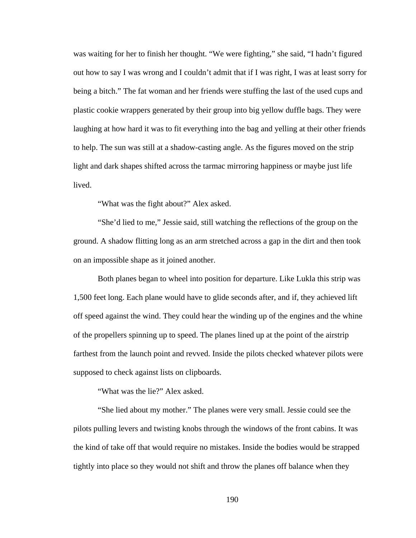was waiting for her to finish her thought. "We were fighting," she said, "I hadn't figured out how to say I was wrong and I couldn't admit that if I was right, I was at least sorry for being a bitch." The fat woman and her friends were stuffing the last of the used cups and plastic cookie wrappers generated by their group into big yellow duffle bags. They were laughing at how hard it was to fit everything into the bag and yelling at their other friends to help. The sun was still at a shadow-casting angle. As the figures moved on the strip light and dark shapes shifted across the tarmac mirroring happiness or maybe just life lived.

"What was the fight about?" Alex asked.

"She'd lied to me," Jessie said, still watching the reflections of the group on the ground. A shadow flitting long as an arm stretched across a gap in the dirt and then took on an impossible shape as it joined another.

Both planes began to wheel into position for departure. Like Lukla this strip was 1,500 feet long. Each plane would have to glide seconds after, and if, they achieved lift off speed against the wind. They could hear the winding up of the engines and the whine of the propellers spinning up to speed. The planes lined up at the point of the airstrip farthest from the launch point and revved. Inside the pilots checked whatever pilots were supposed to check against lists on clipboards.

"What was the lie?" Alex asked.

"She lied about my mother." The planes were very small. Jessie could see the pilots pulling levers and twisting knobs through the windows of the front cabins. It was the kind of take off that would require no mistakes. Inside the bodies would be strapped tightly into place so they would not shift and throw the planes off balance when they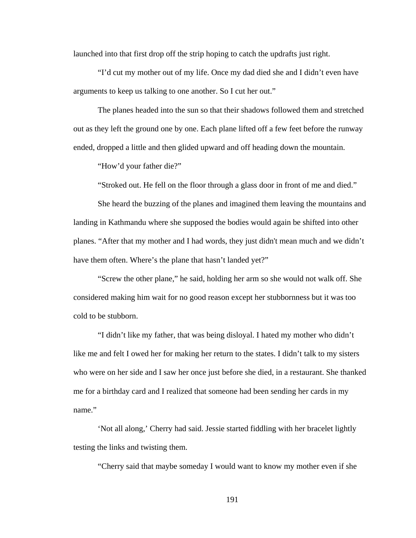launched into that first drop off the strip hoping to catch the updrafts just right.

"I'd cut my mother out of my life. Once my dad died she and I didn't even have arguments to keep us talking to one another. So I cut her out."

The planes headed into the sun so that their shadows followed them and stretched out as they left the ground one by one. Each plane lifted off a few feet before the runway ended, dropped a little and then glided upward and off heading down the mountain.

"How'd your father die?"

"Stroked out. He fell on the floor through a glass door in front of me and died."

She heard the buzzing of the planes and imagined them leaving the mountains and landing in Kathmandu where she supposed the bodies would again be shifted into other planes. "After that my mother and I had words, they just didn't mean much and we didn't have them often. Where's the plane that hasn't landed yet?"

"Screw the other plane," he said, holding her arm so she would not walk off. She considered making him wait for no good reason except her stubbornness but it was too cold to be stubborn.

"I didn't like my father, that was being disloyal. I hated my mother who didn't like me and felt I owed her for making her return to the states. I didn't talk to my sisters who were on her side and I saw her once just before she died, in a restaurant. She thanked me for a birthday card and I realized that someone had been sending her cards in my name."

'Not all along,' Cherry had said. Jessie started fiddling with her bracelet lightly testing the links and twisting them.

"Cherry said that maybe someday I would want to know my mother even if she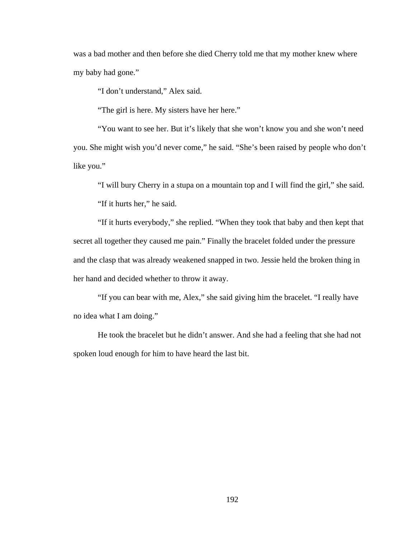was a bad mother and then before she died Cherry told me that my mother knew where my baby had gone."

"I don't understand," Alex said.

"The girl is here. My sisters have her here."

"You want to see her. But it's likely that she won't know you and she won't need you. She might wish you'd never come," he said. "She's been raised by people who don't like you."

"I will bury Cherry in a stupa on a mountain top and I will find the girl," she said.

"If it hurts her," he said.

"If it hurts everybody," she replied. "When they took that baby and then kept that secret all together they caused me pain." Finally the bracelet folded under the pressure and the clasp that was already weakened snapped in two. Jessie held the broken thing in her hand and decided whether to throw it away.

"If you can bear with me, Alex," she said giving him the bracelet. "I really have no idea what I am doing."

He took the bracelet but he didn't answer. And she had a feeling that she had not spoken loud enough for him to have heard the last bit.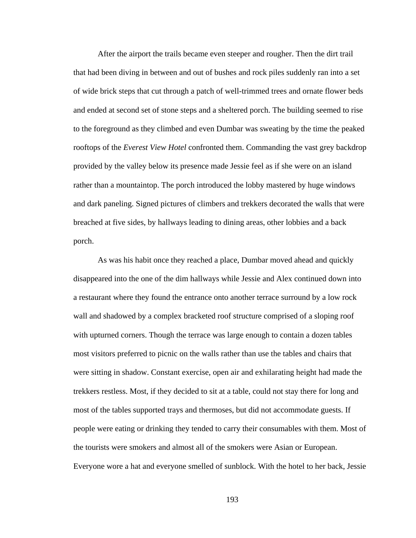After the airport the trails became even steeper and rougher. Then the dirt trail that had been diving in between and out of bushes and rock piles suddenly ran into a set of wide brick steps that cut through a patch of well-trimmed trees and ornate flower beds and ended at second set of stone steps and a sheltered porch. The building seemed to rise to the foreground as they climbed and even Dumbar was sweating by the time the peaked rooftops of the *Everest View Hotel* confronted them. Commanding the vast grey backdrop provided by the valley below its presence made Jessie feel as if she were on an island rather than a mountaintop. The porch introduced the lobby mastered by huge windows and dark paneling. Signed pictures of climbers and trekkers decorated the walls that were breached at five sides, by hallways leading to dining areas, other lobbies and a back porch.

As was his habit once they reached a place, Dumbar moved ahead and quickly disappeared into the one of the dim hallways while Jessie and Alex continued down into a restaurant where they found the entrance onto another terrace surround by a low rock wall and shadowed by a complex bracketed roof structure comprised of a sloping roof with upturned corners. Though the terrace was large enough to contain a dozen tables most visitors preferred to picnic on the walls rather than use the tables and chairs that were sitting in shadow. Constant exercise, open air and exhilarating height had made the trekkers restless. Most, if they decided to sit at a table, could not stay there for long and most of the tables supported trays and thermoses, but did not accommodate guests. If people were eating or drinking they tended to carry their consumables with them. Most of the tourists were smokers and almost all of the smokers were Asian or European. Everyone wore a hat and everyone smelled of sunblock. With the hotel to her back, Jessie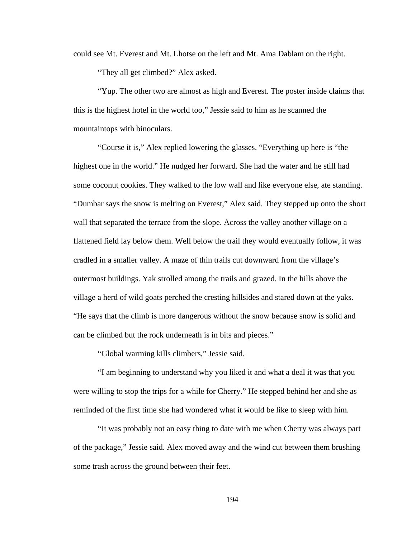could see Mt. Everest and Mt. Lhotse on the left and Mt. Ama Dablam on the right.

"They all get climbed?" Alex asked.

"Yup. The other two are almost as high and Everest. The poster inside claims that this is the highest hotel in the world too," Jessie said to him as he scanned the mountaintops with binoculars.

"Course it is," Alex replied lowering the glasses. "Everything up here is "the highest one in the world." He nudged her forward. She had the water and he still had some coconut cookies. They walked to the low wall and like everyone else, ate standing. "Dumbar says the snow is melting on Everest," Alex said. They stepped up onto the short wall that separated the terrace from the slope. Across the valley another village on a flattened field lay below them. Well below the trail they would eventually follow, it was cradled in a smaller valley. A maze of thin trails cut downward from the village's outermost buildings. Yak strolled among the trails and grazed. In the hills above the village a herd of wild goats perched the cresting hillsides and stared down at the yaks. "He says that the climb is more dangerous without the snow because snow is solid and can be climbed but the rock underneath is in bits and pieces."

"Global warming kills climbers," Jessie said.

"I am beginning to understand why you liked it and what a deal it was that you were willing to stop the trips for a while for Cherry." He stepped behind her and she as reminded of the first time she had wondered what it would be like to sleep with him.

"It was probably not an easy thing to date with me when Cherry was always part of the package," Jessie said. Alex moved away and the wind cut between them brushing some trash across the ground between their feet.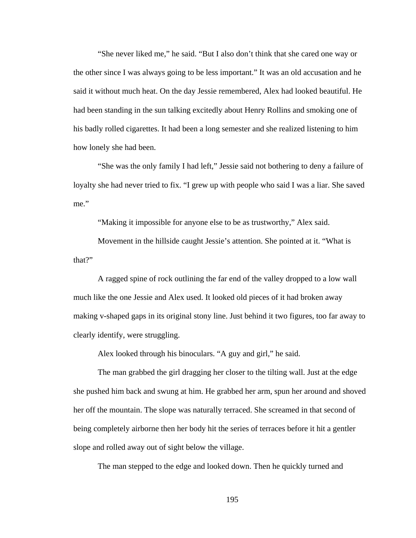"She never liked me," he said. "But I also don't think that she cared one way or the other since I was always going to be less important." It was an old accusation and he said it without much heat. On the day Jessie remembered, Alex had looked beautiful. He had been standing in the sun talking excitedly about Henry Rollins and smoking one of his badly rolled cigarettes. It had been a long semester and she realized listening to him how lonely she had been.

"She was the only family I had left," Jessie said not bothering to deny a failure of loyalty she had never tried to fix. "I grew up with people who said I was a liar. She saved me."

"Making it impossible for anyone else to be as trustworthy," Alex said.

Movement in the hillside caught Jessie's attention. She pointed at it. "What is that?"

A ragged spine of rock outlining the far end of the valley dropped to a low wall much like the one Jessie and Alex used. It looked old pieces of it had broken away making v-shaped gaps in its original stony line. Just behind it two figures, too far away to clearly identify, were struggling.

Alex looked through his binoculars. "A guy and girl," he said.

The man grabbed the girl dragging her closer to the tilting wall. Just at the edge she pushed him back and swung at him. He grabbed her arm, spun her around and shoved her off the mountain. The slope was naturally terraced. She screamed in that second of being completely airborne then her body hit the series of terraces before it hit a gentler slope and rolled away out of sight below the village.

The man stepped to the edge and looked down. Then he quickly turned and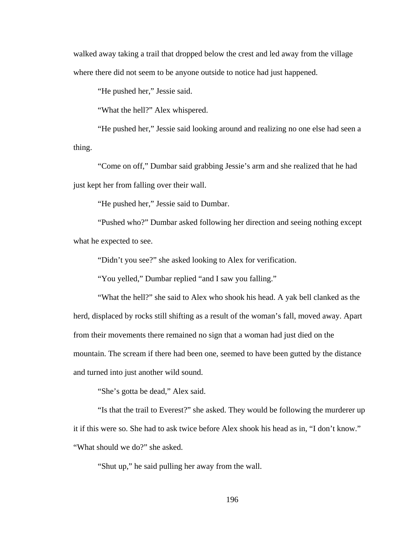walked away taking a trail that dropped below the crest and led away from the village where there did not seem to be anyone outside to notice had just happened.

"He pushed her," Jessie said.

"What the hell?" Alex whispered.

"He pushed her," Jessie said looking around and realizing no one else had seen a thing.

"Come on off," Dumbar said grabbing Jessie's arm and she realized that he had just kept her from falling over their wall.

"He pushed her," Jessie said to Dumbar.

"Pushed who?" Dumbar asked following her direction and seeing nothing except what he expected to see.

"Didn't you see?" she asked looking to Alex for verification.

"You yelled," Dumbar replied "and I saw you falling."

"What the hell?" she said to Alex who shook his head. A yak bell clanked as the herd, displaced by rocks still shifting as a result of the woman's fall, moved away. Apart from their movements there remained no sign that a woman had just died on the mountain. The scream if there had been one, seemed to have been gutted by the distance and turned into just another wild sound.

"She's gotta be dead," Alex said.

"Is that the trail to Everest?" she asked. They would be following the murderer up it if this were so. She had to ask twice before Alex shook his head as in, "I don't know." "What should we do?" she asked.

"Shut up," he said pulling her away from the wall.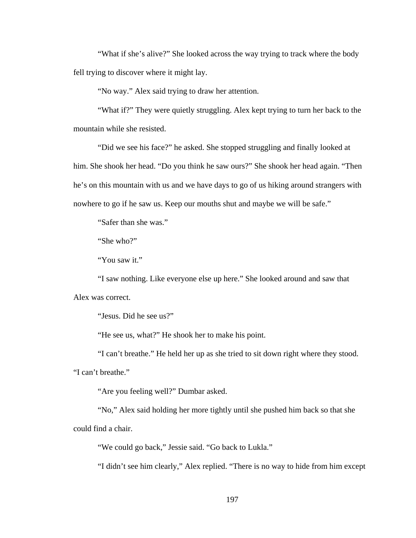"What if she's alive?" She looked across the way trying to track where the body fell trying to discover where it might lay.

"No way." Alex said trying to draw her attention.

"What if?" They were quietly struggling. Alex kept trying to turn her back to the mountain while she resisted.

"Did we see his face?" he asked. She stopped struggling and finally looked at him. She shook her head. "Do you think he saw ours?" She shook her head again. "Then he's on this mountain with us and we have days to go of us hiking around strangers with nowhere to go if he saw us. Keep our mouths shut and maybe we will be safe."

"Safer than she was."

"She who?"

"You saw it."

"I saw nothing. Like everyone else up here." She looked around and saw that Alex was correct.

"Jesus. Did he see us?"

"He see us, what?" He shook her to make his point.

"I can't breathe." He held her up as she tried to sit down right where they stood.

"I can't breathe."

"Are you feeling well?" Dumbar asked.

"No," Alex said holding her more tightly until she pushed him back so that she could find a chair.

"We could go back," Jessie said. "Go back to Lukla."

"I didn't see him clearly," Alex replied. "There is no way to hide from him except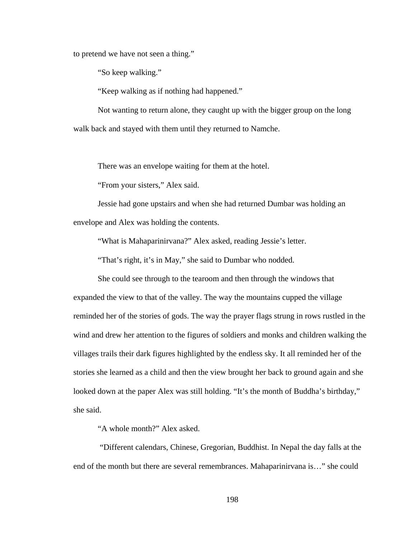to pretend we have not seen a thing."

"So keep walking."

"Keep walking as if nothing had happened."

Not wanting to return alone, they caught up with the bigger group on the long walk back and stayed with them until they returned to Namche.

There was an envelope waiting for them at the hotel.

"From your sisters," Alex said.

Jessie had gone upstairs and when she had returned Dumbar was holding an envelope and Alex was holding the contents.

"What is Mahaparinirvana?" Alex asked, reading Jessie's letter.

"That's right, it's in May," she said to Dumbar who nodded.

She could see through to the tearoom and then through the windows that expanded the view to that of the valley. The way the mountains cupped the village reminded her of the stories of gods. The way the prayer flags strung in rows rustled in the wind and drew her attention to the figures of soldiers and monks and children walking the villages trails their dark figures highlighted by the endless sky. It all reminded her of the stories she learned as a child and then the view brought her back to ground again and she looked down at the paper Alex was still holding. "It's the month of Buddha's birthday," she said.

"A whole month?" Alex asked.

 "Different calendars, Chinese, Gregorian, Buddhist. In Nepal the day falls at the end of the month but there are several remembrances. Mahaparinirvana is…" she could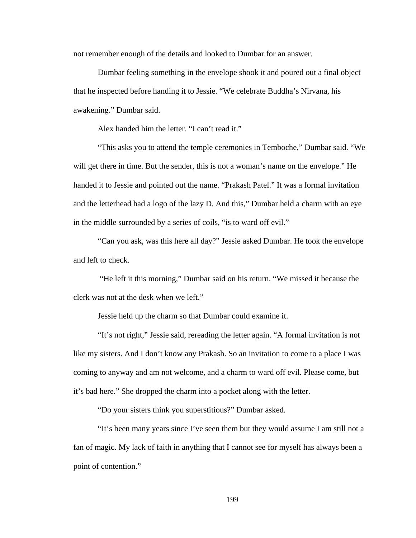not remember enough of the details and looked to Dumbar for an answer.

Dumbar feeling something in the envelope shook it and poured out a final object that he inspected before handing it to Jessie. "We celebrate Buddha's Nirvana, his awakening." Dumbar said.

Alex handed him the letter. "I can't read it."

"This asks you to attend the temple ceremonies in Temboche," Dumbar said. "We will get there in time. But the sender, this is not a woman's name on the envelope." He handed it to Jessie and pointed out the name. "Prakash Patel." It was a formal invitation and the letterhead had a logo of the lazy D. And this," Dumbar held a charm with an eye in the middle surrounded by a series of coils, "is to ward off evil."

"Can you ask, was this here all day?" Jessie asked Dumbar. He took the envelope and left to check.

 "He left it this morning," Dumbar said on his return. "We missed it because the clerk was not at the desk when we left."

Jessie held up the charm so that Dumbar could examine it.

"It's not right," Jessie said, rereading the letter again. "A formal invitation is not like my sisters. And I don't know any Prakash. So an invitation to come to a place I was coming to anyway and am not welcome, and a charm to ward off evil. Please come, but it's bad here." She dropped the charm into a pocket along with the letter.

"Do your sisters think you superstitious?" Dumbar asked.

"It's been many years since I've seen them but they would assume I am still not a fan of magic. My lack of faith in anything that I cannot see for myself has always been a point of contention."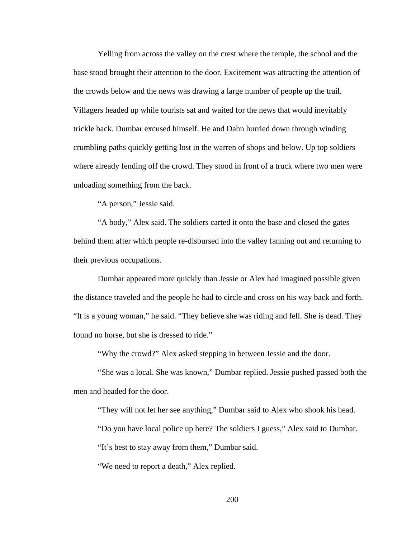Yelling from across the valley on the crest where the temple, the school and the base stood brought their attention to the door. Excitement was attracting the attention of the crowds below and the news was drawing a large number of people up the trail. Villagers headed up while tourists sat and waited for the news that would inevitably trickle back. Dumbar excused himself. He and Dahn hurried down through winding crumbling paths quickly getting lost in the warren of shops and below. Up top soldiers where already fending off the crowd. They stood in front of a truck where two men were unloading something from the back.

"A person," Jessie said.

"A body," Alex said. The soldiers carted it onto the base and closed the gates behind them after which people re-disbursed into the valley fanning out and returning to their previous occupations.

Dumbar appeared more quickly than Jessie or Alex had imagined possible given the distance traveled and the people he had to circle and cross on his way back and forth. "It is a young woman," he said. "They believe she was riding and fell. She is dead. They found no horse, but she is dressed to ride."

"Why the crowd?" Alex asked stepping in between Jessie and the door.

"She was a local. She was known," Dumbar replied. Jessie pushed passed both the men and headed for the door.

"They will not let her see anything," Dumbar said to Alex who shook his head.

"Do you have local police up here? The soldiers I guess," Alex said to Dumbar.

"It's best to stay away from them," Dumbar said.

"We need to report a death," Alex replied.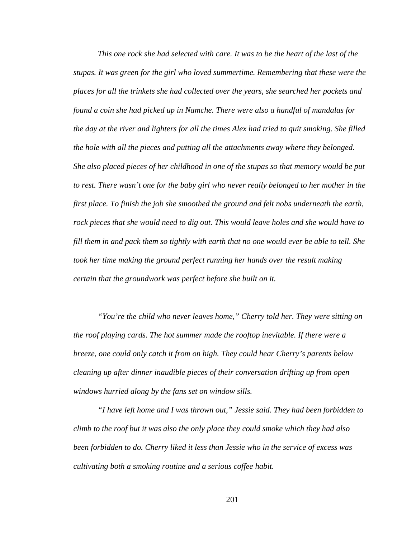*This one rock she had selected with care. It was to be the heart of the last of the stupas. It was green for the girl who loved summertime. Remembering that these were the places for all the trinkets she had collected over the years, she searched her pockets and found a coin she had picked up in Namche. There were also a handful of mandalas for the day at the river and lighters for all the times Alex had tried to quit smoking. She filled the hole with all the pieces and putting all the attachments away where they belonged. She also placed pieces of her childhood in one of the stupas so that memory would be put to rest. There wasn't one for the baby girl who never really belonged to her mother in the first place. To finish the job she smoothed the ground and felt nobs underneath the earth, rock pieces that she would need to dig out. This would leave holes and she would have to fill them in and pack them so tightly with earth that no one would ever be able to tell. She took her time making the ground perfect running her hands over the result making certain that the groundwork was perfect before she built on it.* 

*"You're the child who never leaves home," Cherry told her. They were sitting on the roof playing cards. The hot summer made the rooftop inevitable. If there were a breeze, one could only catch it from on high. They could hear Cherry's parents below cleaning up after dinner inaudible pieces of their conversation drifting up from open windows hurried along by the fans set on window sills.* 

*"I have left home and I was thrown out," Jessie said. They had been forbidden to climb to the roof but it was also the only place they could smoke which they had also been forbidden to do. Cherry liked it less than Jessie who in the service of excess was cultivating both a smoking routine and a serious coffee habit.*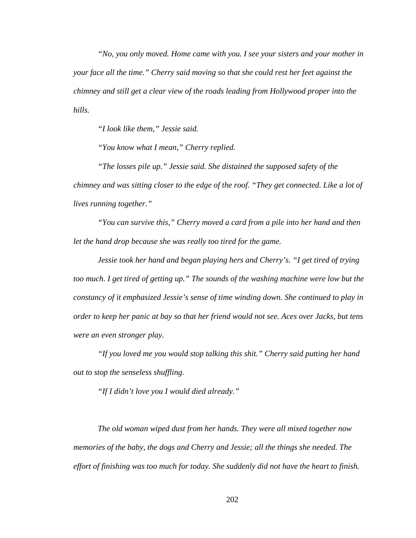*"No, you only moved. Home came with you. I see your sisters and your mother in your face all the time." Cherry said moving so that she could rest her feet against the chimney and still get a clear view of the roads leading from Hollywood proper into the hills.* 

*"I look like them," Jessie said.* 

*"You know what I mean," Cherry replied.* 

*"The losses pile up." Jessie said. She distained the supposed safety of the chimney and was sitting closer to the edge of the roof. "They get connected. Like a lot of lives running together."* 

*"You can survive this," Cherry moved a card from a pile into her hand and then let the hand drop because she was really too tired for the game.* 

*Jessie took her hand and began playing hers and Cherry's. "I get tired of trying too much. I get tired of getting up." The sounds of the washing machine were low but the constancy of it emphasized Jessie's sense of time winding down. She continued to play in order to keep her panic at bay so that her friend would not see. Aces over Jacks, but tens were an even stronger play.* 

*"If you loved me you would stop talking this shit." Cherry said putting her hand out to stop the senseless shuffling.* 

*"If I didn't love you I would died already."* 

*The old woman wiped dust from her hands. They were all mixed together now memories of the baby, the dogs and Cherry and Jessie; all the things she needed. The effort of finishing was too much for today. She suddenly did not have the heart to finish.*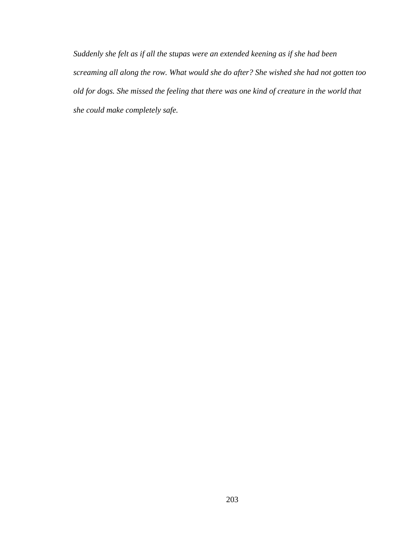*Suddenly she felt as if all the stupas were an extended keening as if she had been screaming all along the row. What would she do after? She wished she had not gotten too old for dogs. She missed the feeling that there was one kind of creature in the world that she could make completely safe.*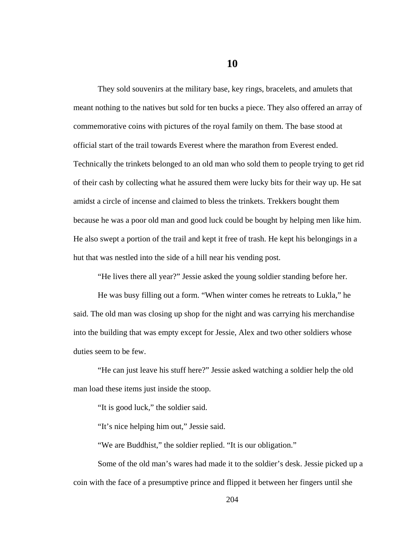**10** 

They sold souvenirs at the military base, key rings, bracelets, and amulets that meant nothing to the natives but sold for ten bucks a piece. They also offered an array of commemorative coins with pictures of the royal family on them. The base stood at official start of the trail towards Everest where the marathon from Everest ended. Technically the trinkets belonged to an old man who sold them to people trying to get rid of their cash by collecting what he assured them were lucky bits for their way up. He sat amidst a circle of incense and claimed to bless the trinkets. Trekkers bought them because he was a poor old man and good luck could be bought by helping men like him. He also swept a portion of the trail and kept it free of trash. He kept his belongings in a hut that was nestled into the side of a hill near his vending post.

"He lives there all year?" Jessie asked the young soldier standing before her.

He was busy filling out a form. "When winter comes he retreats to Lukla," he said. The old man was closing up shop for the night and was carrying his merchandise into the building that was empty except for Jessie, Alex and two other soldiers whose duties seem to be few.

"He can just leave his stuff here?" Jessie asked watching a soldier help the old man load these items just inside the stoop.

"It is good luck," the soldier said.

"It's nice helping him out," Jessie said.

"We are Buddhist," the soldier replied. "It is our obligation."

Some of the old man's wares had made it to the soldier's desk. Jessie picked up a coin with the face of a presumptive prince and flipped it between her fingers until she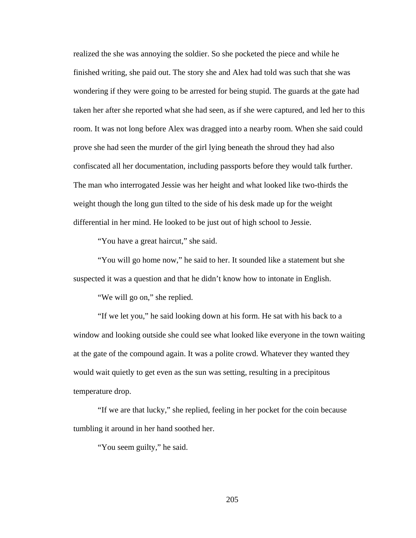realized the she was annoying the soldier. So she pocketed the piece and while he finished writing, she paid out. The story she and Alex had told was such that she was wondering if they were going to be arrested for being stupid. The guards at the gate had taken her after she reported what she had seen, as if she were captured, and led her to this room. It was not long before Alex was dragged into a nearby room. When she said could prove she had seen the murder of the girl lying beneath the shroud they had also confiscated all her documentation, including passports before they would talk further. The man who interrogated Jessie was her height and what looked like two-thirds the weight though the long gun tilted to the side of his desk made up for the weight differential in her mind. He looked to be just out of high school to Jessie.

"You have a great haircut," she said.

"You will go home now," he said to her. It sounded like a statement but she suspected it was a question and that he didn't know how to intonate in English.

"We will go on," she replied.

"If we let you," he said looking down at his form. He sat with his back to a window and looking outside she could see what looked like everyone in the town waiting at the gate of the compound again. It was a polite crowd. Whatever they wanted they would wait quietly to get even as the sun was setting, resulting in a precipitous temperature drop.

"If we are that lucky," she replied, feeling in her pocket for the coin because tumbling it around in her hand soothed her.

"You seem guilty," he said.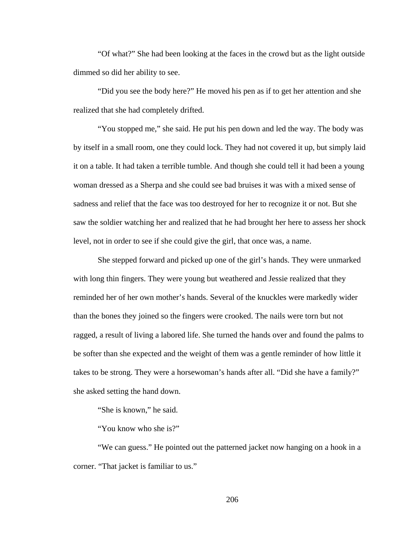"Of what?" She had been looking at the faces in the crowd but as the light outside dimmed so did her ability to see.

"Did you see the body here?" He moved his pen as if to get her attention and she realized that she had completely drifted.

"You stopped me," she said. He put his pen down and led the way. The body was by itself in a small room, one they could lock. They had not covered it up, but simply laid it on a table. It had taken a terrible tumble. And though she could tell it had been a young woman dressed as a Sherpa and she could see bad bruises it was with a mixed sense of sadness and relief that the face was too destroyed for her to recognize it or not. But she saw the soldier watching her and realized that he had brought her here to assess her shock level, not in order to see if she could give the girl, that once was, a name.

She stepped forward and picked up one of the girl's hands. They were unmarked with long thin fingers. They were young but weathered and Jessie realized that they reminded her of her own mother's hands. Several of the knuckles were markedly wider than the bones they joined so the fingers were crooked. The nails were torn but not ragged, a result of living a labored life. She turned the hands over and found the palms to be softer than she expected and the weight of them was a gentle reminder of how little it takes to be strong. They were a horsewoman's hands after all. "Did she have a family?" she asked setting the hand down.

"She is known," he said.

"You know who she is?"

"We can guess." He pointed out the patterned jacket now hanging on a hook in a corner. "That jacket is familiar to us."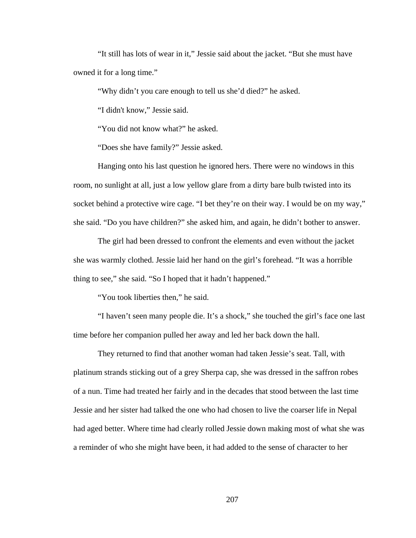"It still has lots of wear in it," Jessie said about the jacket. "But she must have owned it for a long time."

"Why didn't you care enough to tell us she'd died?" he asked.

"I didn't know," Jessie said.

"You did not know what?" he asked.

"Does she have family?" Jessie asked.

Hanging onto his last question he ignored hers. There were no windows in this room, no sunlight at all, just a low yellow glare from a dirty bare bulb twisted into its socket behind a protective wire cage. "I bet they're on their way. I would be on my way," she said. "Do you have children?" she asked him, and again, he didn't bother to answer.

The girl had been dressed to confront the elements and even without the jacket she was warmly clothed. Jessie laid her hand on the girl's forehead. "It was a horrible thing to see," she said. "So I hoped that it hadn't happened."

"You took liberties then," he said.

"I haven't seen many people die. It's a shock," she touched the girl's face one last time before her companion pulled her away and led her back down the hall.

They returned to find that another woman had taken Jessie's seat. Tall, with platinum strands sticking out of a grey Sherpa cap, she was dressed in the saffron robes of a nun. Time had treated her fairly and in the decades that stood between the last time Jessie and her sister had talked the one who had chosen to live the coarser life in Nepal had aged better. Where time had clearly rolled Jessie down making most of what she was a reminder of who she might have been, it had added to the sense of character to her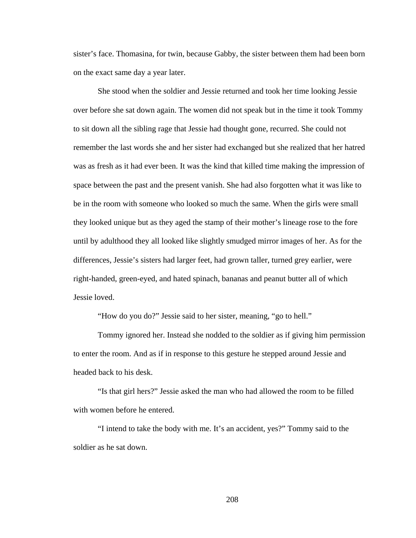sister's face. Thomasina, for twin, because Gabby, the sister between them had been born on the exact same day a year later.

She stood when the soldier and Jessie returned and took her time looking Jessie over before she sat down again. The women did not speak but in the time it took Tommy to sit down all the sibling rage that Jessie had thought gone, recurred. She could not remember the last words she and her sister had exchanged but she realized that her hatred was as fresh as it had ever been. It was the kind that killed time making the impression of space between the past and the present vanish. She had also forgotten what it was like to be in the room with someone who looked so much the same. When the girls were small they looked unique but as they aged the stamp of their mother's lineage rose to the fore until by adulthood they all looked like slightly smudged mirror images of her. As for the differences, Jessie's sisters had larger feet, had grown taller, turned grey earlier, were right-handed, green-eyed, and hated spinach, bananas and peanut butter all of which Jessie loved.

"How do you do?" Jessie said to her sister, meaning, "go to hell."

Tommy ignored her. Instead she nodded to the soldier as if giving him permission to enter the room. And as if in response to this gesture he stepped around Jessie and headed back to his desk.

"Is that girl hers?" Jessie asked the man who had allowed the room to be filled with women before he entered.

"I intend to take the body with me. It's an accident, yes?" Tommy said to the soldier as he sat down.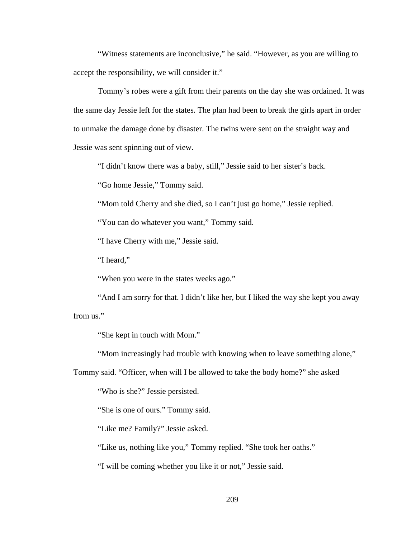"Witness statements are inconclusive," he said. "However, as you are willing to accept the responsibility, we will consider it."

Tommy's robes were a gift from their parents on the day she was ordained. It was the same day Jessie left for the states. The plan had been to break the girls apart in order to unmake the damage done by disaster. The twins were sent on the straight way and Jessie was sent spinning out of view.

"I didn't know there was a baby, still," Jessie said to her sister's back.

"Go home Jessie," Tommy said.

"Mom told Cherry and she died, so I can't just go home," Jessie replied.

"You can do whatever you want," Tommy said.

"I have Cherry with me," Jessie said.

"I heard,"

"When you were in the states weeks ago."

"And I am sorry for that. I didn't like her, but I liked the way she kept you away from us."

"She kept in touch with Mom."

"Mom increasingly had trouble with knowing when to leave something alone,"

Tommy said. "Officer, when will I be allowed to take the body home?" she asked

"Who is she?" Jessie persisted.

"She is one of ours." Tommy said.

"Like me? Family?" Jessie asked.

"Like us, nothing like you," Tommy replied. "She took her oaths."

"I will be coming whether you like it or not," Jessie said.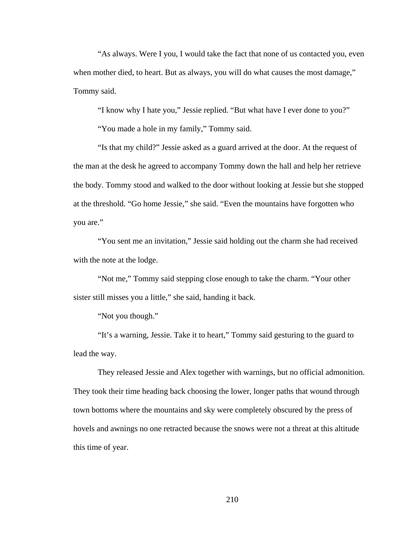"As always. Were I you, I would take the fact that none of us contacted you, even when mother died, to heart. But as always, you will do what causes the most damage," Tommy said.

"I know why I hate you," Jessie replied. "But what have I ever done to you?"

"You made a hole in my family," Tommy said.

"Is that my child?" Jessie asked as a guard arrived at the door. At the request of the man at the desk he agreed to accompany Tommy down the hall and help her retrieve the body. Tommy stood and walked to the door without looking at Jessie but she stopped at the threshold. "Go home Jessie," she said. "Even the mountains have forgotten who you are."

"You sent me an invitation," Jessie said holding out the charm she had received with the note at the lodge.

"Not me," Tommy said stepping close enough to take the charm. "Your other sister still misses you a little," she said, handing it back.

"Not you though."

"It's a warning, Jessie. Take it to heart," Tommy said gesturing to the guard to lead the way.

They released Jessie and Alex together with warnings, but no official admonition. They took their time heading back choosing the lower, longer paths that wound through town bottoms where the mountains and sky were completely obscured by the press of hovels and awnings no one retracted because the snows were not a threat at this altitude this time of year.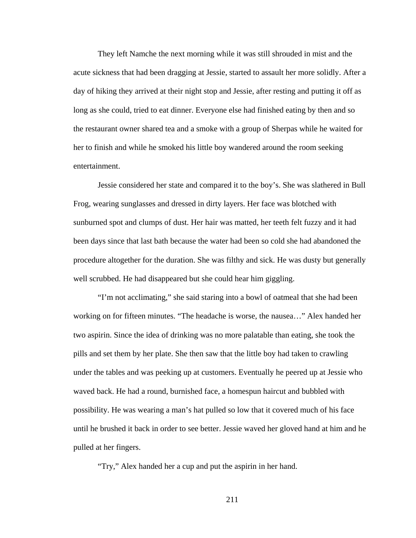They left Namche the next morning while it was still shrouded in mist and the acute sickness that had been dragging at Jessie, started to assault her more solidly. After a day of hiking they arrived at their night stop and Jessie, after resting and putting it off as long as she could, tried to eat dinner. Everyone else had finished eating by then and so the restaurant owner shared tea and a smoke with a group of Sherpas while he waited for her to finish and while he smoked his little boy wandered around the room seeking entertainment.

Jessie considered her state and compared it to the boy's. She was slathered in Bull Frog, wearing sunglasses and dressed in dirty layers. Her face was blotched with sunburned spot and clumps of dust. Her hair was matted, her teeth felt fuzzy and it had been days since that last bath because the water had been so cold she had abandoned the procedure altogether for the duration. She was filthy and sick. He was dusty but generally well scrubbed. He had disappeared but she could hear him giggling.

"I'm not acclimating," she said staring into a bowl of oatmeal that she had been working on for fifteen minutes. "The headache is worse, the nausea…" Alex handed her two aspirin. Since the idea of drinking was no more palatable than eating, she took the pills and set them by her plate. She then saw that the little boy had taken to crawling under the tables and was peeking up at customers. Eventually he peered up at Jessie who waved back. He had a round, burnished face, a homespun haircut and bubbled with possibility. He was wearing a man's hat pulled so low that it covered much of his face until he brushed it back in order to see better. Jessie waved her gloved hand at him and he pulled at her fingers.

"Try," Alex handed her a cup and put the aspirin in her hand.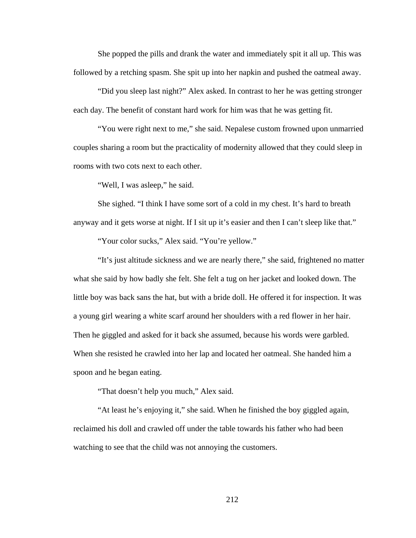She popped the pills and drank the water and immediately spit it all up. This was followed by a retching spasm. She spit up into her napkin and pushed the oatmeal away.

"Did you sleep last night?" Alex asked. In contrast to her he was getting stronger each day. The benefit of constant hard work for him was that he was getting fit.

"You were right next to me," she said. Nepalese custom frowned upon unmarried couples sharing a room but the practicality of modernity allowed that they could sleep in rooms with two cots next to each other.

"Well, I was asleep," he said.

She sighed. "I think I have some sort of a cold in my chest. It's hard to breath anyway and it gets worse at night. If I sit up it's easier and then I can't sleep like that."

"Your color sucks," Alex said. "You're yellow."

"It's just altitude sickness and we are nearly there," she said, frightened no matter what she said by how badly she felt. She felt a tug on her jacket and looked down. The little boy was back sans the hat, but with a bride doll. He offered it for inspection. It was a young girl wearing a white scarf around her shoulders with a red flower in her hair. Then he giggled and asked for it back she assumed, because his words were garbled. When she resisted he crawled into her lap and located her oatmeal. She handed him a spoon and he began eating.

"That doesn't help you much," Alex said.

"At least he's enjoying it," she said. When he finished the boy giggled again, reclaimed his doll and crawled off under the table towards his father who had been watching to see that the child was not annoying the customers.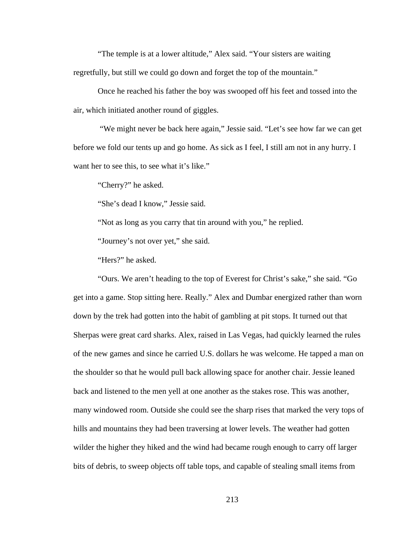"The temple is at a lower altitude," Alex said. "Your sisters are waiting regretfully, but still we could go down and forget the top of the mountain."

Once he reached his father the boy was swooped off his feet and tossed into the air, which initiated another round of giggles.

 "We might never be back here again," Jessie said. "Let's see how far we can get before we fold our tents up and go home. As sick as I feel, I still am not in any hurry. I want her to see this, to see what it's like."

"Cherry?" he asked.

"She's dead I know," Jessie said.

"Not as long as you carry that tin around with you," he replied.

"Journey's not over yet," she said.

"Hers?" he asked.

"Ours. We aren't heading to the top of Everest for Christ's sake," she said. "Go get into a game. Stop sitting here. Really." Alex and Dumbar energized rather than worn down by the trek had gotten into the habit of gambling at pit stops. It turned out that Sherpas were great card sharks. Alex, raised in Las Vegas, had quickly learned the rules of the new games and since he carried U.S. dollars he was welcome. He tapped a man on the shoulder so that he would pull back allowing space for another chair. Jessie leaned back and listened to the men yell at one another as the stakes rose. This was another, many windowed room. Outside she could see the sharp rises that marked the very tops of hills and mountains they had been traversing at lower levels. The weather had gotten wilder the higher they hiked and the wind had became rough enough to carry off larger bits of debris, to sweep objects off table tops, and capable of stealing small items from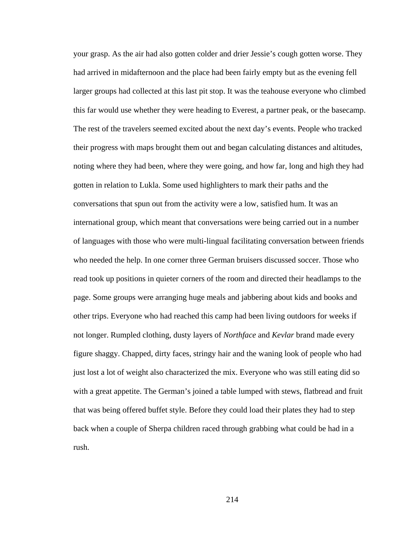your grasp. As the air had also gotten colder and drier Jessie's cough gotten worse. They had arrived in midafternoon and the place had been fairly empty but as the evening fell larger groups had collected at this last pit stop. It was the teahouse everyone who climbed this far would use whether they were heading to Everest, a partner peak, or the basecamp. The rest of the travelers seemed excited about the next day's events. People who tracked their progress with maps brought them out and began calculating distances and altitudes, noting where they had been, where they were going, and how far, long and high they had gotten in relation to Lukla. Some used highlighters to mark their paths and the conversations that spun out from the activity were a low, satisfied hum. It was an international group, which meant that conversations were being carried out in a number of languages with those who were multi-lingual facilitating conversation between friends who needed the help. In one corner three German bruisers discussed soccer. Those who read took up positions in quieter corners of the room and directed their headlamps to the page. Some groups were arranging huge meals and jabbering about kids and books and other trips. Everyone who had reached this camp had been living outdoors for weeks if not longer. Rumpled clothing, dusty layers of *Northface* and *Kevlar* brand made every figure shaggy. Chapped, dirty faces, stringy hair and the waning look of people who had just lost a lot of weight also characterized the mix. Everyone who was still eating did so with a great appetite. The German's joined a table lumped with stews, flatbread and fruit that was being offered buffet style. Before they could load their plates they had to step back when a couple of Sherpa children raced through grabbing what could be had in a rush.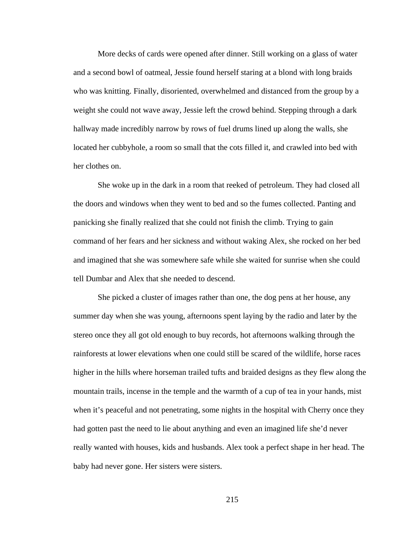More decks of cards were opened after dinner. Still working on a glass of water and a second bowl of oatmeal, Jessie found herself staring at a blond with long braids who was knitting. Finally, disoriented, overwhelmed and distanced from the group by a weight she could not wave away, Jessie left the crowd behind. Stepping through a dark hallway made incredibly narrow by rows of fuel drums lined up along the walls, she located her cubbyhole, a room so small that the cots filled it, and crawled into bed with her clothes on.

She woke up in the dark in a room that reeked of petroleum. They had closed all the doors and windows when they went to bed and so the fumes collected. Panting and panicking she finally realized that she could not finish the climb. Trying to gain command of her fears and her sickness and without waking Alex, she rocked on her bed and imagined that she was somewhere safe while she waited for sunrise when she could tell Dumbar and Alex that she needed to descend.

She picked a cluster of images rather than one, the dog pens at her house, any summer day when she was young, afternoons spent laying by the radio and later by the stereo once they all got old enough to buy records, hot afternoons walking through the rainforests at lower elevations when one could still be scared of the wildlife, horse races higher in the hills where horseman trailed tufts and braided designs as they flew along the mountain trails, incense in the temple and the warmth of a cup of tea in your hands, mist when it's peaceful and not penetrating, some nights in the hospital with Cherry once they had gotten past the need to lie about anything and even an imagined life she'd never really wanted with houses, kids and husbands. Alex took a perfect shape in her head. The baby had never gone. Her sisters were sisters.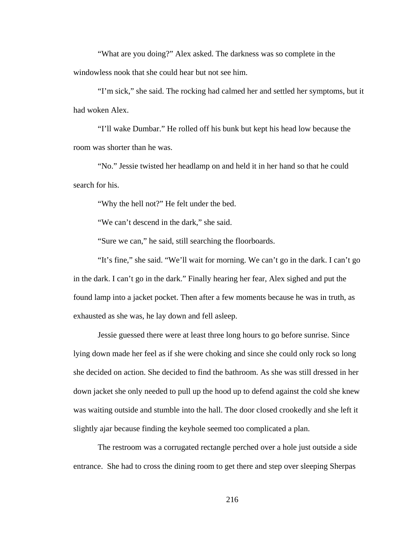"What are you doing?" Alex asked. The darkness was so complete in the windowless nook that she could hear but not see him.

"I'm sick," she said. The rocking had calmed her and settled her symptoms, but it had woken Alex.

"I'll wake Dumbar." He rolled off his bunk but kept his head low because the room was shorter than he was.

"No." Jessie twisted her headlamp on and held it in her hand so that he could search for his.

"Why the hell not?" He felt under the bed.

"We can't descend in the dark," she said.

"Sure we can," he said, still searching the floorboards.

"It's fine," she said. "We'll wait for morning. We can't go in the dark. I can't go in the dark. I can't go in the dark." Finally hearing her fear, Alex sighed and put the found lamp into a jacket pocket. Then after a few moments because he was in truth, as exhausted as she was, he lay down and fell asleep.

Jessie guessed there were at least three long hours to go before sunrise. Since lying down made her feel as if she were choking and since she could only rock so long she decided on action. She decided to find the bathroom. As she was still dressed in her down jacket she only needed to pull up the hood up to defend against the cold she knew was waiting outside and stumble into the hall. The door closed crookedly and she left it slightly ajar because finding the keyhole seemed too complicated a plan.

The restroom was a corrugated rectangle perched over a hole just outside a side entrance. She had to cross the dining room to get there and step over sleeping Sherpas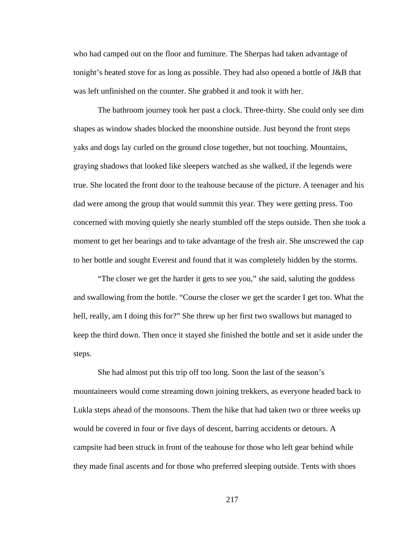who had camped out on the floor and furniture. The Sherpas had taken advantage of tonight's heated stove for as long as possible. They had also opened a bottle of J&B that was left unfinished on the counter. She grabbed it and took it with her.

The bathroom journey took her past a clock. Three-thirty. She could only see dim shapes as window shades blocked the moonshine outside. Just beyond the front steps yaks and dogs lay curled on the ground close together, but not touching. Mountains, graying shadows that looked like sleepers watched as she walked, if the legends were true. She located the front door to the teahouse because of the picture. A teenager and his dad were among the group that would summit this year. They were getting press. Too concerned with moving quietly she nearly stumbled off the steps outside. Then she took a moment to get her bearings and to take advantage of the fresh air. She unscrewed the cap to her bottle and sought Everest and found that it was completely hidden by the storms.

"The closer we get the harder it gets to see you," she said, saluting the goddess and swallowing from the bottle. "Course the closer we get the scarder I get too. What the hell, really, am I doing this for?" She threw up her first two swallows but managed to keep the third down. Then once it stayed she finished the bottle and set it aside under the steps.

She had almost put this trip off too long. Soon the last of the season's mountaineers would come streaming down joining trekkers, as everyone headed back to Lukla steps ahead of the monsoons. Them the hike that had taken two or three weeks up would be covered in four or five days of descent, barring accidents or detours. A campsite had been struck in front of the teahouse for those who left gear behind while they made final ascents and for those who preferred sleeping outside. Tents with shoes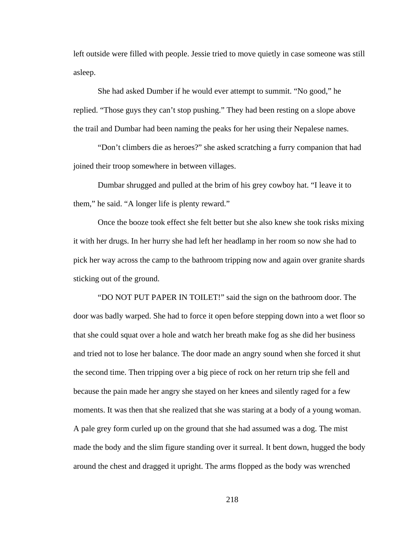left outside were filled with people. Jessie tried to move quietly in case someone was still asleep.

She had asked Dumber if he would ever attempt to summit. "No good," he replied. "Those guys they can't stop pushing." They had been resting on a slope above the trail and Dumbar had been naming the peaks for her using their Nepalese names.

"Don't climbers die as heroes?" she asked scratching a furry companion that had joined their troop somewhere in between villages.

Dumbar shrugged and pulled at the brim of his grey cowboy hat. "I leave it to them," he said. "A longer life is plenty reward."

Once the booze took effect she felt better but she also knew she took risks mixing it with her drugs. In her hurry she had left her headlamp in her room so now she had to pick her way across the camp to the bathroom tripping now and again over granite shards sticking out of the ground.

"DO NOT PUT PAPER IN TOILET!" said the sign on the bathroom door. The door was badly warped. She had to force it open before stepping down into a wet floor so that she could squat over a hole and watch her breath make fog as she did her business and tried not to lose her balance. The door made an angry sound when she forced it shut the second time. Then tripping over a big piece of rock on her return trip she fell and because the pain made her angry she stayed on her knees and silently raged for a few moments. It was then that she realized that she was staring at a body of a young woman. A pale grey form curled up on the ground that she had assumed was a dog. The mist made the body and the slim figure standing over it surreal. It bent down, hugged the body around the chest and dragged it upright. The arms flopped as the body was wrenched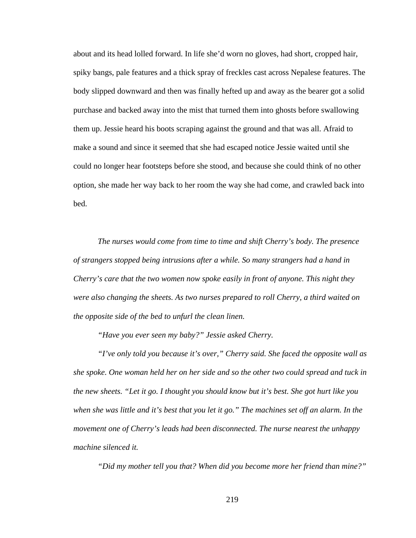about and its head lolled forward. In life she'd worn no gloves, had short, cropped hair, spiky bangs, pale features and a thick spray of freckles cast across Nepalese features. The body slipped downward and then was finally hefted up and away as the bearer got a solid purchase and backed away into the mist that turned them into ghosts before swallowing them up. Jessie heard his boots scraping against the ground and that was all. Afraid to make a sound and since it seemed that she had escaped notice Jessie waited until she could no longer hear footsteps before she stood, and because she could think of no other option, she made her way back to her room the way she had come, and crawled back into bed.

*The nurses would come from time to time and shift Cherry's body. The presence of strangers stopped being intrusions after a while. So many strangers had a hand in Cherry's care that the two women now spoke easily in front of anyone. This night they were also changing the sheets. As two nurses prepared to roll Cherry, a third waited on the opposite side of the bed to unfurl the clean linen.* 

*"Have you ever seen my baby?" Jessie asked Cherry.* 

*"I've only told you because it's over," Cherry said. She faced the opposite wall as she spoke. One woman held her on her side and so the other two could spread and tuck in the new sheets. "Let it go. I thought you should know but it's best. She got hurt like you when she was little and it's best that you let it go." The machines set off an alarm. In the movement one of Cherry's leads had been disconnected. The nurse nearest the unhappy machine silenced it.* 

*"Did my mother tell you that? When did you become more her friend than mine?"*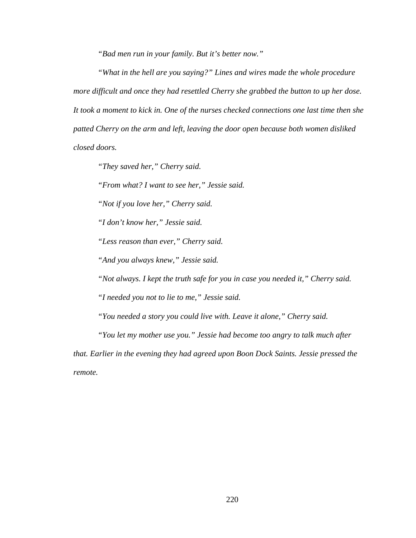*"Bad men run in your family. But it's better now."* 

*"What in the hell are you saying?" Lines and wires made the whole procedure more difficult and once they had resettled Cherry she grabbed the button to up her dose. It took a moment to kick in. One of the nurses checked connections one last time then she patted Cherry on the arm and left, leaving the door open because both women disliked closed doors.* 

*"They saved her," Cherry said.* 

*"From what? I want to see her," Jessie said.* 

*"Not if you love her," Cherry said.* 

*"I don't know her," Jessie said.* 

*"Less reason than ever," Cherry said.* 

*"And you always knew," Jessie said.* 

*"Not always. I kept the truth safe for you in case you needed it," Cherry said.* 

*"I needed you not to lie to me," Jessie said.* 

*"You needed a story you could live with. Leave it alone," Cherry said.* 

*"You let my mother use you." Jessie had become too angry to talk much after* 

*that. Earlier in the evening they had agreed upon Boon Dock Saints. Jessie pressed the remote.*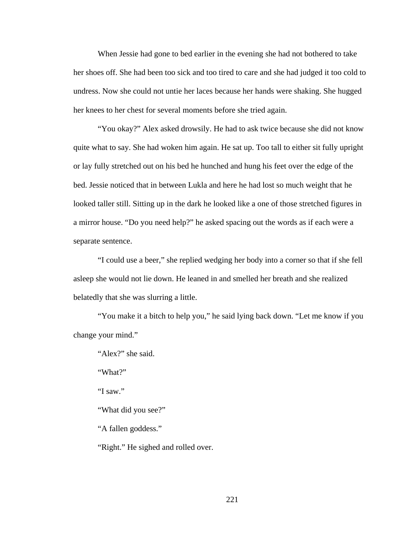When Jessie had gone to bed earlier in the evening she had not bothered to take her shoes off. She had been too sick and too tired to care and she had judged it too cold to undress. Now she could not untie her laces because her hands were shaking. She hugged her knees to her chest for several moments before she tried again.

"You okay?" Alex asked drowsily. He had to ask twice because she did not know quite what to say. She had woken him again. He sat up. Too tall to either sit fully upright or lay fully stretched out on his bed he hunched and hung his feet over the edge of the bed. Jessie noticed that in between Lukla and here he had lost so much weight that he looked taller still. Sitting up in the dark he looked like a one of those stretched figures in a mirror house. "Do you need help?" he asked spacing out the words as if each were a separate sentence.

"I could use a beer," she replied wedging her body into a corner so that if she fell asleep she would not lie down. He leaned in and smelled her breath and she realized belatedly that she was slurring a little.

"You make it a bitch to help you," he said lying back down. "Let me know if you change your mind."

"Alex?" she said.

"What?"

"I saw."

"What did you see?"

"A fallen goddess."

"Right." He sighed and rolled over.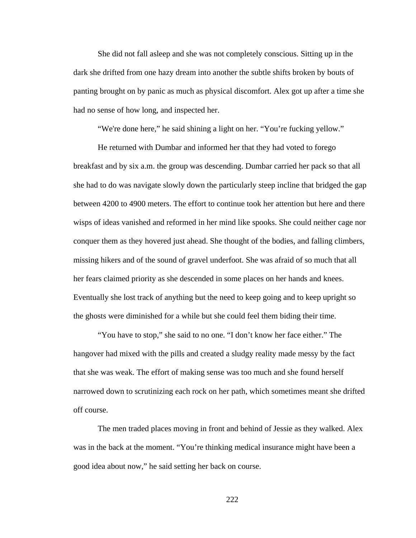She did not fall asleep and she was not completely conscious. Sitting up in the dark she drifted from one hazy dream into another the subtle shifts broken by bouts of panting brought on by panic as much as physical discomfort. Alex got up after a time she had no sense of how long, and inspected her.

"We're done here," he said shining a light on her. "You're fucking yellow."

He returned with Dumbar and informed her that they had voted to forego breakfast and by six a.m. the group was descending. Dumbar carried her pack so that all she had to do was navigate slowly down the particularly steep incline that bridged the gap between 4200 to 4900 meters. The effort to continue took her attention but here and there wisps of ideas vanished and reformed in her mind like spooks. She could neither cage nor conquer them as they hovered just ahead. She thought of the bodies, and falling climbers, missing hikers and of the sound of gravel underfoot. She was afraid of so much that all her fears claimed priority as she descended in some places on her hands and knees. Eventually she lost track of anything but the need to keep going and to keep upright so the ghosts were diminished for a while but she could feel them biding their time.

"You have to stop," she said to no one. "I don't know her face either." The hangover had mixed with the pills and created a sludgy reality made messy by the fact that she was weak. The effort of making sense was too much and she found herself narrowed down to scrutinizing each rock on her path, which sometimes meant she drifted off course.

The men traded places moving in front and behind of Jessie as they walked. Alex was in the back at the moment. "You're thinking medical insurance might have been a good idea about now," he said setting her back on course.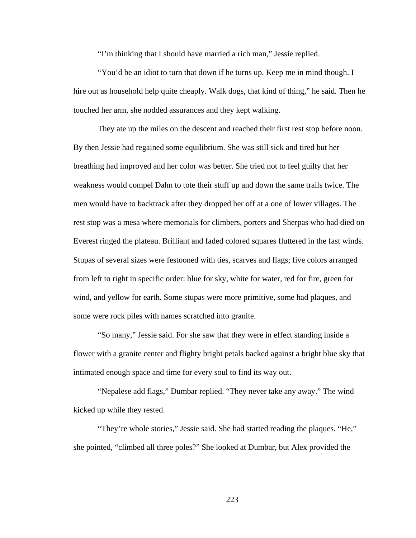"I'm thinking that I should have married a rich man," Jessie replied.

"You'd be an idiot to turn that down if he turns up. Keep me in mind though. I hire out as household help quite cheaply. Walk dogs, that kind of thing," he said. Then he touched her arm, she nodded assurances and they kept walking.

They ate up the miles on the descent and reached their first rest stop before noon. By then Jessie had regained some equilibrium. She was still sick and tired but her breathing had improved and her color was better. She tried not to feel guilty that her weakness would compel Dahn to tote their stuff up and down the same trails twice. The men would have to backtrack after they dropped her off at a one of lower villages. The rest stop was a mesa where memorials for climbers, porters and Sherpas who had died on Everest ringed the plateau. Brilliant and faded colored squares fluttered in the fast winds. Stupas of several sizes were festooned with ties, scarves and flags; five colors arranged from left to right in specific order: blue for sky, white for water, red for fire, green for wind, and yellow for earth. Some stupas were more primitive, some had plaques, and some were rock piles with names scratched into granite.

"So many," Jessie said. For she saw that they were in effect standing inside a flower with a granite center and flighty bright petals backed against a bright blue sky that intimated enough space and time for every soul to find its way out.

"Nepalese add flags," Dumbar replied. "They never take any away." The wind kicked up while they rested.

"They're whole stories," Jessie said. She had started reading the plaques. "He," she pointed, "climbed all three poles?" She looked at Dumbar, but Alex provided the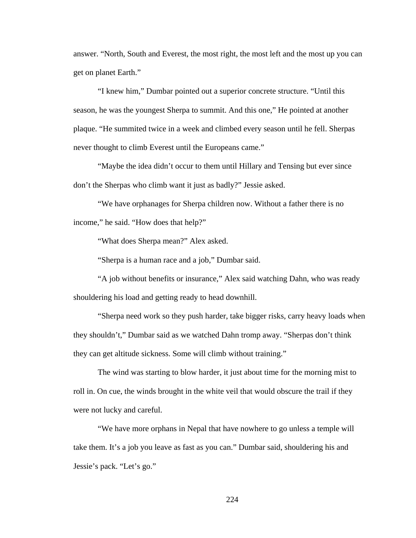answer. "North, South and Everest, the most right, the most left and the most up you can get on planet Earth."

"I knew him," Dumbar pointed out a superior concrete structure. "Until this season, he was the youngest Sherpa to summit. And this one," He pointed at another plaque. "He summited twice in a week and climbed every season until he fell. Sherpas never thought to climb Everest until the Europeans came."

"Maybe the idea didn't occur to them until Hillary and Tensing but ever since don't the Sherpas who climb want it just as badly?" Jessie asked.

"We have orphanages for Sherpa children now. Without a father there is no income," he said. "How does that help?"

"What does Sherpa mean?" Alex asked.

"Sherpa is a human race and a job," Dumbar said.

"A job without benefits or insurance," Alex said watching Dahn, who was ready shouldering his load and getting ready to head downhill.

"Sherpa need work so they push harder, take bigger risks, carry heavy loads when they shouldn't," Dumbar said as we watched Dahn tromp away. "Sherpas don't think they can get altitude sickness. Some will climb without training."

The wind was starting to blow harder, it just about time for the morning mist to roll in. On cue, the winds brought in the white veil that would obscure the trail if they were not lucky and careful.

"We have more orphans in Nepal that have nowhere to go unless a temple will take them. It's a job you leave as fast as you can." Dumbar said, shouldering his and Jessie's pack. "Let's go."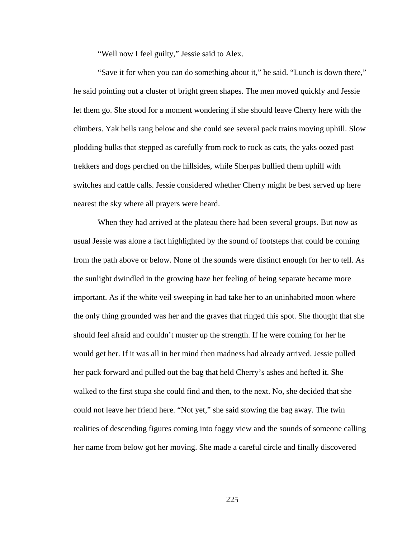"Well now I feel guilty," Jessie said to Alex.

"Save it for when you can do something about it," he said. "Lunch is down there," he said pointing out a cluster of bright green shapes. The men moved quickly and Jessie let them go. She stood for a moment wondering if she should leave Cherry here with the climbers. Yak bells rang below and she could see several pack trains moving uphill. Slow plodding bulks that stepped as carefully from rock to rock as cats, the yaks oozed past trekkers and dogs perched on the hillsides, while Sherpas bullied them uphill with switches and cattle calls. Jessie considered whether Cherry might be best served up here nearest the sky where all prayers were heard.

When they had arrived at the plateau there had been several groups. But now as usual Jessie was alone a fact highlighted by the sound of footsteps that could be coming from the path above or below. None of the sounds were distinct enough for her to tell. As the sunlight dwindled in the growing haze her feeling of being separate became more important. As if the white veil sweeping in had take her to an uninhabited moon where the only thing grounded was her and the graves that ringed this spot. She thought that she should feel afraid and couldn't muster up the strength. If he were coming for her he would get her. If it was all in her mind then madness had already arrived. Jessie pulled her pack forward and pulled out the bag that held Cherry's ashes and hefted it. She walked to the first stupa she could find and then, to the next. No, she decided that she could not leave her friend here. "Not yet," she said stowing the bag away. The twin realities of descending figures coming into foggy view and the sounds of someone calling her name from below got her moving. She made a careful circle and finally discovered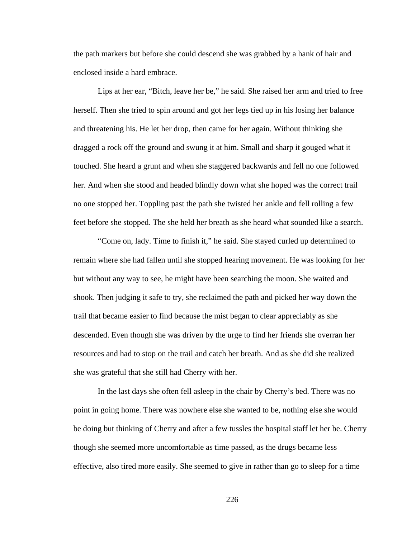the path markers but before she could descend she was grabbed by a hank of hair and enclosed inside a hard embrace.

Lips at her ear, "Bitch, leave her be," he said. She raised her arm and tried to free herself. Then she tried to spin around and got her legs tied up in his losing her balance and threatening his. He let her drop, then came for her again. Without thinking she dragged a rock off the ground and swung it at him. Small and sharp it gouged what it touched. She heard a grunt and when she staggered backwards and fell no one followed her. And when she stood and headed blindly down what she hoped was the correct trail no one stopped her. Toppling past the path she twisted her ankle and fell rolling a few feet before she stopped. The she held her breath as she heard what sounded like a search.

"Come on, lady. Time to finish it," he said. She stayed curled up determined to remain where she had fallen until she stopped hearing movement. He was looking for her but without any way to see, he might have been searching the moon. She waited and shook. Then judging it safe to try, she reclaimed the path and picked her way down the trail that became easier to find because the mist began to clear appreciably as she descended. Even though she was driven by the urge to find her friends she overran her resources and had to stop on the trail and catch her breath. And as she did she realized she was grateful that she still had Cherry with her.

In the last days she often fell asleep in the chair by Cherry's bed. There was no point in going home. There was nowhere else she wanted to be, nothing else she would be doing but thinking of Cherry and after a few tussles the hospital staff let her be. Cherry though she seemed more uncomfortable as time passed, as the drugs became less effective, also tired more easily. She seemed to give in rather than go to sleep for a time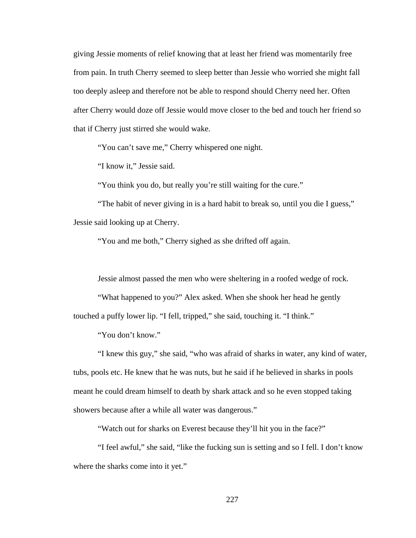giving Jessie moments of relief knowing that at least her friend was momentarily free from pain. In truth Cherry seemed to sleep better than Jessie who worried she might fall too deeply asleep and therefore not be able to respond should Cherry need her. Often after Cherry would doze off Jessie would move closer to the bed and touch her friend so that if Cherry just stirred she would wake.

"You can't save me," Cherry whispered one night.

"I know it," Jessie said.

"You think you do, but really you're still waiting for the cure."

"The habit of never giving in is a hard habit to break so, until you die I guess," Jessie said looking up at Cherry.

"You and me both," Cherry sighed as she drifted off again.

Jessie almost passed the men who were sheltering in a roofed wedge of rock.

"What happened to you?" Alex asked. When she shook her head he gently touched a puffy lower lip. "I fell, tripped," she said, touching it. "I think."

"You don't know."

"I knew this guy," she said, "who was afraid of sharks in water, any kind of water, tubs, pools etc. He knew that he was nuts, but he said if he believed in sharks in pools meant he could dream himself to death by shark attack and so he even stopped taking showers because after a while all water was dangerous."

"Watch out for sharks on Everest because they'll hit you in the face?"

"I feel awful," she said, "like the fucking sun is setting and so I fell. I don't know where the sharks come into it yet."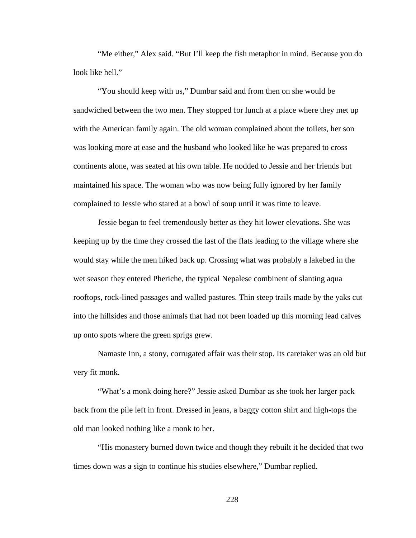"Me either," Alex said. "But I'll keep the fish metaphor in mind. Because you do look like hell."

"You should keep with us," Dumbar said and from then on she would be sandwiched between the two men. They stopped for lunch at a place where they met up with the American family again. The old woman complained about the toilets, her son was looking more at ease and the husband who looked like he was prepared to cross continents alone, was seated at his own table. He nodded to Jessie and her friends but maintained his space. The woman who was now being fully ignored by her family complained to Jessie who stared at a bowl of soup until it was time to leave.

Jessie began to feel tremendously better as they hit lower elevations. She was keeping up by the time they crossed the last of the flats leading to the village where she would stay while the men hiked back up. Crossing what was probably a lakebed in the wet season they entered Pheriche, the typical Nepalese combinent of slanting aqua rooftops, rock-lined passages and walled pastures. Thin steep trails made by the yaks cut into the hillsides and those animals that had not been loaded up this morning lead calves up onto spots where the green sprigs grew.

Namaste Inn, a stony, corrugated affair was their stop. Its caretaker was an old but very fit monk.

"What's a monk doing here?" Jessie asked Dumbar as she took her larger pack back from the pile left in front. Dressed in jeans, a baggy cotton shirt and high-tops the old man looked nothing like a monk to her.

"His monastery burned down twice and though they rebuilt it he decided that two times down was a sign to continue his studies elsewhere," Dumbar replied.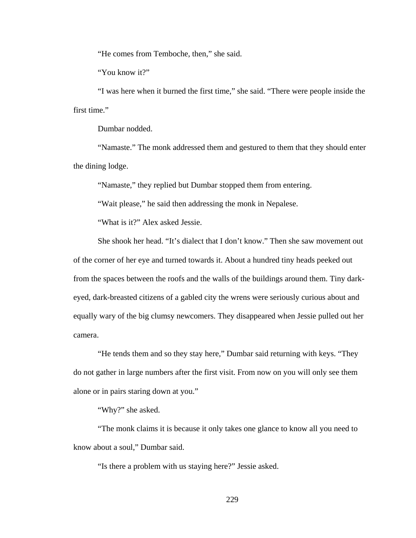"He comes from Temboche, then," she said.

"You know it?"

"I was here when it burned the first time," she said. "There were people inside the first time."

Dumbar nodded.

"Namaste." The monk addressed them and gestured to them that they should enter the dining lodge.

"Namaste," they replied but Dumbar stopped them from entering.

"Wait please," he said then addressing the monk in Nepalese.

"What is it?" Alex asked Jessie.

She shook her head. "It's dialect that I don't know." Then she saw movement out of the corner of her eye and turned towards it. About a hundred tiny heads peeked out from the spaces between the roofs and the walls of the buildings around them. Tiny darkeyed, dark-breasted citizens of a gabled city the wrens were seriously curious about and equally wary of the big clumsy newcomers. They disappeared when Jessie pulled out her camera.

"He tends them and so they stay here," Dumbar said returning with keys. "They do not gather in large numbers after the first visit. From now on you will only see them alone or in pairs staring down at you."

"Why?" she asked.

"The monk claims it is because it only takes one glance to know all you need to know about a soul," Dumbar said.

"Is there a problem with us staying here?" Jessie asked.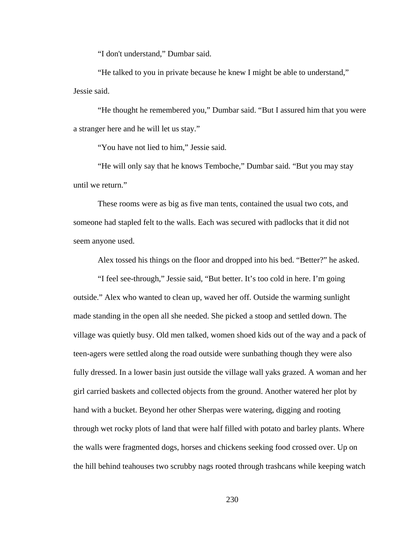"I don't understand," Dumbar said.

"He talked to you in private because he knew I might be able to understand," Jessie said.

"He thought he remembered you," Dumbar said. "But I assured him that you were a stranger here and he will let us stay."

"You have not lied to him," Jessie said.

"He will only say that he knows Temboche," Dumbar said. "But you may stay until we return."

These rooms were as big as five man tents, contained the usual two cots, and someone had stapled felt to the walls. Each was secured with padlocks that it did not seem anyone used.

Alex tossed his things on the floor and dropped into his bed. "Better?" he asked.

"I feel see-through," Jessie said, "But better. It's too cold in here. I'm going outside." Alex who wanted to clean up, waved her off. Outside the warming sunlight made standing in the open all she needed. She picked a stoop and settled down. The village was quietly busy. Old men talked, women shoed kids out of the way and a pack of teen-agers were settled along the road outside were sunbathing though they were also fully dressed. In a lower basin just outside the village wall yaks grazed. A woman and her girl carried baskets and collected objects from the ground. Another watered her plot by hand with a bucket. Beyond her other Sherpas were watering, digging and rooting through wet rocky plots of land that were half filled with potato and barley plants. Where the walls were fragmented dogs, horses and chickens seeking food crossed over. Up on the hill behind teahouses two scrubby nags rooted through trashcans while keeping watch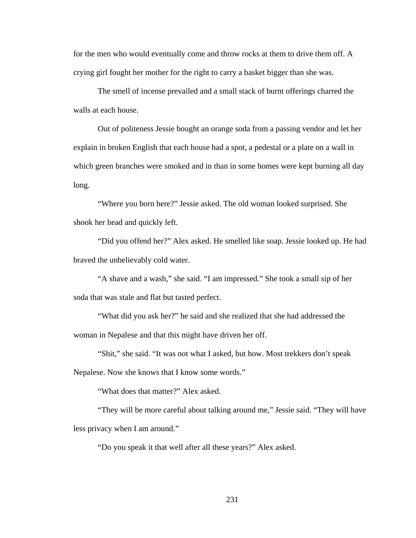for the men who would eventually come and throw rocks at them to drive them off. A crying girl fought her mother for the right to carry a basket bigger than she was.

The smell of incense prevailed and a small stack of burnt offerings charred the walls at each house.

Out of politeness Jessie bought an orange soda from a passing vendor and let her explain in broken English that each house had a spot, a pedestal or a plate on a wall in which green branches were smoked and in than in some homes were kept burning all day long.

"Where you born here?" Jessie asked. The old woman looked surprised. She shook her head and quickly left.

"Did you offend her?" Alex asked. He smelled like soap. Jessie looked up. He had braved the unbelievably cold water.

"A shave and a wash," she said. "I am impressed." She took a small sip of her soda that was stale and flat but tasted perfect.

"What did you ask her?" he said and she realized that she had addressed the woman in Nepalese and that this might have driven her off.

"Shit," she said. "It was not what I asked, but how. Most trekkers don't speak Nepalese. Now she knows that I know some words."

"What does that matter?" Alex asked.

"They will be more careful about talking around me," Jessie said. "They will have less privacy when I am around."

"Do you speak it that well after all these years?" Alex asked.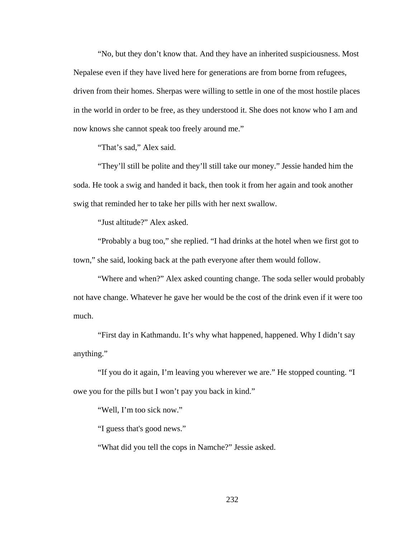"No, but they don't know that. And they have an inherited suspiciousness. Most Nepalese even if they have lived here for generations are from borne from refugees, driven from their homes. Sherpas were willing to settle in one of the most hostile places in the world in order to be free, as they understood it. She does not know who I am and now knows she cannot speak too freely around me."

"That's sad," Alex said.

"They'll still be polite and they'll still take our money." Jessie handed him the soda. He took a swig and handed it back, then took it from her again and took another swig that reminded her to take her pills with her next swallow.

"Just altitude?" Alex asked.

"Probably a bug too," she replied. "I had drinks at the hotel when we first got to town," she said, looking back at the path everyone after them would follow.

"Where and when?" Alex asked counting change. The soda seller would probably not have change. Whatever he gave her would be the cost of the drink even if it were too much.

"First day in Kathmandu. It's why what happened, happened. Why I didn't say anything."

"If you do it again, I'm leaving you wherever we are." He stopped counting. "I owe you for the pills but I won't pay you back in kind."

"Well, I'm too sick now."

"I guess that's good news."

"What did you tell the cops in Namche?" Jessie asked.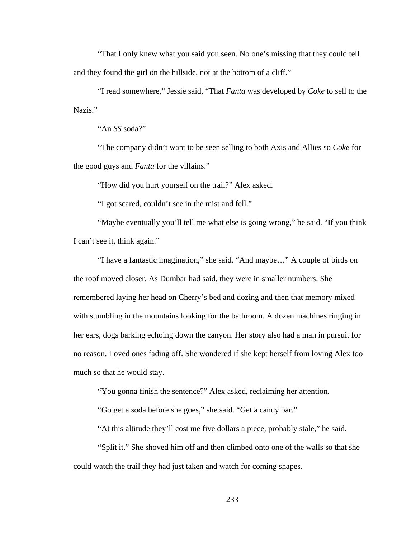"That I only knew what you said you seen. No one's missing that they could tell and they found the girl on the hillside, not at the bottom of a cliff."

"I read somewhere," Jessie said, "That *Fanta* was developed by *Coke* to sell to the Nazis."

"An *SS* soda?"

"The company didn't want to be seen selling to both Axis and Allies so *Coke* for the good guys and *Fanta* for the villains."

"How did you hurt yourself on the trail?" Alex asked.

"I got scared, couldn't see in the mist and fell."

"Maybe eventually you'll tell me what else is going wrong," he said. "If you think I can't see it, think again."

"I have a fantastic imagination," she said. "And maybe…" A couple of birds on the roof moved closer. As Dumbar had said, they were in smaller numbers. She remembered laying her head on Cherry's bed and dozing and then that memory mixed with stumbling in the mountains looking for the bathroom. A dozen machines ringing in her ears, dogs barking echoing down the canyon. Her story also had a man in pursuit for no reason. Loved ones fading off. She wondered if she kept herself from loving Alex too much so that he would stay.

"You gonna finish the sentence?" Alex asked, reclaiming her attention.

"Go get a soda before she goes," she said. "Get a candy bar."

"At this altitude they'll cost me five dollars a piece, probably stale," he said.

"Split it." She shoved him off and then climbed onto one of the walls so that she could watch the trail they had just taken and watch for coming shapes.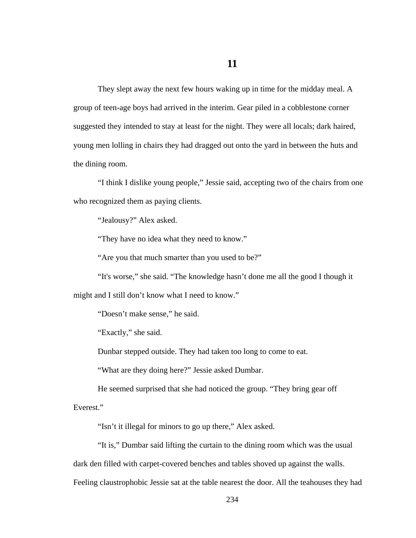They slept away the next few hours waking up in time for the midday meal. A group of teen-age boys had arrived in the interim. Gear piled in a cobblestone corner suggested they intended to stay at least for the night. They were all locals; dark haired, young men lolling in chairs they had dragged out onto the yard in between the huts and the dining room.

"I think I dislike young people," Jessie said, accepting two of the chairs from one who recognized them as paying clients.

"Jealousy?" Alex asked.

"They have no idea what they need to know."

"Are you that much smarter than you used to be?"

"It's worse," she said. "The knowledge hasn't done me all the good I though it might and I still don't know what I need to know."

"Doesn't make sense," he said.

"Exactly," she said.

Dunbar stepped outside. They had taken too long to come to eat.

"What are they doing here?" Jessie asked Dumbar.

He seemed surprised that she had noticed the group. "They bring gear off Everest."

"Isn't it illegal for minors to go up there," Alex asked.

"It is," Dumbar said lifting the curtain to the dining room which was the usual dark den filled with carpet-covered benches and tables shoved up against the walls. Feeling claustrophobic Jessie sat at the table nearest the door. All the teahouses they had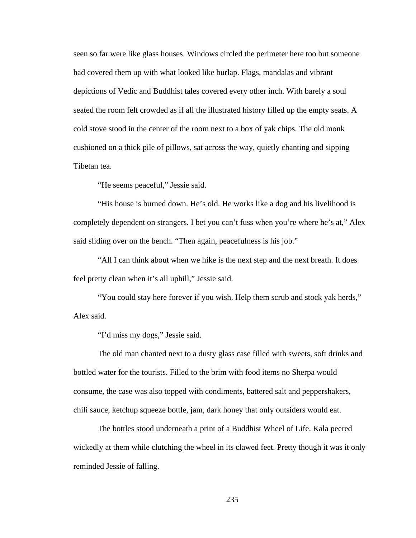seen so far were like glass houses. Windows circled the perimeter here too but someone had covered them up with what looked like burlap. Flags, mandalas and vibrant depictions of Vedic and Buddhist tales covered every other inch. With barely a soul seated the room felt crowded as if all the illustrated history filled up the empty seats. A cold stove stood in the center of the room next to a box of yak chips. The old monk cushioned on a thick pile of pillows, sat across the way, quietly chanting and sipping Tibetan tea.

"He seems peaceful," Jessie said.

"His house is burned down. He's old. He works like a dog and his livelihood is completely dependent on strangers. I bet you can't fuss when you're where he's at," Alex said sliding over on the bench. "Then again, peacefulness is his job."

"All I can think about when we hike is the next step and the next breath. It does feel pretty clean when it's all uphill," Jessie said.

"You could stay here forever if you wish. Help them scrub and stock yak herds," Alex said.

"I'd miss my dogs," Jessie said.

The old man chanted next to a dusty glass case filled with sweets, soft drinks and bottled water for the tourists. Filled to the brim with food items no Sherpa would consume, the case was also topped with condiments, battered salt and peppershakers, chili sauce, ketchup squeeze bottle, jam, dark honey that only outsiders would eat.

The bottles stood underneath a print of a Buddhist Wheel of Life. Kala peered wickedly at them while clutching the wheel in its clawed feet. Pretty though it was it only reminded Jessie of falling.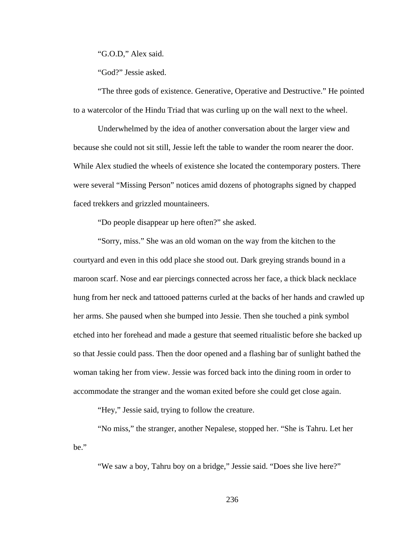"G.O.D," Alex said.

"God?" Jessie asked.

"The three gods of existence. Generative, Operative and Destructive." He pointed to a watercolor of the Hindu Triad that was curling up on the wall next to the wheel.

Underwhelmed by the idea of another conversation about the larger view and because she could not sit still, Jessie left the table to wander the room nearer the door. While Alex studied the wheels of existence she located the contemporary posters. There were several "Missing Person" notices amid dozens of photographs signed by chapped faced trekkers and grizzled mountaineers.

"Do people disappear up here often?" she asked.

"Sorry, miss." She was an old woman on the way from the kitchen to the courtyard and even in this odd place she stood out. Dark greying strands bound in a maroon scarf. Nose and ear piercings connected across her face, a thick black necklace hung from her neck and tattooed patterns curled at the backs of her hands and crawled up her arms. She paused when she bumped into Jessie. Then she touched a pink symbol etched into her forehead and made a gesture that seemed ritualistic before she backed up so that Jessie could pass. Then the door opened and a flashing bar of sunlight bathed the woman taking her from view. Jessie was forced back into the dining room in order to accommodate the stranger and the woman exited before she could get close again.

"Hey," Jessie said, trying to follow the creature.

"No miss," the stranger, another Nepalese, stopped her. "She is Tahru. Let her be."

"We saw a boy, Tahru boy on a bridge," Jessie said. "Does she live here?"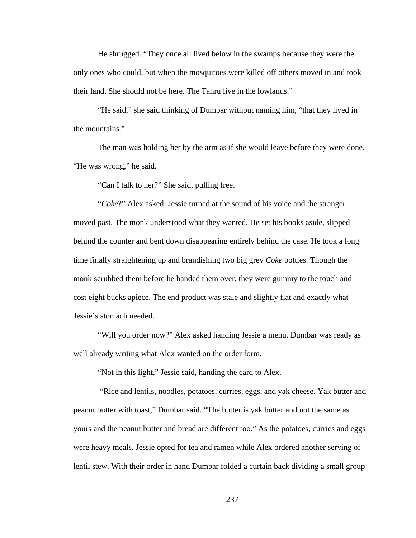He shrugged. "They once all lived below in the swamps because they were the only ones who could, but when the mosquitoes were killed off others moved in and took their land. She should not be here. The Tahru live in the lowlands."

"He said," she said thinking of Dumbar without naming him, "that they lived in the mountains."

The man was holding her by the arm as if she would leave before they were done. "He was wrong," he said.

"Can I talk to her?" She said, pulling free.

"*Coke*?" Alex asked. Jessie turned at the sound of his voice and the stranger moved past. The monk understood what they wanted. He set his books aside, slipped behind the counter and bent down disappearing entirely behind the case. He took a long time finally straightening up and brandishing two big grey *Coke* bottles. Though the monk scrubbed them before he handed them over, they were gummy to the touch and cost eight bucks apiece. The end product was stale and slightly flat and exactly what Jessie's stomach needed.

"Will you order now?" Alex asked handing Jessie a menu. Dumbar was ready as well already writing what Alex wanted on the order form.

"Not in this light," Jessie said, handing the card to Alex.

 "Rice and lentils, noodles, potatoes, curries, eggs, and yak cheese. Yak butter and peanut butter with toast," Dumbar said. "The butter is yak butter and not the same as yours and the peanut butter and bread are different too." As the potatoes, curries and eggs were heavy meals. Jessie opted for tea and ramen while Alex ordered another serving of lentil stew. With their order in hand Dumbar folded a curtain back dividing a small group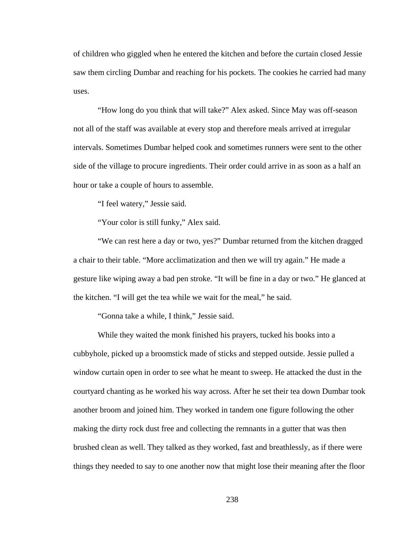of children who giggled when he entered the kitchen and before the curtain closed Jessie saw them circling Dumbar and reaching for his pockets. The cookies he carried had many uses.

"How long do you think that will take?" Alex asked. Since May was off-season not all of the staff was available at every stop and therefore meals arrived at irregular intervals. Sometimes Dumbar helped cook and sometimes runners were sent to the other side of the village to procure ingredients. Their order could arrive in as soon as a half an hour or take a couple of hours to assemble.

"I feel watery," Jessie said.

"Your color is still funky," Alex said.

"We can rest here a day or two, yes?" Dumbar returned from the kitchen dragged a chair to their table. "More acclimatization and then we will try again." He made a gesture like wiping away a bad pen stroke. "It will be fine in a day or two." He glanced at the kitchen. "I will get the tea while we wait for the meal," he said.

"Gonna take a while, I think," Jessie said.

While they waited the monk finished his prayers, tucked his books into a cubbyhole, picked up a broomstick made of sticks and stepped outside. Jessie pulled a window curtain open in order to see what he meant to sweep. He attacked the dust in the courtyard chanting as he worked his way across. After he set their tea down Dumbar took another broom and joined him. They worked in tandem one figure following the other making the dirty rock dust free and collecting the remnants in a gutter that was then brushed clean as well. They talked as they worked, fast and breathlessly, as if there were things they needed to say to one another now that might lose their meaning after the floor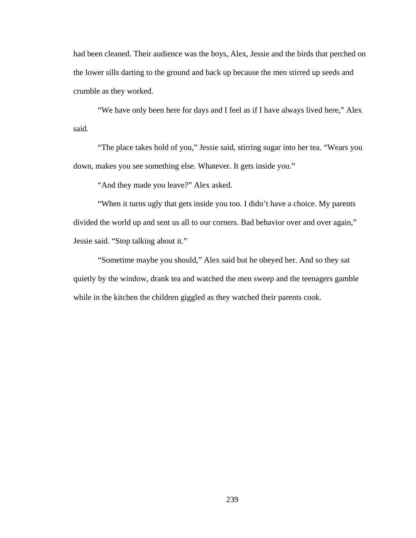had been cleaned. Their audience was the boys, Alex, Jessie and the birds that perched on the lower sills darting to the ground and back up because the men stirred up seeds and crumble as they worked.

"We have only been here for days and I feel as if I have always lived here," Alex said.

"The place takes hold of you," Jessie said, stirring sugar into her tea. "Wears you down, makes you see something else. Whatever. It gets inside you."

"And they made you leave?" Alex asked.

"When it turns ugly that gets inside you too. I didn't have a choice. My parents divided the world up and sent us all to our corners. Bad behavior over and over again," Jessie said. "Stop talking about it."

"Sometime maybe you should," Alex said but he obeyed her. And so they sat quietly by the window, drank tea and watched the men sweep and the teenagers gamble while in the kitchen the children giggled as they watched their parents cook.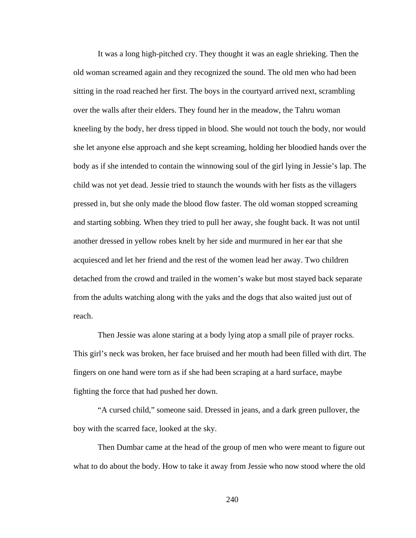It was a long high-pitched cry. They thought it was an eagle shrieking. Then the old woman screamed again and they recognized the sound. The old men who had been sitting in the road reached her first. The boys in the courtyard arrived next, scrambling over the walls after their elders. They found her in the meadow, the Tahru woman kneeling by the body, her dress tipped in blood. She would not touch the body, nor would she let anyone else approach and she kept screaming, holding her bloodied hands over the body as if she intended to contain the winnowing soul of the girl lying in Jessie's lap. The child was not yet dead. Jessie tried to staunch the wounds with her fists as the villagers pressed in, but she only made the blood flow faster. The old woman stopped screaming and starting sobbing. When they tried to pull her away, she fought back. It was not until another dressed in yellow robes knelt by her side and murmured in her ear that she acquiesced and let her friend and the rest of the women lead her away. Two children detached from the crowd and trailed in the women's wake but most stayed back separate from the adults watching along with the yaks and the dogs that also waited just out of reach.

Then Jessie was alone staring at a body lying atop a small pile of prayer rocks. This girl's neck was broken, her face bruised and her mouth had been filled with dirt. The fingers on one hand were torn as if she had been scraping at a hard surface, maybe fighting the force that had pushed her down.

"A cursed child," someone said. Dressed in jeans, and a dark green pullover, the boy with the scarred face, looked at the sky.

Then Dumbar came at the head of the group of men who were meant to figure out what to do about the body. How to take it away from Jessie who now stood where the old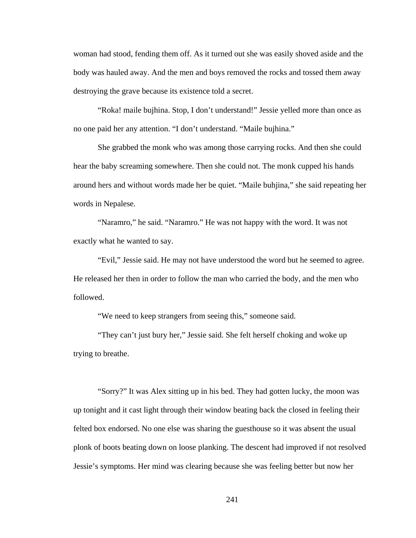woman had stood, fending them off. As it turned out she was easily shoved aside and the body was hauled away. And the men and boys removed the rocks and tossed them away destroying the grave because its existence told a secret.

"Roka! maile bujhina. Stop, I don't understand!" Jessie yelled more than once as no one paid her any attention. "I don't understand. "Maile bujhina."

She grabbed the monk who was among those carrying rocks. And then she could hear the baby screaming somewhere. Then she could not. The monk cupped his hands around hers and without words made her be quiet. "Maile buhjina," she said repeating her words in Nepalese.

"Naramro," he said. "Naramro." He was not happy with the word. It was not exactly what he wanted to say.

"Evil," Jessie said. He may not have understood the word but he seemed to agree. He released her then in order to follow the man who carried the body, and the men who followed.

"We need to keep strangers from seeing this," someone said.

"They can't just bury her," Jessie said. She felt herself choking and woke up trying to breathe.

"Sorry?" It was Alex sitting up in his bed. They had gotten lucky, the moon was up tonight and it cast light through their window beating back the closed in feeling their felted box endorsed. No one else was sharing the guesthouse so it was absent the usual plonk of boots beating down on loose planking. The descent had improved if not resolved Jessie's symptoms. Her mind was clearing because she was feeling better but now her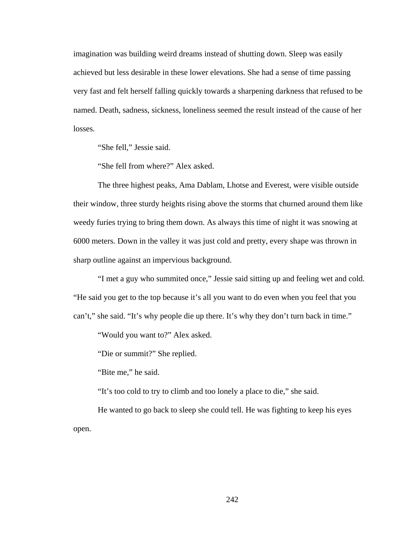imagination was building weird dreams instead of shutting down. Sleep was easily achieved but less desirable in these lower elevations. She had a sense of time passing very fast and felt herself falling quickly towards a sharpening darkness that refused to be named. Death, sadness, sickness, loneliness seemed the result instead of the cause of her losses.

"She fell," Jessie said.

"She fell from where?" Alex asked.

The three highest peaks, Ama Dablam, Lhotse and Everest, were visible outside their window, three sturdy heights rising above the storms that churned around them like weedy furies trying to bring them down. As always this time of night it was snowing at 6000 meters. Down in the valley it was just cold and pretty, every shape was thrown in sharp outline against an impervious background.

"I met a guy who summited once," Jessie said sitting up and feeling wet and cold. "He said you get to the top because it's all you want to do even when you feel that you can't," she said. "It's why people die up there. It's why they don't turn back in time."

"Would you want to?" Alex asked.

"Die or summit?" She replied.

"Bite me," he said.

"It's too cold to try to climb and too lonely a place to die," she said.

He wanted to go back to sleep she could tell. He was fighting to keep his eyes open.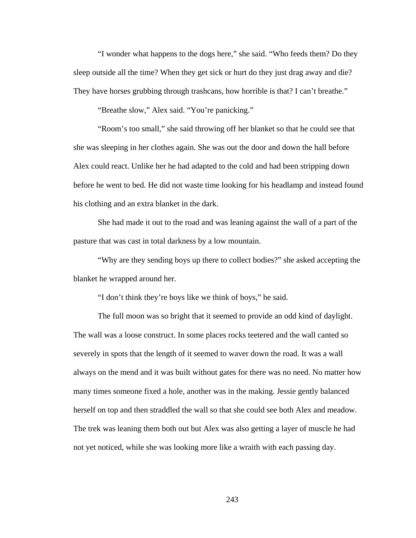"I wonder what happens to the dogs here," she said. "Who feeds them? Do they sleep outside all the time? When they get sick or hurt do they just drag away and die? They have horses grubbing through trashcans, how horrible is that? I can't breathe."

"Breathe slow," Alex said. "You're panicking."

"Room's too small," she said throwing off her blanket so that he could see that she was sleeping in her clothes again. She was out the door and down the hall before Alex could react. Unlike her he had adapted to the cold and had been stripping down before he went to bed. He did not waste time looking for his headlamp and instead found his clothing and an extra blanket in the dark.

She had made it out to the road and was leaning against the wall of a part of the pasture that was cast in total darkness by a low mountain.

"Why are they sending boys up there to collect bodies?" she asked accepting the blanket he wrapped around her.

"I don't think they're boys like we think of boys," he said.

The full moon was so bright that it seemed to provide an odd kind of daylight. The wall was a loose construct. In some places rocks teetered and the wall canted so severely in spots that the length of it seemed to waver down the road. It was a wall always on the mend and it was built without gates for there was no need. No matter how many times someone fixed a hole, another was in the making. Jessie gently balanced herself on top and then straddled the wall so that she could see both Alex and meadow. The trek was leaning them both out but Alex was also getting a layer of muscle he had not yet noticed, while she was looking more like a wraith with each passing day.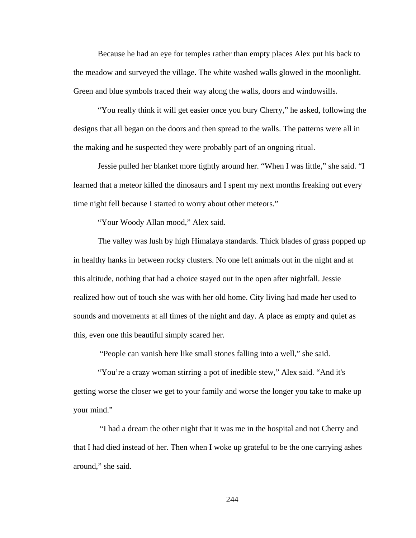Because he had an eye for temples rather than empty places Alex put his back to the meadow and surveyed the village. The white washed walls glowed in the moonlight. Green and blue symbols traced their way along the walls, doors and windowsills.

"You really think it will get easier once you bury Cherry," he asked, following the designs that all began on the doors and then spread to the walls. The patterns were all in the making and he suspected they were probably part of an ongoing ritual.

Jessie pulled her blanket more tightly around her. "When I was little," she said. "I learned that a meteor killed the dinosaurs and I spent my next months freaking out every time night fell because I started to worry about other meteors."

"Your Woody Allan mood," Alex said.

The valley was lush by high Himalaya standards. Thick blades of grass popped up in healthy hanks in between rocky clusters. No one left animals out in the night and at this altitude, nothing that had a choice stayed out in the open after nightfall. Jessie realized how out of touch she was with her old home. City living had made her used to sounds and movements at all times of the night and day. A place as empty and quiet as this, even one this beautiful simply scared her.

"People can vanish here like small stones falling into a well," she said.

"You're a crazy woman stirring a pot of inedible stew," Alex said. "And it's getting worse the closer we get to your family and worse the longer you take to make up your mind."

 "I had a dream the other night that it was me in the hospital and not Cherry and that I had died instead of her. Then when I woke up grateful to be the one carrying ashes around," she said.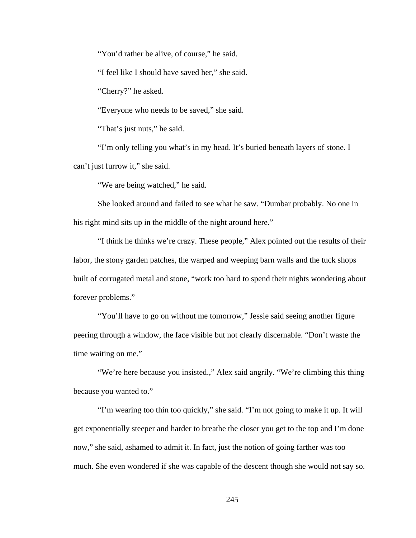"You'd rather be alive, of course," he said.

"I feel like I should have saved her," she said.

"Cherry?" he asked.

"Everyone who needs to be saved," she said.

"That's just nuts," he said.

"I'm only telling you what's in my head. It's buried beneath layers of stone. I can't just furrow it," she said.

"We are being watched," he said.

She looked around and failed to see what he saw. "Dumbar probably. No one in his right mind sits up in the middle of the night around here."

"I think he thinks we're crazy. These people," Alex pointed out the results of their labor, the stony garden patches, the warped and weeping barn walls and the tuck shops built of corrugated metal and stone, "work too hard to spend their nights wondering about forever problems."

"You'll have to go on without me tomorrow," Jessie said seeing another figure peering through a window, the face visible but not clearly discernable. "Don't waste the time waiting on me."

"We're here because you insisted.," Alex said angrily. "We're climbing this thing because you wanted to."

"I'm wearing too thin too quickly," she said. "I'm not going to make it up. It will get exponentially steeper and harder to breathe the closer you get to the top and I'm done now," she said, ashamed to admit it. In fact, just the notion of going farther was too much. She even wondered if she was capable of the descent though she would not say so.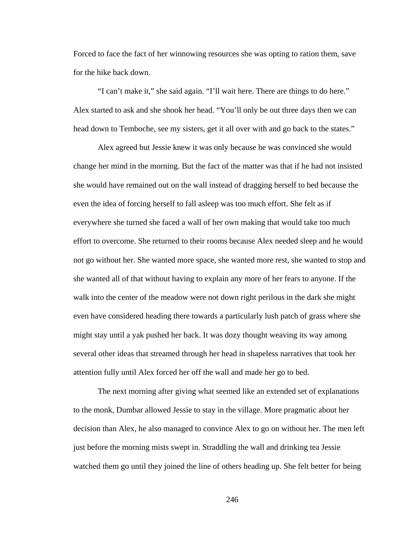Forced to face the fact of her winnowing resources she was opting to ration them, save for the hike back down.

"I can't make it," she said again. "I'll wait here. There are things to do here." Alex started to ask and she shook her head. "You'll only be out three days then we can head down to Temboche, see my sisters, get it all over with and go back to the states."

Alex agreed but Jessie knew it was only because he was convinced she would change her mind in the morning. But the fact of the matter was that if he had not insisted she would have remained out on the wall instead of dragging herself to bed because the even the idea of forcing herself to fall asleep was too much effort. She felt as if everywhere she turned she faced a wall of her own making that would take too much effort to overcome. She returned to their rooms because Alex needed sleep and he would not go without her. She wanted more space, she wanted more rest, she wanted to stop and she wanted all of that without having to explain any more of her fears to anyone. If the walk into the center of the meadow were not down right perilous in the dark she might even have considered heading there towards a particularly lush patch of grass where she might stay until a yak pushed her back. It was dozy thought weaving its way among several other ideas that streamed through her head in shapeless narratives that took her attention fully until Alex forced her off the wall and made her go to bed.

The next morning after giving what seemed like an extended set of explanations to the monk, Dumbar allowed Jessie to stay in the village. More pragmatic about her decision than Alex, he also managed to convince Alex to go on without her. The men left just before the morning mists swept in. Straddling the wall and drinking tea Jessie watched them go until they joined the line of others heading up. She felt better for being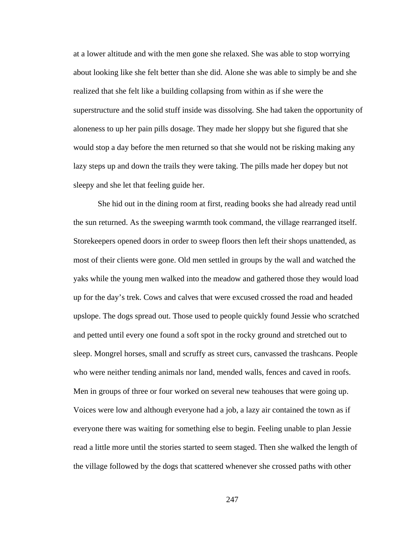at a lower altitude and with the men gone she relaxed. She was able to stop worrying about looking like she felt better than she did. Alone she was able to simply be and she realized that she felt like a building collapsing from within as if she were the superstructure and the solid stuff inside was dissolving. She had taken the opportunity of aloneness to up her pain pills dosage. They made her sloppy but she figured that she would stop a day before the men returned so that she would not be risking making any lazy steps up and down the trails they were taking. The pills made her dopey but not sleepy and she let that feeling guide her.

She hid out in the dining room at first, reading books she had already read until the sun returned. As the sweeping warmth took command, the village rearranged itself. Storekeepers opened doors in order to sweep floors then left their shops unattended, as most of their clients were gone. Old men settled in groups by the wall and watched the yaks while the young men walked into the meadow and gathered those they would load up for the day's trek. Cows and calves that were excused crossed the road and headed upslope. The dogs spread out. Those used to people quickly found Jessie who scratched and petted until every one found a soft spot in the rocky ground and stretched out to sleep. Mongrel horses, small and scruffy as street curs, canvassed the trashcans. People who were neither tending animals nor land, mended walls, fences and caved in roofs. Men in groups of three or four worked on several new teahouses that were going up. Voices were low and although everyone had a job, a lazy air contained the town as if everyone there was waiting for something else to begin. Feeling unable to plan Jessie read a little more until the stories started to seem staged. Then she walked the length of the village followed by the dogs that scattered whenever she crossed paths with other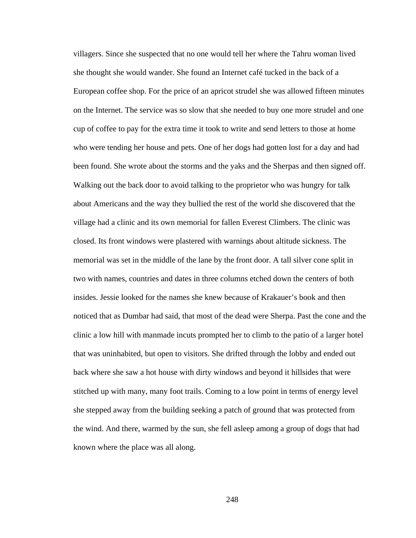villagers. Since she suspected that no one would tell her where the Tahru woman lived she thought she would wander. She found an Internet café tucked in the back of a European coffee shop. For the price of an apricot strudel she was allowed fifteen minutes on the Internet. The service was so slow that she needed to buy one more strudel and one cup of coffee to pay for the extra time it took to write and send letters to those at home who were tending her house and pets. One of her dogs had gotten lost for a day and had been found. She wrote about the storms and the yaks and the Sherpas and then signed off. Walking out the back door to avoid talking to the proprietor who was hungry for talk about Americans and the way they bullied the rest of the world she discovered that the village had a clinic and its own memorial for fallen Everest Climbers. The clinic was closed. Its front windows were plastered with warnings about altitude sickness. The memorial was set in the middle of the lane by the front door. A tall silver cone split in two with names, countries and dates in three columns etched down the centers of both insides. Jessie looked for the names she knew because of Krakauer's book and then noticed that as Dumbar had said, that most of the dead were Sherpa. Past the cone and the clinic a low hill with manmade incuts prompted her to climb to the patio of a larger hotel that was uninhabited, but open to visitors. She drifted through the lobby and ended out back where she saw a hot house with dirty windows and beyond it hillsides that were stitched up with many, many foot trails. Coming to a low point in terms of energy level she stepped away from the building seeking a patch of ground that was protected from the wind. And there, warmed by the sun, she fell asleep among a group of dogs that had known where the place was all along.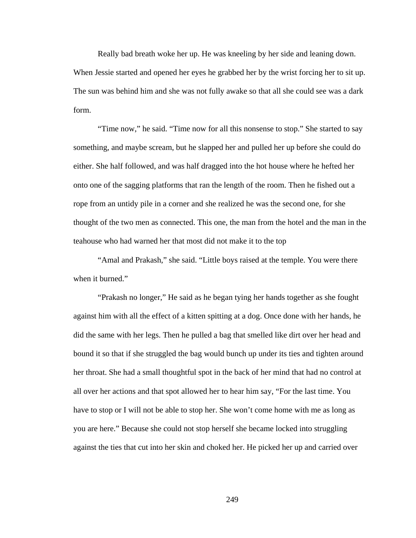Really bad breath woke her up. He was kneeling by her side and leaning down. When Jessie started and opened her eyes he grabbed her by the wrist forcing her to sit up. The sun was behind him and she was not fully awake so that all she could see was a dark form.

"Time now," he said. "Time now for all this nonsense to stop." She started to say something, and maybe scream, but he slapped her and pulled her up before she could do either. She half followed, and was half dragged into the hot house where he hefted her onto one of the sagging platforms that ran the length of the room. Then he fished out a rope from an untidy pile in a corner and she realized he was the second one, for she thought of the two men as connected. This one, the man from the hotel and the man in the teahouse who had warned her that most did not make it to the top

"Amal and Prakash," she said. "Little boys raised at the temple. You were there when it burned."

"Prakash no longer," He said as he began tying her hands together as she fought against him with all the effect of a kitten spitting at a dog. Once done with her hands, he did the same with her legs. Then he pulled a bag that smelled like dirt over her head and bound it so that if she struggled the bag would bunch up under its ties and tighten around her throat. She had a small thoughtful spot in the back of her mind that had no control at all over her actions and that spot allowed her to hear him say, "For the last time. You have to stop or I will not be able to stop her. She won't come home with me as long as you are here." Because she could not stop herself she became locked into struggling against the ties that cut into her skin and choked her. He picked her up and carried over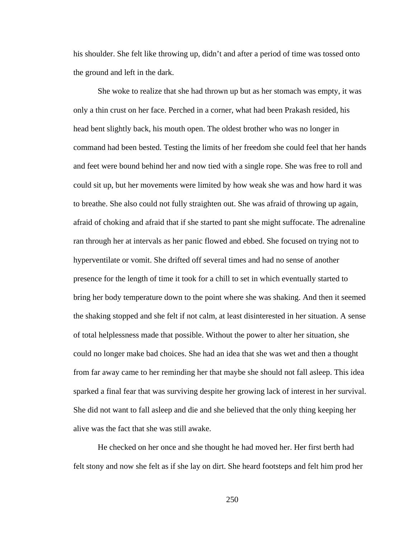his shoulder. She felt like throwing up, didn't and after a period of time was tossed onto the ground and left in the dark.

She woke to realize that she had thrown up but as her stomach was empty, it was only a thin crust on her face. Perched in a corner, what had been Prakash resided, his head bent slightly back, his mouth open. The oldest brother who was no longer in command had been bested. Testing the limits of her freedom she could feel that her hands and feet were bound behind her and now tied with a single rope. She was free to roll and could sit up, but her movements were limited by how weak she was and how hard it was to breathe. She also could not fully straighten out. She was afraid of throwing up again, afraid of choking and afraid that if she started to pant she might suffocate. The adrenaline ran through her at intervals as her panic flowed and ebbed. She focused on trying not to hyperventilate or vomit. She drifted off several times and had no sense of another presence for the length of time it took for a chill to set in which eventually started to bring her body temperature down to the point where she was shaking. And then it seemed the shaking stopped and she felt if not calm, at least disinterested in her situation. A sense of total helplessness made that possible. Without the power to alter her situation, she could no longer make bad choices. She had an idea that she was wet and then a thought from far away came to her reminding her that maybe she should not fall asleep. This idea sparked a final fear that was surviving despite her growing lack of interest in her survival. She did not want to fall asleep and die and she believed that the only thing keeping her alive was the fact that she was still awake.

He checked on her once and she thought he had moved her. Her first berth had felt stony and now she felt as if she lay on dirt. She heard footsteps and felt him prod her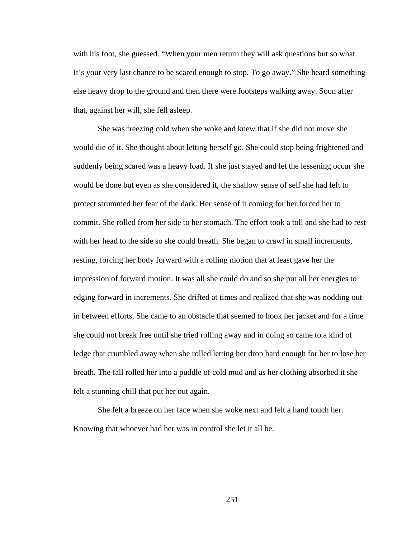with his foot, she guessed. "When your men return they will ask questions but so what. It's your very last chance to be scared enough to stop. To go away." She heard something else heavy drop to the ground and then there were footsteps walking away. Soon after that, against her will, she fell asleep.

She was freezing cold when she woke and knew that if she did not move she would die of it. She thought about letting herself go. She could stop being frightened and suddenly being scared was a heavy load. If she just stayed and let the lessening occur she would be done but even as she considered it, the shallow sense of self she had left to protect strummed her fear of the dark. Her sense of it coming for her forced her to commit. She rolled from her side to her stomach. The effort took a toll and she had to rest with her head to the side so she could breath. She began to crawl in small increments, resting, forcing her body forward with a rolling motion that at least gave her the impression of forward motion. It was all she could do and so she put all her energies to edging forward in increments. She drifted at times and realized that she was nodding out in between efforts. She came to an obstacle that seemed to hook her jacket and for a time she could not break free until she tried rolling away and in doing so came to a kind of ledge that crumbled away when she rolled letting her drop hard enough for her to lose her breath. The fall rolled her into a puddle of cold mud and as her clothing absorbed it she felt a stunning chill that put her out again.

She felt a breeze on her face when she woke next and felt a hand touch her. Knowing that whoever had her was in control she let it all be.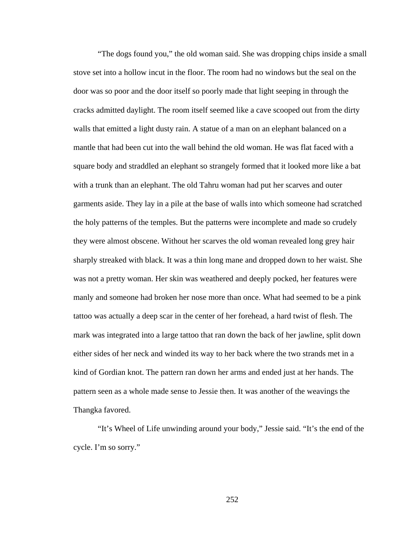"The dogs found you," the old woman said. She was dropping chips inside a small stove set into a hollow incut in the floor. The room had no windows but the seal on the door was so poor and the door itself so poorly made that light seeping in through the cracks admitted daylight. The room itself seemed like a cave scooped out from the dirty walls that emitted a light dusty rain. A statue of a man on an elephant balanced on a mantle that had been cut into the wall behind the old woman. He was flat faced with a square body and straddled an elephant so strangely formed that it looked more like a bat with a trunk than an elephant. The old Tahru woman had put her scarves and outer garments aside. They lay in a pile at the base of walls into which someone had scratched the holy patterns of the temples. But the patterns were incomplete and made so crudely they were almost obscene. Without her scarves the old woman revealed long grey hair sharply streaked with black. It was a thin long mane and dropped down to her waist. She was not a pretty woman. Her skin was weathered and deeply pocked, her features were manly and someone had broken her nose more than once. What had seemed to be a pink tattoo was actually a deep scar in the center of her forehead, a hard twist of flesh. The mark was integrated into a large tattoo that ran down the back of her jawline, split down either sides of her neck and winded its way to her back where the two strands met in a kind of Gordian knot. The pattern ran down her arms and ended just at her hands. The pattern seen as a whole made sense to Jessie then. It was another of the weavings the Thangka favored.

"It's Wheel of Life unwinding around your body," Jessie said. "It's the end of the cycle. I'm so sorry."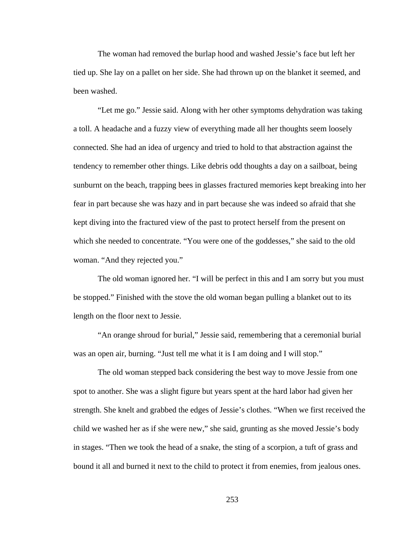The woman had removed the burlap hood and washed Jessie's face but left her tied up. She lay on a pallet on her side. She had thrown up on the blanket it seemed, and been washed.

"Let me go." Jessie said. Along with her other symptoms dehydration was taking a toll. A headache and a fuzzy view of everything made all her thoughts seem loosely connected. She had an idea of urgency and tried to hold to that abstraction against the tendency to remember other things. Like debris odd thoughts a day on a sailboat, being sunburnt on the beach, trapping bees in glasses fractured memories kept breaking into her fear in part because she was hazy and in part because she was indeed so afraid that she kept diving into the fractured view of the past to protect herself from the present on which she needed to concentrate. "You were one of the goddesses," she said to the old woman. "And they rejected you."

The old woman ignored her. "I will be perfect in this and I am sorry but you must be stopped." Finished with the stove the old woman began pulling a blanket out to its length on the floor next to Jessie.

"An orange shroud for burial," Jessie said, remembering that a ceremonial burial was an open air, burning. "Just tell me what it is I am doing and I will stop."

The old woman stepped back considering the best way to move Jessie from one spot to another. She was a slight figure but years spent at the hard labor had given her strength. She knelt and grabbed the edges of Jessie's clothes. "When we first received the child we washed her as if she were new," she said, grunting as she moved Jessie's body in stages. "Then we took the head of a snake, the sting of a scorpion, a tuft of grass and bound it all and burned it next to the child to protect it from enemies, from jealous ones.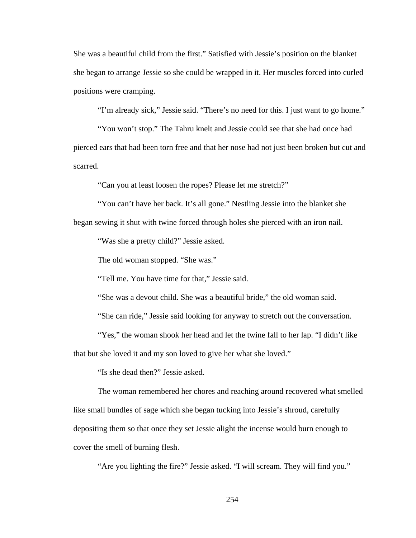She was a beautiful child from the first." Satisfied with Jessie's position on the blanket she began to arrange Jessie so she could be wrapped in it. Her muscles forced into curled positions were cramping.

"I'm already sick," Jessie said. "There's no need for this. I just want to go home."

"You won't stop." The Tahru knelt and Jessie could see that she had once had pierced ears that had been torn free and that her nose had not just been broken but cut and scarred.

"Can you at least loosen the ropes? Please let me stretch?"

"You can't have her back. It's all gone." Nestling Jessie into the blanket she began sewing it shut with twine forced through holes she pierced with an iron nail.

"Was she a pretty child?" Jessie asked.

The old woman stopped. "She was."

"Tell me. You have time for that," Jessie said.

"She was a devout child. She was a beautiful bride," the old woman said.

"She can ride," Jessie said looking for anyway to stretch out the conversation.

"Yes," the woman shook her head and let the twine fall to her lap. "I didn't like that but she loved it and my son loved to give her what she loved."

"Is she dead then?" Jessie asked.

The woman remembered her chores and reaching around recovered what smelled like small bundles of sage which she began tucking into Jessie's shroud, carefully depositing them so that once they set Jessie alight the incense would burn enough to cover the smell of burning flesh.

"Are you lighting the fire?" Jessie asked. "I will scream. They will find you."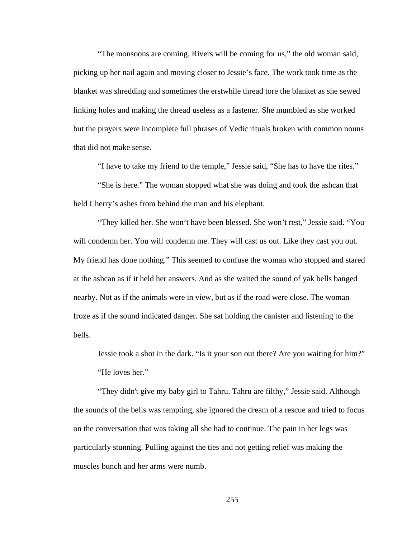"The monsoons are coming. Rivers will be coming for us," the old woman said, picking up her nail again and moving closer to Jessie's face. The work took time as the blanket was shredding and sometimes the erstwhile thread tore the blanket as she sewed linking holes and making the thread useless as a fastener. She mumbled as she worked but the prayers were incomplete full phrases of Vedic rituals broken with common nouns that did not make sense.

"I have to take my friend to the temple," Jessie said, "She has to have the rites."

"She is here." The woman stopped what she was doing and took the ashcan that held Cherry's ashes from behind the man and his elephant.

"They killed her. She won't have been blessed. She won't rest," Jessie said. "You will condemn her. You will condemn me. They will cast us out. Like they cast you out. My friend has done nothing." This seemed to confuse the woman who stopped and stared at the ashcan as if it held her answers. And as she waited the sound of yak bells banged nearby. Not as if the animals were in view, but as if the road were close. The woman froze as if the sound indicated danger. She sat holding the canister and listening to the bells.

Jessie took a shot in the dark. "Is it your son out there? Are you waiting for him?" "He loves her."

"They didn't give my baby girl to Tahru. Tahru are filthy," Jessie said. Although the sounds of the bells was tempting, she ignored the dream of a rescue and tried to focus on the conversation that was taking all she had to continue. The pain in her legs was particularly stunning. Pulling against the ties and not getting relief was making the muscles bunch and her arms were numb.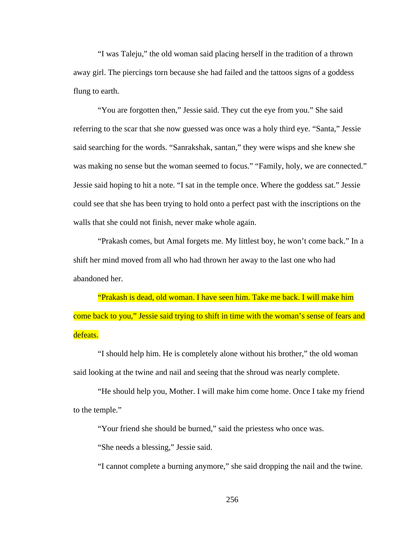"I was Taleju," the old woman said placing herself in the tradition of a thrown away girl. The piercings torn because she had failed and the tattoos signs of a goddess flung to earth.

"You are forgotten then," Jessie said. They cut the eye from you." She said referring to the scar that she now guessed was once was a holy third eye. "Santa," Jessie said searching for the words. "Sanrakshak, santan," they were wisps and she knew she was making no sense but the woman seemed to focus." "Family, holy, we are connected." Jessie said hoping to hit a note. "I sat in the temple once. Where the goddess sat." Jessie could see that she has been trying to hold onto a perfect past with the inscriptions on the walls that she could not finish, never make whole again.

"Prakash comes, but Amal forgets me. My littlest boy, he won't come back." In a shift her mind moved from all who had thrown her away to the last one who had abandoned her.

"Prakash is dead, old woman. I have seen him. Take me back. I will make him come back to you," Jessie said trying to shift in time with the woman's sense of fears and defeats.

"I should help him. He is completely alone without his brother," the old woman said looking at the twine and nail and seeing that the shroud was nearly complete.

"He should help you, Mother. I will make him come home. Once I take my friend to the temple."

"Your friend she should be burned," said the priestess who once was.

"She needs a blessing," Jessie said.

"I cannot complete a burning anymore," she said dropping the nail and the twine.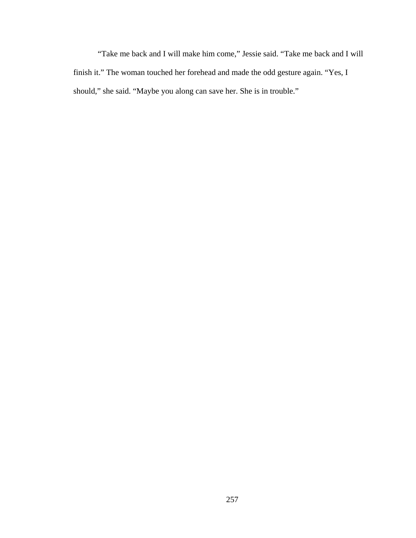"Take me back and I will make him come," Jessie said. "Take me back and I will finish it." The woman touched her forehead and made the odd gesture again. "Yes, I should," she said. "Maybe you along can save her. She is in trouble."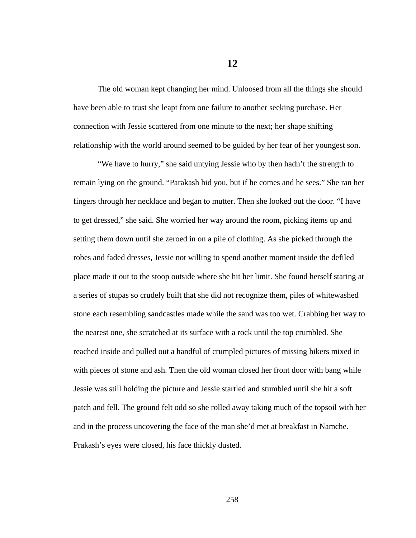The old woman kept changing her mind. Unloosed from all the things she should have been able to trust she leapt from one failure to another seeking purchase. Her connection with Jessie scattered from one minute to the next; her shape shifting relationship with the world around seemed to be guided by her fear of her youngest son.

"We have to hurry," she said untying Jessie who by then hadn't the strength to remain lying on the ground. "Parakash hid you, but if he comes and he sees." She ran her fingers through her necklace and began to mutter. Then she looked out the door. "I have to get dressed," she said. She worried her way around the room, picking items up and setting them down until she zeroed in on a pile of clothing. As she picked through the robes and faded dresses, Jessie not willing to spend another moment inside the defiled place made it out to the stoop outside where she hit her limit. She found herself staring at a series of stupas so crudely built that she did not recognize them, piles of whitewashed stone each resembling sandcastles made while the sand was too wet. Crabbing her way to the nearest one, she scratched at its surface with a rock until the top crumbled. She reached inside and pulled out a handful of crumpled pictures of missing hikers mixed in with pieces of stone and ash. Then the old woman closed her front door with bang while Jessie was still holding the picture and Jessie startled and stumbled until she hit a soft patch and fell. The ground felt odd so she rolled away taking much of the topsoil with her and in the process uncovering the face of the man she'd met at breakfast in Namche. Prakash's eyes were closed, his face thickly dusted.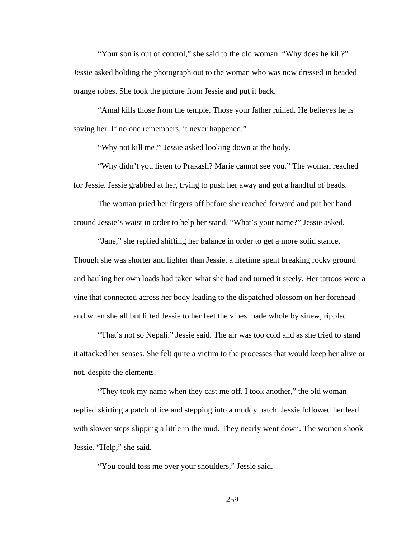"Your son is out of control," she said to the old woman. "Why does he kill?" Jessie asked holding the photograph out to the woman who was now dressed in beaded orange robes. She took the picture from Jessie and put it back.

"Amal kills those from the temple. Those your father ruined. He believes he is saving her. If no one remembers, it never happened."

"Why not kill me?" Jessie asked looking down at the body.

"Why didn't you listen to Prakash? Marie cannot see you." The woman reached for Jessie. Jessie grabbed at her, trying to push her away and got a handful of beads.

The woman pried her fingers off before she reached forward and put her hand around Jessie's waist in order to help her stand. "What's your name?" Jessie asked.

"Jane," she replied shifting her balance in order to get a more solid stance. Though she was shorter and lighter than Jessie, a lifetime spent breaking rocky ground and hauling her own loads had taken what she had and turned it steely. Her tattoos were a vine that connected across her body leading to the dispatched blossom on her forehead and when she all but lifted Jessie to her feet the vines made whole by sinew, rippled.

"That's not so Nepali." Jessie said. The air was too cold and as she tried to stand it attacked her senses. She felt quite a victim to the processes that would keep her alive or not, despite the elements.

"They took my name when they cast me off. I took another," the old woman replied skirting a patch of ice and stepping into a muddy patch. Jessie followed her lead with slower steps slipping a little in the mud. They nearly went down. The women shook Jessie. "Help," she said.

"You could toss me over your shoulders," Jessie said.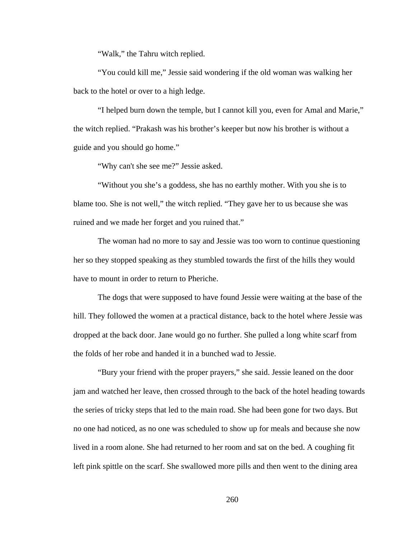"Walk," the Tahru witch replied.

"You could kill me," Jessie said wondering if the old woman was walking her back to the hotel or over to a high ledge.

"I helped burn down the temple, but I cannot kill you, even for Amal and Marie," the witch replied. "Prakash was his brother's keeper but now his brother is without a guide and you should go home."

"Why can't she see me?" Jessie asked.

"Without you she's a goddess, she has no earthly mother. With you she is to blame too. She is not well," the witch replied. "They gave her to us because she was ruined and we made her forget and you ruined that."

The woman had no more to say and Jessie was too worn to continue questioning her so they stopped speaking as they stumbled towards the first of the hills they would have to mount in order to return to Pheriche.

The dogs that were supposed to have found Jessie were waiting at the base of the hill. They followed the women at a practical distance, back to the hotel where Jessie was dropped at the back door. Jane would go no further. She pulled a long white scarf from the folds of her robe and handed it in a bunched wad to Jessie.

"Bury your friend with the proper prayers," she said. Jessie leaned on the door jam and watched her leave, then crossed through to the back of the hotel heading towards the series of tricky steps that led to the main road. She had been gone for two days. But no one had noticed, as no one was scheduled to show up for meals and because she now lived in a room alone. She had returned to her room and sat on the bed. A coughing fit left pink spittle on the scarf. She swallowed more pills and then went to the dining area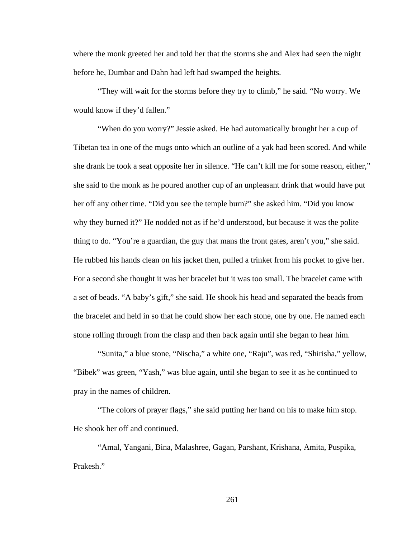where the monk greeted her and told her that the storms she and Alex had seen the night before he, Dumbar and Dahn had left had swamped the heights.

"They will wait for the storms before they try to climb," he said. "No worry. We would know if they'd fallen."

"When do you worry?" Jessie asked. He had automatically brought her a cup of Tibetan tea in one of the mugs onto which an outline of a yak had been scored. And while she drank he took a seat opposite her in silence. "He can't kill me for some reason, either," she said to the monk as he poured another cup of an unpleasant drink that would have put her off any other time. "Did you see the temple burn?" she asked him. "Did you know why they burned it?" He nodded not as if he'd understood, but because it was the polite thing to do. "You're a guardian, the guy that mans the front gates, aren't you," she said. He rubbed his hands clean on his jacket then, pulled a trinket from his pocket to give her. For a second she thought it was her bracelet but it was too small. The bracelet came with a set of beads. "A baby's gift," she said. He shook his head and separated the beads from the bracelet and held in so that he could show her each stone, one by one. He named each stone rolling through from the clasp and then back again until she began to hear him.

"Sunita," a blue stone, "Nischa," a white one, "Raju", was red, "Shirisha," yellow, "Bibek" was green, "Yash," was blue again, until she began to see it as he continued to pray in the names of children.

"The colors of prayer flags," she said putting her hand on his to make him stop. He shook her off and continued.

"Amal, Yangani, Bina, Malashree, Gagan, Parshant, Krishana, Amita, Puspika, Prakesh."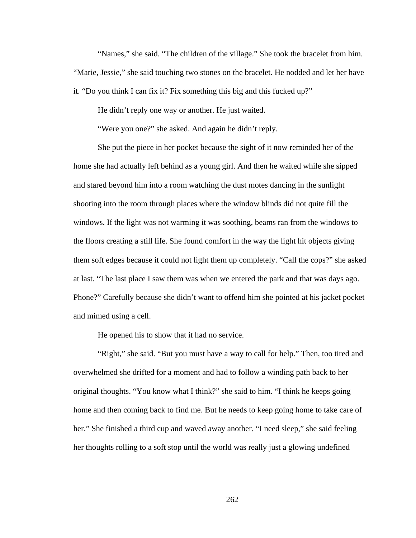"Names," she said. "The children of the village." She took the bracelet from him. "Marie, Jessie," she said touching two stones on the bracelet. He nodded and let her have it. "Do you think I can fix it? Fix something this big and this fucked up?"

He didn't reply one way or another. He just waited.

"Were you one?" she asked. And again he didn't reply.

She put the piece in her pocket because the sight of it now reminded her of the home she had actually left behind as a young girl. And then he waited while she sipped and stared beyond him into a room watching the dust motes dancing in the sunlight shooting into the room through places where the window blinds did not quite fill the windows. If the light was not warming it was soothing, beams ran from the windows to the floors creating a still life. She found comfort in the way the light hit objects giving them soft edges because it could not light them up completely. "Call the cops?" she asked at last. "The last place I saw them was when we entered the park and that was days ago. Phone?" Carefully because she didn't want to offend him she pointed at his jacket pocket and mimed using a cell.

He opened his to show that it had no service.

"Right," she said. "But you must have a way to call for help." Then, too tired and overwhelmed she drifted for a moment and had to follow a winding path back to her original thoughts. "You know what I think?" she said to him. "I think he keeps going home and then coming back to find me. But he needs to keep going home to take care of her." She finished a third cup and waved away another. "I need sleep," she said feeling her thoughts rolling to a soft stop until the world was really just a glowing undefined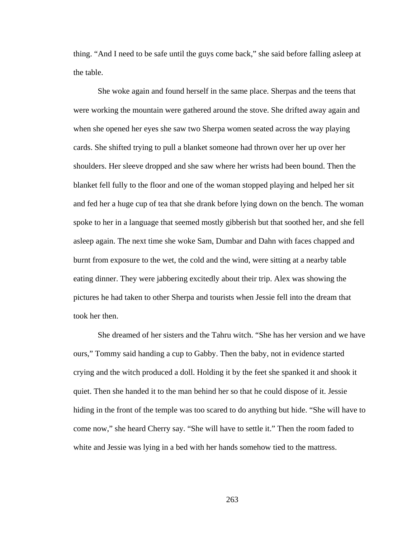thing. "And I need to be safe until the guys come back," she said before falling asleep at the table.

She woke again and found herself in the same place. Sherpas and the teens that were working the mountain were gathered around the stove. She drifted away again and when she opened her eyes she saw two Sherpa women seated across the way playing cards. She shifted trying to pull a blanket someone had thrown over her up over her shoulders. Her sleeve dropped and she saw where her wrists had been bound. Then the blanket fell fully to the floor and one of the woman stopped playing and helped her sit and fed her a huge cup of tea that she drank before lying down on the bench. The woman spoke to her in a language that seemed mostly gibberish but that soothed her, and she fell asleep again. The next time she woke Sam, Dumbar and Dahn with faces chapped and burnt from exposure to the wet, the cold and the wind, were sitting at a nearby table eating dinner. They were jabbering excitedly about their trip. Alex was showing the pictures he had taken to other Sherpa and tourists when Jessie fell into the dream that took her then.

She dreamed of her sisters and the Tahru witch. "She has her version and we have ours," Tommy said handing a cup to Gabby. Then the baby, not in evidence started crying and the witch produced a doll. Holding it by the feet she spanked it and shook it quiet. Then she handed it to the man behind her so that he could dispose of it. Jessie hiding in the front of the temple was too scared to do anything but hide. "She will have to come now," she heard Cherry say. "She will have to settle it." Then the room faded to white and Jessie was lying in a bed with her hands somehow tied to the mattress.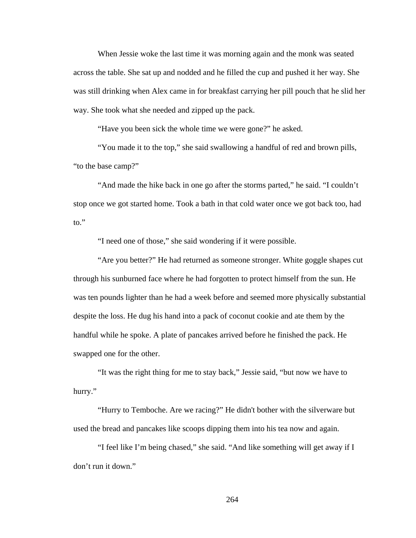When Jessie woke the last time it was morning again and the monk was seated across the table. She sat up and nodded and he filled the cup and pushed it her way. She was still drinking when Alex came in for breakfast carrying her pill pouch that he slid her way. She took what she needed and zipped up the pack.

"Have you been sick the whole time we were gone?" he asked.

"You made it to the top," she said swallowing a handful of red and brown pills, "to the base camp?"

"And made the hike back in one go after the storms parted," he said. "I couldn't stop once we got started home. Took a bath in that cold water once we got back too, had to."

"I need one of those," she said wondering if it were possible.

"Are you better?" He had returned as someone stronger. White goggle shapes cut through his sunburned face where he had forgotten to protect himself from the sun. He was ten pounds lighter than he had a week before and seemed more physically substantial despite the loss. He dug his hand into a pack of coconut cookie and ate them by the handful while he spoke. A plate of pancakes arrived before he finished the pack. He swapped one for the other.

"It was the right thing for me to stay back," Jessie said, "but now we have to hurry."

"Hurry to Temboche. Are we racing?" He didn't bother with the silverware but used the bread and pancakes like scoops dipping them into his tea now and again.

"I feel like I'm being chased," she said. "And like something will get away if I don't run it down."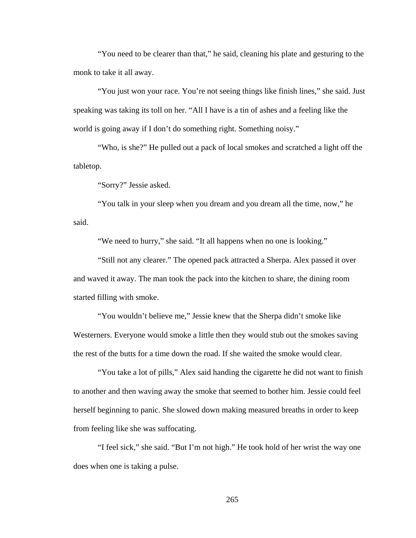"You need to be clearer than that," he said, cleaning his plate and gesturing to the monk to take it all away.

"You just won your race. You're not seeing things like finish lines," she said. Just speaking was taking its toll on her. "All I have is a tin of ashes and a feeling like the world is going away if I don't do something right. Something noisy."

"Who, is she?" He pulled out a pack of local smokes and scratched a light off the tabletop.

"Sorry?" Jessie asked.

"You talk in your sleep when you dream and you dream all the time, now," he said.

"We need to hurry," she said. "It all happens when no one is looking."

"Still not any clearer." The opened pack attracted a Sherpa. Alex passed it over and waved it away. The man took the pack into the kitchen to share, the dining room started filling with smoke.

"You wouldn't believe me," Jessie knew that the Sherpa didn't smoke like Westerners. Everyone would smoke a little then they would stub out the smokes saving the rest of the butts for a time down the road. If she waited the smoke would clear.

"You take a lot of pills," Alex said handing the cigarette he did not want to finish to another and then waving away the smoke that seemed to bother him. Jessie could feel herself beginning to panic. She slowed down making measured breaths in order to keep from feeling like she was suffocating.

"I feel sick," she said. "But I'm not high." He took hold of her wrist the way one does when one is taking a pulse.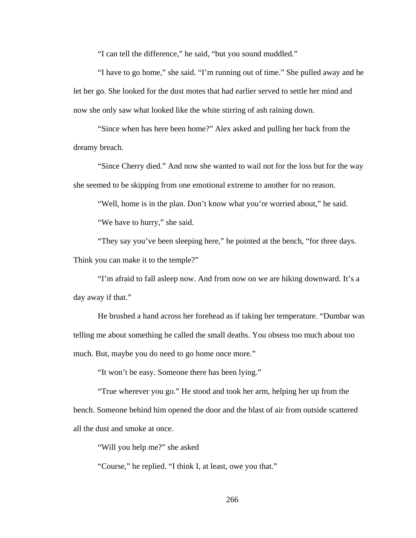"I can tell the difference," he said, "but you sound muddled."

"I have to go home," she said. "I'm running out of time." She pulled away and he let her go. She looked for the dust motes that had earlier served to settle her mind and now she only saw what looked like the white stirring of ash raining down.

"Since when has here been home?" Alex asked and pulling her back from the dreamy breach.

"Since Cherry died." And now she wanted to wail not for the loss but for the way she seemed to be skipping from one emotional extreme to another for no reason.

"Well, home is in the plan. Don't know what you're worried about," he said.

"We have to hurry," she said.

"They say you've been sleeping here," he pointed at the bench, "for three days. Think you can make it to the temple?"

"I'm afraid to fall asleep now. And from now on we are hiking downward. It's a day away if that."

He brushed a hand across her forehead as if taking her temperature. "Dumbar was telling me about something he called the small deaths. You obsess too much about too much. But, maybe you do need to go home once more."

"It won't be easy. Someone there has been lying."

"True wherever you go." He stood and took her arm, helping her up from the bench. Someone behind him opened the door and the blast of air from outside scattered all the dust and smoke at once.

"Will you help me?" she asked

"Course," he replied. "I think I, at least, owe you that."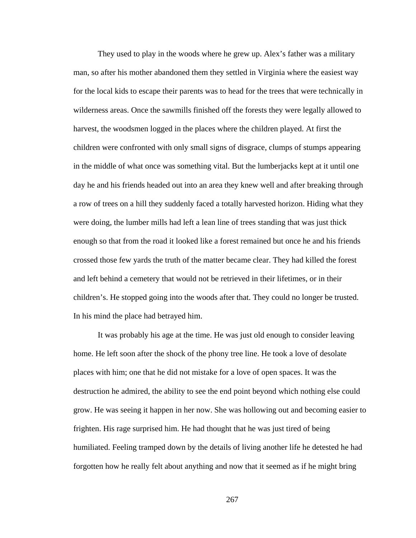They used to play in the woods where he grew up. Alex's father was a military man, so after his mother abandoned them they settled in Virginia where the easiest way for the local kids to escape their parents was to head for the trees that were technically in wilderness areas. Once the sawmills finished off the forests they were legally allowed to harvest, the woodsmen logged in the places where the children played. At first the children were confronted with only small signs of disgrace, clumps of stumps appearing in the middle of what once was something vital. But the lumberjacks kept at it until one day he and his friends headed out into an area they knew well and after breaking through a row of trees on a hill they suddenly faced a totally harvested horizon. Hiding what they were doing, the lumber mills had left a lean line of trees standing that was just thick enough so that from the road it looked like a forest remained but once he and his friends crossed those few yards the truth of the matter became clear. They had killed the forest and left behind a cemetery that would not be retrieved in their lifetimes, or in their children's. He stopped going into the woods after that. They could no longer be trusted. In his mind the place had betrayed him.

It was probably his age at the time. He was just old enough to consider leaving home. He left soon after the shock of the phony tree line. He took a love of desolate places with him; one that he did not mistake for a love of open spaces. It was the destruction he admired, the ability to see the end point beyond which nothing else could grow. He was seeing it happen in her now. She was hollowing out and becoming easier to frighten. His rage surprised him. He had thought that he was just tired of being humiliated. Feeling tramped down by the details of living another life he detested he had forgotten how he really felt about anything and now that it seemed as if he might bring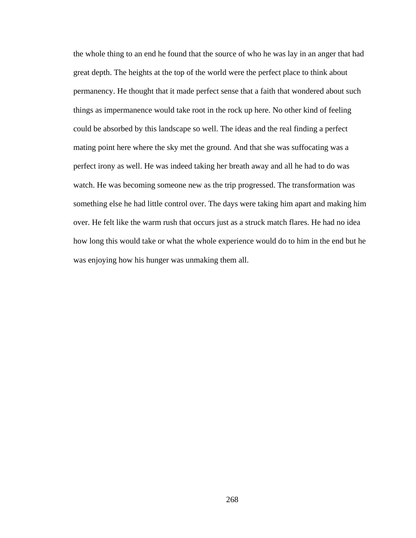the whole thing to an end he found that the source of who he was lay in an anger that had great depth. The heights at the top of the world were the perfect place to think about permanency. He thought that it made perfect sense that a faith that wondered about such things as impermanence would take root in the rock up here. No other kind of feeling could be absorbed by this landscape so well. The ideas and the real finding a perfect mating point here where the sky met the ground. And that she was suffocating was a perfect irony as well. He was indeed taking her breath away and all he had to do was watch. He was becoming someone new as the trip progressed. The transformation was something else he had little control over. The days were taking him apart and making him over. He felt like the warm rush that occurs just as a struck match flares. He had no idea how long this would take or what the whole experience would do to him in the end but he was enjoying how his hunger was unmaking them all.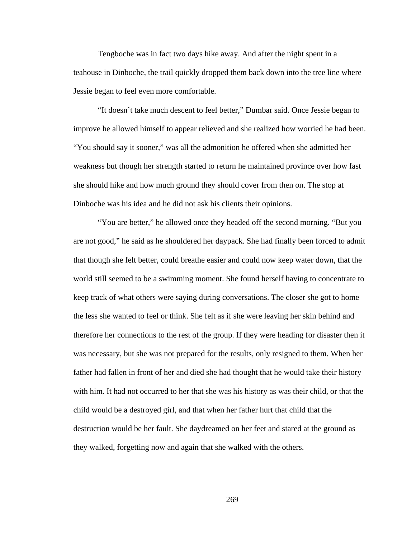Tengboche was in fact two days hike away. And after the night spent in a teahouse in Dinboche, the trail quickly dropped them back down into the tree line where Jessie began to feel even more comfortable.

"It doesn't take much descent to feel better," Dumbar said. Once Jessie began to improve he allowed himself to appear relieved and she realized how worried he had been. "You should say it sooner," was all the admonition he offered when she admitted her weakness but though her strength started to return he maintained province over how fast she should hike and how much ground they should cover from then on. The stop at Dinboche was his idea and he did not ask his clients their opinions.

"You are better," he allowed once they headed off the second morning. "But you are not good," he said as he shouldered her daypack. She had finally been forced to admit that though she felt better, could breathe easier and could now keep water down, that the world still seemed to be a swimming moment. She found herself having to concentrate to keep track of what others were saying during conversations. The closer she got to home the less she wanted to feel or think. She felt as if she were leaving her skin behind and therefore her connections to the rest of the group. If they were heading for disaster then it was necessary, but she was not prepared for the results, only resigned to them. When her father had fallen in front of her and died she had thought that he would take their history with him. It had not occurred to her that she was his history as was their child, or that the child would be a destroyed girl, and that when her father hurt that child that the destruction would be her fault. She daydreamed on her feet and stared at the ground as they walked, forgetting now and again that she walked with the others.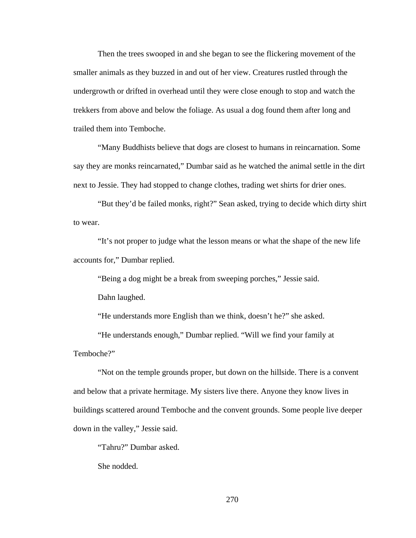Then the trees swooped in and she began to see the flickering movement of the smaller animals as they buzzed in and out of her view. Creatures rustled through the undergrowth or drifted in overhead until they were close enough to stop and watch the trekkers from above and below the foliage. As usual a dog found them after long and trailed them into Temboche.

"Many Buddhists believe that dogs are closest to humans in reincarnation. Some say they are monks reincarnated," Dumbar said as he watched the animal settle in the dirt next to Jessie. They had stopped to change clothes, trading wet shirts for drier ones.

"But they'd be failed monks, right?" Sean asked, trying to decide which dirty shirt to wear.

"It's not proper to judge what the lesson means or what the shape of the new life accounts for," Dumbar replied.

"Being a dog might be a break from sweeping porches," Jessie said.

Dahn laughed.

"He understands more English than we think, doesn't he?" she asked.

"He understands enough," Dumbar replied. "Will we find your family at Temboche?"

"Not on the temple grounds proper, but down on the hillside. There is a convent and below that a private hermitage. My sisters live there. Anyone they know lives in buildings scattered around Temboche and the convent grounds. Some people live deeper down in the valley," Jessie said.

"Tahru?" Dumbar asked.

She nodded.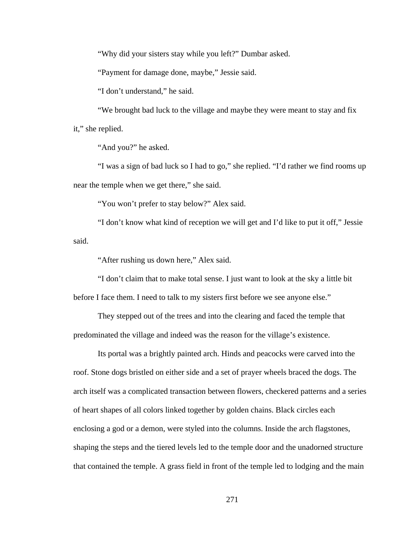"Why did your sisters stay while you left?" Dumbar asked.

"Payment for damage done, maybe," Jessie said.

"I don't understand," he said.

"We brought bad luck to the village and maybe they were meant to stay and fix it," she replied.

"And you?" he asked.

"I was a sign of bad luck so I had to go," she replied. "I'd rather we find rooms up near the temple when we get there," she said.

"You won't prefer to stay below?" Alex said.

"I don't know what kind of reception we will get and I'd like to put it off," Jessie said.

"After rushing us down here," Alex said.

"I don't claim that to make total sense. I just want to look at the sky a little bit before I face them. I need to talk to my sisters first before we see anyone else."

They stepped out of the trees and into the clearing and faced the temple that predominated the village and indeed was the reason for the village's existence.

Its portal was a brightly painted arch. Hinds and peacocks were carved into the roof. Stone dogs bristled on either side and a set of prayer wheels braced the dogs. The arch itself was a complicated transaction between flowers, checkered patterns and a series of heart shapes of all colors linked together by golden chains. Black circles each enclosing a god or a demon, were styled into the columns. Inside the arch flagstones, shaping the steps and the tiered levels led to the temple door and the unadorned structure that contained the temple. A grass field in front of the temple led to lodging and the main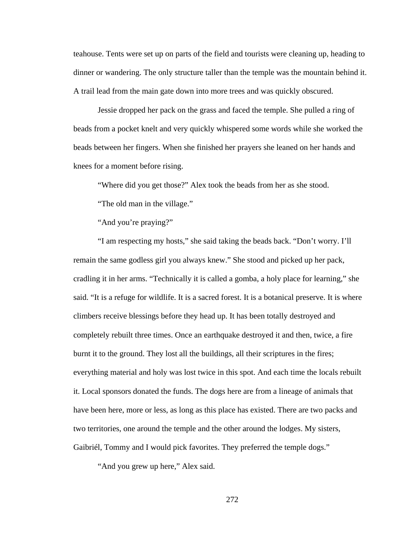teahouse. Tents were set up on parts of the field and tourists were cleaning up, heading to dinner or wandering. The only structure taller than the temple was the mountain behind it. A trail lead from the main gate down into more trees and was quickly obscured.

Jessie dropped her pack on the grass and faced the temple. She pulled a ring of beads from a pocket knelt and very quickly whispered some words while she worked the beads between her fingers. When she finished her prayers she leaned on her hands and knees for a moment before rising.

"Where did you get those?" Alex took the beads from her as she stood.

"The old man in the village."

"And you're praying?"

"I am respecting my hosts," she said taking the beads back. "Don't worry. I'll remain the same godless girl you always knew." She stood and picked up her pack, cradling it in her arms. "Technically it is called a gomba, a holy place for learning," she said. "It is a refuge for wildlife. It is a sacred forest. It is a botanical preserve. It is where climbers receive blessings before they head up. It has been totally destroyed and completely rebuilt three times. Once an earthquake destroyed it and then, twice, a fire burnt it to the ground. They lost all the buildings, all their scriptures in the fires; everything material and holy was lost twice in this spot. And each time the locals rebuilt it. Local sponsors donated the funds. The dogs here are from a lineage of animals that have been here, more or less, as long as this place has existed. There are two packs and two territories, one around the temple and the other around the lodges. My sisters, Gaibriél, Tommy and I would pick favorites. They preferred the temple dogs."

"And you grew up here," Alex said.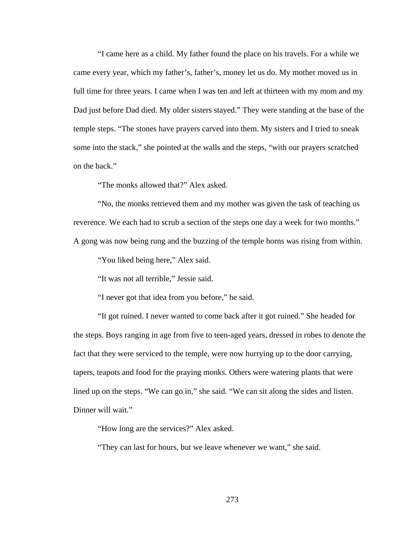"I came here as a child. My father found the place on his travels. For a while we came every year, which my father's, father's, money let us do. My mother moved us in full time for three years. I came when I was ten and left at thirteen with my mom and my Dad just before Dad died. My older sisters stayed." They were standing at the base of the temple steps. "The stones have prayers carved into them. My sisters and I tried to sneak some into the stack," she pointed at the walls and the steps, "with our prayers scratched on the back."

"The monks allowed that?" Alex asked.

"No, the monks retrieved them and my mother was given the task of teaching us reverence. We each had to scrub a section of the steps one day a week for two months." A gong was now being rung and the buzzing of the temple horns was rising from within.

"You liked being here," Alex said.

"It was not all terrible," Jessie said.

"I never got that idea from you before," he said.

"It got ruined. I never wanted to come back after it got ruined." She headed for the steps. Boys ranging in age from five to teen-aged years, dressed in robes to denote the fact that they were serviced to the temple, were now hurrying up to the door carrying, tapers, teapots and food for the praying monks. Others were watering plants that were lined up on the steps. "We can go in," she said. "We can sit along the sides and listen. Dinner will wait."

"How long are the services?" Alex asked.

"They can last for hours, but we leave whenever we want," she said.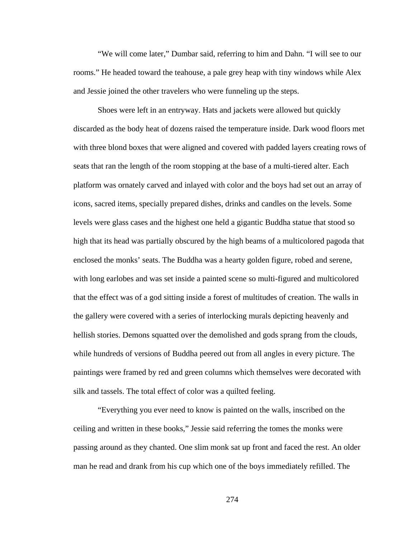"We will come later," Dumbar said, referring to him and Dahn. "I will see to our rooms." He headed toward the teahouse, a pale grey heap with tiny windows while Alex and Jessie joined the other travelers who were funneling up the steps.

Shoes were left in an entryway. Hats and jackets were allowed but quickly discarded as the body heat of dozens raised the temperature inside. Dark wood floors met with three blond boxes that were aligned and covered with padded layers creating rows of seats that ran the length of the room stopping at the base of a multi-tiered alter. Each platform was ornately carved and inlayed with color and the boys had set out an array of icons, sacred items, specially prepared dishes, drinks and candles on the levels. Some levels were glass cases and the highest one held a gigantic Buddha statue that stood so high that its head was partially obscured by the high beams of a multicolored pagoda that enclosed the monks' seats. The Buddha was a hearty golden figure, robed and serene, with long earlobes and was set inside a painted scene so multi-figured and multicolored that the effect was of a god sitting inside a forest of multitudes of creation. The walls in the gallery were covered with a series of interlocking murals depicting heavenly and hellish stories. Demons squatted over the demolished and gods sprang from the clouds, while hundreds of versions of Buddha peered out from all angles in every picture. The paintings were framed by red and green columns which themselves were decorated with silk and tassels. The total effect of color was a quilted feeling.

"Everything you ever need to know is painted on the walls, inscribed on the ceiling and written in these books," Jessie said referring the tomes the monks were passing around as they chanted. One slim monk sat up front and faced the rest. An older man he read and drank from his cup which one of the boys immediately refilled. The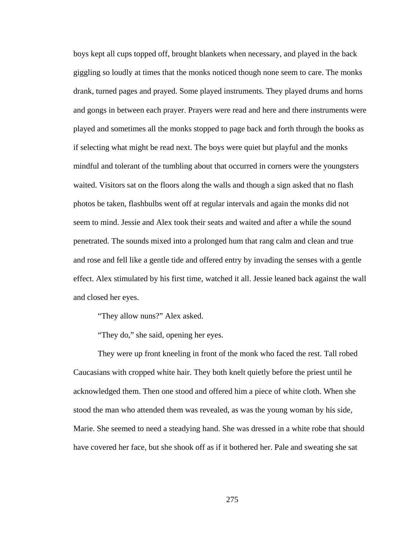boys kept all cups topped off, brought blankets when necessary, and played in the back giggling so loudly at times that the monks noticed though none seem to care. The monks drank, turned pages and prayed. Some played instruments. They played drums and horns and gongs in between each prayer. Prayers were read and here and there instruments were played and sometimes all the monks stopped to page back and forth through the books as if selecting what might be read next. The boys were quiet but playful and the monks mindful and tolerant of the tumbling about that occurred in corners were the youngsters waited. Visitors sat on the floors along the walls and though a sign asked that no flash photos be taken, flashbulbs went off at regular intervals and again the monks did not seem to mind. Jessie and Alex took their seats and waited and after a while the sound penetrated. The sounds mixed into a prolonged hum that rang calm and clean and true and rose and fell like a gentle tide and offered entry by invading the senses with a gentle effect. Alex stimulated by his first time, watched it all. Jessie leaned back against the wall and closed her eyes.

"They allow nuns?" Alex asked.

"They do," she said, opening her eyes.

They were up front kneeling in front of the monk who faced the rest. Tall robed Caucasians with cropped white hair. They both knelt quietly before the priest until he acknowledged them. Then one stood and offered him a piece of white cloth. When she stood the man who attended them was revealed, as was the young woman by his side, Marie. She seemed to need a steadying hand. She was dressed in a white robe that should have covered her face, but she shook off as if it bothered her. Pale and sweating she sat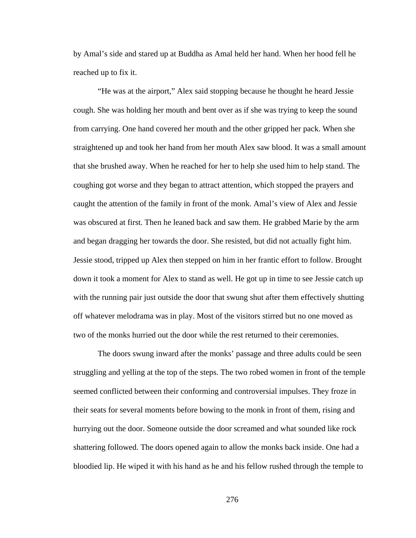by Amal's side and stared up at Buddha as Amal held her hand. When her hood fell he reached up to fix it.

"He was at the airport," Alex said stopping because he thought he heard Jessie cough. She was holding her mouth and bent over as if she was trying to keep the sound from carrying. One hand covered her mouth and the other gripped her pack. When she straightened up and took her hand from her mouth Alex saw blood. It was a small amount that she brushed away. When he reached for her to help she used him to help stand. The coughing got worse and they began to attract attention, which stopped the prayers and caught the attention of the family in front of the monk. Amal's view of Alex and Jessie was obscured at first. Then he leaned back and saw them. He grabbed Marie by the arm and began dragging her towards the door. She resisted, but did not actually fight him. Jessie stood, tripped up Alex then stepped on him in her frantic effort to follow. Brought down it took a moment for Alex to stand as well. He got up in time to see Jessie catch up with the running pair just outside the door that swung shut after them effectively shutting off whatever melodrama was in play. Most of the visitors stirred but no one moved as two of the monks hurried out the door while the rest returned to their ceremonies.

The doors swung inward after the monks' passage and three adults could be seen struggling and yelling at the top of the steps. The two robed women in front of the temple seemed conflicted between their conforming and controversial impulses. They froze in their seats for several moments before bowing to the monk in front of them, rising and hurrying out the door. Someone outside the door screamed and what sounded like rock shattering followed. The doors opened again to allow the monks back inside. One had a bloodied lip. He wiped it with his hand as he and his fellow rushed through the temple to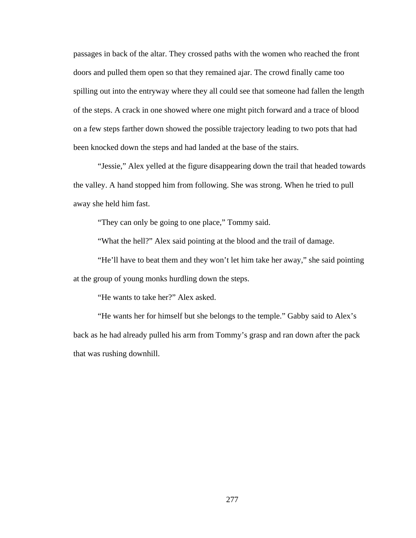passages in back of the altar. They crossed paths with the women who reached the front doors and pulled them open so that they remained ajar. The crowd finally came too spilling out into the entryway where they all could see that someone had fallen the length of the steps. A crack in one showed where one might pitch forward and a trace of blood on a few steps farther down showed the possible trajectory leading to two pots that had been knocked down the steps and had landed at the base of the stairs.

"Jessie," Alex yelled at the figure disappearing down the trail that headed towards the valley. A hand stopped him from following. She was strong. When he tried to pull away she held him fast.

"They can only be going to one place," Tommy said.

"What the hell?" Alex said pointing at the blood and the trail of damage.

"He'll have to beat them and they won't let him take her away," she said pointing at the group of young monks hurdling down the steps.

"He wants to take her?" Alex asked.

"He wants her for himself but she belongs to the temple." Gabby said to Alex's back as he had already pulled his arm from Tommy's grasp and ran down after the pack that was rushing downhill.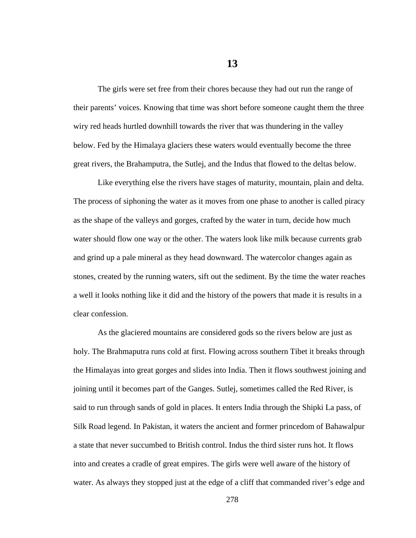The girls were set free from their chores because they had out run the range of their parents' voices. Knowing that time was short before someone caught them the three wiry red heads hurtled downhill towards the river that was thundering in the valley below. Fed by the Himalaya glaciers these waters would eventually become the three great rivers, the Brahamputra, the Sutlej, and the Indus that flowed to the deltas below.

Like everything else the rivers have stages of maturity, mountain, plain and delta. The process of siphoning the water as it moves from one phase to another is called piracy as the shape of the valleys and gorges, crafted by the water in turn, decide how much water should flow one way or the other. The waters look like milk because currents grab and grind up a pale mineral as they head downward. The watercolor changes again as stones, created by the running waters, sift out the sediment. By the time the water reaches a well it looks nothing like it did and the history of the powers that made it is results in a clear confession.

As the glaciered mountains are considered gods so the rivers below are just as holy. The Brahmaputra runs cold at first. Flowing across southern Tibet it breaks through the Himalayas into great gorges and slides into India. Then it flows southwest joining and joining until it becomes part of the Ganges. Sutlej, sometimes called the Red River, is said to run through sands of gold in places. It enters India through the Shipki La pass, of Silk Road legend. In Pakistan, it waters the ancient and former princedom of Bahawalpur a state that never succumbed to British control. Indus the third sister runs hot. It flows into and creates a cradle of great empires. The girls were well aware of the history of water. As always they stopped just at the edge of a cliff that commanded river's edge and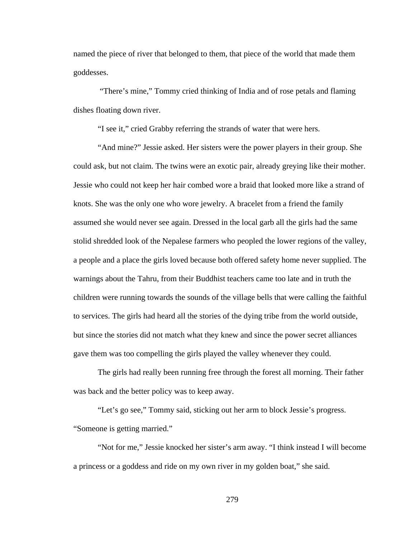named the piece of river that belonged to them, that piece of the world that made them goddesses.

 "There's mine," Tommy cried thinking of India and of rose petals and flaming dishes floating down river.

"I see it," cried Grabby referring the strands of water that were hers.

"And mine?" Jessie asked. Her sisters were the power players in their group. She could ask, but not claim. The twins were an exotic pair, already greying like their mother. Jessie who could not keep her hair combed wore a braid that looked more like a strand of knots. She was the only one who wore jewelry. A bracelet from a friend the family assumed she would never see again. Dressed in the local garb all the girls had the same stolid shredded look of the Nepalese farmers who peopled the lower regions of the valley, a people and a place the girls loved because both offered safety home never supplied. The warnings about the Tahru, from their Buddhist teachers came too late and in truth the children were running towards the sounds of the village bells that were calling the faithful to services. The girls had heard all the stories of the dying tribe from the world outside, but since the stories did not match what they knew and since the power secret alliances gave them was too compelling the girls played the valley whenever they could.

The girls had really been running free through the forest all morning. Their father was back and the better policy was to keep away.

"Let's go see," Tommy said, sticking out her arm to block Jessie's progress. "Someone is getting married."

"Not for me," Jessie knocked her sister's arm away. "I think instead I will become a princess or a goddess and ride on my own river in my golden boat," she said.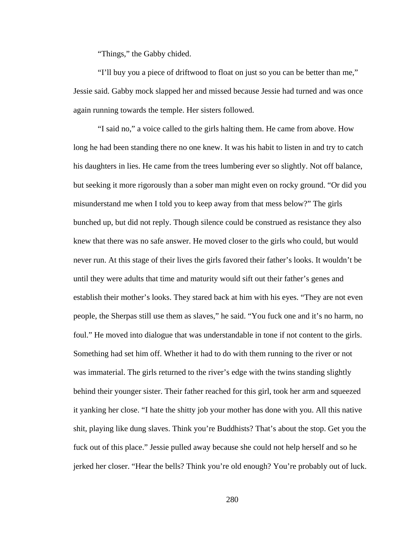"Things," the Gabby chided.

"I'll buy you a piece of driftwood to float on just so you can be better than me," Jessie said. Gabby mock slapped her and missed because Jessie had turned and was once again running towards the temple. Her sisters followed.

"I said no," a voice called to the girls halting them. He came from above. How long he had been standing there no one knew. It was his habit to listen in and try to catch his daughters in lies. He came from the trees lumbering ever so slightly. Not off balance, but seeking it more rigorously than a sober man might even on rocky ground. "Or did you misunderstand me when I told you to keep away from that mess below?" The girls bunched up, but did not reply. Though silence could be construed as resistance they also knew that there was no safe answer. He moved closer to the girls who could, but would never run. At this stage of their lives the girls favored their father's looks. It wouldn't be until they were adults that time and maturity would sift out their father's genes and establish their mother's looks. They stared back at him with his eyes. "They are not even people, the Sherpas still use them as slaves," he said. "You fuck one and it's no harm, no foul." He moved into dialogue that was understandable in tone if not content to the girls. Something had set him off. Whether it had to do with them running to the river or not was immaterial. The girls returned to the river's edge with the twins standing slightly behind their younger sister. Their father reached for this girl, took her arm and squeezed it yanking her close. "I hate the shitty job your mother has done with you. All this native shit, playing like dung slaves. Think you're Buddhists? That's about the stop. Get you the fuck out of this place." Jessie pulled away because she could not help herself and so he jerked her closer. "Hear the bells? Think you're old enough? You're probably out of luck.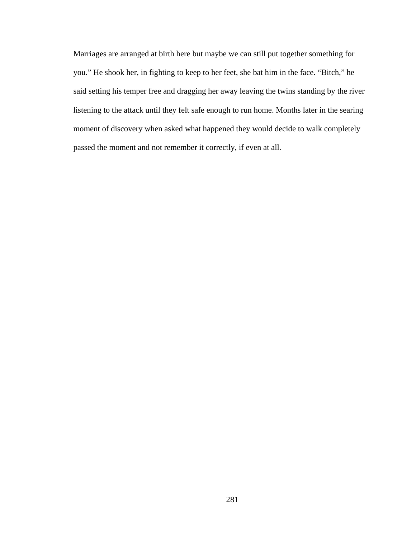Marriages are arranged at birth here but maybe we can still put together something for you." He shook her, in fighting to keep to her feet, she bat him in the face. "Bitch," he said setting his temper free and dragging her away leaving the twins standing by the river listening to the attack until they felt safe enough to run home. Months later in the searing moment of discovery when asked what happened they would decide to walk completely passed the moment and not remember it correctly, if even at all.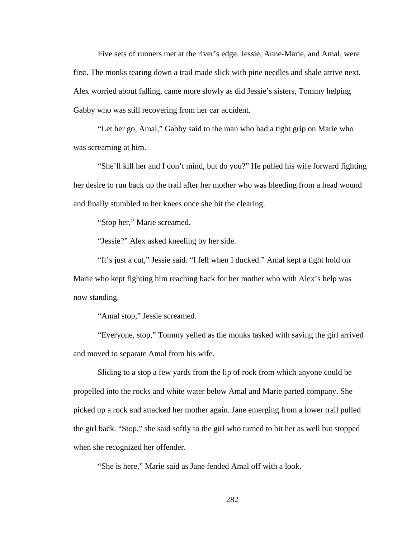Five sets of runners met at the river's edge. Jessie, Anne-Marie, and Amal, were first. The monks tearing down a trail made slick with pine needles and shale arrive next. Alex worried about falling, came more slowly as did Jessie's sisters, Tommy helping Gabby who was still recovering from her car accident.

"Let her go, Amal," Gabby said to the man who had a tight grip on Marie who was screaming at him.

"She'll kill her and I don't mind, but do you?" He pulled his wife forward fighting her desire to run back up the trail after her mother who was bleeding from a head wound and finally stumbled to her knees once she hit the clearing.

"Stop her," Marie screamed.

"Jessie?" Alex asked kneeling by her side.

"It's just a cut," Jessie said. "I fell when I ducked." Amal kept a tight hold on Marie who kept fighting him reaching back for her mother who with Alex's help was now standing.

"Amal stop," Jessie screamed.

"Everyone, stop," Tommy yelled as the monks tasked with saving the girl arrived and moved to separate Amal from his wife.

Sliding to a stop a few yards from the lip of rock from which anyone could be propelled into the rocks and white water below Amal and Marie parted company. She picked up a rock and attacked her mother again. Jane emerging from a lower trail pulled the girl back. "Stop," she said softly to the girl who turned to hit her as well but stopped when she recognized her offender.

"She is here," Marie said as Jane fended Amal off with a look.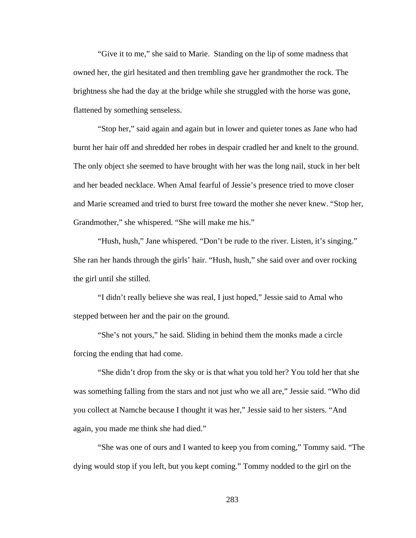"Give it to me," she said to Marie. Standing on the lip of some madness that owned her, the girl hesitated and then trembling gave her grandmother the rock. The brightness she had the day at the bridge while she struggled with the horse was gone, flattened by something senseless.

"Stop her," said again and again but in lower and quieter tones as Jane who had burnt her hair off and shredded her robes in despair cradled her and knelt to the ground. The only object she seemed to have brought with her was the long nail, stuck in her belt and her beaded necklace. When Amal fearful of Jessie's presence tried to move closer and Marie screamed and tried to burst free toward the mother she never knew. "Stop her, Grandmother," she whispered. "She will make me his."

"Hush, hush," Jane whispered. "Don't be rude to the river. Listen, it's singing." She ran her hands through the girls' hair. "Hush, hush," she said over and over rocking the girl until she stilled.

"I didn't really believe she was real, I just hoped," Jessie said to Amal who stepped between her and the pair on the ground.

"She's not yours," he said. Sliding in behind them the monks made a circle forcing the ending that had come.

"She didn't drop from the sky or is that what you told her? You told her that she was something falling from the stars and not just who we all are," Jessie said. "Who did you collect at Namche because I thought it was her," Jessie said to her sisters. "And again, you made me think she had died."

"She was one of ours and I wanted to keep you from coming," Tommy said. "The dying would stop if you left, but you kept coming." Tommy nodded to the girl on the

283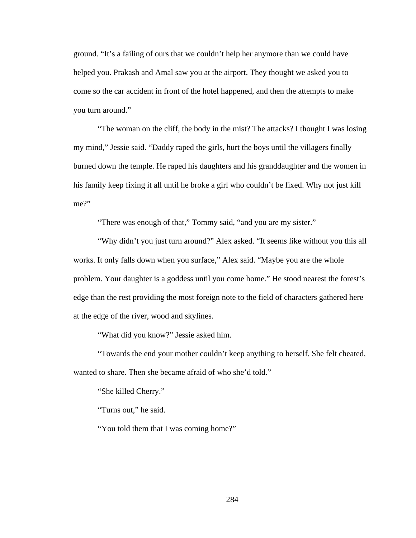ground. "It's a failing of ours that we couldn't help her anymore than we could have helped you. Prakash and Amal saw you at the airport. They thought we asked you to come so the car accident in front of the hotel happened, and then the attempts to make you turn around."

"The woman on the cliff, the body in the mist? The attacks? I thought I was losing my mind," Jessie said. "Daddy raped the girls, hurt the boys until the villagers finally burned down the temple. He raped his daughters and his granddaughter and the women in his family keep fixing it all until he broke a girl who couldn't be fixed. Why not just kill me?"

"There was enough of that," Tommy said, "and you are my sister."

"Why didn't you just turn around?" Alex asked. "It seems like without you this all works. It only falls down when you surface," Alex said. "Maybe you are the whole problem. Your daughter is a goddess until you come home." He stood nearest the forest's edge than the rest providing the most foreign note to the field of characters gathered here at the edge of the river, wood and skylines.

"What did you know?" Jessie asked him.

"Towards the end your mother couldn't keep anything to herself. She felt cheated, wanted to share. Then she became afraid of who she'd told."

"She killed Cherry."

"Turns out," he said.

"You told them that I was coming home?"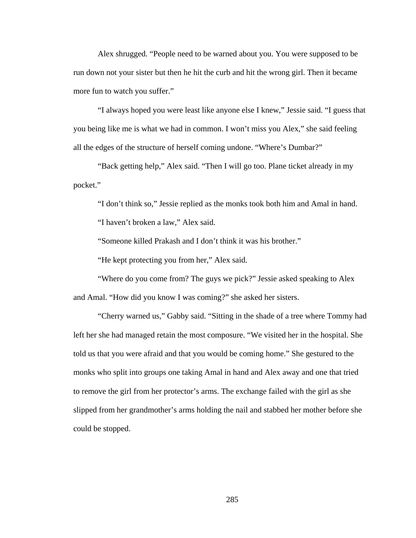Alex shrugged. "People need to be warned about you. You were supposed to be run down not your sister but then he hit the curb and hit the wrong girl. Then it became more fun to watch you suffer."

"I always hoped you were least like anyone else I knew," Jessie said. "I guess that you being like me is what we had in common. I won't miss you Alex," she said feeling all the edges of the structure of herself coming undone. "Where's Dumbar?"

"Back getting help," Alex said. "Then I will go too. Plane ticket already in my pocket."

"I don't think so," Jessie replied as the monks took both him and Amal in hand.

"I haven't broken a law," Alex said.

"Someone killed Prakash and I don't think it was his brother."

"He kept protecting you from her," Alex said.

"Where do you come from? The guys we pick?" Jessie asked speaking to Alex and Amal. "How did you know I was coming?" she asked her sisters.

"Cherry warned us," Gabby said. "Sitting in the shade of a tree where Tommy had left her she had managed retain the most composure. "We visited her in the hospital. She told us that you were afraid and that you would be coming home." She gestured to the monks who split into groups one taking Amal in hand and Alex away and one that tried to remove the girl from her protector's arms. The exchange failed with the girl as she slipped from her grandmother's arms holding the nail and stabbed her mother before she could be stopped.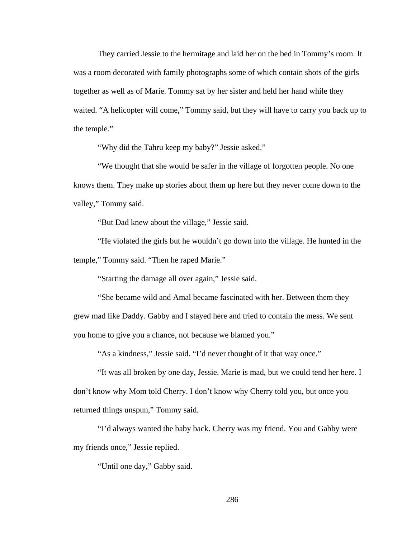They carried Jessie to the hermitage and laid her on the bed in Tommy's room. It was a room decorated with family photographs some of which contain shots of the girls together as well as of Marie. Tommy sat by her sister and held her hand while they waited. "A helicopter will come," Tommy said, but they will have to carry you back up to the temple."

"Why did the Tahru keep my baby?" Jessie asked."

"We thought that she would be safer in the village of forgotten people. No one knows them. They make up stories about them up here but they never come down to the valley," Tommy said.

"But Dad knew about the village," Jessie said.

"He violated the girls but he wouldn't go down into the village. He hunted in the temple," Tommy said. "Then he raped Marie."

"Starting the damage all over again," Jessie said.

"She became wild and Amal became fascinated with her. Between them they grew mad like Daddy. Gabby and I stayed here and tried to contain the mess. We sent you home to give you a chance, not because we blamed you."

"As a kindness," Jessie said. "I'd never thought of it that way once."

"It was all broken by one day, Jessie. Marie is mad, but we could tend her here. I don't know why Mom told Cherry. I don't know why Cherry told you, but once you returned things unspun," Tommy said.

"I'd always wanted the baby back. Cherry was my friend. You and Gabby were my friends once," Jessie replied.

"Until one day," Gabby said.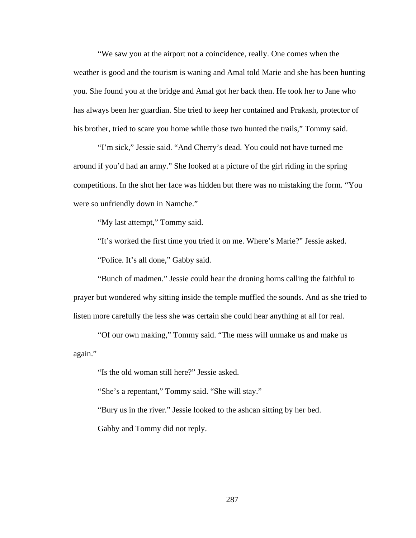"We saw you at the airport not a coincidence, really. One comes when the weather is good and the tourism is waning and Amal told Marie and she has been hunting you. She found you at the bridge and Amal got her back then. He took her to Jane who has always been her guardian. She tried to keep her contained and Prakash, protector of his brother, tried to scare you home while those two hunted the trails," Tommy said.

"I'm sick," Jessie said. "And Cherry's dead. You could not have turned me around if you'd had an army." She looked at a picture of the girl riding in the spring competitions. In the shot her face was hidden but there was no mistaking the form. "You were so unfriendly down in Namche."

"My last attempt," Tommy said.

"It's worked the first time you tried it on me. Where's Marie?" Jessie asked.

"Police. It's all done," Gabby said.

"Bunch of madmen." Jessie could hear the droning horns calling the faithful to prayer but wondered why sitting inside the temple muffled the sounds. And as she tried to listen more carefully the less she was certain she could hear anything at all for real.

"Of our own making," Tommy said. "The mess will unmake us and make us again."

"Is the old woman still here?" Jessie asked.

"She's a repentant," Tommy said. "She will stay."

"Bury us in the river." Jessie looked to the ashcan sitting by her bed.

Gabby and Tommy did not reply.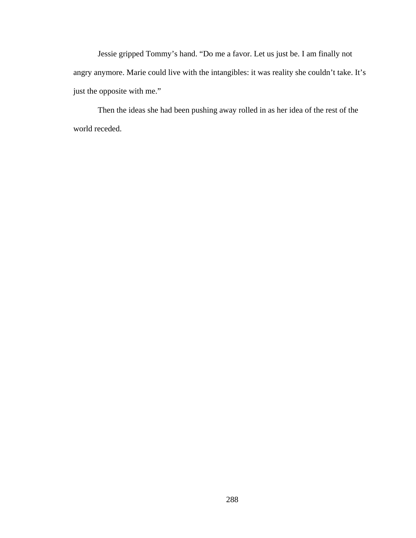Jessie gripped Tommy's hand. "Do me a favor. Let us just be. I am finally not angry anymore. Marie could live with the intangibles: it was reality she couldn't take. It's just the opposite with me."

Then the ideas she had been pushing away rolled in as her idea of the rest of the world receded.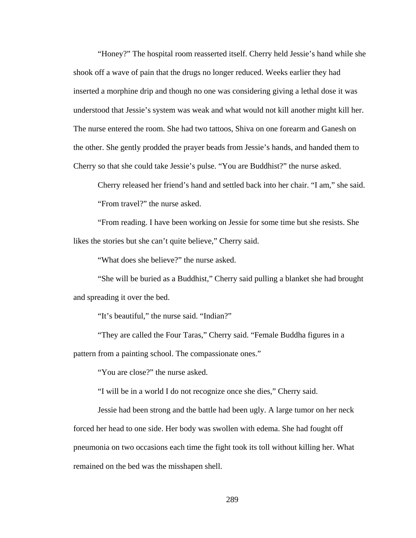"Honey?" The hospital room reasserted itself. Cherry held Jessie's hand while she shook off a wave of pain that the drugs no longer reduced. Weeks earlier they had inserted a morphine drip and though no one was considering giving a lethal dose it was understood that Jessie's system was weak and what would not kill another might kill her. The nurse entered the room. She had two tattoos, Shiva on one forearm and Ganesh on the other. She gently prodded the prayer beads from Jessie's hands, and handed them to Cherry so that she could take Jessie's pulse. "You are Buddhist?" the nurse asked.

Cherry released her friend's hand and settled back into her chair. "I am," she said. "From travel?" the nurse asked.

"From reading. I have been working on Jessie for some time but she resists. She likes the stories but she can't quite believe," Cherry said.

"What does she believe?" the nurse asked.

"She will be buried as a Buddhist," Cherry said pulling a blanket she had brought and spreading it over the bed.

"It's beautiful," the nurse said. "Indian?"

"They are called the Four Taras," Cherry said. "Female Buddha figures in a pattern from a painting school. The compassionate ones."

"You are close?" the nurse asked.

"I will be in a world I do not recognize once she dies," Cherry said.

Jessie had been strong and the battle had been ugly. A large tumor on her neck forced her head to one side. Her body was swollen with edema. She had fought off pneumonia on two occasions each time the fight took its toll without killing her. What remained on the bed was the misshapen shell.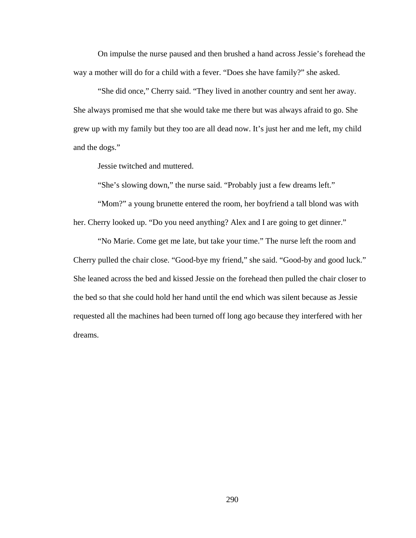On impulse the nurse paused and then brushed a hand across Jessie's forehead the way a mother will do for a child with a fever. "Does she have family?" she asked.

"She did once," Cherry said. "They lived in another country and sent her away. She always promised me that she would take me there but was always afraid to go. She grew up with my family but they too are all dead now. It's just her and me left, my child and the dogs."

Jessie twitched and muttered.

"She's slowing down," the nurse said. "Probably just a few dreams left."

"Mom?" a young brunette entered the room, her boyfriend a tall blond was with her. Cherry looked up. "Do you need anything? Alex and I are going to get dinner."

"No Marie. Come get me late, but take your time." The nurse left the room and Cherry pulled the chair close. "Good-bye my friend," she said. "Good-by and good luck." She leaned across the bed and kissed Jessie on the forehead then pulled the chair closer to the bed so that she could hold her hand until the end which was silent because as Jessie requested all the machines had been turned off long ago because they interfered with her dreams.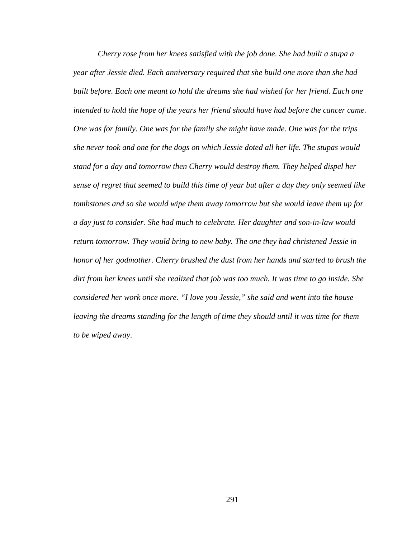*Cherry rose from her knees satisfied with the job done. She had built a stupa a year after Jessie died. Each anniversary required that she build one more than she had built before. Each one meant to hold the dreams she had wished for her friend. Each one intended to hold the hope of the years her friend should have had before the cancer came. One was for family. One was for the family she might have made. One was for the trips she never took and one for the dogs on which Jessie doted all her life. The stupas would stand for a day and tomorrow then Cherry would destroy them. They helped dispel her sense of regret that seemed to build this time of year but after a day they only seemed like tombstones and so she would wipe them away tomorrow but she would leave them up for a day just to consider. She had much to celebrate. Her daughter and son-in-law would return tomorrow. They would bring to new baby. The one they had christened Jessie in honor of her godmother. Cherry brushed the dust from her hands and started to brush the dirt from her knees until she realized that job was too much. It was time to go inside. She considered her work once more. "I love you Jessie," she said and went into the house*  leaving the dreams standing for the length of time they should until it was time for them *to be wiped away*.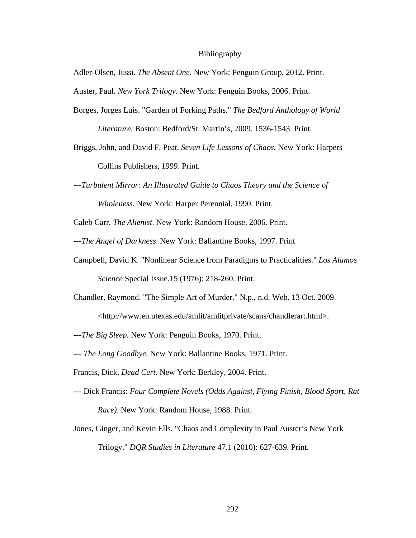#### Bibliography

Adler-Olsen, Jussi. *The Absent One.* New York: Penguin Group, 2012. Print.

Auster, Paul. *New York Trilogy.* New York: Penguin Books, 2006. Print.

Borges, Jorges Luis. "Garden of Forking Paths." *The Bedford Anthology of World* 

*Literature.* Boston: Bedford/St. Martin's, 2009. 1536-1543. Print.

- Briggs, John, and David F. Peat. *Seven Life Lessons of Chaos.* New York: Harpers Collins Publishers, 1999. Print.
- *---Turbulent Mirror: An Illustrated Guide to Chaos Theory and the Science of Wholeness.* New York: Harper Perennial, 1990. Print.

Caleb Carr. *The Alienist*. New York: Random House, 2006. Print.

---*The Angel of Darkness*. New York: Ballantine Books, 1997. Print

- Campbell, David K. "Nonlinear Science from Paradigms to Practicalities." *Los Alamos Science* Special Issue.15 (1976): 218-260. Print.
- Chandler, Raymond. "The Simple Art of Murder." N.p., n.d. Web. 13 Oct. 2009. <http://www.en.utexas.edu/amlit/amlitprivate/scans/chandlerart.html>.
- ---*The Big Sleep.* New York: Penguin Books, 1970. Print.
- --- *The Long Goodbye*. New York: Ballantine Books, 1971. Print.

Francis, Dick. *Dead Cert*. New York: Berkley, 2004. Print.

- --- Dick Francis: *Four Complete Novels (Odds Against, Flying Finish, Blood Sport, Rat Race)*. New York: Random House, 1988. Print.
- Jones, Ginger, and Kevin Ells. "Chaos and Complexity in Paul Auster's New York Trilogy." *DQR Studies in Literature* 47.1 (2010): 627-639. Print.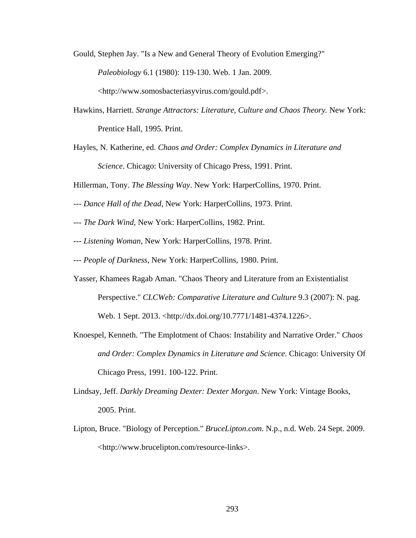Gould, Stephen Jay. "Is a New and General Theory of Evolution Emerging?" *Paleobiology* 6.1 (1980): 119-130. Web. 1 Jan. 2009.

<http://www.somosbacteriasyvirus.com/gould.pdf>.

- Hawkins, Harriett. *Strange Attractors: Literature, Culture and Chaos Theory.* New York: Prentice Hall, 1995. Print.
- Hayles, N. Katherine, ed. *Chaos and Order: Complex Dynamics in Literature and Science*. Chicago: University of Chicago Press, 1991. Print.

Hillerman, Tony. *The Blessing Way*. New York: HarperCollins, 1970. Print.

- --- *Dance Hall of the Dead*, New York: HarperCollins, 1973. Print.
- --- *The Dark Wind*, New York: HarperCollins, 1982. Print.
- --- *Listening Woman*, New York: HarperCollins, 1978. Print.
- --- *People of Darkness*, New York: HarperCollins, 1980. Print.
- Yasser, Khamees Ragab Aman. "Chaos Theory and Literature from an Existentialist Perspective." *CLCWeb: Comparative Literature and Culture* 9.3 (2007): N. pag. Web. 1 Sept. 2013. <http://dx.doi.org/10.7771/1481-4374.1226>.
- Knoespel, Kenneth. "The Emplotment of Chaos: Instability and Narrative Order." *Chaos and Order: Complex Dynamics in Literature and Science.* Chicago: University Of Chicago Press, 1991. 100-122. Print.
- Lindsay, Jeff. *Darkly Dreaming Dexter: Dexter Morgan*. New York: Vintage Books, 2005. Print.
- Lipton, Bruce. "Biology of Perception." *BruceLipton.com*. N.p., n.d. Web. 24 Sept. 2009. <http://www.brucelipton.com/resource-links>.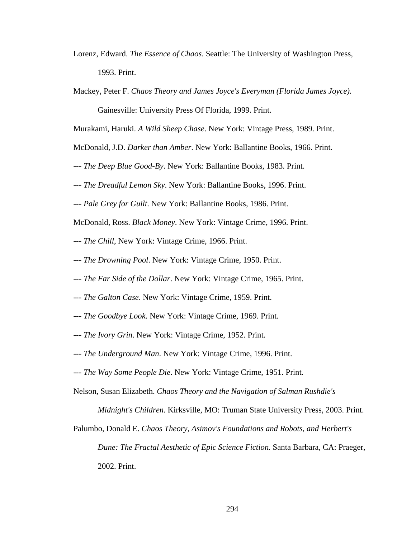- Lorenz, Edward. *The Essence of Chaos*. Seattle: The University of Washington Press, 1993. Print.
- Mackey, Peter F. *Chaos Theory and James Joyce's Everyman (Florida James Joyce).*

Gainesville: University Press Of Florida, 1999. Print.

Murakami, Haruki. *A Wild Sheep Chase*. New York: Vintage Press, 1989. Print.

- McDonald, J.D. *Darker than Amber*. New York: Ballantine Books, 1966. Print.
- --- *The Deep Blue Good-By*. New York: Ballantine Books, 1983. Print.
- --- *The Dreadful Lemon Sky*. New York: Ballantine Books, 1996. Print.
- --- *Pale Grey for Guilt*. New York: Ballantine Books, 1986. Print.
- McDonald, Ross. *Black Money*. New York: Vintage Crime, 1996. Print.
- --- *The Chill*, New York: Vintage Crime, 1966. Print.
- --- *The Drowning Pool*. New York: Vintage Crime, 1950. Print.
- --- *The Far Side of the Dollar*. New York: Vintage Crime, 1965. Print.
- --- *The Galton Case*. New York: Vintage Crime, 1959. Print.
- --- *The Goodbye Look*. New York: Vintage Crime, 1969. Print.
- --- *The Ivory Grin*. New York: Vintage Crime, 1952. Print.
- --- *The Underground Man*. New York: Vintage Crime, 1996. Print.
- --- *The Way Some People Die*. New York: Vintage Crime, 1951. Print.
- Nelson, Susan Elizabeth. *Chaos Theory and the Navigation of Salman Rushdie's* 
	- *Midnight's Children.* Kirksville, MO: Truman State University Press, 2003. Print.
- Palumbo, Donald E. *Chaos Theory, Asimov's Foundations and Robots, and Herbert's Dune: The Fractal Aesthetic of Epic Science Fiction.* Santa Barbara, CA: Praeger, 2002. Print.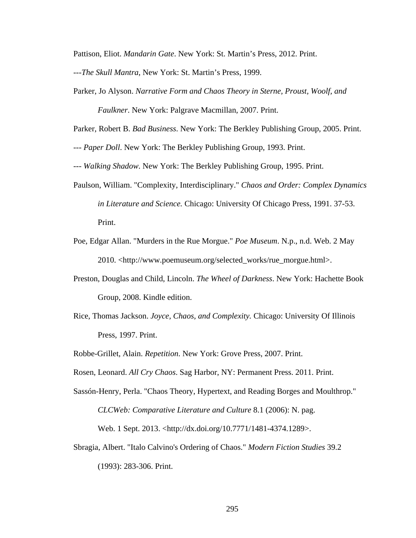Pattison, Eliot. *Mandarin Gate*. New York: St. Martin's Press, 2012. Print.

---*The Skull Mantra*, New York: St. Martin's Press, 1999.

Parker, Jo Alyson. *Narrative Form and Chaos Theory in Sterne, Proust, Woolf, and Faulkner*. New York: Palgrave Macmillan, 2007. Print.

Parker, Robert B. *Bad Business*. New York: The Berkley Publishing Group, 2005. Print.

--- *Paper Doll*. New York: The Berkley Publishing Group, 1993. Print.

--- *Walking Shadow*. New York: The Berkley Publishing Group, 1995. Print.

- Paulson, William. "Complexity, Interdisciplinary." *Chaos and Order: Complex Dynamics in Literature and Science.* Chicago: University Of Chicago Press, 1991. 37-53. Print.
- Poe, Edgar Allan. "Murders in the Rue Morgue." *Poe Museum*. N.p., n.d. Web. 2 May 2010. <http://www.poemuseum.org/selected\_works/rue\_morgue.html>.
- Preston, Douglas and Child, Lincoln. *The Wheel of Darkness*. New York: Hachette Book Group, 2008. Kindle edition.
- Rice, Thomas Jackson. *Joyce, Chaos, and Complexity.* Chicago: University Of Illinois Press, 1997. Print.

Robbe-Grillet, Alain. *Repetition*. New York: Grove Press, 2007. Print.

Rosen, Leonard. *All Cry Chaos*. Sag Harbor, NY: Permanent Press. 2011. Print.

Sassón-Henry, Perla. "Chaos Theory, Hypertext, and Reading Borges and Moulthrop." *CLCWeb: Comparative Literature and Culture* 8.1 (2006): N. pag.

Web. 1 Sept. 2013. <http://dx.doi.org/10.7771/1481-4374.1289>.

Sbragia, Albert. "Italo Calvino's Ordering of Chaos." *Modern Fiction Studies* 39.2 (1993): 283-306. Print.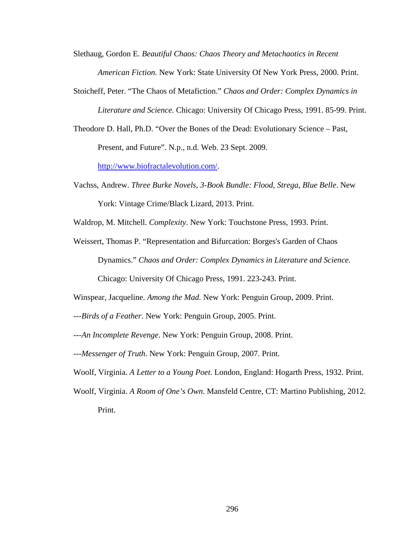Slethaug, Gordon E. *Beautiful Chaos: Chaos Theory and Metachaotics in Recent American Fiction.* New York: State University Of New York Press, 2000. Print.

- Stoicheff, Peter. "The Chaos of Metafiction." *Chaos and Order: Complex Dynamics in Literature and Science.* Chicago: University Of Chicago Press, 1991. 85-99. Print.
- Theodore D. Hall, Ph.D. "Over the Bones of the Dead: Evolutionary Science Past, Present, and Future". N.p., n.d. Web. 23 Sept. 2009.

http://www.biofractalevolution.com/.

Vachss, Andrew. *Three Burke Novels, 3-Book Bundle: Flood, Strega, Blue Belle*. New York: Vintage Crime/Black Lizard, 2013. Print.

Waldrop, M. Mitchell. *Complexity*. New York: Touchstone Press, 1993. Print.

Weissert, Thomas P. "Representation and Bifurcation: Borges's Garden of Chaos Dynamics." *Chaos and Order: Complex Dynamics in Literature and Science.*

Chicago: University Of Chicago Press, 1991. 223-243. Print.

Winspear, Jacqueline. *Among the Mad.* New York: Penguin Group, 2009. Print.

- ---*Birds of a Feather*. New York: Penguin Group, 2005. Print.
- ---*An Incomplete Revenge*. New York: Penguin Group, 2008. Print.

---*Messenger of Truth*. New York: Penguin Group, 2007. Print.

Woolf, Virginia. *A Letter to a Young Poet*. London, England: Hogarth Press, 1932. Print.

Woolf, Virginia. *A Room of One's Own*. Mansfeld Centre, CT: Martino Publishing, 2012. Print.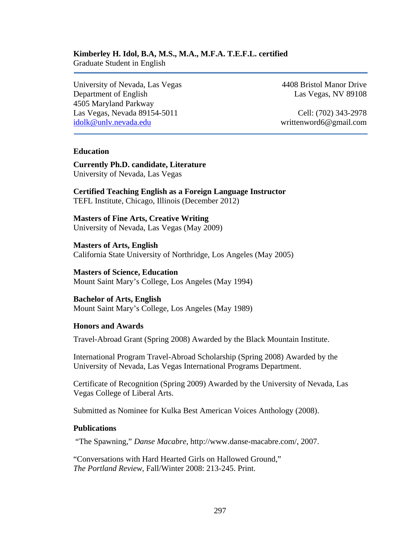#### **Kimberley H. Idol, B.A, M.S., M.A., M.F.A. T.E.F.L. certified** Graduate Student in English

University of Nevada, Las Vegas 4408 Bristol Manor Drive Department of English Las Vegas, NV 89108 4505 Maryland Parkway Las Vegas, Nevada 89154-5011 Cell: (702) 343-2978 idolk@unlv.nevada.edu writtenword6@gmail.com

# **Education**

**Currently Ph.D. candidate, Literature**  University of Nevada, Las Vegas

**Certified Teaching English as a Foreign Language Instructor**  TEFL Institute, Chicago, Illinois (December 2012)

**Masters of Fine Arts, Creative Writing**  University of Nevada, Las Vegas (May 2009)

**Masters of Arts, English**  California State University of Northridge, Los Angeles (May 2005)

**Masters of Science, Education**  Mount Saint Mary's College, Los Angeles (May 1994)

**Bachelor of Arts, English**  Mount Saint Mary's College, Los Angeles (May 1989)

## **Honors and Awards**

Travel-Abroad Grant (Spring 2008) Awarded by the Black Mountain Institute.

International Program Travel-Abroad Scholarship (Spring 2008) Awarded by the University of Nevada, Las Vegas International Programs Department.

Certificate of Recognition (Spring 2009) Awarded by the University of Nevada, Las Vegas College of Liberal Arts.

Submitted as Nominee for Kulka Best American Voices Anthology (2008).

## **Publications**

"The Spawning," *Danse Macabre*, http://www.danse-macabre.com/, 2007.

"Conversations with Hard Hearted Girls on Hallowed Ground," *The Portland Review*, Fall/Winter 2008: 213-245. Print.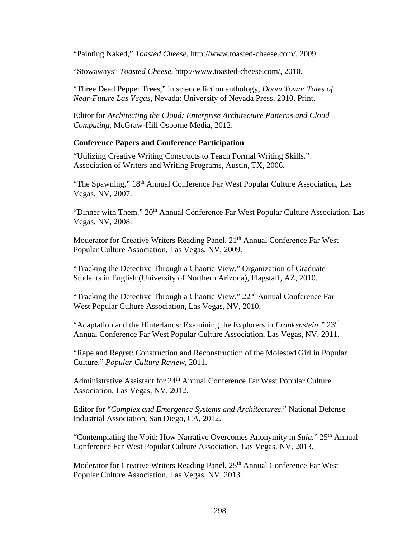"Painting Naked," *Toasted Cheese*, http://www.toasted-cheese.com/, 2009.

"Stowaways" *Toasted Cheese*, http://www.toasted-cheese.com/, 2010.

"Three Dead Pepper Trees," in science fiction anthology, *Doom Town: Tales of Near-Future Las Vegas,* Nevada: University of Nevada Press, 2010. Print.

Editor for *Architecting the Cloud: Enterprise Architecture Patterns and Cloud Computing,* McGraw-Hill Osborne Media, 2012.

## **Conference Papers and Conference Participation**

"Utilizing Creative Writing Constructs to Teach Formal Writing Skills." Association of Writers and Writing Programs, Austin, TX, 2006.

"The Spawning," 18<sup>th</sup> Annual Conference Far West Popular Culture Association, Las Vegas, NV, 2007.

"Dinner with Them," 20<sup>th</sup> Annual Conference Far West Popular Culture Association, Las Vegas, NV, 2008.

Moderator for Creative Writers Reading Panel, 21<sup>th</sup> Annual Conference Far West Popular Culture Association, Las Vegas, NV, 2009.

"Tracking the Detective Through a Chaotic View." Organization of Graduate Students in English (University of Northern Arizona), Flagstaff, AZ, 2010.

"Tracking the Detective Through a Chaotic View." 22<sup>nd</sup> Annual Conference Far West Popular Culture Association, Las Vegas, NV, 2010.

"Adaptation and the Hinterlands: Examining the Explorers in *Frankenstein."* 23rd Annual Conference Far West Popular Culture Association, Las Vegas, NV, 2011.

"Rape and Regret: Construction and Reconstruction of the Molested Girl in Popular Culture." *Popular Culture Review*, 2011.

Administrative Assistant for 24<sup>th</sup> Annual Conference Far West Popular Culture Association, Las Vegas, NV, 2012.

Editor for "*Complex and Emergence Systems and Architectures.*" National Defense Industrial Association, San Diego, CA, 2012.

"Contemplating the Void: How Narrative Overcomes Anonymity in *Sula*." 25<sup>th</sup> Annual Conference Far West Popular Culture Association, Las Vegas, NV, 2013.

Moderator for Creative Writers Reading Panel, 25<sup>th</sup> Annual Conference Far West Popular Culture Association, Las Vegas, NV, 2013.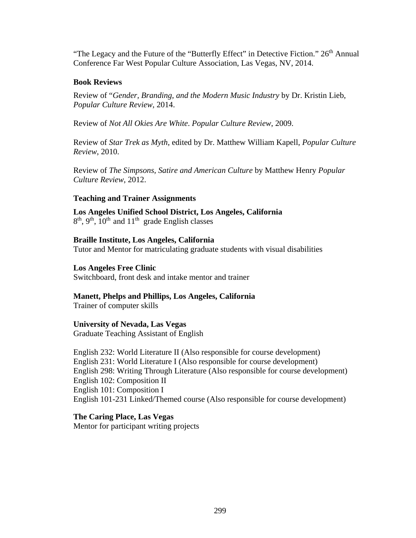"The Legacy and the Future of the "Butterfly Effect" in Detective Fiction." 26<sup>th</sup> Annual Conference Far West Popular Culture Association, Las Vegas, NV, 2014.

## **Book Reviews**

Review of "*Gender, Branding, and the Modern Music Industry* by Dr. Kristin Lieb, *Popular Culture Review*, 2014.

Review of *Not All Okies Are White*. *Popular Culture Review*, 2009.

Review of *Star Trek as Myth*, edited by Dr. Matthew William Kapell, *Popular Culture Review*, 2010.

Review of *The Simpsons, Satire and American Culture* by Matthew Henry *Popular Culture Review*, 2012.

## **Teaching and Trainer Assignments**

**Los Angeles Unified School District, Los Angeles, California**   $8<sup>th</sup>$ ,  $9<sup>th</sup>$ ,  $10<sup>th</sup>$  and  $11<sup>th</sup>$  grade English classes

#### **Braille Institute, Los Angeles, California**

Tutor and Mentor for matriculating graduate students with visual disabilities

#### **Los Angeles Free Clinic**

Switchboard, front desk and intake mentor and trainer

## **Manett, Phelps and Phillips, Los Angeles, California**

Trainer of computer skills

## **University of Nevada, Las Vegas**

Graduate Teaching Assistant of English

English 232: World Literature II (Also responsible for course development) English 231: World Literature I (Also responsible for course development) English 298: Writing Through Literature (Also responsible for course development) English 102: Composition II English 101: Composition I English 101-231 Linked/Themed course (Also responsible for course development)

**The Caring Place, Las Vegas**

Mentor for participant writing projects